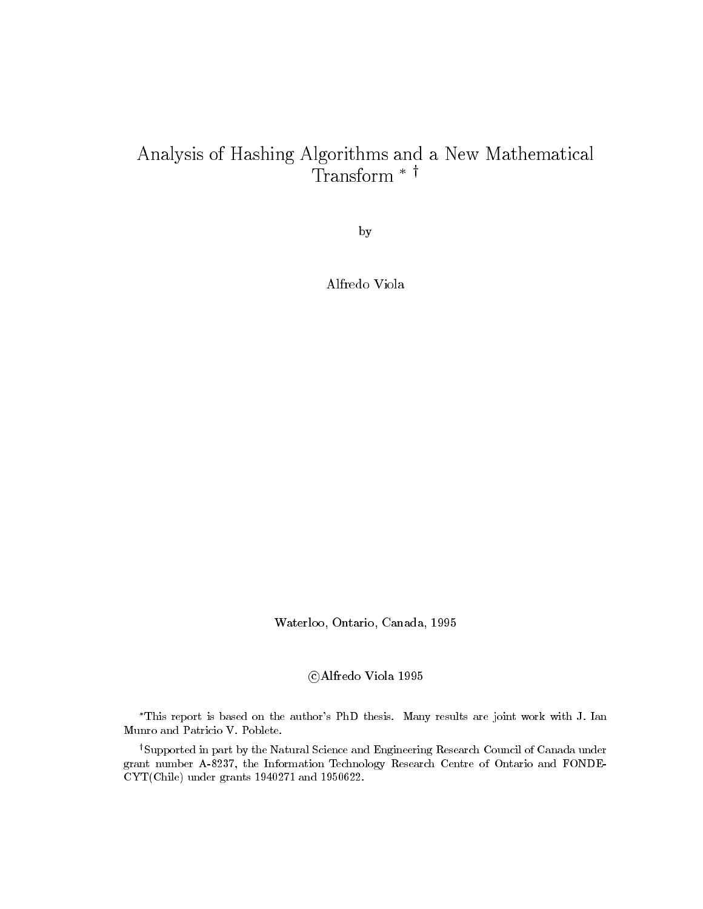## Analysis of Hashing Algorithms and a New Mathematical Transform  $*$ †

by

Alfredo Viola

water and one can be completed and a state of the case of the case of the case of the case of the case of the c

 $\sim$  -  $\sim$  -  $\sim$  -  $\sim$  -  $\sim$  -  $\sim$  -  $\sim$  -  $\sim$ 

This report is based on the authors PhD thesis- Many results are joint work with J- Ian

<sup>†</sup>Supported in part by the Natural Science and Engineering Research Council of Canada under grant number A-8237, the Information Technology Research Centre of Ontario and FONDEviews and and and the contract of the second state of the second state of the second state of the second state of the second state of the second state of the second state of the second state of the second state of the seco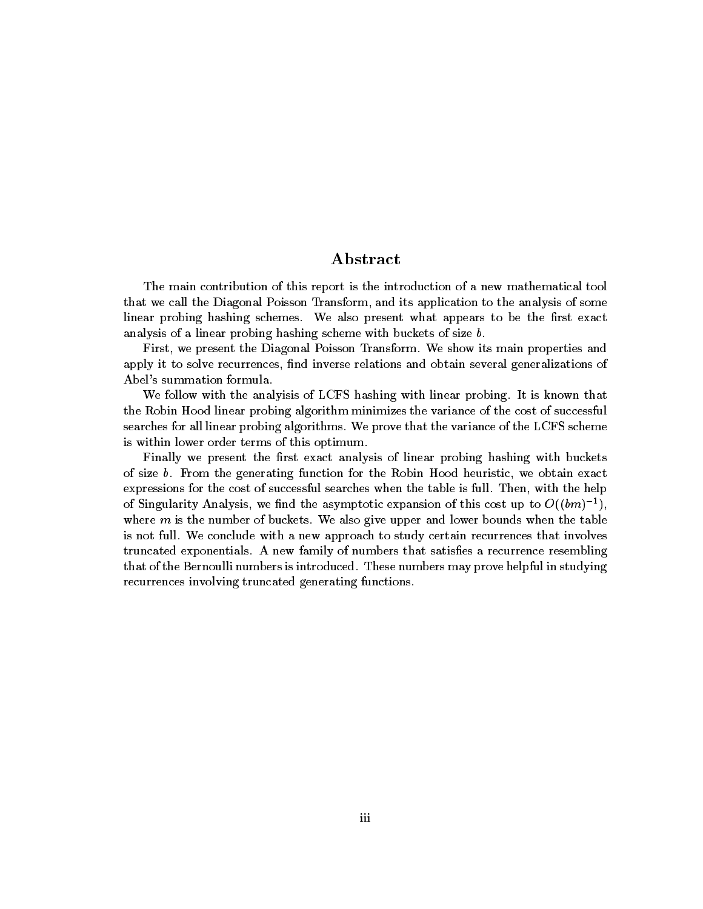## Abstract

The main contribution of this report is the introduction of a new mathematical tool that we call the Diagonal Poisson Transform and its application to the analysis of some linear probing hashing schemes. We also present what appears to be the first exact analysis of a linear probing hashing scheme with buckets of size b.

First, we present the Diagonal Poisson Transform. We show its main properties and apply it to solve recurrences, find inverse relations and obtain several generalizations of Abel's summation formula.

We follow with the analyisis of LCFS hashing with linear probing. It is known that the Robin Hood linear probing algorithm minimizes the variance of the cost of successful searches for all linear probing algorithms. We prove that the variance of the LCFS scheme is within lower order terms of this optimum

Finally we present the first exact analysis of linear probing hashing with buckets of size  $b$ . From the generating function for the Robin Hood heuristic, we obtain exact expressions for the cost of successful searches when the table is full. Then, with the help of Singularity Analysis, we find the asymptotic expansion of this cost up to  $O((\theta m)^{-1})$ , where  $m$  is the number of buckets. We also give upper and lower bounds when the table is not full. We conclude with a new approach to study certain recurrences that involves truncated exponentials. A new family of numbers that satisfies a recurrence resembling that of the Bernoulli numbers is introduced. These numbers may prove helpful in studying recurrences involving truncated generating functions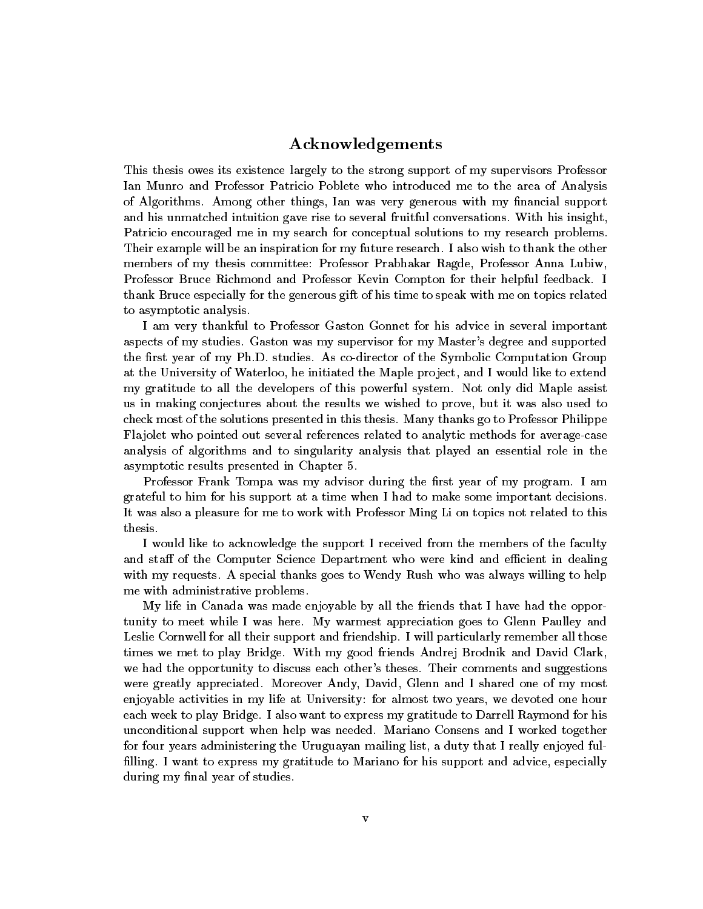## Acknowledgements

This thesis owes its existence largely to the strong support of my supervisors Professor Ian Munro and Professor Patricio Poblete who introduced me to the area of Analysis of Algorithms. Among other things, Ian was very generous with my financial support and his unmatched intuition gave rise to several fruitful conversations. With his insight, Patricio encouraged me in my search for conceptual solutions to my research problems Their example will be an inspiration for my future research I also wish to thank the other members of my thesis committee Professor Prabhakar Ragde Professor Anna Lubiw Professor Bruce Richmond and Professor Kevin Compton for their helpful feedback I thank Bruce especially for the generous gift of his time to speak with me on topics related to asymptotic analysis

I am very thankful to Professor Gaston Gonnet for his advice in several important aspects of my studies. Gaston was my supervisor for my Master's degree and supported the first year of my Ph.D. studies. As co-director of the Symbolic Computation Group at the University of Waterloo, he initiated the Maple project, and I would like to extend my gratitude to all the developers of this powerful system. Not only did Maple assist us in making conjectures about the results we wished to prove, but it was also used to check most of the solutions presented in this thesis Many thanks go to Professor Philippe Flajolet who pointed out several references related to analytic methods for average-case analysis of algorithms and to singularity analysis that played an essential role in the asymptotic results presented in Chapter

Professor Frank Tompa was my advisor during the first year of my program. I am grateful to him for his support at a time when I had to make some important decisions It was also a pleasure for me to work with Professor Ming Li on topics not related to this thesis

I would like to acknowledge the support I received from the members of the faculty and staff of the Computer Science Department who were kind and efficient in dealing with my requests A special thanks goes to Wendy Rush who was always willing to help me with administrative problems

My life in Canada was made enjoyable by all the friends that I have had the oppor tunity to meet while I was here. My warmest appreciation goes to Glenn Paulley and Leslie Cornwell for all their support and friendship. I will particularly remember all those times we met to play Bridge. With my good friends Andrej Brodnik and David Clark, we had the opportunity to discuss each other's theses. Their comments and suggestions were greatly appreciated. Moreover Andy, David, Glenn and I shared one of my most enjoyable activities in my life at University for almost two years we devoted one hour each week to play Bridge. I also want to express my gratitude to Darrell Raymond for his unconditional support when help was needed. Mariano Consens and I worked together for four years administering the Uruguayan mailing list, a duty that I really enjoyed fulfilling. I want to express my gratitude to Mariano for his support and advice, especially during my final year of studies.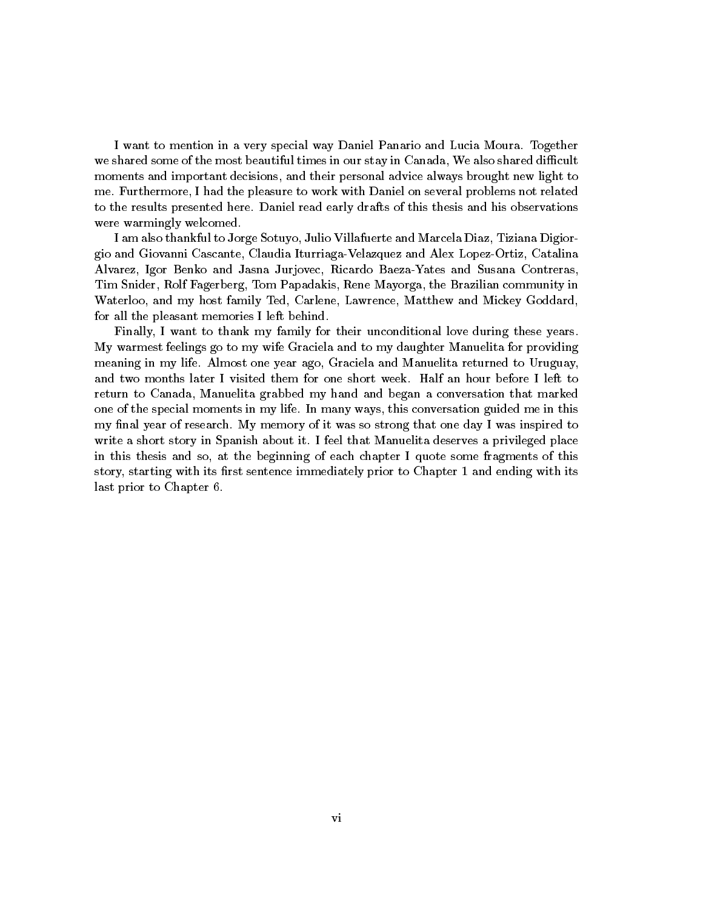I want to mention in a very special way Daniel Panario and Lucia Moura Together we shared some of the most beautiful times in our stay in Canada, We also shared difficult moments and important decisions, and their personal advice always brought new light to me. Furthermore, I had the pleasure to work with Daniel on several problems not related to the results presented here Daniel read early drafts of this thesis and his observations were warmingly welcomed

I am also thankful to Jorge Sotuyo, Julio Villafuerte and Marcela Diaz, Tiziana Digiorgio and Giovanni Cascante, Claudia Iturriaga-Velazquez and Alex Lopez-Ortiz, Catalina Alvarez, Igor Benko and Jasna Jurjovec, Ricardo Baeza-Yates and Susana Contreras, Tim Snider, Rolf Fagerberg, Tom Papadakis, Rene Mayorga, the Brazilian community in Waterloo, and my host family Ted, Carlene, Lawrence, Matthew and Mickey Goddard, for all the pleasant memories I left behind

Finally, I want to thank my family for their unconditional love during these years. My warmest feelings go to my wife Graciela and to my daughter Manuelita for providing meaning in my life. Almost one year ago, Graciela and Manuelita returned to Uruguay, and two months later I visited them for one short week Half an hour before I left to return to Canada, Manuelita grabbed my hand and began a conversation that marked one of the special moments in my life In many ways this conversation guided me in this my final year of research. My memory of it was so strong that one day I was inspired to write a short story in Spanish about it. I feel that Manuelita deserves a privileged place in this thesis and so, at the beginning of each chapter I quote some fragments of this story starting with its rst sentence immediately prior to Chapter - and ending with its last prior to Chapter 6.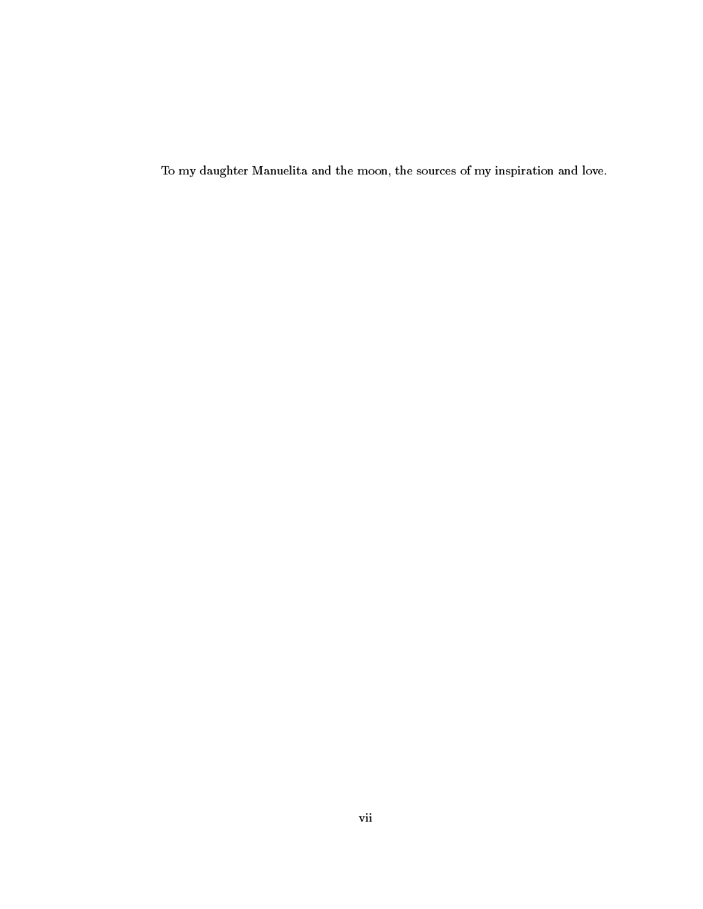To my daughter Manuelita and the moon, the sources of my inspiration and love.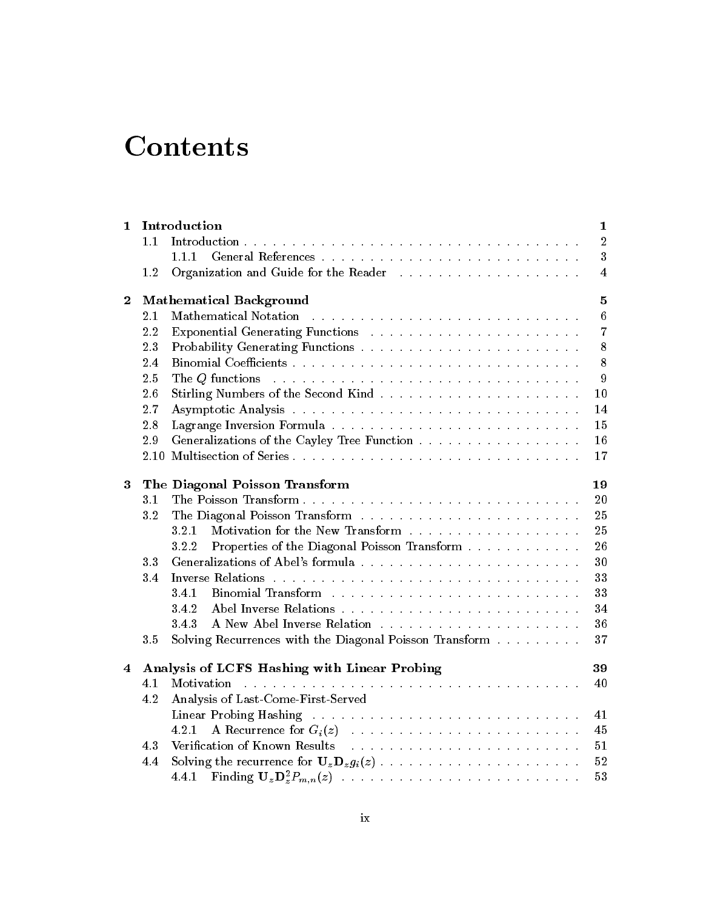# **Contents**

| 1              |      | Introduction                                                                                                    | $\mathbf 1$     |
|----------------|------|-----------------------------------------------------------------------------------------------------------------|-----------------|
|                | 1.1  |                                                                                                                 | $\overline{2}$  |
|                |      | 1.1.1                                                                                                           | 3               |
|                | 1.2  |                                                                                                                 | 4               |
| $\bf{2}$       |      | <b>Mathematical Background</b>                                                                                  | 5               |
|                | 2.1  | Mathematical Notation enterpresentative enterpresentative enterpresentative enterpresentative enterpresentative | $6\phantom{.}6$ |
|                | 2.2  |                                                                                                                 | 7               |
|                | 2.3  |                                                                                                                 | 8               |
|                | 2.4  |                                                                                                                 | 8               |
|                | 2.5  | The Q functions                                                                                                 | 9               |
|                | 2.6  |                                                                                                                 | $10\,$          |
|                | 2.7  |                                                                                                                 | 14              |
|                | 2.8  |                                                                                                                 | 15              |
|                | 2.9  | Generalizations of the Cayley Tree Function                                                                     | 16              |
|                | 2.10 |                                                                                                                 | 17              |
| 3              |      | The Diagonal Poisson Transform                                                                                  | 19              |
|                | 3.1  | The Poisson Transform                                                                                           | 20              |
|                | 3.2  |                                                                                                                 | 25              |
|                |      | 3.2.1                                                                                                           | 25              |
|                |      | 3.2.2<br>Properties of the Diagonal Poisson Transform                                                           | 26              |
|                | 3.3  |                                                                                                                 | 30              |
|                | 3.4  |                                                                                                                 | 33              |
|                |      | 3.4.1                                                                                                           | 33              |
|                |      | 3.4.2                                                                                                           | 34              |
|                |      | 3.4.3                                                                                                           | 36              |
|                | 3.5  | Solving Recurrences with the Diagonal Poisson Transform                                                         | 37              |
| $\overline{4}$ |      | Analysis of LCFS Hashing with Linear Probing                                                                    | 39              |
|                | 4.1  |                                                                                                                 | 40              |
|                | 4.2  | Analysis of Last-Come-First-Served                                                                              |                 |
|                |      |                                                                                                                 | 41              |
|                |      | 4.2.1                                                                                                           | 45              |
|                | 4.3  |                                                                                                                 | 51              |
|                | 4.4  |                                                                                                                 | 52              |
|                |      |                                                                                                                 | 53              |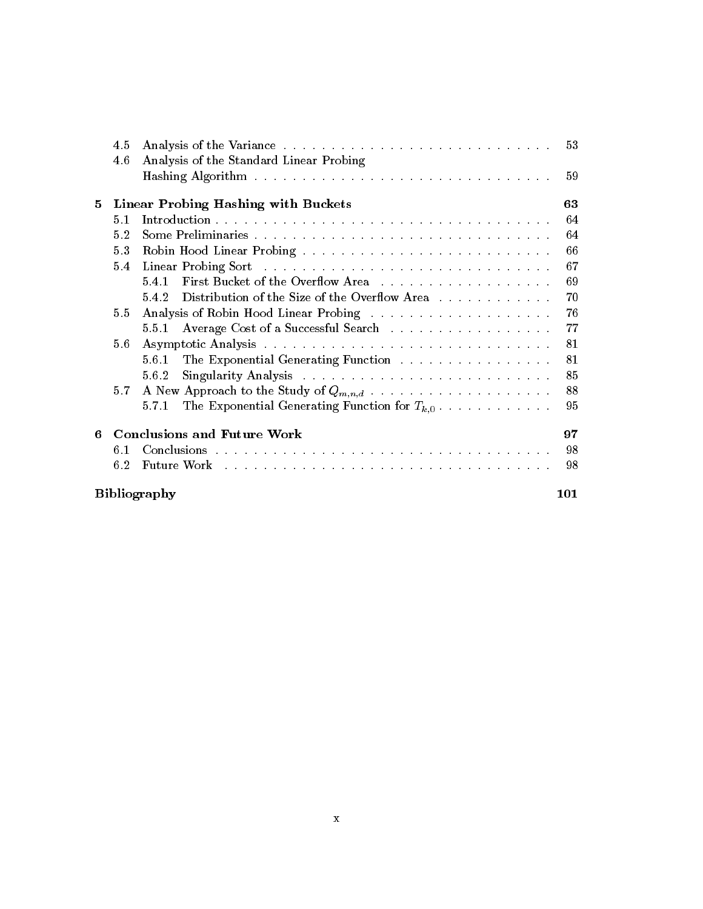|                            | 4.5 |                                                            | 53 |  |  |
|----------------------------|-----|------------------------------------------------------------|----|--|--|
|                            | 4.6 | Analysis of the Standard Linear Probing                    |    |  |  |
|                            |     |                                                            | 59 |  |  |
| 5.                         |     | Linear Probing Hashing with Buckets                        | 63 |  |  |
|                            | 5.1 |                                                            | 64 |  |  |
|                            | 5.2 |                                                            | 64 |  |  |
|                            | 5.3 |                                                            | 66 |  |  |
|                            | 5.4 |                                                            | 67 |  |  |
|                            |     | First Bucket of the Overflow Area<br>5.4.1                 | 69 |  |  |
|                            |     | Distribution of the Size of the Overflow Area<br>5.4.2     | 70 |  |  |
|                            | 5.5 |                                                            | 76 |  |  |
|                            |     | 5.5.1                                                      | 77 |  |  |
|                            | 5.6 |                                                            | 81 |  |  |
|                            |     | The Exponential Generating Function<br>5.6.1               | 81 |  |  |
|                            |     | 5.6.2                                                      | 85 |  |  |
|                            | 5.7 |                                                            | 88 |  |  |
|                            |     | The Exponential Generating Function for $T_{k,0}$<br>5.7.1 | 95 |  |  |
| 6.                         |     | <b>Conclusions and Future Work</b>                         | 97 |  |  |
|                            | 6.1 |                                                            | 98 |  |  |
|                            | 6.2 |                                                            | 98 |  |  |
| <b>Bibliography</b><br>101 |     |                                                            |    |  |  |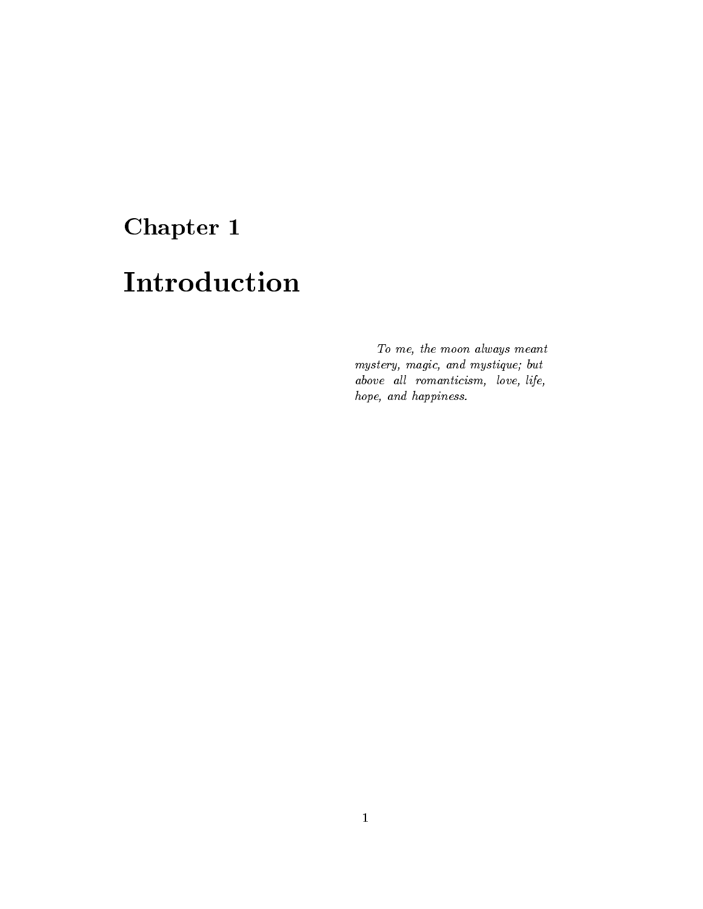# Chapter 1

# Introduction

To me, the moon always meant mystery magic and mystique- but above all romanticism, love, life,  $\emph{ hope, and happens.}$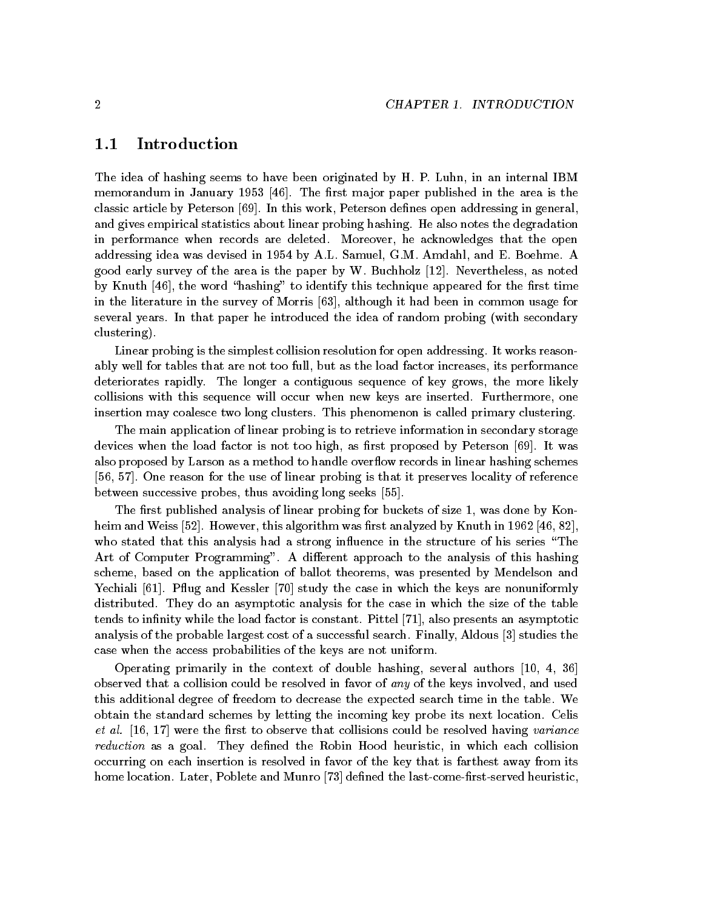#### $1.1\,$ Introduction

The idea of hashing seems to have been originated by H. P. Luhn, in an internal IBM memorandum in January - The rst management in January - The rst management in the area is the area is the area is the area is the area is the area is the area is the area is the area is the area is the area is the area is classic article by Peterson  $[69]$ . In this work, Peterson defines open addressing in general, and gives empirical statistics about linear probing hashing. He also notes the degradation in performance when records are deleted. Moreover, he acknowledges that the open addressing idea was devised in -order and -order and E Boehme Amdahl and E Boehme Amdahl and good early survey of the area is the paper by W Buchholz - Nevertheless as noted by Knuth  $\left[46\right]$ , the word "hashing" to identify this technique appeared for the first time in the literature in the survey of Morris  $[63]$ , although it had been in common usage for several years. In that paper he introduced the idea of random probing (with secondary clustering 

Linear probing is the simplest collision resolution for open addressing. It works reasonably well for tables that are not too full, but as the load factor increases, its performance deteriorates rapidly. The longer a contiguous sequence of key grows, the more likely collisions with this sequence will occur when new keys are inserted. Furthermore, one insertion may coalesce two long clusters. This phenomenon is called primary clustering.

The main application of linear probing is to retrieve information in secondary storage devices when the load factor is not too high, as first proposed by Peterson  $[69]$ . It was also proposed by Larson as a method to handle overflow records in linear hashing schemes  $[56, 57]$ . One reason for the use of linear probing is that it preserves locality of reference between successive probes, thus avoiding long seeks  $[55]$ .

The rst published analysis of linear probing for buckets of size - was done by Kon heim and weiss in this algorithm was requested by Knuth in - algorithm was requested by Knuth in - algorithm i who stated that this analysis had a strong influence in the structure of his series "The Art of Computer Programming". A different approach to the analysis of this hashing scheme, based on the application of ballot theorems, was presented by Mendelson and Yechiali - Pug and Kessler study the case in which the keys are nonuniformly distributed. They do an asymptotic analysis for the case in which the size of the table tends to innity while the load factor is constant Pittel - also presents an asymptotic analysis of the probable largest cost of a successful search. Finally, Aldous  $\lceil 3 \rceil$  studies the case when the access probabilities of the keys are not uniform

Operating primarily in the context of double hashing several authors observed that a collision could be resolved in favor of any of the keys involved, and used this additional degree of freedom to decrease the expected search time in the table We obtain the standard schemes by letting the incoming key probe its next location Celis et al - met al - were that collisions collisions collisions control be resolved having variance that collision reduction as a goal. They defined the Robin Hood heuristic, in which each collision occurring on each insertion is resolved in favor of the key that is farthest away from its home location. Later, Poblete and Munro [73] defined the last-come-first-served heuristic,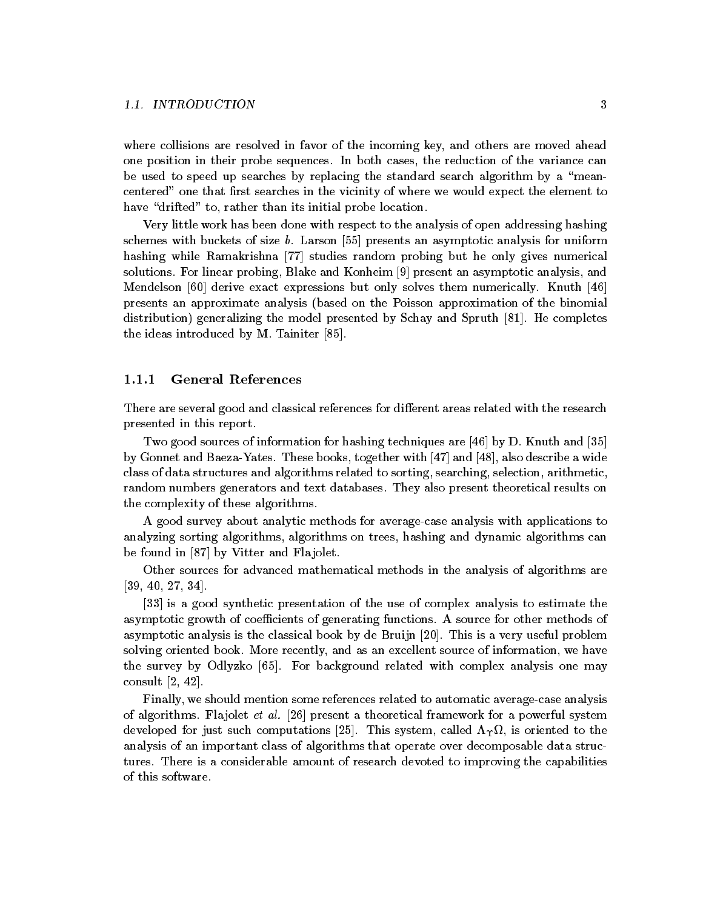where collisions are resolved in favor of the incoming key, and others are moved ahead one position in their probe sequences In both cases the reduction of the variance can be used to speed up searches by replacing the standard search algorithm by a "meancentered" one that first searches in the vicinity of where we would expect the element to have "drifted" to, rather than its initial probe location.

Very little work has been done with respect to the analysis of open addressing hashing schemes with buckets of size  $b$ . Larson  $[55]$  presents an asymptotic analysis for uniform hashing while Ramakrishna [77] studies random probing but he only gives numerical solutions. For linear probing, Blake and Konheim [9] present an asymptotic analysis, and Mendelson  $[60]$  derive exact expressions but only solves them numerically. Knuth  $[46]$ presents an approximate analysis (based on the Poisson approximation of the binomial distributions are model presented by School and Spruth - Spruth - Spruth - Spruth - Spruth - Spruth - Spruth the ideas introduced by M. Tainiter  $[85]$ .

## General References

There are several good and classical references for different areas related with the research presented in this report

Two good sources of information for hashing techniques are  $\left[46\right]$  by D. Knuth and  $\left[35\right]$ by Gonnet and Baeza-Yates. These books, together with  $\left[47\right]$  and  $\left[48\right]$ , also describe a wide class of data structures and algorithms related to sorting, searching, selection, arithmetic, random numbers generators and text databases They also present theoretical results on the complexity of these algorithms

A good survey about analytic methods for average-case analysis with applications to analyzing sorting algorithms, algorithms on trees, hashing and dynamic algorithms can be found in  $[87]$  by Vitter and Flajolet.

Other sources for advanced mathematical methods in the analysis of algorithms are  $[39, 40, 27, 34]$ .

[33] is a good synthetic presentation of the use of complex analysis to estimate the asymptotic growth of coefficients of generating functions. A source for other methods of asymptotic analysis is the classical book by de Bruijn [20]. This is a very useful problem solving oriented book. More recently, and as an excellent source of information, we have the survey by Odlyzko [65]. For background related with complex analysis one may consult  $\left[2, 42\right]$ .

Finally, we should mention some references related to automatic average-case analysis of algorithms. Flajolet *et al.* [26] present a theoretical framework for a powerful system developed for just such computations [25]. This system, called  $\Lambda_{\Upsilon}\Omega$ , is oriented to the analysis of an important class of algorithms that operate over decomposable data struc tures. There is a considerable amount of research devoted to improving the capabilities of this software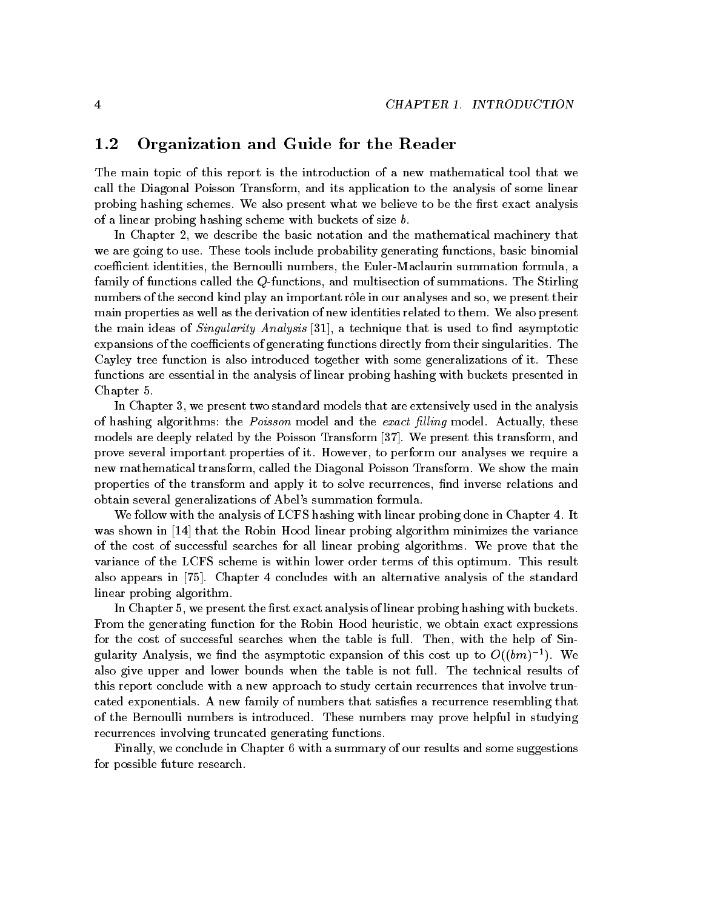#### $1.2\,$ Organization and Guide for the Reader

The main topic of this report is the introduction of a new mathematical tool that we call the Diagonal Poisson Transform, and its application to the analysis of some linear probing hashing schemes. We also present what we believe to be the first exact analysis of a linear probing hashing scheme with buckets of size  $b$ .

In Chapter 2, we describe the basic notation and the mathematical machinery that we are going to use. These tools include probability generating functions, basic binomial coefficient identities, the Bernoulli numbers, the Euler-Maclaurin summation formula, a family of functions called the  $Q$ -functions, and multisection of summations. The Stirling numbers of the second kind play an important rôle in our analyses and so, we present their main properties as well as the derivation of new identities related to them. We also present the main is the main in the state of  $\mathcal{S}$  is used to not as the state that is used to not as  $\mathcal{S}$ expansions of the coefficients of generating functions directly from their singularities. The Cayley tree function is also introduced together with some generalizations of it These functions are essential in the analysis of linear probing hashing with buckets presented in Chapter 5.

In Chapter 3, we present two standard models that are extensively used in the analysis of has been point allows the Poisson model and the exact lines of the exact lines of the exact lines. models are deeply related by the Poisson Transform  $|37|$ . We present this transform, and prove several important properties of it. However, to perform our analyses we require a new mathematical transform, called the Diagonal Poisson Transform. We show the main properties of the transform and apply it to solve recurrences, find inverse relations and obtain several generalizations of Abel's summation formula.

We follow with the analysis of LCFS hashing with linear probing done in Chapter 4. It was shown in the Robin Hood linear probing algorithm minimizes the variance of the variance of the variance of of the cost of successful searches for all linear probing algorithms We prove that the variance of the LCFS scheme is within lower order terms of this optimum This result also appears in [75]. Chapter 4 concludes with an alternative analysis of the standard linear probing algorithm

In Chapter 5, we present the first exact analysis of linear probing hashing with buckets. From the generating function for the Robin Hood heuristic, we obtain exact expressions for the cost of successful searches when the table is full. Then, with the help of Singularity Analysis, we find the asymptotic expansion of this cost up to  $O((\theta m)^{-1})$ . We also give upper and lower bounds when the table is not full. The technical results of this report conclude with a new approach to study certain recurrences that involve trun cated exponentials. A new family of numbers that satisfies a recurrence resembling that of the Bernoulli numbers is introduced. These numbers may prove helpful in studying recurrences involving truncated generating functions

Finally, we conclude in Chapter 6 with a summary of our results and some suggestions for possible future research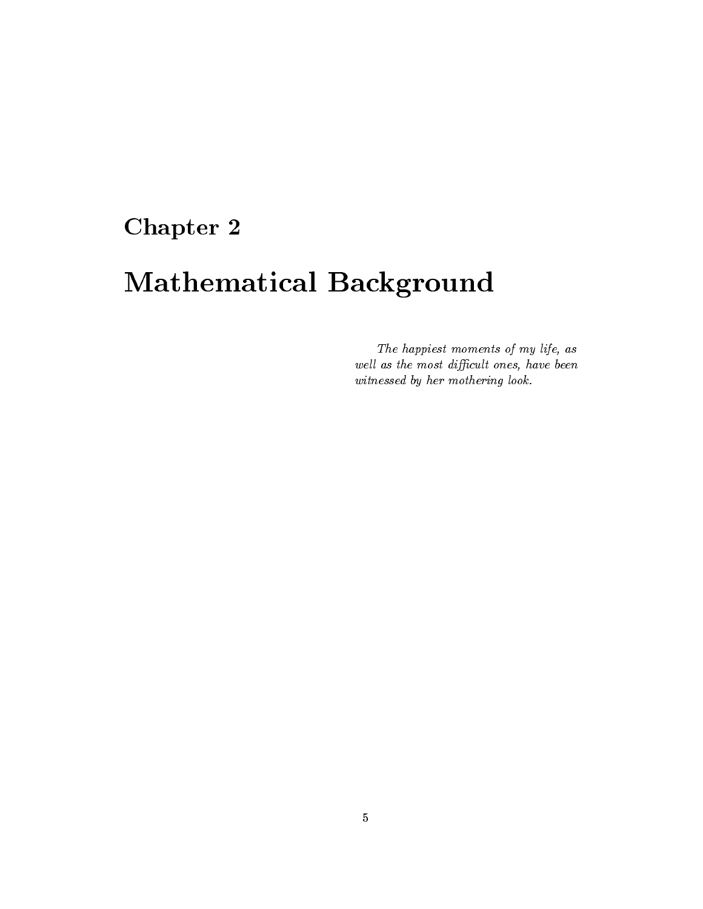# Chapter 2

# Mathematical Background

The happiest moments of my life, as well as the most difficult ones, have been witnessed by her mothering look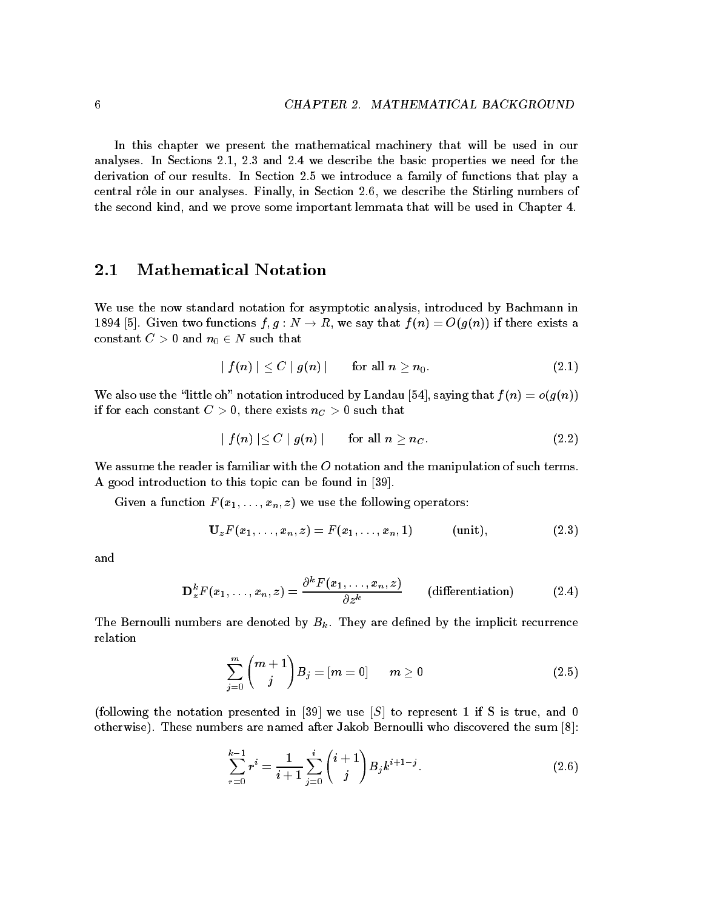In this chapter we present the mathematical machinery that will be used in our analyses In Sections - and we describe the basic properties we need for the derivation of our results. In Section 2.5 we introduce a family of functions that play a central rôle in our analyses. Finally, in Section 2.6, we describe the Stirling numbers of the second kind, and we prove some important lemmata that will be used in Chapter 4.

#### $\bf 2.1$ Mathematical Notation

We use the now standard notation for asymptotic analysis, introduced by Bachmann in - Given two functions f g N - R we say that f n Ogn if there exists a constant C -  $\sim$  -  $\sim$  -  $\sim$  -  $\sim$  -  $\sim$  -  $\sim$  -  $\sim$  -  $\sim$  -  $\sim$  -  $\sim$  -  $\sim$  -  $\sim$  -  $\sim$ 

$$
\mid f(n) \mid \ \leq C \mid g(n) \mid \qquad \text{for all} \,\, n \geq n_0. \tag{2.1}
$$

We also use the "little oh" notation introduced by Landau [54], saying that  $f(n) = o(g(n))$ if for each constant  $\mathcal{L}$  ,  $\mathcal{L}$  ,  $\mathcal{L}$  , and there exists  $\mathcal{L}$  ,  $\mathcal{L}$  is a such that that

$$
\mid f(n) \mid \leq C \mid g(n) \mid \qquad \text{for all } n \geq n_C. \tag{2.2}
$$

We assume the reader is familiar with the  $O$  notation and the manipulation of such terms. A good introduction to this topic can be found in [39].

Given a function  $F(x_1, \ldots, x_n, z)$  we use the following operators:

$$
\mathbf{U}_{z}F(x_{1},...,x_{n},z)=F(x_{1},...,x_{n},1) \qquad (\text{unit}), \qquad (2.3)
$$

and

$$
\mathbf{D}_{z}^{k}F(x_{1},\ldots,x_{n},z) = \frac{\partial^{k}F(x_{1},\ldots,x_{n},z)}{\partial z^{k}} \qquad \text{(differentiation)} \tag{2.4}
$$

The Bernoulli numbers are denoted by  $B_k$ . They are defined by the implicit recurrence relation

$$
\sum_{j=0}^{m} {m+1 \choose j} B_j = [m=0] \qquad m \ge 0 \tag{2.5}
$$

following the notation presented in we use S to represent - if S is true and otherwise). These numbers are named after Jakob Bernoulli who discovered the sum  $[8]$ :

$$
\sum_{r=0}^{k-1} r^i = \frac{1}{i+1} \sum_{j=0}^i {i+1 \choose j} B_j k^{i+1-j}.
$$
 (2.6)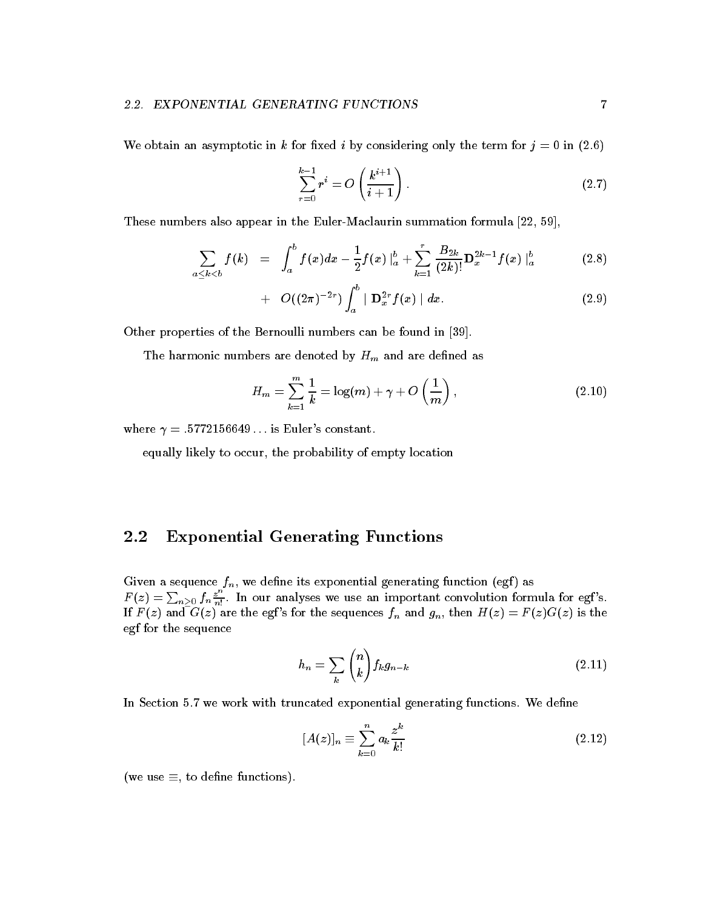We obtain an asymptotic in k for fixed i by considering only the term for  $j = 0$  in (2.6)

$$
\sum_{r=0}^{k-1} r^i = O\left(\frac{k^{i+1}}{i+1}\right).
$$
 (2.7)

These numbers also appear in the Euler-Maclaurin summation formula  $[22, 59]$ ,

$$
\sum_{a \leq k < b} f(k) = \int_a^b f(x) dx - \frac{1}{2} f(x) \Big|_a^b + \sum_{k=1}^r \frac{B_{2k}}{(2k)!} \mathbf{D}_x^{2k-1} f(x) \Big|_a^b \qquad (2.8)
$$

+ 
$$
O((2\pi)^{-2r}) \int_a^b | \mathbf{D}_x^{2r} f(x) | dx.
$$
 (2.9)

Other properties of the Bernoulli numbers can be found in

The harmonic numbers are denoted by  $H_m$  and are defined as

$$
H_m = \sum_{k=1}^{m} \frac{1}{k} = \log(m) + \gamma + O\left(\frac{1}{m}\right),\tag{2.10}
$$

where it is easily the constant of the constant of the constant of the constant of the constant of the constant of the constant of the constant of the constant of the constant of the constant of the constant of the constan

equally likely to occur, the probability of empty location

### 2.2 Exponential Generating Functions

Given a sequence  $f_n$ , we define its exponential generating function (egf) as  $F(z) = \sum_{n\geq 0} f_n \frac{z^n}{n!}$ . In our analyses we use an important convolution formula for egf's. If  $F(z)$  and  $G(z)$  are the egf's for the sequences  $f_n$  and  $g_n$ , then  $H(z) = F(z)G(z)$  is the egf for the sequence

$$
h_n = \sum_{k} \binom{n}{k} f_k g_{n-k} \tag{2.11}
$$

In Section 5.7 we work with truncated exponential generating functions. We define

$$
[A(z)]_n \equiv \sum_{k=0}^n a_k \frac{z^k}{k!}
$$
 (2.12)

(we use  $\equiv$ , to define functions).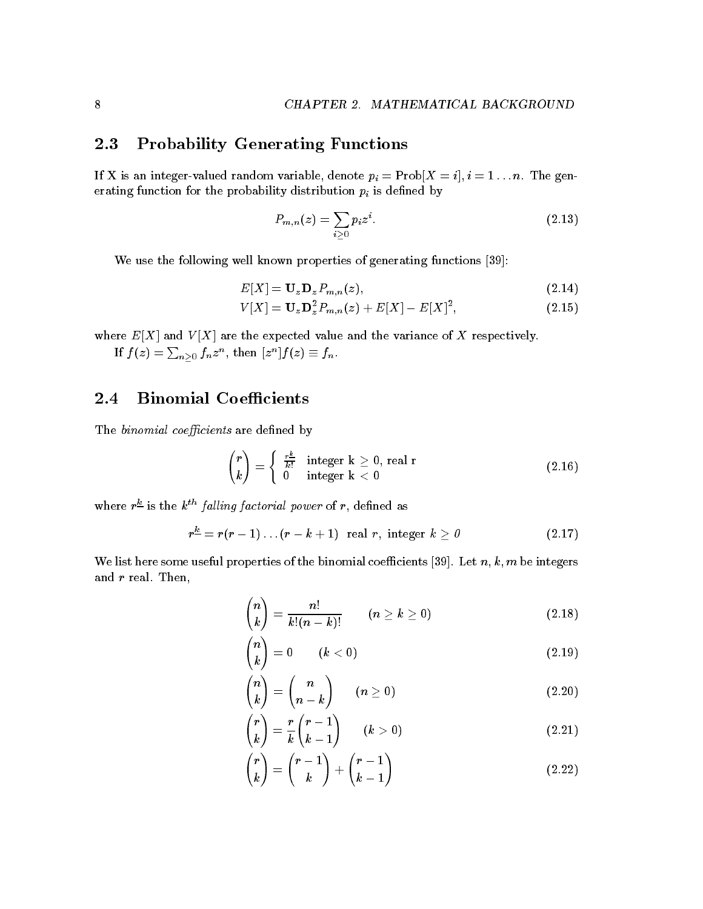### 2.3 Probability Generating Functions

 $\Omega$  is an integer variable variable  $\Gamma$  is an integer variable  $\Omega$ erating function for the probability distribution  $p_i$  is defined by

$$
P_{m,n}(z) = \sum_{i \geq 0} p_i z^i. \tag{2.13}
$$

We use the following well known properties of generating functions [39]:

$$
E[X] = \mathbf{U}_z \mathbf{D}_z P_{m,n}(z),\tag{2.14}
$$

$$
V[X] = \mathbf{U}_{z} \mathbf{D}_{z}^{2} P_{m,n}(z) + E[X] - E[X]^{2}, \qquad (2.15)
$$

where  $E[X]$  and  $V[X]$  are the expected value and the variance of X respectively.

If  $f(z)=\sum_{n\geq 0}f_nz^n,$  then  $[z^n]f(z)\equiv f_n$  .

### $2.4$ **Binomial Coefficients**

The binomial coefficients are defined by

$$
\binom{r}{k} = \begin{cases} \frac{r^{\underline{k}}}{k!} & \text{integer } k \geq 0, \text{ real } r \\ 0 & \text{integer } k < 0 \end{cases} \tag{2.16}
$$

where  $r-$  is the  $\kappa$  *falling factorial power* of r, defined as

$$
r^{\underline{k}} = r(r-1)\dots(r-k+1) \text{ real } r, \text{ integer } k \geq 0 \qquad (2.17)
$$

We list here some useful properties of the binomial coefficients [39]. Let  $n, k, m$  be integers and  $r$  real. Then,

$$
\binom{n}{k} = \frac{n!}{k!(n-k)!} \qquad (n \ge k \ge 0)
$$
\n(2.18)

$$
\binom{n}{k} = 0 \qquad (k < 0) \tag{2.19}
$$

$$
\binom{n}{k} = \binom{n}{n-k} \qquad (n \ge 0)
$$
\n(2.20)

$$
\binom{r}{k} = \frac{r}{k} \binom{r-1}{k-1} \qquad (k > 0) \tag{2.21}
$$

$$
\binom{r}{k} = \binom{r-1}{k} + \binom{r-1}{k-1} \tag{2.22}
$$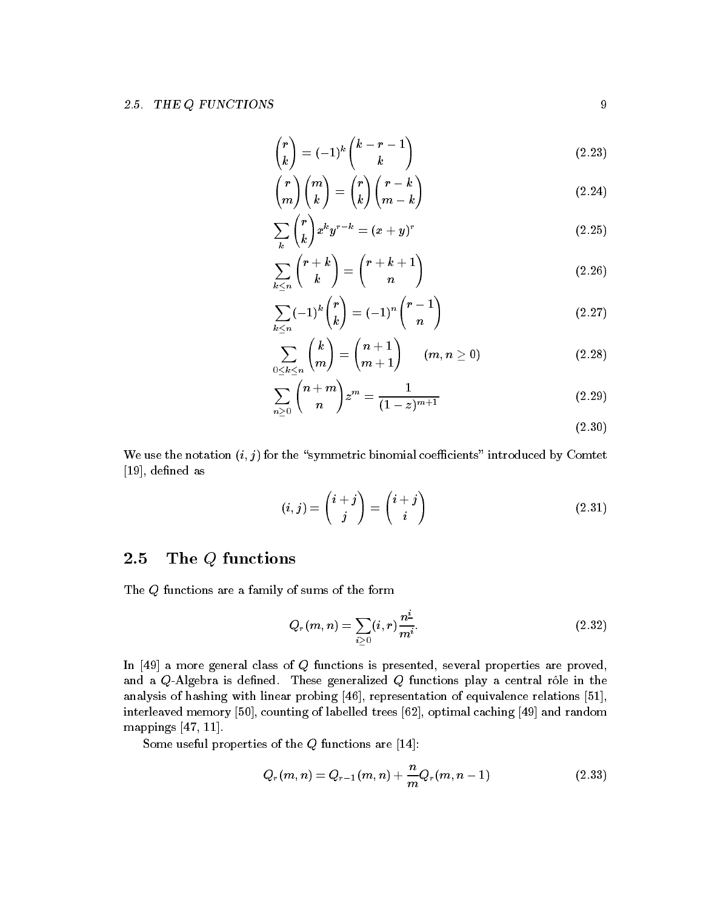$$
\binom{r}{k} = (-1)^k \binom{k-r-1}{k} \tag{2.23}
$$

$$
\binom{r}{m}\binom{m}{k} = \binom{r}{k}\binom{r-k}{m-k} \tag{2.24}
$$

$$
\sum_{k} \binom{r}{k} x^k y^{r-k} = (x+y)^r \tag{2.25}
$$

$$
\sum_{k \le n} \binom{r+k}{k} = \binom{r+k+1}{n} \tag{2.26}
$$

$$
\sum_{k \le n} (-1)^k \binom{r}{k} = (-1)^n \binom{r-1}{n} \tag{2.27}
$$

$$
\sum_{0\leq k\leq n}\binom{k}{m}=\binom{n+1}{m+1}\qquad (m,n\geq 0)\qquad \qquad (2.28)
$$

$$
\sum_{n\geq 0} \binom{n+m}{n} z^m = \frac{1}{(1-z)^{m+1}} \tag{2.29}
$$

 $(2.30)$ 

We use the notation  $(i, j)$  for the "symmetric binomial coefficients" introduced by Comtet - dened as

$$
(i,j) = \binom{i+j}{j} = \binom{i+j}{i} \tag{2.31}
$$

### 2.5 The <sup>Q</sup> functions

The Q functions are a family of sums of the form

$$
Q_r(m,n) = \sum_{i \ge 0} (i,r) \frac{n^2}{m^i}.
$$
 (2.32)

In  $[49]$  a more general class of Q functions is presented, several properties are proved, and a  $Q$ -Algebra is defined. These generalized  $Q$  functions play a central rôle in the analysis of hashing with linear probing representation of equivalence relations interleaved memory [50], counting of labelled trees [62], optimal caching [49] and random mappings --

Some useful properties of the Q functions are -

$$
Q_r(m,n) = Q_{r-1}(m,n) + \frac{n}{m}Q_r(m,n-1)
$$
\n(2.33)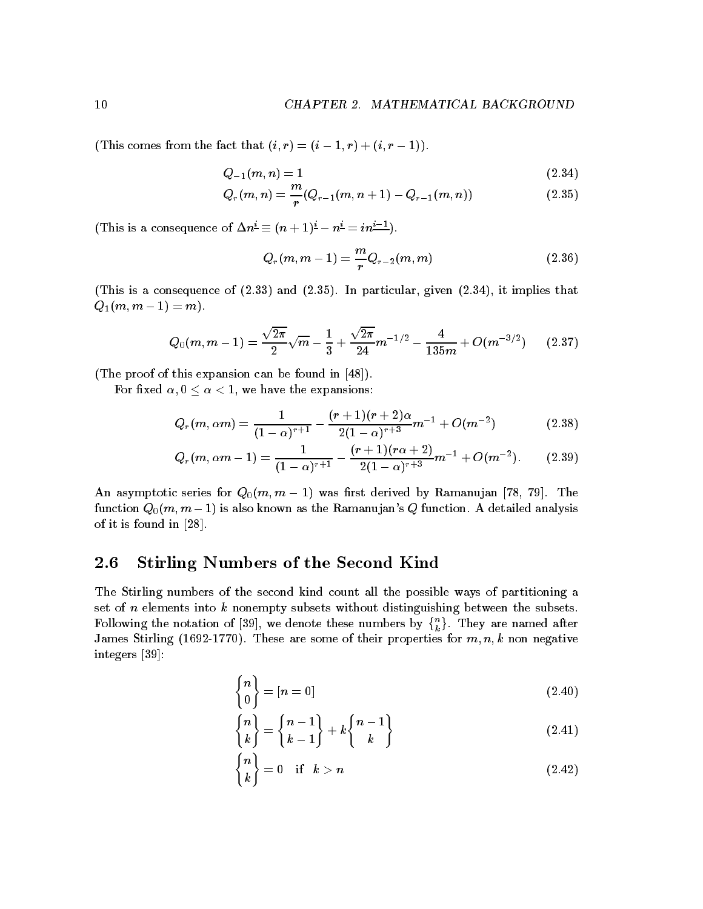This comes from the fact that is computed to the fact that is computed to the fact that is computed to the fact that is continuous computations of  $\mathbf{r}$ 

$$
Q_{-1}(m,n) = 1 \tag{2.34}
$$

$$
Q_r(m,n) = \frac{m}{r}(Q_{r-1}(m,n+1) - Q_{r-1}(m,n))
$$
\n(2.35)

This is a consequence of  $\Delta n = (n + 1) - n = n - 1$ .

$$
Q_r(m, m-1) = \frac{m}{r} Q_{r-2}(m, m) \tag{2.36}
$$

(This is a consequence of  $(2.33)$  and  $(2.35)$ . In particular, given  $(2.34)$ , it implies that Qm m - m 

$$
Q_0(m,m-1) = \frac{\sqrt{2\pi}}{2}\sqrt{m} - \frac{1}{3} + \frac{\sqrt{2\pi}}{24}m^{-1/2} - \frac{4}{135m} + O(m^{-3/2}) \qquad (2.37)
$$

(The proof of this expansion can be found in  $[48]$ ).

For xed - we have the expansions

$$
Q_r(m,\alpha m) = \frac{1}{(1-\alpha)^{r+1}} - \frac{(r+1)(r+2)\alpha}{2(1-\alpha)^{r+3}}m^{-1} + O(m^{-2})
$$
 (2.38)

$$
Q_r(m, \alpha m - 1) = \frac{1}{(1 - \alpha)^{r+1}} - \frac{(r+1)(r\alpha+2)}{2(1 - \alpha)^{r+3}}m^{-1} + O(m^{-2}).
$$
 (2.39)

An asymptotic series for Qm m - was rst derived by Ramanujan The refunction  $\mathbf{v}$  ,  $\mathbf{v}$  is also known as the Ramanus and Ramanus  $\mathbf{v}$  function  $\mathbf{v}$  are an interesting and of it is found in  $[28]$ .

## 2.6 Stirling Numbers of the Second Kind

The Stirling numbers of the second kind count all the possible ways of partitioning a set of  $n$  elements into  $k$  nonempty subsets without distinguishing between the subsets. Following the notation of we denote these numbers by  $\{n \atop k} \}$ . They are named after James Stirling -- These are some of their properties for m n k non negative integers [39]:

$$
\begin{Bmatrix} n \\ 0 \end{Bmatrix} = [n = 0]
$$
\n(2.40)

$$
\begin{Bmatrix} n \\ k \end{Bmatrix} = \begin{Bmatrix} n-1 \\ k-1 \end{Bmatrix} + k \begin{Bmatrix} n-1 \\ k \end{Bmatrix}
$$
\n(2.41)

$$
\begin{Bmatrix} n \\ k \end{Bmatrix} = 0 \quad \text{if} \quad k > n \tag{2.42}
$$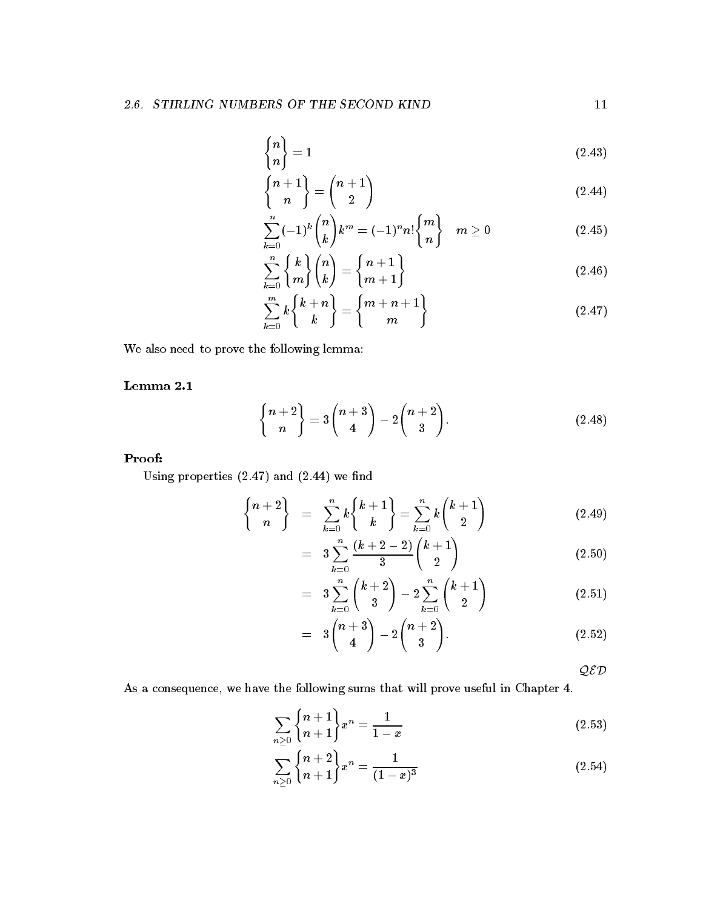$$
\begin{Bmatrix} n \\ n \end{Bmatrix} = 1 \tag{2.43}
$$

$$
\left\{ \frac{n+1}{n} \right\} = \left( \frac{n+1}{2} \right) \tag{2.44}
$$

$$
\sum_{k=0}^{n}(-1)^{k}\binom{n}{k}k^{m} = (-1)^{n}n!\binom{m}{n} \quad m \ge 0 \tag{2.45}
$$

$$
\sum_{k=0}^{n} \binom{k}{m} \binom{n}{k} = \binom{n+1}{m+1} \tag{2.46}
$$

$$
\sum_{k=0}^{m} k \binom{k+n}{k} = \binom{m+n+1}{m} \tag{2.47}
$$

We also need to prove the following lemma

$$
\binom{n+2}{n} = 3\binom{n+3}{4} - 2\binom{n+2}{3}.
$$
 (2.48)

## Proof

Using properties  $(2.47)$  and  $(2.44)$  we find

$$
\begin{Bmatrix} n+2 \\ n \end{Bmatrix} = \sum_{k=0}^{n} k \begin{Bmatrix} k+1 \\ k \end{Bmatrix} = \sum_{k=0}^{n} k \begin{pmatrix} k+1 \\ 2 \end{pmatrix}
$$
 (2.49)

$$
= 3\sum_{k=0}^{n} \frac{(k+2-2)}{3} {k+1 \choose 2} \hspace{1.5cm} (2.50)
$$

$$
= 3\sum_{k=0}^{n} {k+2 \choose 3} - 2\sum_{k=0}^{n} {k+1 \choose 2} \qquad (2.51)
$$

$$
= 3\binom{n+3}{4} - 2\binom{n+2}{3}.
$$
 (2.52)

 $QED$ 

As a consequence, we have the following sums that will prove useful in Chapter 4.

$$
\sum_{n\geq 0} \binom{n+1}{n+1} x^n = \frac{1}{1-x} \tag{2.53}
$$

$$
\sum_{n\geq 0} \binom{n+2}{n+1} x^n = \frac{1}{(1-x)^3} \tag{2.54}
$$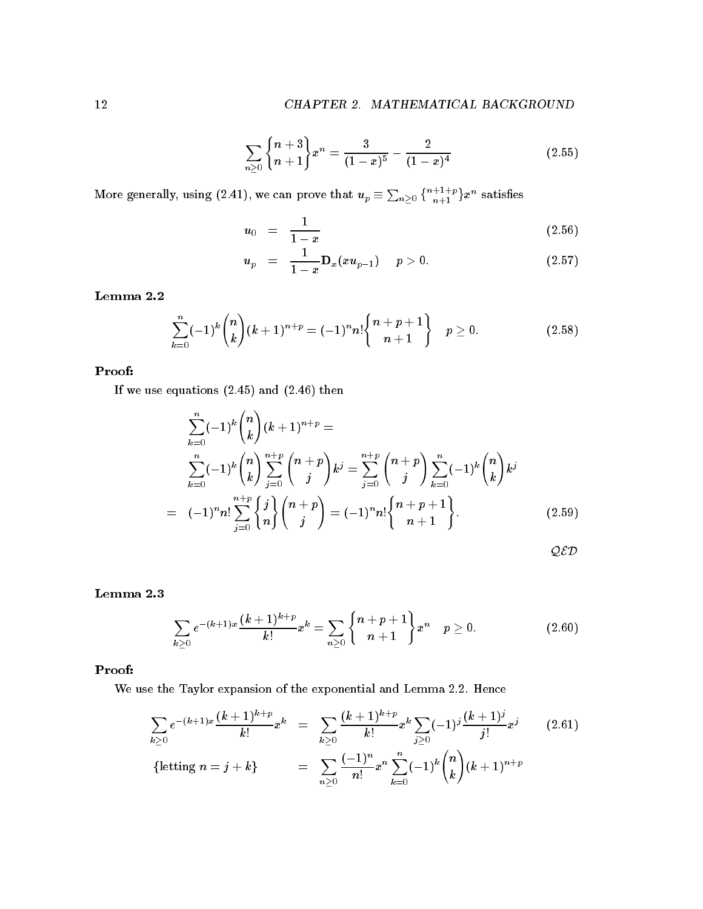$$
\sum_{n\geq 0} \binom{n+3}{n+1} x^n = \frac{3}{(1-x)^5} - \frac{2}{(1-x)^4} \tag{2.55}
$$

More generally, using  $(2.41)$ , we can prove that  $u_p\equiv \sum_{n\geq 0} \left\{\frac{n+1+p}{n+1}\right\}x^n$  satisfies

$$
u_0 = \frac{1}{1-x} \tag{2.56}
$$

$$
u_p = \frac{1}{1-x} \mathbf{D}_x(xu_{p-1}) \quad p > 0. \tag{2.57}
$$

$$
\sum_{k=0}^{n}(-1)^{k}\binom{n}{k}(k+1)^{n+p}=(-1)^{n}n!\binom{n+p+1}{n+1}\quad p\geq 0. \hspace{1.5cm} (2.58)
$$

## Proof

If we use equations  $(2.45)$  and  $(2.46)$  then

$$
\sum_{k=0}^{n} (-1)^{k} {n \choose k} (k+1)^{n+p} =
$$
\n
$$
\sum_{k=0}^{n} (-1)^{k} {n \choose k} \sum_{j=0}^{n+p} {n+p \choose j} k^{j} = \sum_{j=0}^{n+p} {n+p \choose j} \sum_{k=0}^{n} (-1)^{k} {n \choose k} k^{j}
$$
\n
$$
= (-1)^{n} n! \sum_{j=0}^{n+p} {j \choose n} {n+p \choose j} = (-1)^{n} n! {n+p+1 \choose n+1}.
$$
\n(2.59)

QED

$$
\sum_{k\geq 0} e^{-(k+1)x} \frac{(k+1)^{k+p}}{k!} x^k = \sum_{n\geq 0} \begin{Bmatrix} n+p+1 \\ n+1 \end{Bmatrix} x^n \quad p \geq 0. \tag{2.60}
$$

## Proof

We use the Taylor expansion of the exponential and Lemma 2.2. Hence

$$
\sum_{k\geq 0} e^{-(k+1)x} \frac{(k+1)^{k+p}}{k!} x^k = \sum_{k\geq 0} \frac{(k+1)^{k+p}}{k!} x^k \sum_{j\geq 0} (-1)^j \frac{(k+1)^j}{j!} x^j \qquad (2.61)
$$
\n
$$
\{\text{letting } n = j + k\} = \sum_{n\geq 0} \frac{(-1)^n}{n!} x^n \sum_{k=0}^n (-1)^k {n \choose k} (k+1)^{n+p}
$$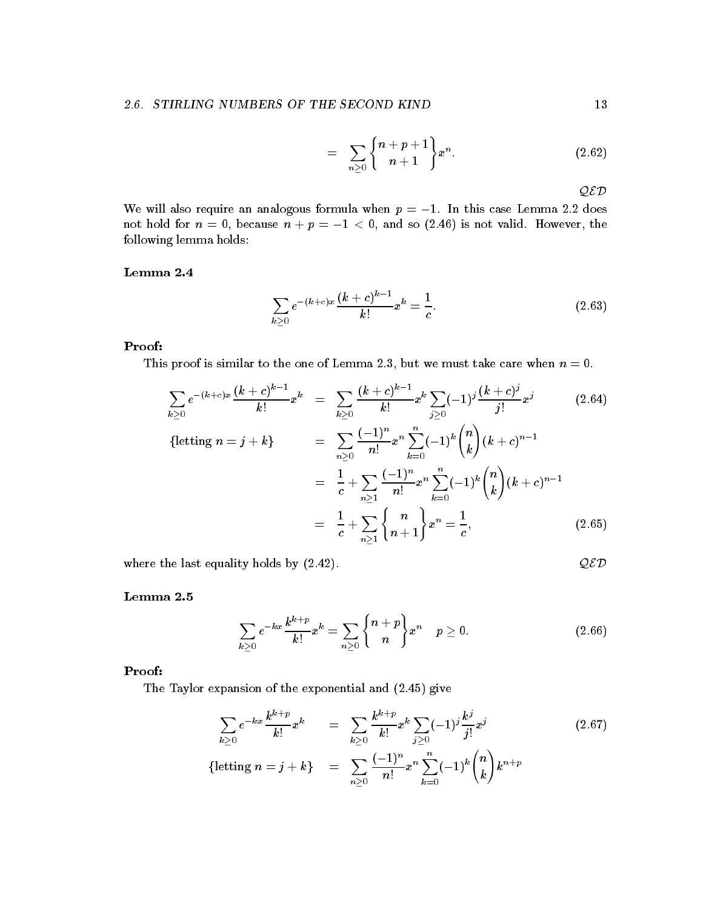$$
= \sum_{n\geq 0} \binom{n+p+1}{n+1} x^n.
$$
 (2.62)

QED

We will also require an analogous formula when p - In this case Lemma does not hold for n in the cause n in the cause n is not valid However the cause of the cause of the cause of the c following lemma holds

$$
\sum_{k>0} e^{-(k+c)x} \frac{(k+c)^{k-1}}{k!} x^k = \frac{1}{c}.
$$
\n(2.63)

## Proof

This proof is similar to the one of Lemma 2.3, but we must take care when  $n = 0$ .

$$
\sum_{k\geq 0} e^{-(k+c)x} \frac{(k+c)^{k-1}}{k!} x^k = \sum_{k\geq 0} \frac{(k+c)^{k-1}}{k!} x^k \sum_{j\geq 0} (-1)^j \frac{(k+c)^j}{j!} x^j \qquad (2.64)
$$
\n
$$
\{\text{letting } n = j+k\} = \sum_{n\geq 0} \frac{(-1)^n}{n!} x^n \sum_{k=0}^n (-1)^k \binom{n}{k} (k+c)^{n-1}
$$
\n
$$
= \frac{1}{c} + \sum_{n\geq 1} \frac{(-1)^n}{n!} x^n \sum_{k=0}^n (-1)^k \binom{n}{k} (k+c)^{n-1}
$$
\n
$$
= \frac{1}{c} + \sum_{n\geq 1} \binom{n}{n+1} x^n = \frac{1}{c}, \qquad (2.65)
$$

where the last equality holds by  $(2.42)$ .

$$
\mathcal{QED}
$$

$$
\sum_{k\geq 0} e^{-kx} \frac{k^{k+p}}{k!} x^k = \sum_{n\geq 0} \binom{n+p}{n} x^n \quad p \geq 0. \tag{2.66}
$$

## Proof

The Taylor expansion of the exponential and  $(2.45)$  give

$$
\sum_{k\geq 0} e^{-kx} \frac{k^{k+p}}{k!} x^k = \sum_{k\geq 0} \frac{k^{k+p}}{k!} x^k \sum_{j\geq 0} (-1)^j \frac{k^j}{j!} x^j
$$
\n
$$
\{\text{letting } n = j + k\} = \sum_{n\geq 0} \frac{(-1)^n}{n!} x^n \sum_{k=0}^n (-1)^k {n \choose k} k^{n+p}
$$
\n
$$
(2.67)
$$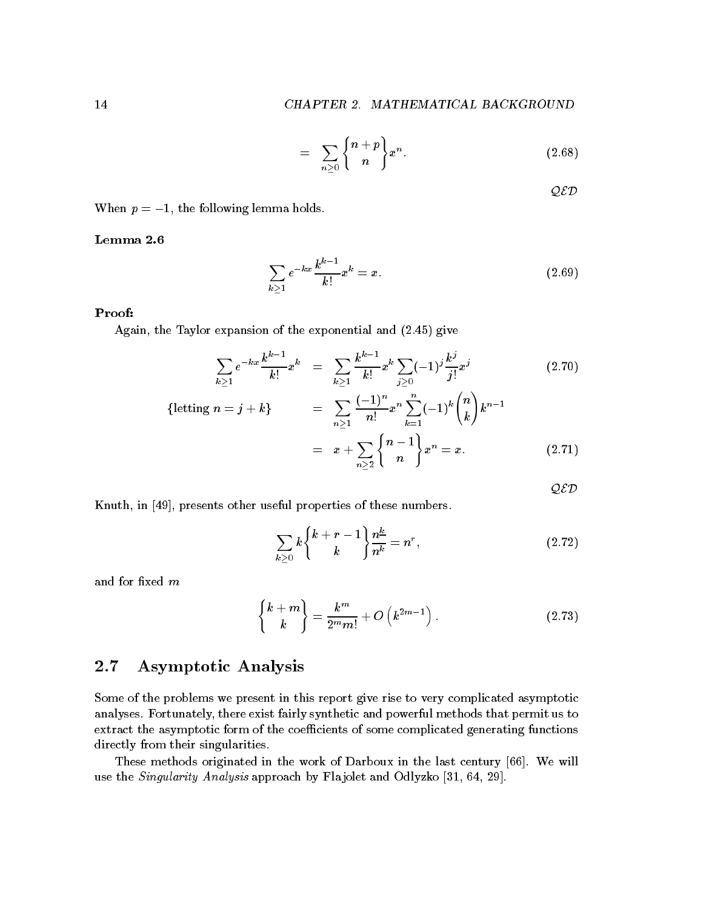$$
= \sum_{n\geq 0} {n+p \brace n}.
$$
 (2.68)

 $QED$ 

 $\mathcal{L}$  , the following lemma holds in the following lemma  $\mathcal{L}$ 

$$
\sum_{k\geq 1} e^{-kx} \frac{k^{k-1}}{k!} x^k = x.
$$
\n(2.69)

## Proof

Again, the Taylor expansion of the exponential and  $(2.45)$  give

$$
\sum_{k\geq 1} e^{-kx} \frac{k^{k-1}}{k!} x^k = \sum_{k\geq 1} \frac{k^{k-1}}{k!} x^k \sum_{j\geq 0} (-1)^j \frac{k^j}{j!} x^j
$$
(2.70)  
\n{letting  $n = j + k$ } =  $\sum_{k\geq 1} \frac{(-1)^n}{n!} x^n \sum_{k=0}^n (-1)^k {n \choose k} k^{n-1}$ 

$$
n \ge 1 \qquad k=1 \qquad \qquad \binom{n}{n}
$$
\n
$$
= x + \sum_{n \ge 2} \binom{n-1}{n} x^n = x. \tag{2.71}
$$

 $\mathcal{QED}$ 

Knuth, in [49], presents other useful properties of these numbers.

$$
\sum_{k\geq 0} k \binom{k+r-1}{k} \frac{n^{\underline{k}}}{n^{\underline{k}}} = n^r,
$$
\n(2.72)

and for fixed  $m$ 

$$
\begin{Bmatrix} k+m \\ k \end{Bmatrix} = \frac{k^m}{2^m m!} + O\left(k^{2m-1}\right). \tag{2.73}
$$

### 2.7 Asymptotic Analysis

Some of the problems we present in this report give rise to very complicated asymptotic analyses Fortunately there exist fairly synthetic and powerful methods that permit us to extract the asymptotic form of the coefficients of some complicated generating functions directly from their singularities.

These methods originated in the work of Darboux in the last century [66]. We will use the Singularity Analysis approaches af Flante and Odlyzes - the Singularity and Odlyze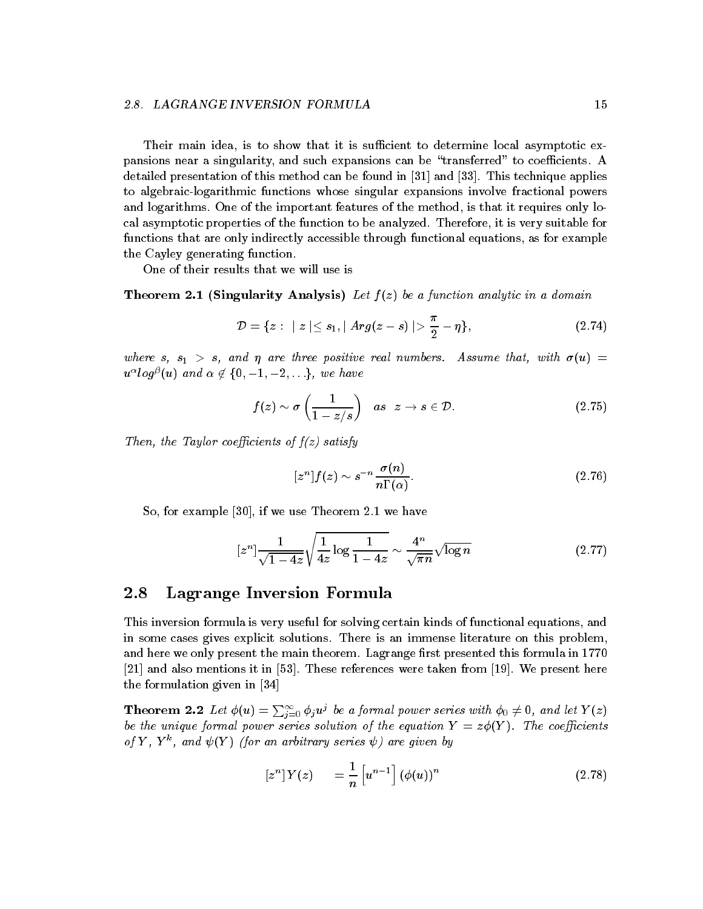Their main idea, is to show that it is sufficient to determine local asymptotic expansions near a singularity, and such expansions can be "transferred" to coefficients. A detailed presentation of this method can be found in a second in  $\mathcal{P}$  in  $\mathcal{P}$  and  $\mathcal{P}$  and  $\mathcal{P}$  is a second in  $\mathcal{P}$ to algebraic-logarithmic functions whose singular expansions involve fractional powers and logarithms. One of the important features of the method, is that it requires only local asymptotic properties of the function to be analyzed. Therefore, it is very suitable for functions that are only indirectly accessible through functional equations, as for example the Cayley generating function

One of their results that we will use is

 $T$  . The analysis Analytic in a function and  $T$  and  $T$  be a function analytic in a domain analytic in a domain  $T$ 

$$
\mathcal{D} = \{ z : \mid z \mid \leq s_1, \mid Arg(z - s) \mid > \frac{\pi}{2} - \eta \},\tag{2.74}
$$

where s s - s and are three positive real numbers Assume that with u u tog (u) and  $\alpha \in \{0, -1, -2, \ldots\}$  we have

$$
f(z) \sim \sigma\left(\frac{1}{1-z/s}\right) \quad as \quad z \to s \in \mathcal{D}.\tag{2.75}
$$

Then, the Taylor coefficients of  $f(z)$  satisfy

$$
[zn]f(z) \sim s^{-n} \frac{\sigma(n)}{n\Gamma(\alpha)}.\t(2.76)
$$

we have concerned to with the contract theorem and the contract of the contract of the contract of the contract of the contract of the contract of the contract of the contract of the contract of the contract of the contrac

$$
[z^n] \frac{1}{\sqrt{1-4z}} \sqrt{\frac{1}{4z} \log \frac{1}{1-4z}} \sim \frac{4^n}{\sqrt{\pi n}} \sqrt{\log n}
$$
 (2.77)

## Lagrange Inversion Formula

This inversion formula is very useful for solving certain kinds of functional equations and in some cases gives explicit solutions. There is an immense literature on this problem, and here we only present the main theorem Lagrange rst presented this formula in - , and also mentions it in The section it is in The section to the section from  $\mu$  , and the section the formulation given in

**Theorem 2.2** Let  $\phi(u) = \sum_{i=0}^{\infty} \phi_i u^j$  be a formal power series with  $\phi_0 \neq 0$ , and let  $Y(z)$ be the unique formal power series solution of the equation  $Y = z\phi(Y)$ . The coefficients  $\mathcal{O}_I$   $\mathcal{I}$   $\mathcal{I}$  and  $\mathcal{V}_I$   $\mathcal{I}$  for an arbitrary series  $\mathcal{V}_I$  are given by

$$
\begin{bmatrix} z^n \end{bmatrix} Y(z) = \frac{1}{n} \begin{bmatrix} u^{n-1} \end{bmatrix} (\phi(u))^n \tag{2.78}
$$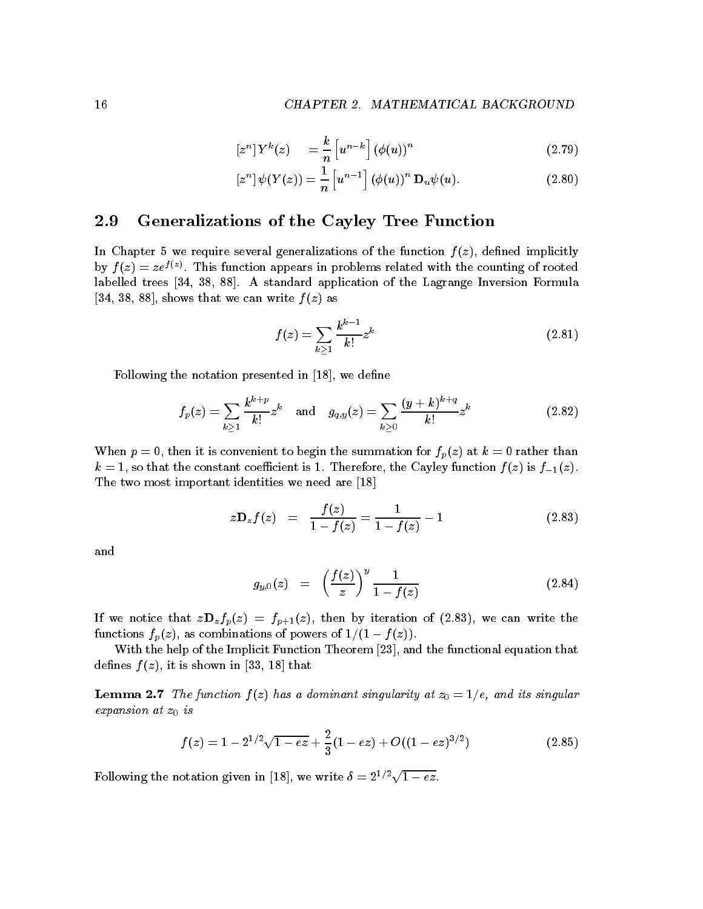$$
\left[z^{n}\right]Y^{k}(z) = \frac{k}{n}\left[u^{n-k}\right]\left(\phi(u)\right)^{n} \tag{2.79}
$$

$$
\left[z^{n}\right]\psi(Y(z))=\frac{1}{n}\left[u^{n-1}\right]\left(\phi(u)\right)^{n}\mathbf{D}_{u}\psi(u). \qquad (2.80)
$$

#### 2.9 Generalizations of the Cayley Tree Function

In Chapter 5 we require several generalizations of the function  $f(z)$ , defined implicitly by  $f(z) = ze^{z(z)}$ . This function appears in problems related with the counting of rooted labelled trees [34, 38, 88]. A standard application of the Lagrange Inversion Formula [34, 38, 88], shows that we can write  $f(z)$  as

$$
f(z) = \sum_{k \ge 1} \frac{k^{k-1}}{k!} z^k
$$
 (2.81)

Following the notation presented in - we dene

$$
f_p(z) = \sum_{k \geq 1} \frac{k^{k+p}}{k!} z^k \quad \text{and} \quad g_{q,y}(z) = \sum_{k \geq 0} \frac{(y+k)^{k+q}}{k!} z^k \tag{2.82}
$$

When  $p = 0$ , then it is convenient to begin the summation for  $f_p(z)$  at  $k = 0$  rather than k a so that the constant coefficient is -  $\alpha$  is -  $\alpha$  is factor the  $\alpha$  is  $\alpha$  is factor function function function function function function function function function function function function function function f The two most important in post important in post important in the two most important in the second are - two most

$$
z\mathbf{D}_z f(z) = \frac{f(z)}{1 - f(z)} = \frac{1}{1 - f(z)} - 1 \tag{2.83}
$$

and

$$
g_{y,0}(z) = \left(\frac{f(z)}{z}\right)^y \frac{1}{1 - f(z)} \tag{2.84}
$$

If we notice that  $z\mathbf{D}_z f_p(z) = f_{p+1}(z)$ , then by iteration of (2.83), we can write the functions fpz as combinations of powers of -- f z 

With the help of the Implicit Function Theorem  $[23]$ , and the functional equation that denes f zo it is shown in the shown in the shown in the shown in the shown in the shown in the shown in the shown in the shown in the shown in the shown in the shown in the shown in the shown in the shown in the shown in t

— define a dominant singularity and its singularity at a domining at 2000 and its singularity at 2000 and its singular expansion at  $z_0$  is

$$
f(z) = 1 - 2^{1/2}\sqrt{1 - ez} + \frac{2}{3}(1 - ez) + O((1 - ez)^{3/2})
$$
 (2.85)

Following the notation given in [18], we write  $\delta = 2^{1/2}\sqrt{1 - ez}$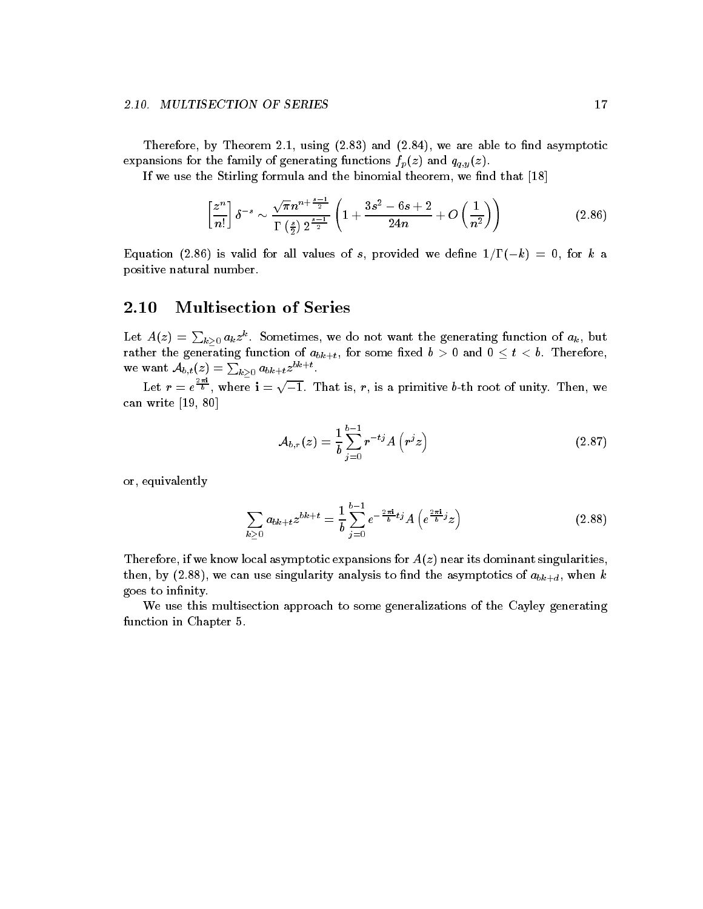Therefore by Theorem - and  $\alpha$  and  $\alpha$  and  $\alpha$  are able to not as yields to not asymptotic to not asymptotic to not asymptotic to not asymptotic to not asymptotic to not asymptotic to not asymptotic to not asymptotic t expansions for the family of generating functions  $f_p(z)$  and  $q_{q,y}(z)$ .

If we use the Stirling formula and the binomial theorem we nd that -

$$
\left[\frac{z^n}{n!}\right] \delta^{-s} \sim \frac{\sqrt{\pi} n^{n+\frac{s-1}{2}}}{\Gamma\left(\frac{s}{2}\right) 2^{\frac{s-1}{2}}} \left(1 + \frac{3s^2 - 6s + 2}{24n} + O\left(\frac{1}{n^2}\right)\right) \tag{2.86}
$$

Equation is valid for all values of s provided we dene -!k for k a positive natural number

#### $\boldsymbol{2.10}$  Multisection of Series

Let  $A(z) = \sum_{k\geq 0} a_k z^k$ . Sometimes, we do not want the generating function of  $a_k$ , but rather the generation of absolute  $\alpha$  -for some  $\alpha$  -for some  $\alpha$  -for some  $\alpha$  -for  $\alpha$  -for  $\alpha$  -form  $\alpha$ we want  $\mathcal{A}_{b,t}(z) = \sum_{k\geq 0} a_{bk+t} z^{bk+t}$ .

Let  $r = e^{\frac{-r}{b}}$ , where  $\mathbf{i} = \sqrt{-1}$ . That is, r, is a primitive b-th root of unity. Then, we can write a write of the canonical control of the canonical control of the canonical control of the canonical control of the canonical control of the canonical control of the canonical control of the canonical control of t

$$
\mathcal{A}_{b,r}(z) = \frac{1}{b} \sum_{j=0}^{b-1} r^{-tj} A\left(r^j z\right)
$$
\n(2.87)

or, equivalently

$$
\sum_{k\geq 0} a_{bk+t} z^{bk+t} = \frac{1}{b} \sum_{j=0}^{b-1} e^{-\frac{2\pi i}{b}tj} A\left(e^{\frac{2\pi i}{b}j} z\right)
$$
(2.88)

Therefore, if we know local asymptotic expansions for  $A(z)$  near its dominant singularities, then, by (2.88), we can use singularity analysis to find the asymptotics of  $a_{bk+d}$ , when k goes to infinity.

We use this multisection approach to some generalizations of the Cayley generating function in Chapter 5.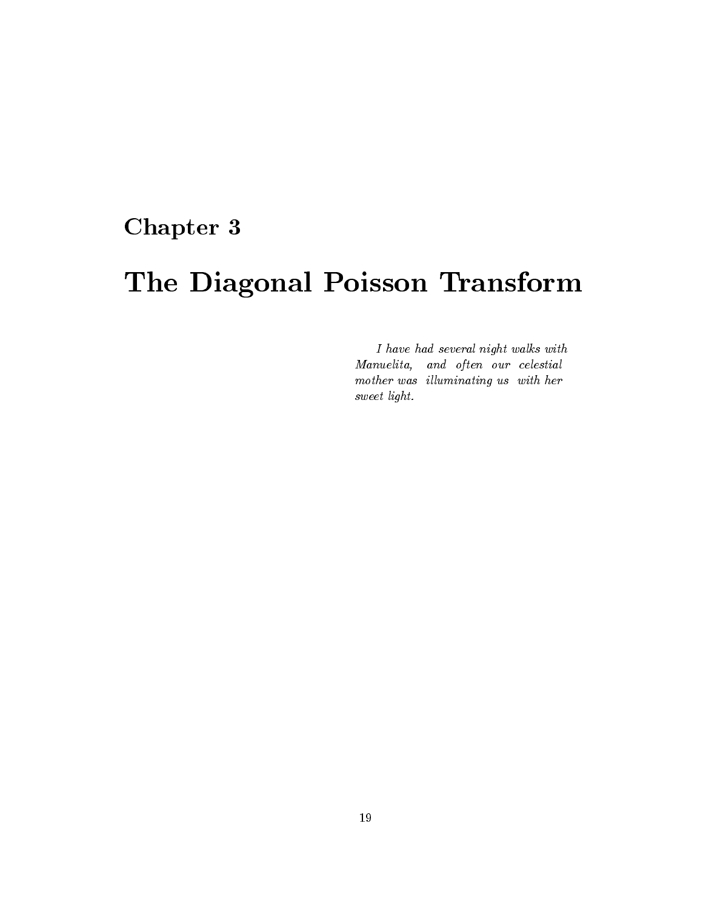# Chapter 3

# The Diagonal Poisson Transform

I have had several night walks with Manuelita, and often our celestial mother was illuminating us with her sweet light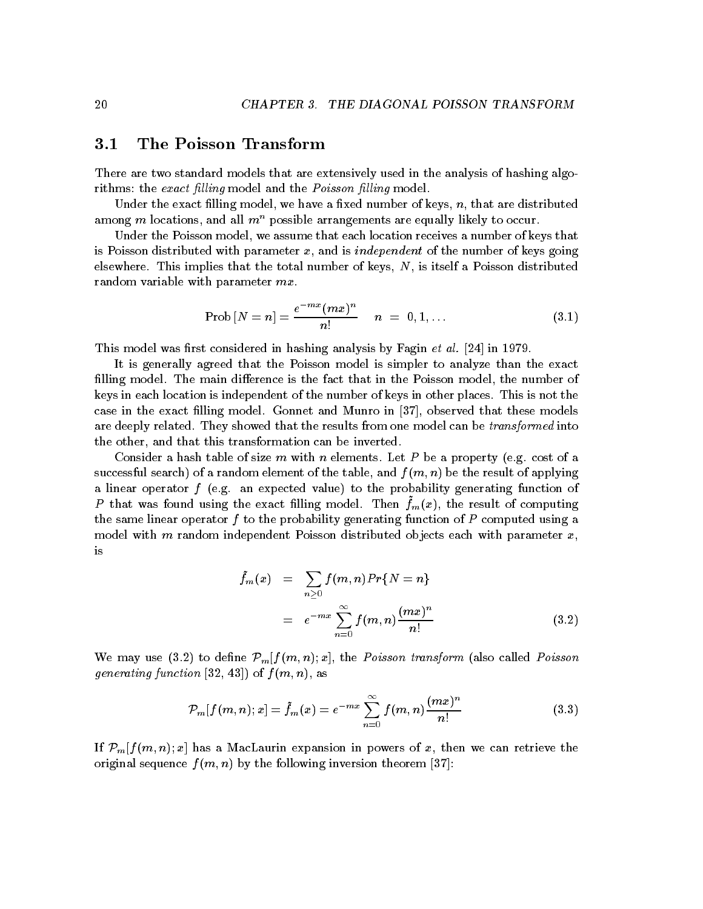#### $3.1$ The Poisson Transform

There are two standard models that are extensively used in the analysis of hashing algo rithms that the exact provincy model and the Poisson later provincy models.

Under the exact filling model, we have a fixed number of keys,  $n$ , that are distributed among m locations, and all  $m<sup>n</sup>$  possible arrangements are equally likely to occur.

Under the Poisson model, we assume that each location receives a number of keys that is Poisson distributed with parameter  $x$ , and is *independent* of the number of keys going elsewhere. This implies that the total number of keys,  $N$ , is itself a Poisson distributed random variable with parameter  $mx$ .

$$
Prob[N = n] = \frac{e^{-mx}(mx)^n}{n!} \qquad n = 0, 1, ... \qquad (3.1)
$$

This model was rst considered in hashing analysis by Fagin et al in -

It is generally agreed that the Poisson model is simpler to analyze than the exact filling model. The main difference is the fact that in the Poisson model, the number of keys in each location is independent of the number of keys in other places. This is not the case in the exact filling model. Gonnet and Munro in  $|37|$ , observed that these models are deeply related. They showed that the results from one model can be *transformed* into the other, and that this transformation can be inverted.

Consider a hash table of size m with n elements. Let P be a property (e.g. cost of a successful search) of a random element of the table, and  $f(m, n)$  be the result of applying a linear operator f (e.g. an expected value) to the probability generating function of T that was found using the exact fining model. Then  $f_m(x)$ , the result of computing the same linear operator f to the probability generating function of P computed using a model with m random independent Poisson distributed objects each with parameter  $x$ , is

$$
\tilde{f}_m(x) = \sum_{n\geq 0} f(m,n) Pr\{N=n\}
$$
\n
$$
= e^{-mx} \sum_{n=0}^{\infty} f(m,n) \frac{(mx)^n}{n!} \tag{3.2}
$$

We may use (3.2) to define  $\mathcal{P}_m[f(m,n);x]$ , the *Poisson transform* (also called *Poisson* generating function [32, 43]) of  $f(m, n)$ , as

$$
P_m[f(m,n);x] = \tilde{f}_m(x) = e^{-mx} \sum_{n=0}^{\infty} f(m,n) \frac{(mx)^n}{n!}
$$
 (3.3)

If  $\mathcal{P}_m[f(m,n);x]$  has a MacLaurin expansion in powers of x, then we can retrieve the original sequence  $f(m, n)$  by the following inversion theorem [37]: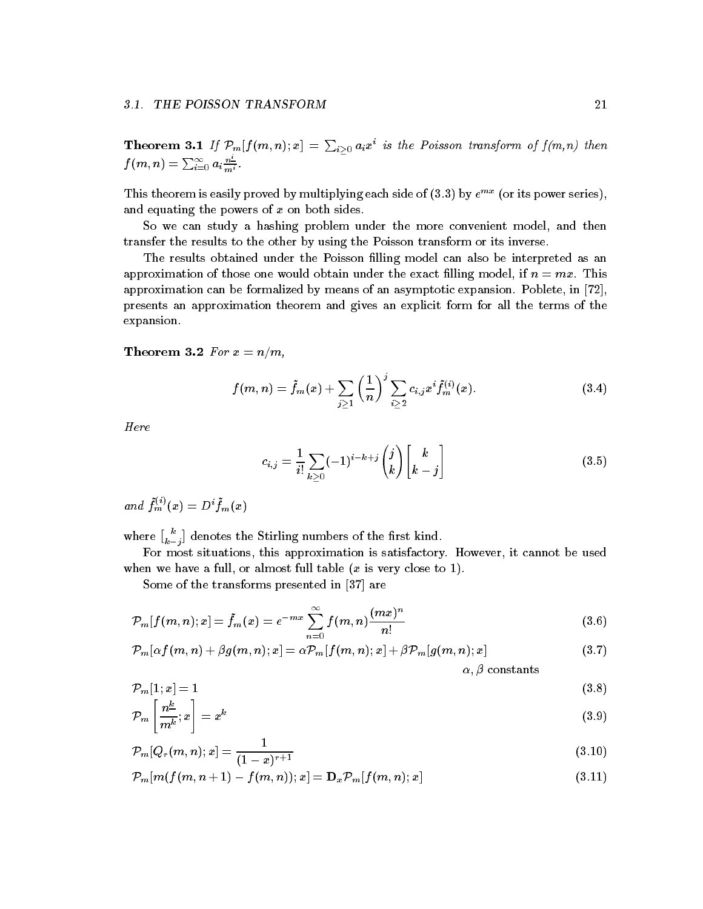**Theorem 3.1** If  $\mathcal{P}_m[f(m,n);x] = \sum_{i>0} a_i x^i$  is the Poisson transform of  $f(m,n)$  then  $f(m,n)=\sum_{i=0}^\infty a_i\frac{n}{m^i}$  .

This theorem is easily proved by multiplying each side of  $(3.3)$  by  $e^{mx}$  (or its power series), and equating the powers of  $x$  on both sides.

So we can study a hashing problem under the more convenient model, and then transfer the results to the other by using the Poisson transform or its inverse

The results obtained under the Poisson filling model can also be interpreted as an approximation of those one would obtain under the exact filling model, if  $n = mx$ . This approximation can be formalized by means of an asymptotic expansion. Poblete, in  $[72]$ , presents an approximation theorem and gives an explicit form for all the terms of the expansion

 $\mathbf{f}$  and  $\mathbf{f}$  are  $\mathbf{f}$  and  $\mathbf{f}$  are  $\mathbf{f}$  and  $\mathbf{f}$  are  $\mathbf{f}$  and  $\mathbf{f}$  are  $\mathbf{f}$  and  $\mathbf{f}$  are  $\mathbf{f}$  and  $\mathbf{f}$  are  $\mathbf{f}$  and  $\mathbf{f}$  are  $\mathbf{f}$  and  $\mathbf{f}$  are  $\mathbf{f}$  and

$$
f(m,n) = \tilde{f}_m(x) + \sum_{j \geq 1} \left(\frac{1}{n}\right)^j \sum_{i \geq 2} c_{i,j} x^i \tilde{f}_m^{(i)}(x).
$$
 (3.4)

Here

$$
c_{i,j} = \frac{1}{i!} \sum_{k \geq 0} (-1)^{i-k+j} \binom{j}{k} \binom{k}{k-j} \tag{3.5}
$$

and  $f_m(x) = D^* f_m(x)$ 

where  $\begin{bmatrix} k \\ k-i \end{bmatrix}$  denotes the Stirling numbers of the first kind.

For most situations, this approximation is satisfactory. However, it cannot be used when we have a full or almost full table  $\mathcal{M}$  is very close to  $\mathcal{M}$  is very close to  $\mathcal{M}$ 

Some of the transforms presented in  $[37]$  are

$$
\mathcal{P}_m[f(m,n);x] = \tilde{f}_m(x) = e^{-mx} \sum_{n=0}^{\infty} f(m,n) \frac{(mx)^n}{n!}
$$
\n(3.6)

$$
\mathcal{P}_{m}[\alpha f(m,n) + \beta g(m,n);x] = \alpha \mathcal{P}_{m}[f(m,n);x] + \beta \mathcal{P}_{m}[g(m,n);x] \qquad \alpha.\beta \text{ constants}
$$
\n(3.7)

$$
\mathcal{P}_m[1;x] = 1 \tag{3.8}
$$

$$
\mathcal{P}_m\left[\frac{n^k}{m^k};x\right] = x^k\tag{3.9}
$$

$$
P_m[Q_r(m,n);x] = \frac{1}{(1-x)^{r+1}}\tag{3.10}
$$

$$
\mathcal{P}_m[m(f(m,n+1)-f(m,n));x] = \mathbf{D}_x \mathcal{P}_m[f(m,n);x]
$$
\n(3.11)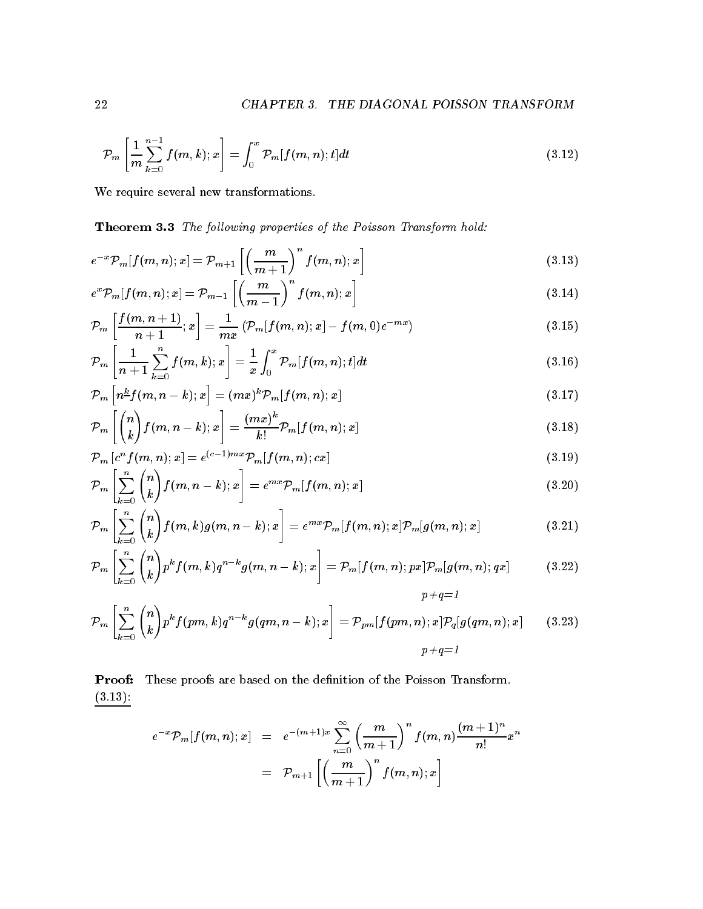$$
\mathcal{P}_m\left[\frac{1}{m}\sum_{k=0}^{n-1}f(m,k);x\right] = \int_0^x \mathcal{P}_m[f(m,n);t]dt \qquad (3.12)
$$

We require several new transformations.

Theorem The fol lowing properties of the Poisson Transform hold 

$$
e^{-x}\mathcal{P}_m[f(m,n);x] = \mathcal{P}_{m+1}\left[\left(\frac{m}{m+1}\right)^n f(m,n);x\right]
$$
\n(3.13)

$$
e^x \mathcal{P}_m[f(m,n);x] = \mathcal{P}_{m-1}\left[\left(\frac{m}{m-1}\right)^n f(m,n);x\right]
$$
\n(3.14)

$$
\mathcal{P}_m\left[\frac{f(m,n+1)}{n+1};x\right] = \frac{1}{mx}\left(\mathcal{P}_m[f(m,n);x] - f(m,0)e^{-mx}\right) \tag{3.15}
$$

$$
\mathcal{P}_m \left[ \frac{1}{n+1} \sum_{k=0}^n f(m,k); x \right] = \frac{1}{x} \int_0^x \mathcal{P}_m[f(m,n);t] dt \tag{3.16}
$$

$$
\mathcal{P}_m\left[n^{\underline{k}}f(m,n-k);x\right] = (mx)^k \mathcal{P}_m[f(m,n);x]
$$
\n(3.17)

$$
\mathcal{P}_m\left[\binom{n}{k}f(m,n-k);x\right] = \frac{(mx)^k}{k!}\mathcal{P}_m[f(m,n);x]
$$
\n(3.18)

$$
\mathcal{P}_m\left[c^n f(m,n);x\right] = e^{(c-1)m x} \mathcal{P}_m[f(m,n);cx] \tag{3.19}
$$

$$
\mathcal{P}_m\left[\sum_{k=0}^{\infty} \binom{n}{k} f(m,n-k);x\right] = e^{mx} \mathcal{P}_m[f(m,n);x]
$$
\n(3.20)

$$
\mathcal{P}_m\left[\sum_{k=0}^n \binom{n}{k} f(m,k)g(m,n-k);x\right] = e^{mx}\mathcal{P}_m[f(m,n);x]\mathcal{P}_m[g(m,n);x]
$$
\n(3.21)

$$
\mathcal{P}_m\left[\sum_{k=0}^n \binom{n}{k} p^k f(m,k) q^{n-k} g(m,n-k);x\right] = \mathcal{P}_m[f(m,n);px] \mathcal{P}_m[g(m,n);qx] \qquad (3.22)
$$

p q

$$
\mathcal{P}_m\left[\sum_{k=0}^n \binom{n}{k} p^k f(pm,k) q^{n-k} g(qm,n-k);x\right] = \mathcal{P}_{pm}[f(pm,n);x] \mathcal{P}_q[g(qm,n);x] \qquad (3.23)
$$

$$
p+q=1
$$

Proof: These proofs are based on the definition of the Poisson Transform. . . . . . . .

$$
\begin{array}{lcl} e^{-x} \mathcal{P}_m [f(m,n);x] & = & e^{-(m+1)x} \sum\limits_{n=0}^{\infty} \left( \dfrac{m}{m+1} \right)^n f(m,n) \dfrac{(m+1)^n}{n!} x^n \\ \\ & = & \mathcal{P}_{m+1} \left[ \left( \dfrac{m}{m+1} \right)^n f(m,n);x \right] \end{array}
$$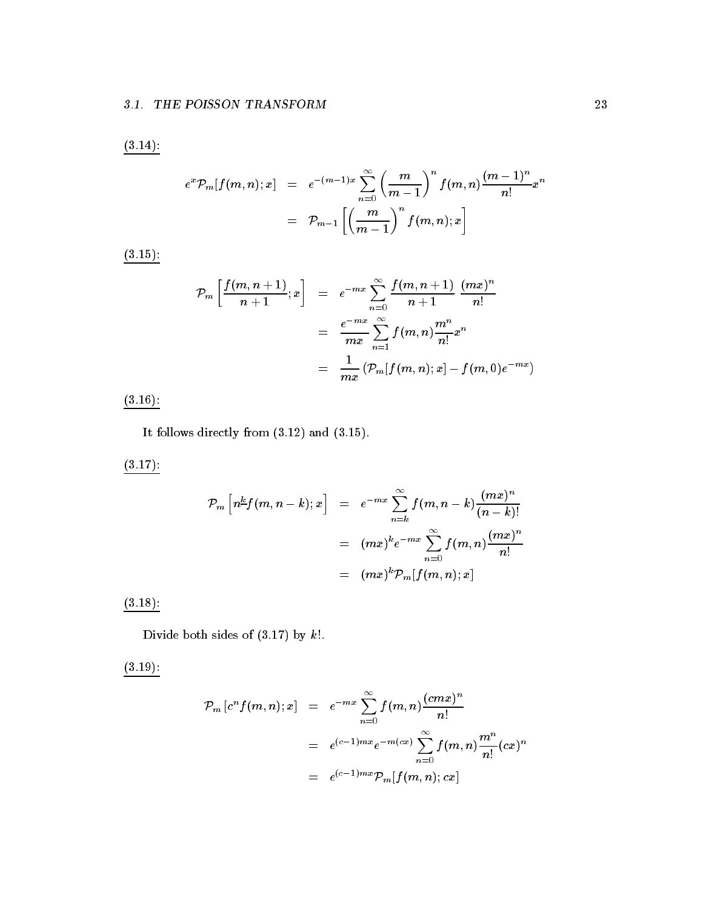$(3.14)$ :

$$
e^{x} \mathcal{P}_{m}[f(m,n);x] = e^{-(m-1)x} \sum_{n=0}^{\infty} \left(\frac{m}{m-1}\right)^{n} f(m,n) \frac{(m-1)^{n}}{n!} x^{n}
$$

$$
= \mathcal{P}_{m-1}\left[\left(\frac{m}{m-1}\right)^{n} f(m,n);x\right]
$$

 $(3.15)$ :

$$
\mathcal{P}_m\left[\frac{f(m, n+1)}{n+1}; x\right] = e^{-mx} \sum_{n=0}^{\infty} \frac{f(m, n+1)}{n+1} \frac{(mx)^n}{n!} \\
= \frac{e^{-mx}}{mx} \sum_{n=1}^{\infty} f(m, n) \frac{m^n}{n!} x^n \\
= \frac{1}{mx} \left(\mathcal{P}_m[f(m, n); x] - f(m, 0)e^{-mx}\right)
$$

 $(3.16)$ :

It follows directly from  $(3.12)$  and  $(3.15)$ .

 $(3.17)$ :

$$
\mathcal{P}_m\left[n^{\underline{k}}f(m,n-k);x\right] = e^{-mx} \sum_{n=k}^{\infty} f(m,n-k) \frac{(mx)^n}{(n-k)!}
$$

$$
= (mx)^k e^{-mx} \sum_{n=0}^{\infty} f(m,n) \frac{(mx)^n}{n!}
$$

$$
= (mx)^k \mathcal{P}_m[f(m,n);x]
$$

 $(3.18)$ :

Divide both sides of  $(3.17)$  by  $k!$ .

 $(3.19)$ :

$$
\begin{array}{lcl} \mathcal{P}_m\left[c^nf(m,n);x\right] & = & e^{-mx}\sum\limits_{n=0}^{\infty}f(m,n)\frac{(cmx)^n}{n!} \\ \\ & = & e^{(c-1)mx}e^{-m(cx)}\sum\limits_{n=0}^{\infty}f(m,n)\frac{m^n}{n!}(cx)^n \\ \\ & = & e^{(c-1)mx}\mathcal{P}_m[f(m,n);cx] \end{array}
$$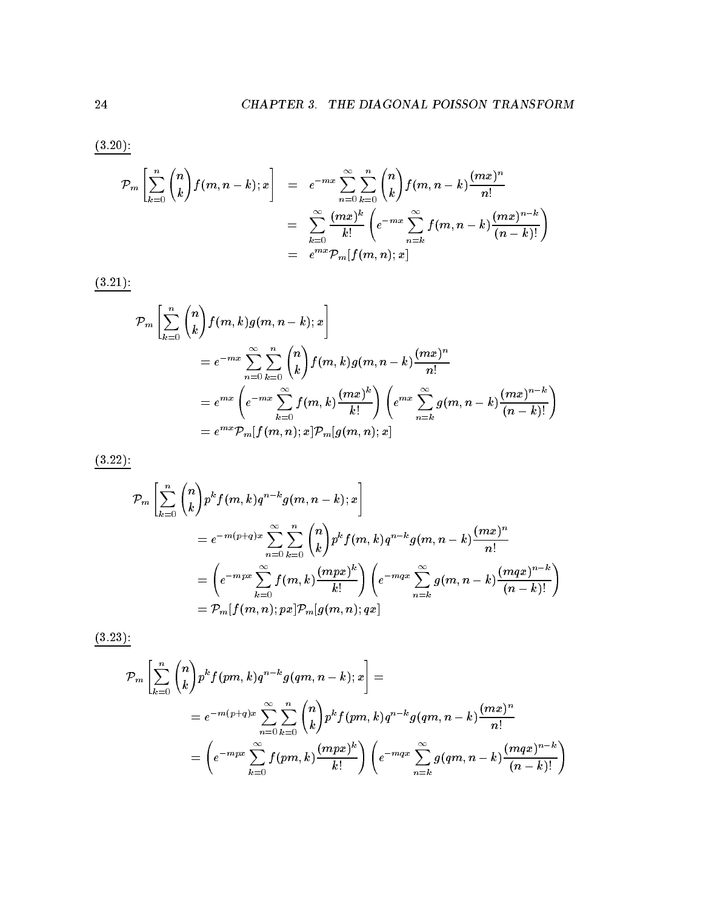$(3.20)$ :

$$
\mathcal{P}_m\left[\sum_{k=0}^n \binom{n}{k} f(m,n-k);x\right] = e^{-mx} \sum_{n=0}^\infty \sum_{k=0}^n \binom{n}{k} f(m,n-k) \frac{(mx)^n}{n!}
$$

$$
= \sum_{k=0}^\infty \frac{(mx)^k}{k!} \left(e^{-mx} \sum_{n=k}^\infty f(m,n-k) \frac{(mx)^{n-k}}{(n-k)!}\right)
$$

$$
= e^{mx} \mathcal{P}_m[f(m,n);x]
$$

 $(3.21)$ :

$$
\mathcal{P}_m\left[\sum_{k=0}^n \binom{n}{k} f(m,k)g(m,n-k);x\right]
$$
\n
$$
= e^{-mx} \sum_{n=0}^\infty \sum_{k=0}^n \binom{n}{k} f(m,k)g(m,n-k) \frac{(mx)^n}{n!}
$$
\n
$$
= e^{mx} \left(e^{-mx} \sum_{k=0}^\infty f(m,k) \frac{(mx)^k}{k!}\right) \left(e^{mx} \sum_{n=k}^\infty g(m,n-k) \frac{(mx)^{n-k}}{(n-k)!}\right)
$$
\n
$$
= e^{mx} \mathcal{P}_m[f(m,n);x] \mathcal{P}_m[g(m,n);x]
$$

 $(3.22)$ :

$$
\mathcal{P}_m\left[\sum_{k=0}^n \binom{n}{k} p^k f(m,k) q^{n-k} g(m,n-k);x\right]
$$
  
=  $e^{-m(p+q)x} \sum_{n=0}^\infty \sum_{k=0}^n \binom{n}{k} p^k f(m,k) q^{n-k} g(m,n-k) \frac{(mx)^n}{n!}$   
=  $\left(e^{-mpx} \sum_{k=0}^\infty f(m,k) \frac{(mpx)^k}{k!}\right) \left(e^{-mqx} \sum_{n=k}^\infty g(m,n-k) \frac{(mqx)^{n-k}}{(n-k)!}\right)$   
=  $\mathcal{P}_m[f(m,n);px] \mathcal{P}_m[g(m,n);qx]$ 

 $(3.23)$ :

$$
\mathcal{P}_m\left[\sum_{k=0}^n \binom{n}{k} p^k f(pm,k) q^{n-k} g(qm,n-k);x\right] =
$$
\n
$$
= e^{-m(p+q)x} \sum_{n=0}^\infty \sum_{k=0}^n \binom{n}{k} p^k f(pm,k) q^{n-k} g(qm,n-k) \frac{(mx)^n}{n!}
$$
\n
$$
= \left(e^{-mpx} \sum_{k=0}^\infty f(pm,k) \frac{(mpx)^k}{k!}\right) \left(e^{-mqx} \sum_{n=k}^\infty g(qm,n-k) \frac{(mqx)^{n-k}}{(n-k)!}\right)
$$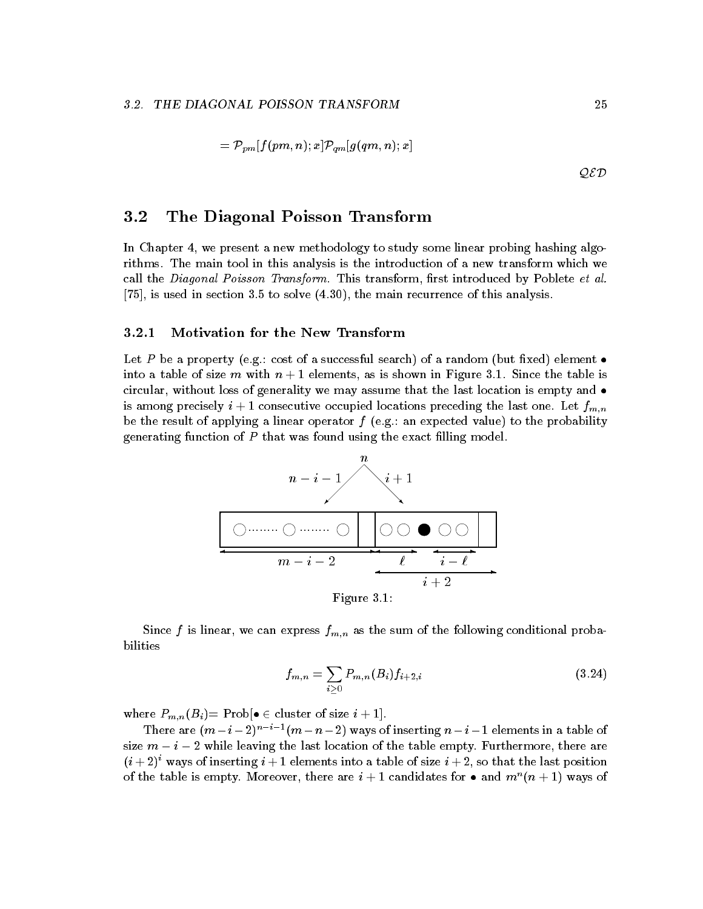$$
= \mathcal{P}_{pm}[f(pm, n); x] \mathcal{P}_{qm}[g(qm, n); x]
$$
  
QED

#### $3.2$ The Diagonal Poisson Transform

In Chapter 4, we present a new methodology to study some linear probing hashing algorithms. The main tool in this analysis is the introduction of a new transform which we call the Diagonal Poisson Transform. This transform, first introduced by Poblete et al.  $[75]$ , is used in section 3.5 to solve  $(4.30)$ , the main recurrence of this analysis.

## Motivation for the New Transform

cost of a successful sequence of a successful search of a random property constant of a random but into a table of size m with n - columnately as is six-measured in Figure . The table is the table circular, without loss of generality we may assume that the last location is empty and  $\bullet$ is among precisely in a consecutive consequence occupied preceding the last one Let  $\sigma$  and  $\mu$   $\mu$ be the result of applying a linear operator f eggs and the probability of the probability generating function of  $P$  that was found using the exact filling model.



Figure -

Since f is linear, we can express  $f_{m,n}$  as the sum of the following conditional probabilities

$$
f_{m,n} = \sum_{i \geq 0} P_{m,n}(B_i) f_{i+2,i} \tag{3.24}
$$

where  $P = m$ ,  $m \rightarrow p$  is the problem  $\alpha$  -respectively. The problem  $\alpha$ 

There are  $(m - i - 2)$  and  $(m - n - 2)$  ways of inserting  $n - i - 1$  elements in a table of size  $m - i - 2$  while leaving the last location of the table empty. Furthermore, there are  $(i+2)$  ways of inserting  $i+1$  elements into a table of size  $i+2$ , so that the last position of the table is empty. Moreover, there are  $i+1$  candidates for  $\bullet$  and  $m$  ( $n+1$ ) ways of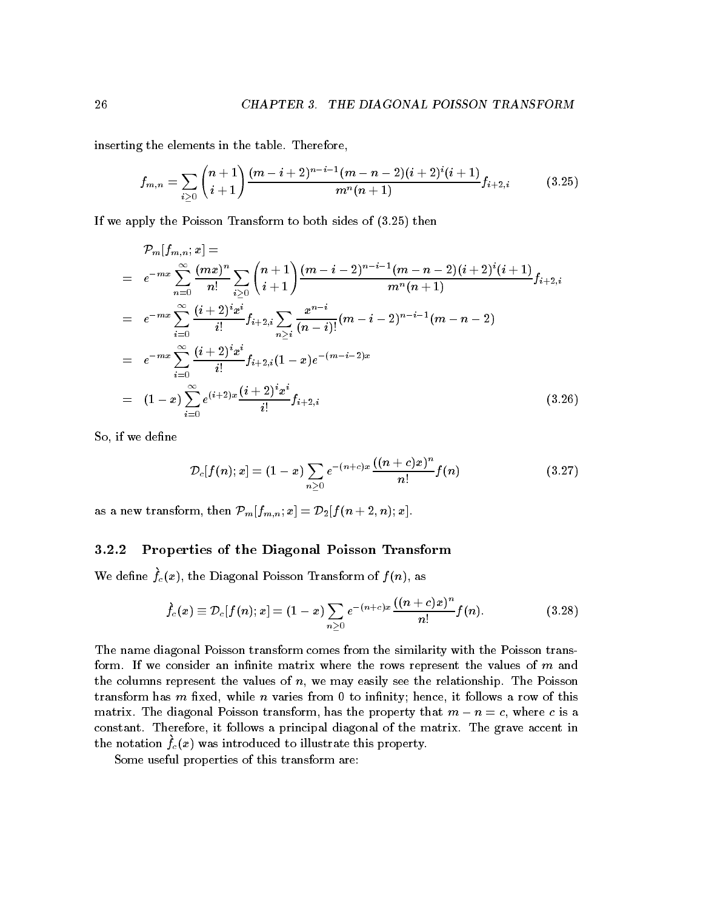inserting the elements in the table. Therefore,

$$
f_{m,n} = \sum_{i \geq 0} {n+1 \choose i+1} \frac{(m-i+2)^{n-i-1}(m-n-2)(i+2)^i(i+1)}{m^n(n+1)} f_{i+2,i}
$$
(3.25)

If we apply the Poisson Transform to both sides of  $(3.25)$  then

$$
\mathcal{P}_{m}[f_{m,n};x] =
$$
\n
$$
= e^{-mx} \sum_{n=0}^{\infty} \frac{(mx)^{n}}{n!} \sum_{i \geq 0} {n+1 \choose i+1} \frac{(m-i-2)^{n-i-1}(m-n-2)(i+2)^{i}(i+1)}{m^{n}(n+1)} f_{i+2,i}
$$
\n
$$
= e^{-mx} \sum_{i=0}^{\infty} \frac{(i+2)^{i}x^{i}}{i!} f_{i+2,i} \sum_{n \geq i} \frac{x^{n-i}}{(n-i)!} (m-i-2)^{n-i-1} (m-n-2)
$$
\n
$$
= e^{-mx} \sum_{i=0}^{\infty} \frac{(i+2)^{i}x^{i}}{i!} f_{i+2,i} (1-x) e^{-(m-i-2)x}
$$
\n
$$
= (1-x) \sum_{i=0}^{\infty} e^{(i+2)x} \frac{(i+2)^{i}x^{i}}{i!} f_{i+2,i}
$$
\n(3.26)

So, if we define

$$
{\cal D}_c[f(n);x]=(1-x)\sum_{n\geq 0}e^{-(n+c)x}\frac{((n+c)x)^n}{n!}f(n)\qquad \qquad (3.27)
$$

as a new transform the property of  $H$   $\{H_0, H_1, \ldots, H_{n-1}\}$  , and  $\{H_1, H_2, \ldots, H_{n-1}\}$  , and  $\{H_2, H_3, \ldots, H_{n-1}\}$ 

## Properties of the Diagonal Poisson Transform

We define  $f_c(x)$ , the Diagonal Poisson Transform of  $f(n)$ , as

$$
\dot{f}_c(x) \equiv \mathcal{D}_c[f(n); x] = (1-x) \sum_{n \geq 0} e^{-(n+c)x} \frac{((n+c)x)^n}{n!} f(n).
$$
 (3.28)

The name diagonal Poisson transform comes from the similarity with the Poisson trans form. If we consider an infinite matrix where the rows represent the values of  $m$  and the columns represent the values of  $n$ , we may easily see the relationship. The Poisson transform has m fixed, while n varies from 0 to infinity; hence, it follows a row of this matrix. The diagonal Poisson transform, has the property that  $m - n = c$ , where c is a constant. Therefore, it follows a principal diagonal of the matrix. The grave accent in the notation  $f_c(x)$  was introduced to intistrate this property.

Some useful properties of this transform are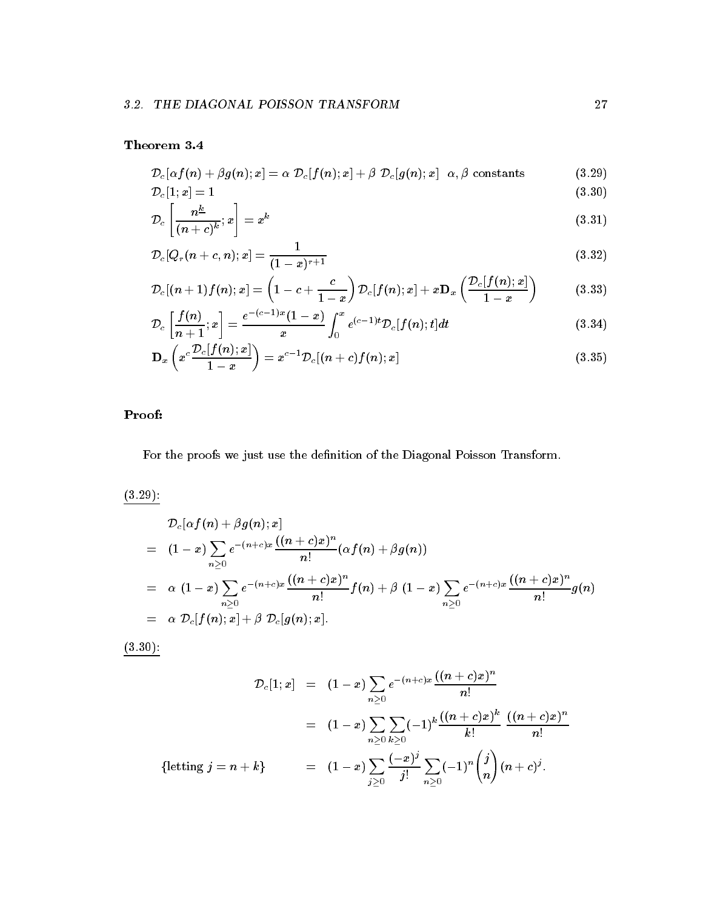$$
\mathcal{D}_c[\alpha f(n)+\beta g(n);x]=\alpha\,\,\mathcal{D}_c[f(n);x]+\beta\,\,\mathcal{D}_c[g(n);x]\ \ \, \alpha,\beta\,\,\text{constants}\qquad \qquad (3.29)
$$

$$
\mathcal{D}_c[1;x] = 1\tag{3.30}
$$

$$
\mathcal{D}_c\left[\frac{n^{\underline{\kappa}}}{(n+c)^k};x\right] = x^k\tag{3.31}
$$

$$
\mathcal{D}_c[Q_r(n+c,n);x] = \frac{1}{(1-x)^{r+1}}\tag{3.32}
$$

$$
\mathcal{D}_c[(n+1)f(n);x] = \left(1 - c + \frac{c}{1-x}\right)\mathcal{D}_c[f(n);x] + x \mathbf{D}_x\left(\frac{\mathcal{D}_c[f(n);x]}{1-x}\right) \tag{3.33}
$$

$$
\mathcal{D}_c\left[\frac{f(n)}{n+1};x\right] = \frac{e^{-(c-1)x}(1-x)}{x} \int_0^x e^{(c-1)t} \mathcal{D}_c[f(n);t] dt \tag{3.34}
$$

$$
\mathbf{D}_{x}\left(x^{c}\frac{\mathcal{D}_{c}[f(n);x]}{1-x}\right)=x^{c-1}\mathcal{D}_{c}[(n+c)f(n);x]
$$
\n(3.35)

## Proof

For the proofs we just use the definition of the Diagonal Poisson Transform.

 $(3.29)$ :

$$
\begin{array}{lcl} & \mathcal{D}_c[\alpha f(n)+\beta g(n);x] \\ \\ & = & (1-x)\sum\limits_{n\geq 0}e^{-(n+c)x}\frac{((n+c)x)^n}{n!}(\alpha f(n)+\beta g(n)) \\ \\ & = & \alpha \;(1-x)\sum\limits_{n\geq 0}e^{-(n+c)x}\frac{((n+c)x)^n}{n!}f(n)+\beta \;(1-x)\sum\limits_{n\geq 0}e^{-(n+c)x}\frac{((n+c)x)^n}{n!}g(n) \\ \\ & = & \alpha \;\mathcal{D}_c[f(n);x]+\beta \;\mathcal{D}_c[g(n);x]. \end{array}
$$

 $(3.30)$ :

$$
\mathcal{D}_c[1;x] = (1-x) \sum_{n\geq 0} e^{-(n+c)x} \frac{((n+c)x)^n}{n!}
$$
  
\n
$$
= (1-x) \sum_{n\geq 0} \sum_{k\geq 0} (-1)^k \frac{((n+c)x)^k}{k!} \frac{((n+c)x)^n}{n!}
$$
  
\n{letting  $j = n+k$ }  
\n
$$
= (1-x) \sum_{j\geq 0} \frac{(-x)^j}{j!} \sum_{n\geq 0} (-1)^n {j \choose n} (n+c)^j.
$$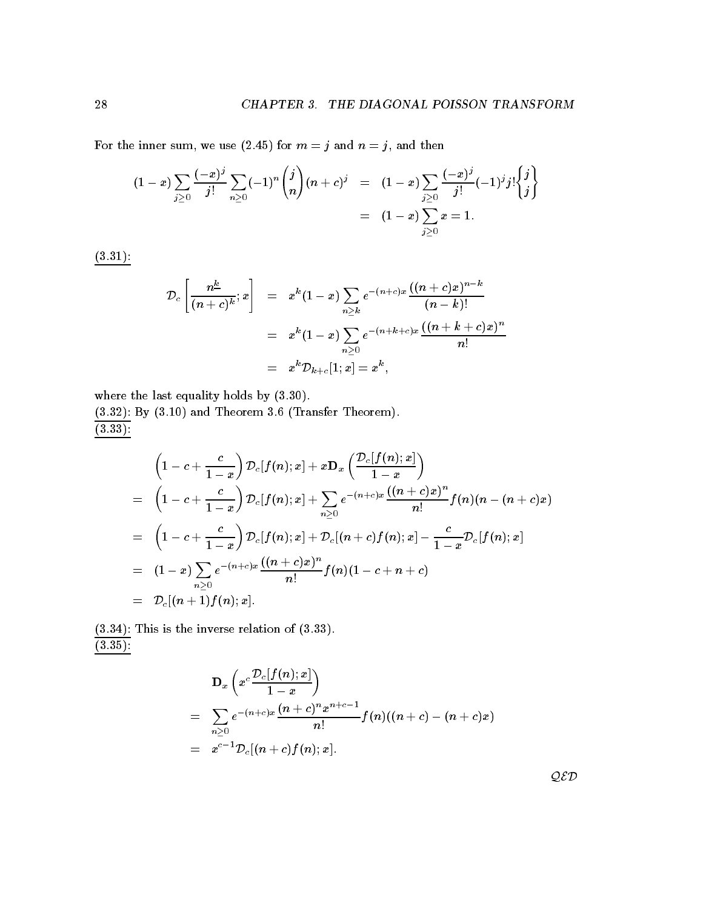For the inner sum, we use (2.45) for  $m = j$  and  $n = j$ , and then

$$
(1-x)\sum_{j\geq 0}\frac{(-x)^j}{j!}\sum_{n\geq 0}(-1)^n\binom{j}{n}(n+c)^j\quad =\quad (1-x)\sum_{j\geq 0}\frac{(-x)^j}{j!}(-1)^jj!\binom{j}{j}\quad \ \ =\quad (1-x)\sum_{j\geq 0}x=1.
$$

- 

$$
\mathcal{D}_c\left[\frac{n^{\underline{k}}}{(n+c)^k};x\right] = x^k(1-x)\sum_{n\geq k}e^{-(n+c)x}\frac{((n+c)x)^{n-k}}{(n-k)!} \\
= x^k(1-x)\sum_{n\geq 0}e^{-(n+k+c)x}\frac{((n+k+c)x)^n}{n!} \\
= x^k\mathcal{D}_{k+c}[1;x] = x^k,
$$

where the last equality holds by  $(3.30)$ .

 $\mathbf{B} = \mathbf{B}$  and Transfer Theorem II and Transfer Theorem II and Transfer Theorem II and Transfer Theorem II and Transfer Theorem II and Transfer Theorem II and Transfer Theorem II and Transfer Theorem II and Transfer  $\overline{(3.33)}$ :

$$
\begin{array}{lcl} & \displaystyle \left(1-c+\frac{c}{1-x}\right)\mathcal{D}_c[f(n);x] + x\mathbf{D}_x\left(\frac{\mathcal{D}_c[f(n);x]}{1-x}\right) \\ \\ & = & \displaystyle \left(1-c+\frac{c}{1-x}\right)\mathcal{D}_c[f(n);x] + \sum_{n\geq 0}e^{-(n+c)x}\frac{((n+c)x)^n}{n!}f(n)(n-(n+c)x) \\ \\ & = & \displaystyle \left(1-c+\frac{c}{1-x}\right)\mathcal{D}_c[f(n);x] + \mathcal{D}_c[(n+c)f(n);x] - \frac{c}{1-x}\mathcal{D}_c[f(n);x] \\ \\ & = & \displaystyle \left(1-x\right)\sum_{n\geq 0}e^{-(n+c)x}\frac{((n+c)x)^n}{n!}f(n)(1-c+n+c) \\ \\ & = & \mathcal{D}_c[(n+1)f(n);x]. \end{array}
$$

 This is the inverse relation of  $(3.35):$ 

$$
\mathbf{D}_x \left( x^c \frac{\mathcal{D}_c[f(n);x]}{1-x} \right)
$$
\n
$$
= \sum_{n\geq 0} e^{-(n+c)x} \frac{(n+c)^n x^{n+c-1}}{n!} f(n)((n+c)-(n+c)x)
$$
\n
$$
= x^{c-1} \mathcal{D}_c[(n+c)f(n);x].
$$

QED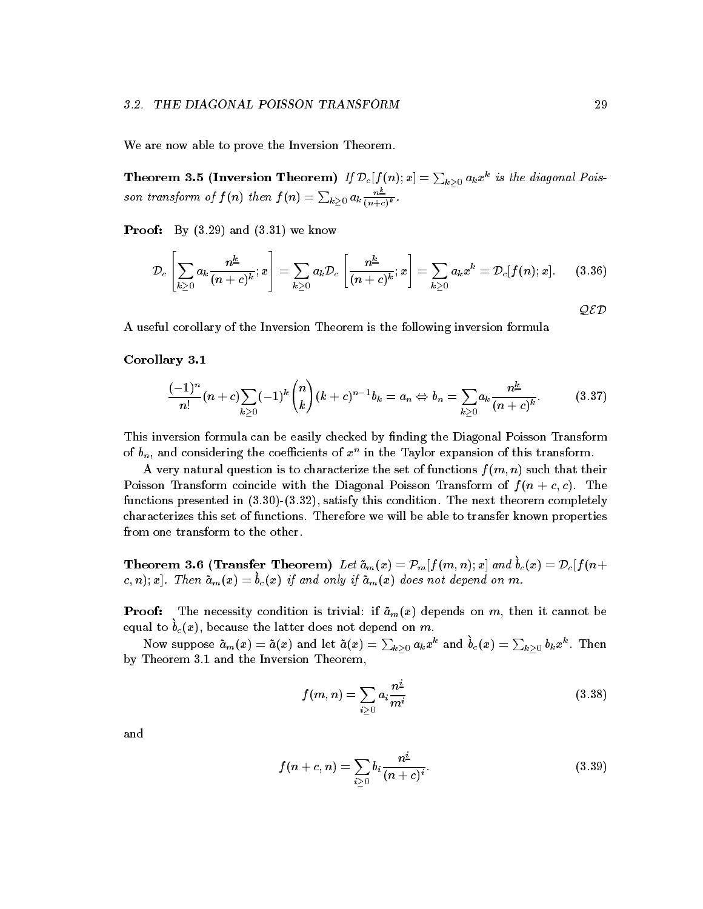We are now able to prove the Inversion Theorem.

Theorem 3.5 (Inversion Theorem) If  ${\cal D}_c[f(n);x]=\sum_{k\geq 0}a_kx^k$  is the diagonal Poisson transform of  $f(n)$  then  $f(n) = \sum_{k\geq 0} a_k \frac{n^{\pm}}{(n+c)^k}$ .

Proof By and - we know

$$
\mathcal{D}_c\left[\sum_{k\geq 0} a_k \frac{n^{\underline{k}}}{(n+c)^{\underline{k}}};x\right] = \sum_{k\geq 0} a_k \mathcal{D}_c\left[\frac{n^{\underline{k}}}{(n+c)^{\underline{k}}};x\right] = \sum_{k\geq 0} a_k x^k = \mathcal{D}_c[f(n);x]. \quad (3.36)
$$

A useful corollary of the Inversion Theorem is the following inversion formula

corollary corollary corollary and content of the corollary corollary and corollary corollary corollary corolla

$$
\frac{(-1)^n}{n!}(n+c)\sum_{k\geq 0}(-1)^k\binom{n}{k}(k+c)^{n-1}b_k=a_n\Leftrightarrow b_n=\sum_{k\geq 0}a_k\frac{n^k}{(n+c)^k}.\tag{3.37}
$$

This inversion formula can be easily checked by finding the Diagonal Poisson Transform of  $v_n$ , and considering the coefficients of  $x$  – in the Taylor expansion of this transform.

A very natural question is to characterize the set of functions  $f(m, n)$  such that their Poisson Transform coincide with the Diagonal Poisson Transform of  $f(n + c, c)$ . The functions presented in  $(3.30)-(3.32)$ , satisfy this condition. The next theorem completely characterizes this set of functions Therefore we will be able to transfer known properties from one transform to the other

**Theorem 5.0** (**Hansier Theorem**) Let  $u_m(x) = r_m|f(m, n), x|$  and  $v_c(x) = \nu_c|f(n+1)|$  $\alpha, n, x$ . Inch am $(x) = o_c(x)$  if and only if am $(x)$  abes not depend on m.

 $\mathcal{P}$  and  $\mathcal{P}$  are depending to depend on the indicated on  $\mathcal{P}$   $m$   $\mathcal{P}$  among the it can be considered on  $\mathcal{P}$  $\epsilon$ qual to  $v_c(x)$ , because the latter does not depend on m.

Now suppose  $\tilde a_m(x)=\tilde a(x)$  and let  $\tilde a(x)=\sum_{k>0}a_kx^k$  and  $b_c(x)=\sum_{k>0}b_kx^k.$  Then by Theorem - and the Inversion Theorem - and the Inversion Theorem - and the Inversion Theorem - and Theorem -

$$
f(m,n) = \sum_{i \geq 0} a_i \frac{n^2}{m^i}
$$
 (3.38)

and

$$
f(n+c, n) = \sum_{i \ge 0} b_i \frac{n^{\underline{i}}}{(n+c)^i}.
$$
 (3.39)

QED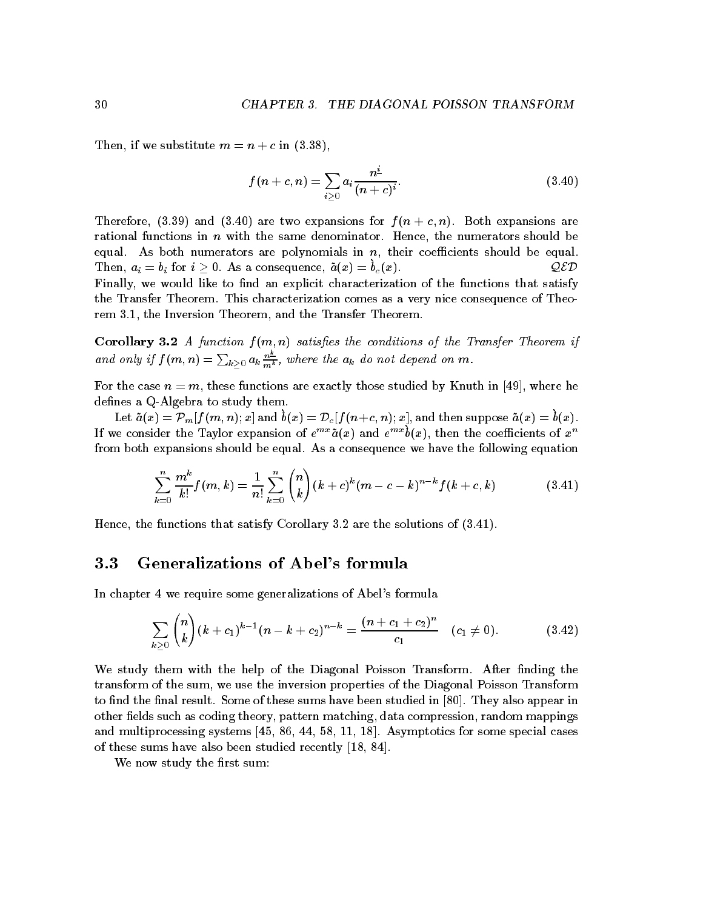Then, if we substitute  $m = n + c$  in  $(3.38)$ ,

$$
f(n+c, n) = \sum_{i \geq 0} a_i \frac{n^{\underline{i}}}{(n+c)^i}.
$$
 (3.40)

Therefore, (3.39) and (3.40) are two expansions for  $f(n + c, n)$ . Both expansions are rational functions in  $n$  with the same denominator. Hence, the numerators should be equal. As both numerators are polynomials in  $n$ , their coefficients should be equal. Then,  $a_i = b_i$  for  $i > 0$ . As a consequence,  $a(x) = b_c(x)$ . Finally, we would like to find an explicit characterization of the functions that satisfy the Transfer Theorem. This characterization comes as a very nice consequence of Theorem - the Inversion Theorem and the Transfer Theorem

Corollary - A function f m n satises the conditions of the Transfer Theorem if and only if  $f(m,n) = \sum_{k \geq 0} a_k \frac{n}{m^k}$ , where the  $a_k$  do not depend on m.

For the case  $n = m$ , these functions are exactly those studied by Knuth in [49], where he defines a  $Q$ -Algebra to study them.

Let  $u(x) = r_m$   $\int \int u, u, v, x$  and  $v(x) = \nu_c$   $\int \int u + c, u, x$ , and then suppose  $u(x) = v(x)$ . If we consider the Taylor expansion of  $e^{n\alpha}a(x)$  and  $e^{n\alpha}b(x)$ , then the coefficients of  $x^{\alpha}$ from both expansions should be equal. As a consequence we have the following equation

$$
\sum_{k=0}^{n} \frac{m^k}{k!} f(m,k) = \frac{1}{n!} \sum_{k=0}^{n} {n \choose k} (k+c)^k (m-c-k)^{n-k} f(k+c,k)
$$
(3.41)

Hence the functions that satisfy Corollary are the solutions of - 

## Generalizations of Abel
s formula

In chapter 4 we require some generalizations of Abel's formula

$$
\sum_{k\geq 0} {n \choose k} (k+c_1)^{k-1} (n-k+c_2)^{n-k} = \frac{(n+c_1+c_2)^n}{c_1} (c_1 \neq 0).
$$
 (3.42)

We study them with the help of the Diagonal Poisson Transform. After finding the transform of the sum, we use the inversion properties of the Diagonal Poisson Transform to find the final result. Some of these sums have been studied in  $[80]$ . They also appear in other fields such as coding theory, pattern matching, data compression, random mappings and multiprocessing systems -- - Asymptotics for some special cases of these sums have also been studied recently -  $\mathbf{r}$  and  $\mathbf{r}$  -  $\mathbf{r}$  -  $\mathbf{r}$  -  $\mathbf{r}$ 

We now study the first sum: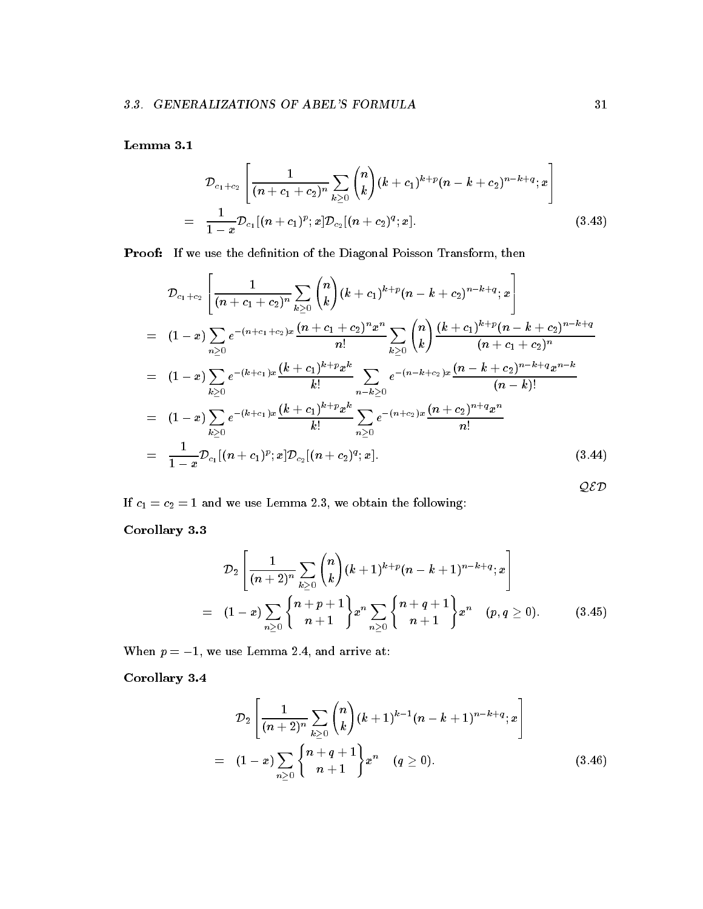$$
\mathcal{D}_{c_1+c_2}\left[\frac{1}{(n+c_1+c_2)^n}\sum_{k\geq 0}\binom{n}{k}(k+c_1)^{k+p}(n-k+c_2)^{n-k+q};x\right]
$$
\n
$$
=\frac{1}{1-x}\mathcal{D}_{c_1}[(n+c_1)^p;x]\mathcal{D}_{c_2}[(n+c_2)^q;x].\tag{3.43}
$$

Proof: If we use the definition of the Diagonal Poisson Transform, then

$$
\mathcal{D}_{c_1+c_2}\left[\frac{1}{(n+c_1+c_2)^n}\sum_{k\geq 0} {n \choose k} (k+c_1)^{k+p} (n-k+c_2)^{n-k+q}; x\right]
$$
\n
$$
= (1-x)\sum_{n\geq 0} e^{-(n+c_1+c_2)x} \frac{(n+c_1+c_2)^n x^n}{n!} \sum_{k\geq 0} {n \choose k} \frac{(k+c_1)^{k+p} (n-k+c_2)^{n-k+q}}{(n+c_1+c_2)^n}
$$
\n
$$
= (1-x)\sum_{k\geq 0} e^{-(k+c_1)x} \frac{(k+c_1)^{k+p} x^k}{k!} \sum_{n-k\geq 0} e^{-(n-k+c_2)x} \frac{(n-k+c_2)^{n-k+q} x^{n-k}}{(n-k)!}
$$
\n
$$
= (1-x)\sum_{k\geq 0} e^{-(k+c_1)x} \frac{(k+c_1)^{k+p} x^k}{k!} \sum_{n\geq 0} e^{-(n+c_2)x} \frac{(n+c_2)^{n+q} x^n}{n!}
$$
\n
$$
= \frac{1}{1-x} \mathcal{D}_{c_1}[(n+c_1)^p; x] \mathcal{D}_{c_2}[(n+c_2)^q; x]. \tag{3.44}
$$

If c c- - and we use Lemma we obtain the following

corollary and corollary and corollary and corollary and corollary and corollary and corollary and corollary and corollary and corollary and corollary and corollary and corollary and corollary and corollary and corollary an

$$
\mathcal{D}_2\left[\frac{1}{(n+2)^n}\sum_{k\geq 0}\binom{n}{k}(k+1)^{k+p}(n-k+1)^{n-k+q};x\right] = (1-x)\sum_{n\geq 0}\binom{n+p+1}{n+1}x^n\sum_{n\geq 0}\binom{n+q+1}{n+1}x^n \quad (p,q\geq 0). \tag{3.45}
$$

When p - we use Lemma and arrive at

corollary corollary corollary and content of the corollary corollary and corollary corollary corollary corolla

$$
\mathcal{D}_2\left[\frac{1}{(n+2)^n}\sum_{k\geq 0} \binom{n}{k} (k+1)^{k-1}(n-k+1)^{n-k+q}; x\right] = (1-x)\sum_{n\geq 0} \binom{n+q+1}{n+1} x^n \quad (q\geq 0).
$$
\n(3.46)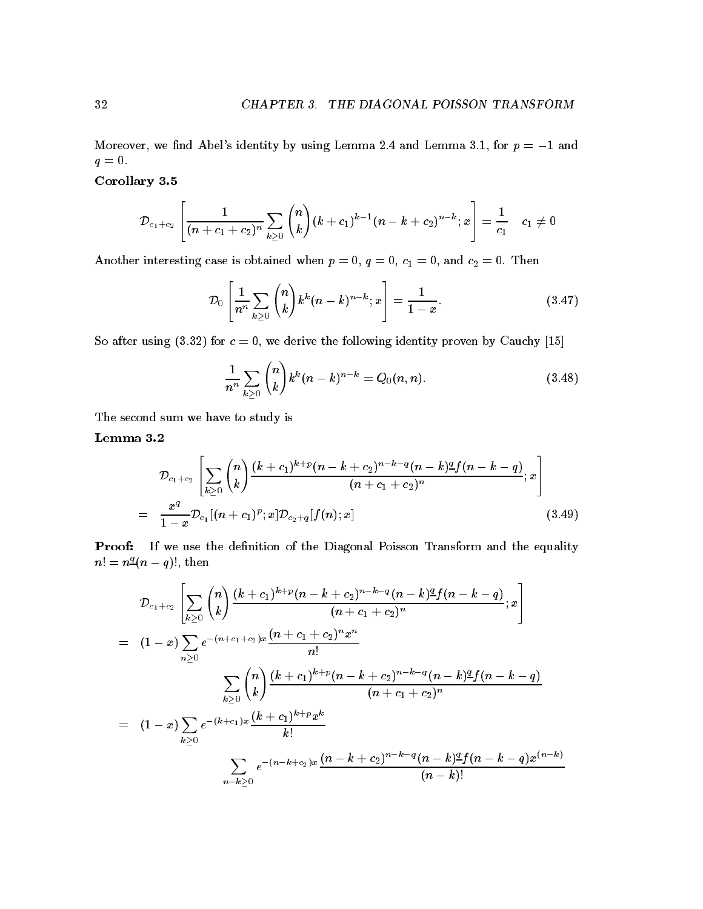Moreover we nd Abels identity by using Lemma and Lemma - for p - and  $q=0.$ 

corollary corollary corollary and content of the corollary corollary and corollary corollary corollary corolla

$$
{\cal D}_{c_1+c_2}\left[\frac{1}{(n+c_1+c_2)^n}\sum_{k\ge 0}\binom{n}{k}(k+c_1)^{k-1}(n-k+c_2)^{n-k};x\right]=\frac{1}{c_1} \quad c_1\ne 0
$$

Another interesting case is obtained when  $\mathcal{A} = \{1, 1, \ldots, n\}$  is obtained when  $\mathcal{A} = \{1, \ldots, n\}$ 

$$
\mathcal{D}_0\left[\frac{1}{n^n}\sum_{k\geq 0} {n \choose k} k^k (n-k)^{n-k};x\right] = \frac{1}{1-x}.\tag{3.47}
$$

So after using for c we derive the following identity proven by Cauchy -

$$
\frac{1}{n^n} \sum_{k \ge 0} \binom{n}{k} k^k (n-k)^{n-k} = Q_0(n,n). \tag{3.48}
$$

The second sum we have to study is

$$
\mathcal{D}_{c_1+c_2}\left[\sum_{k\geq 0} {n \choose k} \frac{(k+c_1)^{k+p}(n-k+c_2)^{n-k-q}(n-k)^{\underline{q}}f(n-k-q)}{(n+c_1+c_2)^n};x\right] \n= \frac{x^q}{1-x} \mathcal{D}_{c_1}[(n+c_1)^p;x] \mathcal{D}_{c_2+q}[f(n);x] \qquad (3.49)
$$

Proof: If we use the definition of the Diagonal Poisson Transform and the equality  $n! = n \frac{q}{q} (n - q)!$ , then

$$
\mathcal{D}_{c_1+c_2} \left[ \sum_{k\geq 0} {n \choose k} \frac{(k+c_1)^{k+p} (n-k+c_2)^{n-k-q} (n-k)^{\underline{q}} f(n-k-q)}{(n+c_1+c_2)^n}; x \right]
$$
\n
$$
= (1-x) \sum_{n\geq 0} e^{-(n+c_1+c_2)x} \frac{(n+c_1+c_2)^n x^n}{n!}
$$
\n
$$
\sum_{k\geq 0} {n \choose k} \frac{(k+c_1)^{k+p} (n-k+c_2)^{n-k-q} (n-k)^{\underline{q}} f(n-k-q)}{(n+c_1+c_2)^n}
$$
\n
$$
= (1-x) \sum_{k\geq 0} e^{-(k+c_1)x} \frac{(k+c_1)^{k+p} x^k}{k!}
$$
\n
$$
\sum_{n-k\geq 0} e^{-(n-k+c_2)x} \frac{(n-k+c_2)^{n-k-q} (n-k)^{\underline{q}} f(n-k-q) x^{(n-k)}}{(n-k)!}
$$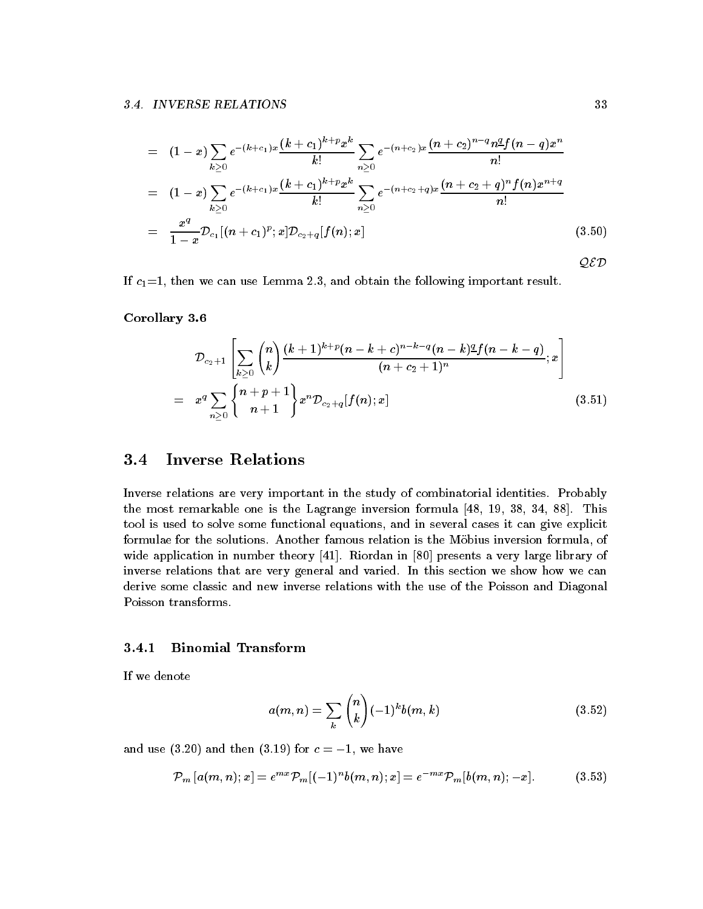$$
= (1-x)\sum_{k\geq 0} e^{-(k+c_1)x} \frac{(k+c_1)^{k+p} x^k}{k!} \sum_{n\geq 0} e^{-(n+c_2)x} \frac{(n+c_2)^{n-q} n^q f(n-q) x^n}{n!}
$$
  
\n
$$
= (1-x)\sum_{k\geq 0} e^{-(k+c_1)x} \frac{(k+c_1)^{k+p} x^k}{k!} \sum_{n\geq 0} e^{-(n+c_2+q)x} \frac{(n+c_2+q)^n f(n) x^{n+q}}{n!}
$$
  
\n
$$
= \frac{x^q}{1-x} \mathcal{D}_{c_1}[(n+c_1)^p; x] \mathcal{D}_{c_2+q}[f(n); x] \qquad (3.50)
$$

If c- then we can use Lemma and obtain the following important result

corollary corollary corollary and content of the corollary corollary and corollary corollary corollary corolla

$$
\mathcal{D}_{c_2+1}\left[\sum_{k\geq 0} \binom{n}{k} \frac{(k+1)^{k+p}(n-k+c)^{n-k-q}(n-k)^q f(n-k-q)}{(n+c_2+1)^n};x\right]
$$
\n
$$
= x^q \sum_{n\geq 0} \binom{n+p+1}{n+1} x^n \mathcal{D}_{c_2+q}[f(n);x] \tag{3.51}
$$

### $3.4$ Inverse Relations

Inverse relations are very important in the study of combinatorial identities. Probably the most remarkable one is the Lagrange inversion formula  $\mathbf{r}$  the Lagrange inversion formula  $\mathbf{r}$ tool is used to solve some functional equations and in several cases it can give explicit formulae for the solutions. Another famous relation is the Möbius inversion formula, of wide application in number theory - Riordan in number theory - Riordan in a very large library of the state lib inverse relations that are very general and varied. In this section we show how we can derive some classic and new inverse relations with the use of the Poisson and Diagonal Poisson transforms

### Binomial Transform

If we denote

$$
a(m, n) = \sum_{k} {n \choose k} (-1)^{k} b(m, k)
$$
 (3.52)

and use  $\mathbf x$  and the set of c  $\mathbf x$  and then - we have then - we have then - we have then - we have then -

$$
\mathcal{P}_m\left[a(m,n);x\right] = e^{mx}\mathcal{P}_m[(-1)^n b(m,n);x] = e^{-mx}\mathcal{P}_m[b(m,n);-x].\tag{3.53}
$$

QED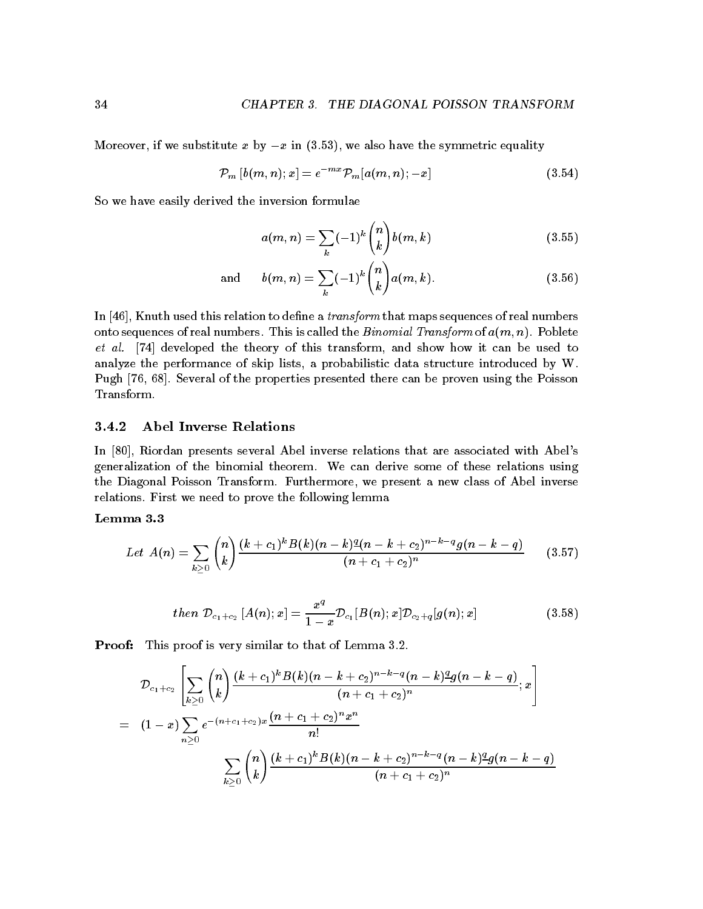Moreover, if we substitute x by  $-x$  in  $(3.53)$ , we also have the symmetric equality

$$
\mathcal{P}_m\left[b(m,n);x\right] = e^{-mx}\mathcal{P}_m[a(m,n);-x] \tag{3.54}
$$

So we have easily derived the inversion formulae

$$
a(m,n) = \sum_{k} (-1)^{k} {n \choose k} b(m,k)
$$
 (3.55)

and 
$$
b(m,n) = \sum_{k} (-1)^{k} {n \choose k} a(m,k).
$$
 (3.56)

In  $[46]$ , Knuth used this relation to define a *transform* that maps sequences of real numbers onto sequences of real numbers. This is called the *Binomial Transform* of  $a(m, n)$ . Poblete et al. [74] developed the theory of this transform, and show how it can be used to analyze the performance of skip lists, a probabilistic data structure introduced by  $W$ . Pugh  $[76, 68]$ . Several of the properties presented there can be proven using the Poisson Transform

### Abel Inverse Relations

In [80], Riordan presents several Abel inverse relations that are associated with Abel's generalization of the binomial theorem. We can derive some of these relations using the Diagonal Poisson Transform. Furthermore, we present a new class of Abel inverse relations. First we need to prove the following lemma

$$
Let A(n) = \sum_{k \geq 0} {n \choose k} \frac{(k+c_1)^k B(k)(n-k)^{\underline{q}}(n-k+c_2)^{n-k-q} g(n-k-q)}{(n+c_1+c_2)^n}
$$
 (3.57)

$$
then \; \mathcal{D}_{c_1+c_2}\left[A(n);x\right] = \frac{x^q}{1-x}\mathcal{D}_{c_1}[B(n);x]\mathcal{D}_{c_2+q}[g(n);x] \qquad \qquad (3.58)
$$

Proof: This proof is very similar to that of Lemma 3.2.

$$
\mathcal{D}_{c_1+c_2}\left[\sum_{k\geq 0} {n \choose k} \frac{(k+c_1)^k B(k) (n-k+c_2)^{n-k-q} (n-k)^2 g(n-k-q)}{(n+c_1+c_2)^n};x\right]
$$
\n
$$
= (1-x) \sum_{n\geq 0} e^{-(n+c_1+c_2)x} \frac{(n+c_1+c_2)^n x^n}{n!}
$$
\n
$$
\sum_{k\geq 0} {n \choose k} \frac{(k+c_1)^k B(k) (n-k+c_2)^{n-k-q} (n-k)^2 g(n-k-q)}{(n+c_1+c_2)^n}
$$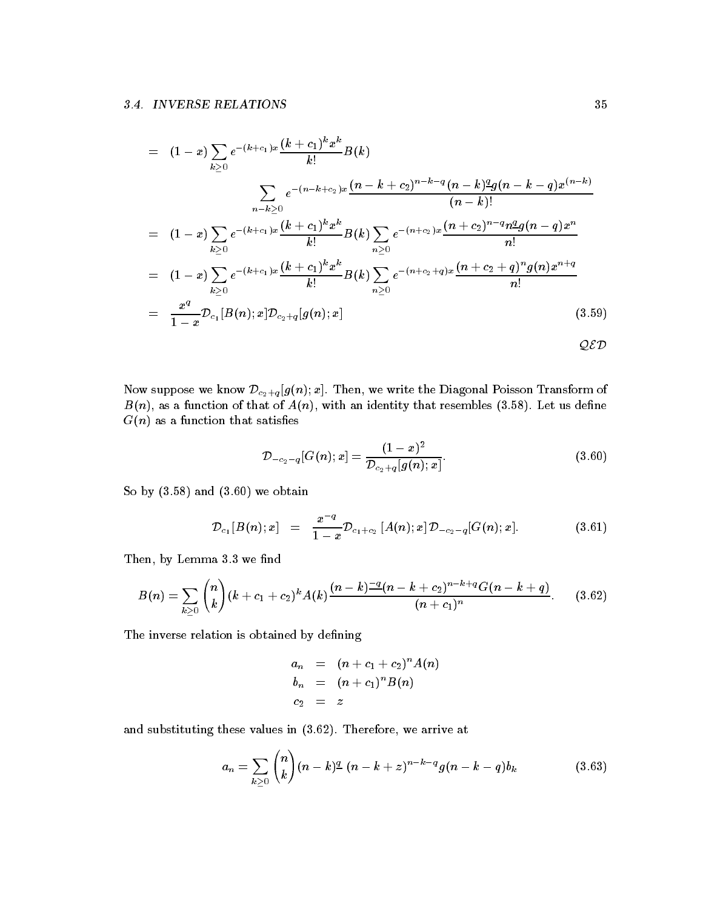$$
= (1-x)\sum_{k\geq 0} e^{-(k+c_1)x} \frac{(k+c_1)^k x^k}{k!} B(k)
$$
  

$$
\sum_{n-k\geq 0} e^{-(n-k+c_2)x} \frac{(n-k+c_2)^{n-k-q} (n-k)^2 g(n-k-q) x^{(n-k)}}{(n-k)!}
$$
  

$$
= (1-x)\sum_{k\geq 0} e^{-(k+c_1)x} \frac{(k+c_1)^k x^k}{k!} B(k) \sum_{n\geq 0} e^{-(n+c_2)x} \frac{(n+c_2)^{n-q} n^2 g(n-q) x^n}{n!}
$$
  

$$
= (1-x)\sum_{k\geq 0} e^{-(k+c_1)x} \frac{(k+c_1)^k x^k}{k!} B(k) \sum_{n\geq 0} e^{-(n+c_2+q)x} \frac{(n+c_2+q)^n g(n) x^{n+q}}{n!}
$$
  

$$
= \frac{x^q}{1-x} \mathcal{D}_{c_1}[B(n);x] \mathcal{D}_{c_2+q}[g(n);x]
$$
(3.59)

 $\Gamma$  is the suppose we write the Diagonal Poisson Dc-communication  $\Gamma$  is a contract of  $\Gamma$  $B(n)$ , as a function of that of  $A(n)$ , with an identity that resembles (3.58). Let us define  $G(n)$  as a function that satisfies

$$
\mathcal{D}_{-c_2-q}[G(n);x] = \frac{(1-x)^2}{\mathcal{D}_{c_2+q}[g(n);x]}.\t(3.60)
$$

So by  $(3.58)$  and  $(3.60)$  we obtain

$$
\mathcal{D}_{c_1}[B(n);x] = \frac{x^{-q}}{1-x}\mathcal{D}_{c_1+c_2}[A(n);x]\mathcal{D}_{-c_2-q}[G(n);x]. \qquad (3.61)
$$

Then, by Lemma 3.3 we find

$$
B(n) = \sum_{k\geq 0} {n \choose k} (k + c_1 + c_2)^k A(k) \frac{(n-k)^{\frac{-q}{2}} (n-k+c_2)^{n-k+q} G(n-k+q)}{(n+c_1)^n}.
$$
 (3.62)

The inverse relation is obtained by defining

$$
a_n = (n + c_1 + c_2)^n A(n)
$$
  
\n
$$
b_n = (n + c_1)^n B(n)
$$
  
\n
$$
c_2 = z
$$

and substituting these values in  $(3.62)$ . Therefore, we arrive at

$$
a_n = \sum_{k \geq 0} {n \choose k} (n-k)^{\underline{q}} (n-k+z)^{n-k-q} g(n-k-q) b_k \qquad (3.63)
$$

QED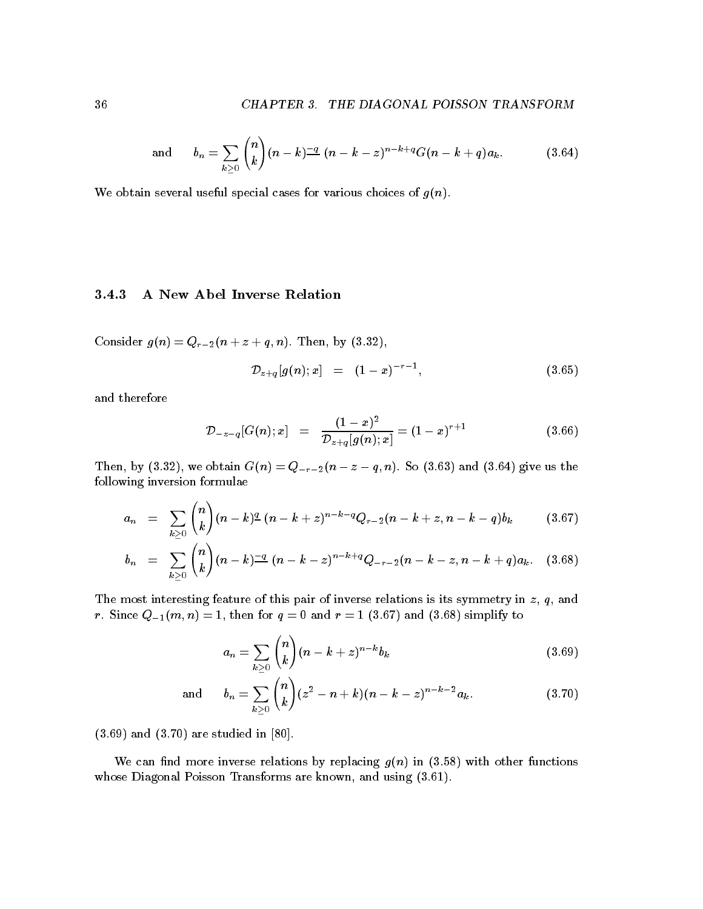and 
$$
b_n = \sum_{k \geq 0} {n \choose k} (n-k)^{-q} (n-k-z)^{n-k+q} G(n-k+q) a_k.
$$
 (3.64)

We obtain several useful special cases for various choices of  $g(n)$ .

### A New Abel Inverse Relation

Consider gn Qr-n z q n Then by 

$$
\mathcal{D}_{z+q}[g(n);x] = (1-x)^{-r-1}, \qquad (3.65)
$$

and therefore

$$
\mathcal{D}_{-z-q}[G(n);x] = \frac{(1-x)^2}{\mathcal{D}_{z+q}[g(n);x]} = (1-x)^{r+1}
$$
\n(3.66)

Then by  $\alpha$  , we obtain  $\alpha$  , we obtain  $\alpha$  , we can analyze us the solution of  $\alpha$ following inversion formulae

$$
a_n = \sum_{k \geq 0} {n \choose k} (n-k)^{\underline{q}} (n-k+z)^{n-k-q} Q_{r-2}(n-k+z, n-k-q) b_k \qquad (3.67)
$$

$$
b_n = \sum_{k \geq 0} {n \choose k} (n-k)^{-q} (n-k-z)^{n-k+q} Q_{-r-2}(n-k-z, n-k+q) a_k. \quad (3.68)
$$

The most interesting feature of this pair of inverse relations is its symmetry in  $z$ ,  $q$ , and r Since  $\mathbf{v} = \mathbf{v}$  , and respectively to the formulation of the formulation of the formulation of the formulation of the formulation of the formulation of the formulation of the formulation of the formulation of the f

$$
a_n = \sum_{k \geq 0} {n \choose k} (n-k+z)^{n-k} b_k \tag{3.69}
$$

and 
$$
b_n = \sum_{k \ge 0} {n \choose k} (z^2 - n + k)(n - k - z)^{n-k-2} a_k.
$$
 (3.70)

 $(3.69)$  and  $(3.70)$  are studied in [80].

We can find more inverse relations by replacing  $g(n)$  in (3.58) with other functions whose Diagonal Poisson Transforms are and using and using  $\mathcal{C}$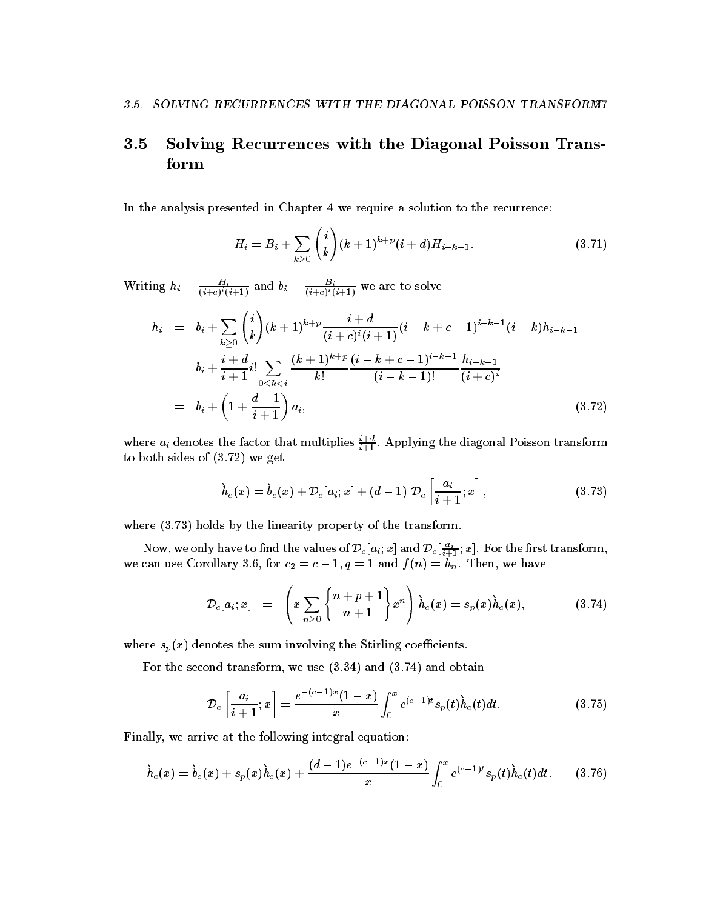### $3.5\,$  Solving Recurrences with the Diagonal Poisson Trans form

In the analysis presented in Chapter 4 we require a solution to the recurrence:

$$
H_i = B_i + \sum_{k \ge 0} {i \choose k} (k+1)^{k+p} (i+d) H_{i-k-1}.
$$
 (3.71)

Writing  $n_i = \frac{1}{(i+c)^i(i+1)}$  and  $b_i = \frac{1}{(i+c)^i(i+1)}$  we are to solve

$$
h_i = b_i + \sum_{k \geq 0} {i \choose k} (k+1)^{k+p} \frac{i+d}{(i+c)^i (i+1)} (i-k+c-1)^{i-k-1} (i-k) h_{i-k-1}
$$
  
\n
$$
= b_i + \frac{i+d}{i+1} i! \sum_{0 \leq k < i} \frac{(k+1)^{k+p}}{k!} \frac{(i-k+c-1)^{i-k-1}}{(i-k-1)!} \frac{h_{i-k-1}}{(i+c)^i}
$$
  
\n
$$
= b_i + \left(1 + \frac{d-1}{i+1}\right) a_i,
$$
\n(3.72)

where  $a_i$  denotes the factor that multiplies  $\frac{1}{i+1}$ . Applying the diagonal Poisson transform to both sides of  $(3.72)$  we get

$$
\dot{h}_c(x) = \dot{b}_c(x) + \mathcal{D}_c[a_i; x] + (d-1) \ \mathcal{D}_c\left[\frac{a_i}{i+1}; x\right], \qquad (3.73)
$$

where  $(3.73)$  holds by the linearity property of the transform.

Now, we only have to find the values of  $\nu_c$   $[a_i; x]$  and  $\nu_c$   $\frac{1}{i+1}; x$  . For the first transform, we can use Corollary for c- <sup>c</sup> - q - and f n hn Then we have

$$
\mathcal{D}_c[a_i;x] \hspace{2mm} = \hspace{2mm} \left( x \sum_{n \geq 0} \left\{ \frac{n+p+1}{n+1} \right\} x^n \right) \grave{h}_c(x) = s_p(x) \grave{h}_c(x), \hspace{10mm} (3.74)
$$

where  $s_p(x)$  denotes the sum involving the Stirling coefficients.

For the second transform, we use  $(3.34)$  and  $(3.74)$  and obtain

$$
\mathcal{D}_c\left[\frac{a_i}{i+1};x\right] = \frac{e^{-(c-1)x}(1-x)}{x} \int_0^x e^{(c-1)t} s_p(t) \dot{h}_c(t) dt.
$$
 (3.75)

Finally, we arrive at the following integral equation:

$$
\dot{h}_c(x) = \dot{b}_c(x) + s_p(x)\dot{h}_c(x) + \frac{(d-1)e^{-(c-1)x}(1-x)}{x}\int_0^x e^{(c-1)t}s_p(t)\dot{h}_c(t)dt.
$$
 (3.76)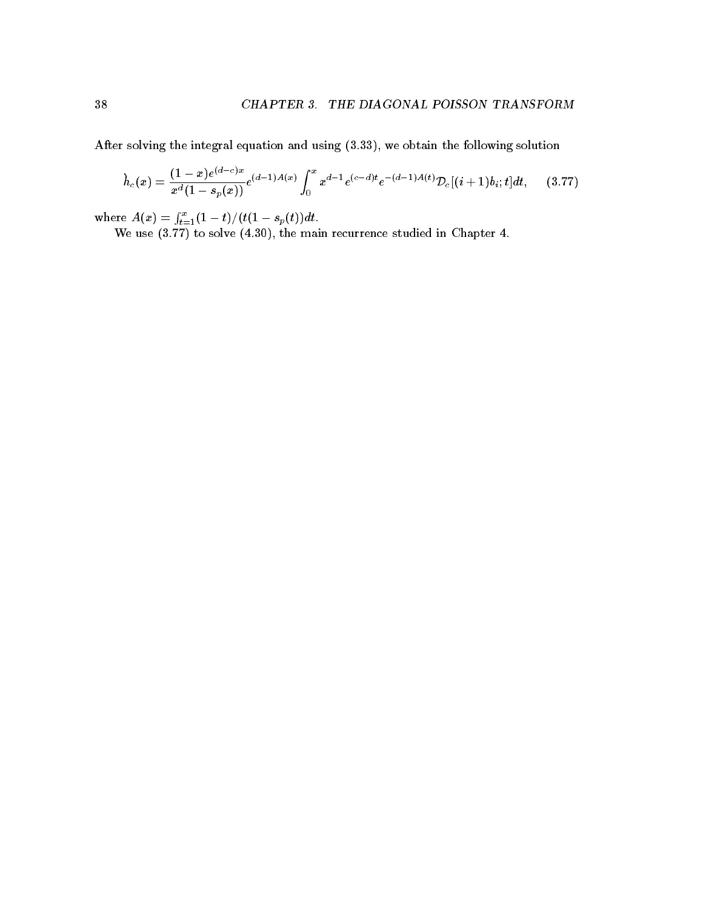After solving the integral equation and using  $(3.33)$ , we obtain the following solution

$$
\dot{h}_c(x) = \frac{(1-x)e^{(d-c)x}}{x^d(1-s_p(x))} e^{(d-1)A(x)} \int_0^x x^{d-1} e^{(c-d)t} e^{-(d-1)A(t)} \mathcal{D}_c[(i+1)b_i; t] dt, \qquad (3.77)
$$

where  $A(x) = \int_{t=1}^{x}(1-t)/(t(1-s_p(t))dt$ . We use  $\{x_1, x_2, \ldots, x_n\}$  and  $\{x_1, x_2, \ldots, x_n\}$  . The main recurrence studies in Chapter studies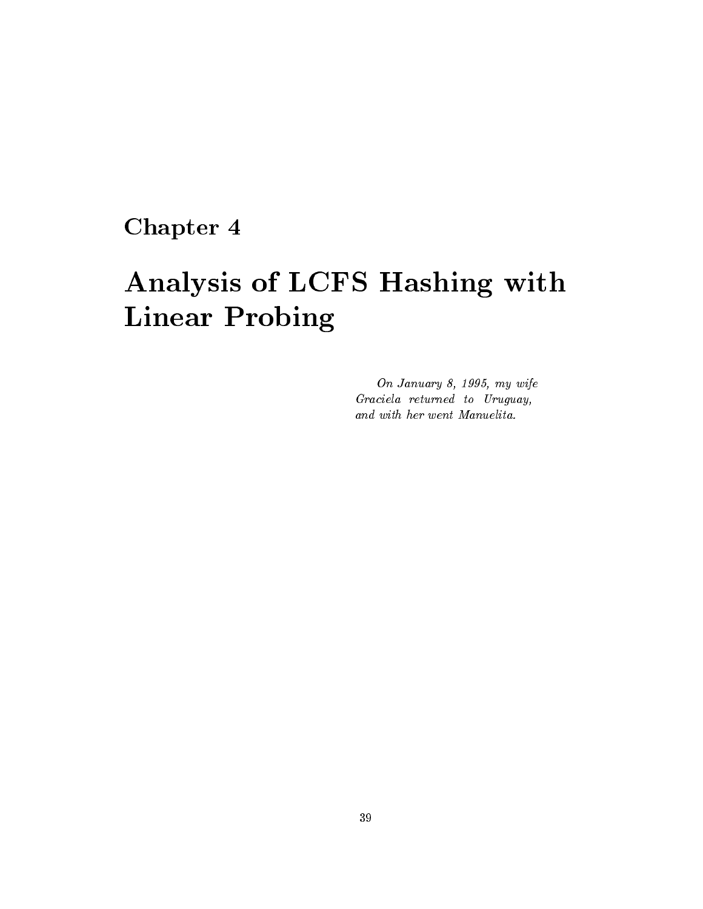# Chapter 4

# Analysis of LCFS Hashing with Linear Probing

On January 8, 1995, my wife Graciela returned to Uruguay and with her went Manuelita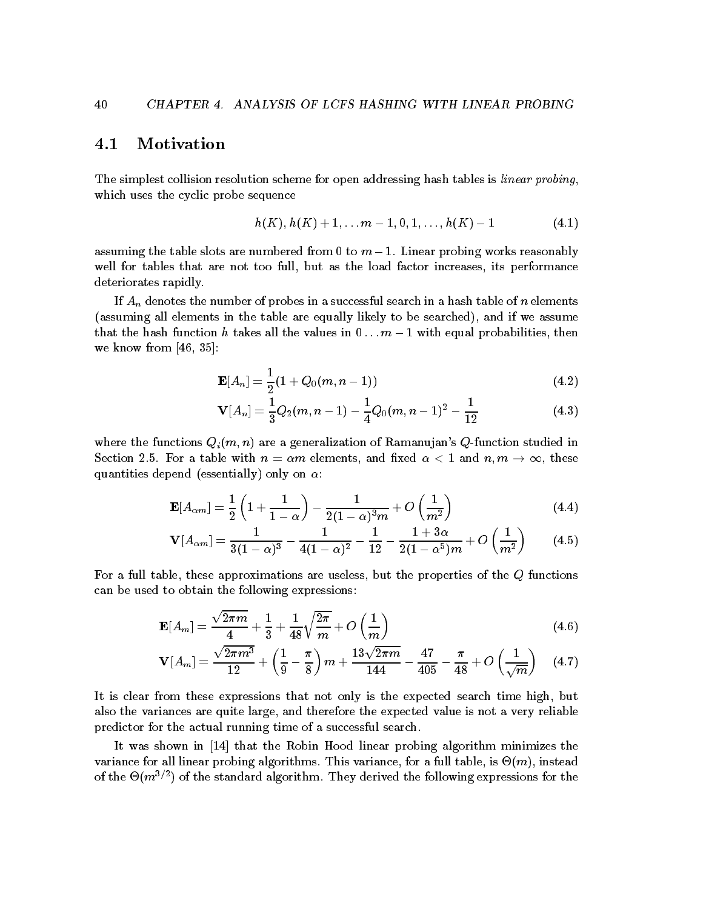### $4.1$ Motivation

The simplest collision resolution scheme for open addressing hash tables is *linear probing*, which uses the cyclic probe sequence

$$
h(K), h(K) + 1, \ldots m - 1, 0, 1, \ldots, h(K) - 1 \tag{4.1}
$$

assuming the table slots are numbered from a the total continues problem in the state of  $\mu$ well for tables that are not too full, but as the load factor increases, its performance deteriorates rapidly

If  $A_n$  denotes the number of probes in a successful search in a hash table of n elements (assuming all elements in the table are equally likely to be searched), and if we assume that the hashed function is there all the values all then  $\sim$  - with equal probability then  $\sim$ we know from  $[46, 35]$ :

$$
\mathbf{E}[A_n] = \frac{1}{2}(1 + Q_0(m, n-1))
$$
\n(4.2)

$$
\mathbf{V}[A_n] = \frac{1}{3}Q_2(m, n-1) - \frac{1}{4}Q_0(m, n-1)^2 - \frac{1}{12}
$$
 (4.3)

where the functions  $Q_i(m, n)$  are a generalization of Ramanujan's Q-function studied in string and a table with n m - and the model with an and  $\alpha$  , a model is a state of the second quantities depend (essentially) only on  $\alpha$ :

$$
\mathbf{E}[A_{\alpha m}] = \frac{1}{2} \left( 1 + \frac{1}{1 - \alpha} \right) - \frac{1}{2(1 - \alpha)^3 m} + O\left(\frac{1}{m^2}\right)
$$
(4.4)

$$
\mathbf{V}[A_{\alpha m}] = \frac{1}{3(1-\alpha)^3} - \frac{1}{4(1-\alpha)^2} - \frac{1}{12} - \frac{1+3\alpha}{2(1-\alpha^5)m} + O\left(\frac{1}{m^2}\right) \tag{4.5}
$$

For a full table, these approximations are useless, but the properties of the  $Q$  functions can be used to obtain the following expressions

$$
\mathbf{E}[A_m] = \frac{\sqrt{2\pi m}}{4} + \frac{1}{3} + \frac{1}{48}\sqrt{\frac{2\pi}{m}} + O\left(\frac{1}{m}\right)
$$
(4.6)

$$
\mathbf{V}[A_m] = \frac{\sqrt{2\pi m^3}}{12} + \left(\frac{1}{9} - \frac{\pi}{8}\right)m + \frac{13\sqrt{2\pi m}}{144} - \frac{47}{405} - \frac{\pi}{48} + O\left(\frac{1}{\sqrt{m}}\right) \quad (4.7)
$$

It is clear from these expressions that not only is the expected search time high, but also the variances are quite large, and therefore the expected value is not a very reliable predictor for the actual running time of a successful search

It was shown in - that the Robin Hood linear probing algorithm minimizes the variance for all linear probing algorithms. This variance, for a full table, is  $\Theta(m)$ , instead of the  $\Theta(m^{-r-1})$  of the standard algorithm. They derived the following expressions for the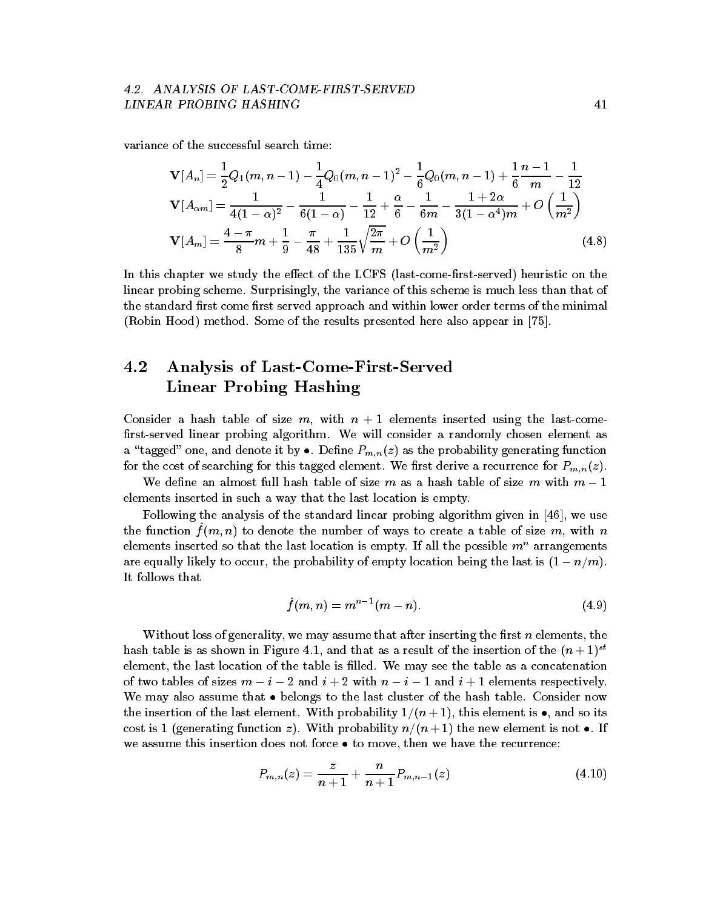# LINEAR PROBING HASHING

variance of the successful search time

$$
\mathbf{V}[A_n] = \frac{1}{2}Q_1(m, n-1) - \frac{1}{4}Q_0(m, n-1)^2 - \frac{1}{6}Q_0(m, n-1) + \frac{1}{6}\frac{n-1}{m} - \frac{1}{12}
$$
  
\n
$$
\mathbf{V}[A_{\alpha m}] = \frac{1}{4(1-\alpha)^2} - \frac{1}{6(1-\alpha)} - \frac{1}{12} + \frac{\alpha}{6} - \frac{1}{6m} - \frac{1+2\alpha}{3(1-\alpha^4)m} + O\left(\frac{1}{m^2}\right)
$$
  
\n
$$
\mathbf{V}[A_m] = \frac{4-\pi}{8}m + \frac{1}{9} - \frac{\pi}{48} + \frac{1}{135}\sqrt{\frac{2\pi}{m}} + O\left(\frac{1}{m^2}\right)
$$
(4.8)

In this chapter we study the effect of the LCFS (last-come-first-served) heuristic on the linear probing scheme. Surprisingly, the variance of this scheme is much less than that of the standard first come first served approach and within lower order terms of the minimal (Robin Hood) method. Some of the results presented here also appear in  $[75]$ .

### 4.2 Analysis of Last-Come-First-Served Linear Probing Hashing

Consider a hash table of size m with n - elements inserted using the lastcome first-served linear probing algorithm. We will consider a randomly chosen element as a tagged one probability  $\mu$  as the probability  $\mu$  as the probability generating function for the cost of searching for this tagged element. We first derive a recurrence for  $P_{m,n}(z).$ 

We define an almost full hash table of size m as a hash table of size m with  $m-1$ elements inserted in such a way that the last location is empty.

Following the analysis of the standard linear probing algorithm given in  $[46]$ , we use the function  $f(n, n)$  to denote the number of ways to create a table of size  $m$ , with  $n$ elements inserted so that the last location is empty. If all the possible  $m^n$  arrangements are equally likely to occur the probability of empty location being the last is - nm It follows that

$$
\hat{f}(m,n) = m^{n-1}(m-n). \tag{4.9}
$$

Without loss of generality, we may assume that after inserting the first  $n$  elements, the hash table is as shown in Figure 4.1, and that as a result of the insertion of the  $(n+1)^{+}$ element, the last location of the table is filled. We may see the table as a concatenation of two tables of sizes m i and i with n i - and i - elements respectively we may also assume that the last cluster of the last cluster of the last cluster of the hash table  $\alpha$ the insertion of this element with probability -  $\mathcal{N}$  ,  $\mathcal{N}$  , and its contribution of  $\mathcal{N}$ cost is - generating function z With probability nn - the new element is not If we assume this insertion does not force the recurrence then we have the recovered then we have the recovered t

$$
P_{m,n}(z) = \frac{z}{n+1} + \frac{n}{n+1} P_{m,n-1}(z)
$$
\n(4.10)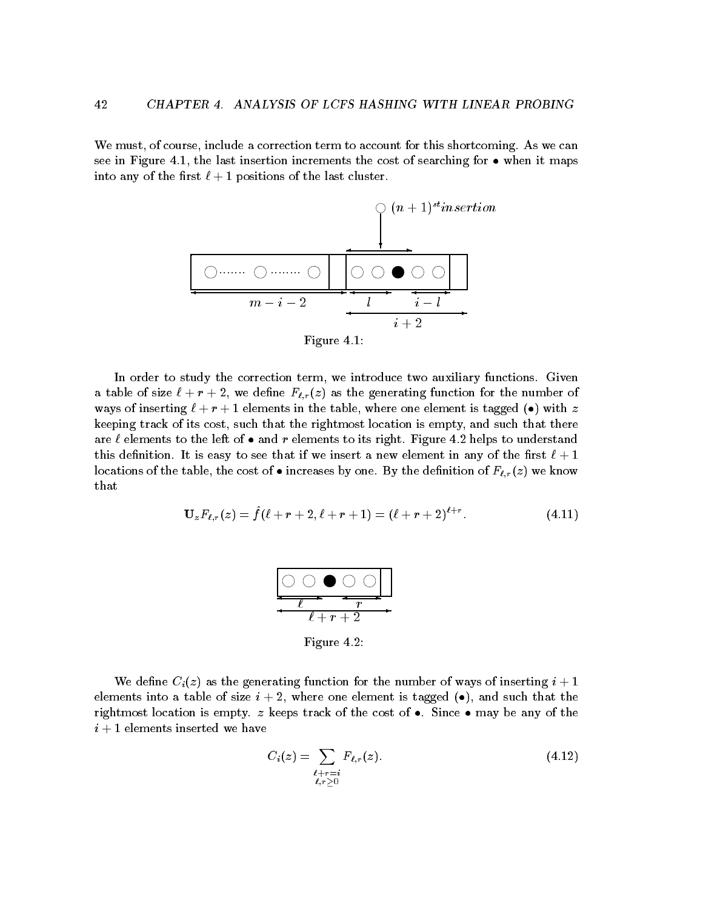We must, of course, include a correction term to account for this shortcoming. As we can see in Figure - the last insertion increments the cost of searching for when it maps into any of the definition is positions to the last cluster.



In order to study the correction term, we introduce two auxiliary functions. Given a table of size  $\ell + r + 2$ , we define  $F_{\ell,r}(z)$  as the generating function for the number of was of inserting in the table where one elements in the tagged one element is taken the tagged one element is t keeping track of its cost, such that the rightmost location is empty, and such that there are a conditions to the left of and released to its right Figure and disperson measurements to this definition. It is easy to see that if we insert a new element in any of the first  $\ell + 1$ is continuous cost of the cost of the cost of  $\alpha$  increases  $\alpha$  increases by the fraction of  $\alpha$  and  $\alpha$  in  $\alpha$ that

$$
\mathbf{U}_{z}F_{\ell,r}(z) = \hat{f}(\ell+r+2,\ell+r+1) = (\ell+r+2)^{\ell+r}.
$$
\n(4.11)



Figure 4.2:

We define  $C_i(z)$  as the generating function for the number of ways of inserting  $i+1$ elements into a table of size i where one element is tagged and such that the rightmost location is empty z keeps track of the cost of Since may be any of the i elements inserted were also assumed we have a serted we have a serted we have a serted we have a serted we h

$$
C_i(z) = \sum_{\substack{\ell+r=i \\ \ell,r>0}} F_{\ell,r}(z). \tag{4.12}
$$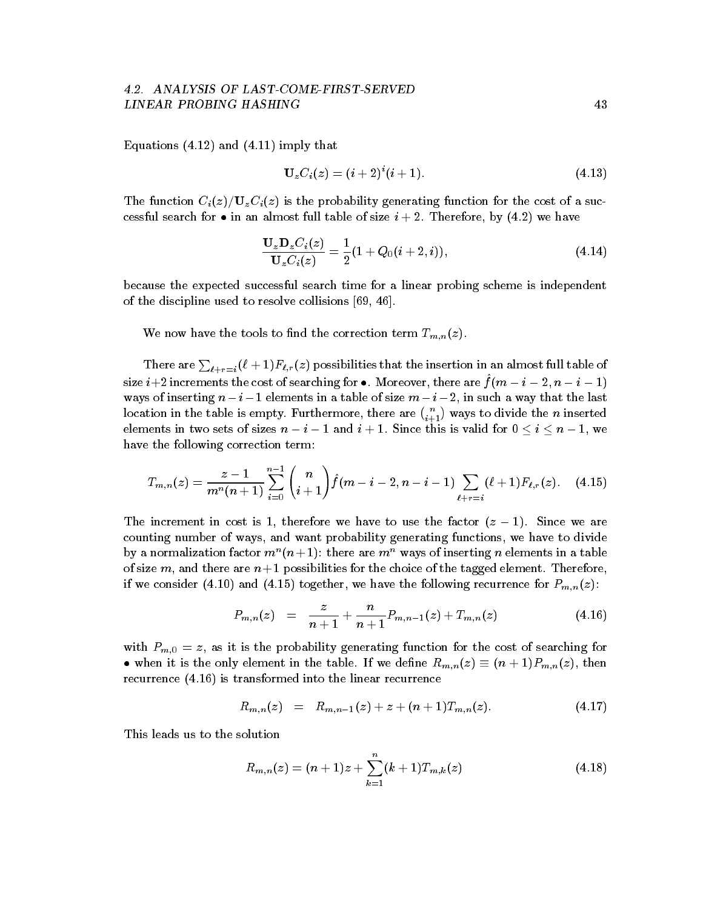## LINEAR PROBING HASHING

Equations - and -- imply that

$$
\mathbf{U}_z C_i(z) = (i+2)^i (i+1). \tag{4.13}
$$

The function  $C_i(z)/U_zC_i(z)$  is the probability generating function for the cost of a succession at the size  $\sim$  the main annual table of size  $\sim$  . We have been almost  $\sim$   $\sim$ 

$$
\frac{\mathbf{U}_{z}\mathbf{D}_{z}C_{i}(z)}{\mathbf{U}_{z}C_{i}(z)} = \frac{1}{2}(1 + Q_{0}(i + 2, i)),
$$
\n(4.14)

because the expected successful search time for a linear probing scheme is independent of the discipline used to resolve collisions [69, 46].

We now have the tools to find the correction term  $T_{m,n}(z)$ .

There are  $\sum_{\ell+r=i}(\ell+1)F_{\ell,r}(z)$  possibilities that the insertion in an almost full table of size  $i \neq 2$  increments the cost of searching for  $\bullet$ . Moreover, there are  $f(ni - i - 2, n - i - 1)$ ways of inserting n inserting n inserting n in a table of size m in a table of size m in such a table of size m location in the table is empty. Furthermore, there are  $\binom{n}{i+1}$  ways to divide the  $n$  inserted elements in two sets of sizes  $\alpha$  is valid for sizes the sizes of the size  $\alpha$  is valid for  $\alpha$ have the following correction term

$$
T_{m,n}(z) = \frac{z-1}{m^n(n+1)} \sum_{i=0}^{n-1} {n \choose i+1} \hat{f}(m-i-2, n-i-1) \sum_{\ell+r=i} (\ell+1) F_{\ell,r}(z). \quad (4.15)
$$

The increment in cost is - therefore we are factor  $\mathbf{I}$  - the factor  $\mathbf{I}$  - the factor  $\mathbf{I}$ counting number of ways, and want probability generating functions, we have to divide by a normalization factor  $m$  ( $n+1$ ); there are  $m$  -ways of inserting  $n$  elements in a table of size m and there are n - possibilities for the choice of the tagged element Therefore of the tagged element T if we consider - and - together we have the following recurrence for Pmnz 

$$
P_{m,n}(z) = \frac{z}{n+1} + \frac{n}{n+1} P_{m,n-1}(z) + T_{m,n}(z) \qquad (4.16)
$$

with  $P_{m,0} = z$ , as it is the probability generating function for the cost of searching for when it is the only element in the table If we denote  $\mathbf{r}$  ,  $\mathbf{r}_i$  ,  $\mathbf{r}_j = \mathbf{r}_i$  ,  $\mathbf{r}_j = \mathbf{r}_i$  ,  $\mathbf{r}_i$ recurrence - is transformed into the linear recurrence - is transformed into the linear recurrence recurrence

$$
R_{m,n}(z) = R_{m,n-1}(z) + z + (n+1)T_{m,n}(z). \qquad (4.17)
$$

This leads us to the solution

$$
R_{m,n}(z) = (n+1)z + \sum_{k=1}^{n} (k+1)T_{m,k}(z)
$$
\n(4.18)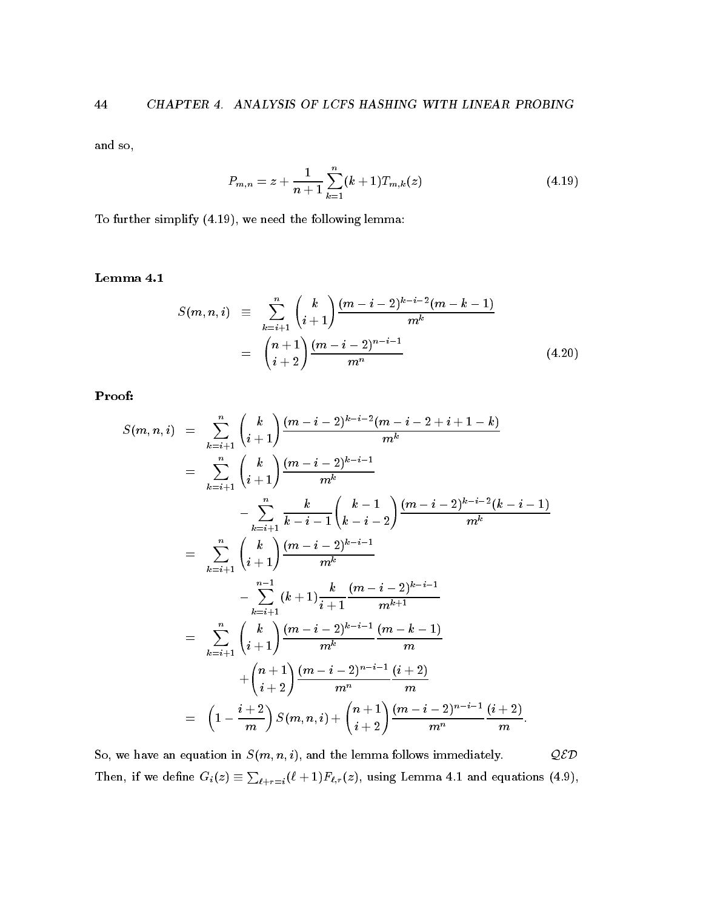and so

$$
P_{m,n} = z + \frac{1}{n+1} \sum_{k=1}^{n} (k+1) T_{m,k}(z)
$$
\n(4.19)

 $\mathbf{r}$  is the following lemma simplify - we need the following lemma simplify  $\mathbf{r}$ 

$$
S(m, n, i) \equiv \sum_{k=i+1}^{n} {k \choose i+1} \frac{(m-i-2)^{k-i-2}(m-k-1)}{m^k}
$$

$$
= {n+1 \choose i+2} \frac{(m-i-2)^{n-i-1}}{m^n}
$$
(4.20)

Proof

$$
S(m, n, i) = \sum_{k=i+1}^{n} {k \choose i+1} \frac{(m-i-2)^{k-i-2}(m-i-2+i+1-k)}{m^k}
$$
  
\n
$$
= \sum_{k=i+1}^{n} {k \choose i+1} \frac{(m-i-2)^{k-i-1}}{m^k}
$$
  
\n
$$
- \sum_{k=i+1}^{n} {k \choose k-i-1} {k-i-1 \choose k-i-2} \frac{(m-i-2)^{k-i-2}(k-i-1)}{m^k}
$$
  
\n
$$
= \sum_{k=i+1}^{n} {k \choose i+1} \frac{(m-i-2)^{k-i-1}}{m^k}
$$
  
\n
$$
- \sum_{k=i+1}^{n-1} (k+1) \frac{k}{i+1} \frac{(m-i-2)^{k-i-1}}{m^{k+1}}
$$
  
\n
$$
= \sum_{k=i+1}^{n} {k \choose i+1} \frac{(m-i-2)^{k-i-1}}{m^k} \frac{(m-k-1)}{m}
$$
  
\n
$$
+ {n+1 \choose i+2} \frac{(m-i-2)^{n-i-1}}{m^n} \frac{(i+2)}{m}
$$
  
\n
$$
= (1 - \frac{i+2}{m}) S(m, n, i) + {n+1 \choose i+2} \frac{(m-i-2)^{n-i-1}}{m^n} \frac{(i+2)}{m}
$$

So, we have an equation in  $S(m, n, i)$ , and the lemma follows immediately.  $QED$ Then, if we define  $G_i(z) \equiv \sum_{\ell+r=i} (\ell+1) F_{\ell,r}(z)$ , using Lemma 4.1 and equations (4.9),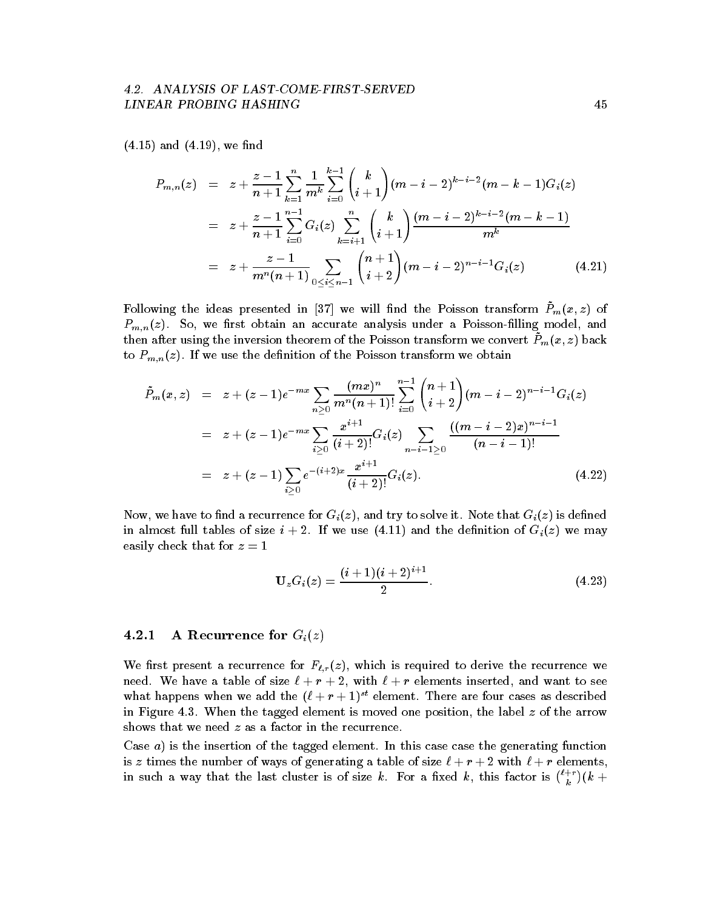# LINEAR PROBING HASHING

 $\blacksquare$  and  $\blacksquare$ 

$$
P_{m,n}(z) = z + \frac{z-1}{n+1} \sum_{k=1}^{n} \frac{1}{m^k} \sum_{i=0}^{k-1} {k \choose i+1} (m-i-2)^{k-i-2} (m-k-1) G_i(z)
$$
  

$$
= z + \frac{z-1}{n+1} \sum_{i=0}^{n-1} G_i(z) \sum_{k=i+1}^{n} {k \choose i+1} \frac{(m-i-2)^{k-i-2} (m-k-1)}{m^k}
$$
  

$$
= z + \frac{z-1}{m^n (n+1)} \sum_{0 \le i \le n-1} {n+1 \choose i+2} (m-i-2)^{n-i-1} G_i(z) \qquad (4.21)
$$

Following the ideas presented in [37] we will find the Poisson transform  $P_m(x, z)$  of  $P_{m,n}(z)$ . So, we first obtain an accurate analysis under a Poisson-filling model, and then after using the inversion theorem of the Poisson transform we convert  $\tilde{P}_m(x, z)$  back to  $P_{m,n}(z)$ . If we use the definition of the Poisson transform we obtain

$$
\tilde{P}_m(x, z) = z + (z - 1)e^{-mx} \sum_{n \ge 0} \frac{(mx)^n}{m^n(n+1)!} \sum_{i=0}^{n-1} {n+1 \choose i+2} (m - i - 2)^{n-i-1} G_i(z)
$$
\n
$$
= z + (z - 1)e^{-mx} \sum_{i \ge 0} \frac{x^{i+1}}{(i+2)!} G_i(z) \sum_{n-i-1 \ge 0} \frac{((m - i - 2)x)^{n-i-1}}{(n-i-1)!}
$$
\n
$$
= z + (z - 1) \sum_{i \ge 0} e^{-(i+2)x} \frac{x^{i+1}}{(i+2)!} G_i(z).
$$
\n(4.22)

Now, we have to find a recurrence for  $G_i(z)$ , and try to solve it. Note that  $G_i(z)$  is defined in almost function of size  $\alpha$  , we use  $\alpha$  and  $\alpha$  we may construct the density  $\alpha$ easily check that for  $z = 1$ 

$$
\mathbf{U}_{z}G_{i}(z)=\frac{(i+1)(i+2)^{i+1}}{2}.
$$
\n(4.23)

### **A** Recurrence for  $G_i(z)$

We first present a recurrence for  $F_{\ell,r}(z)$ , which is required to derive the recurrence we need. We have a table of size  $\ell + r + 2$ , with  $\ell + r$  elements inserted, and want to see what happens when we add the  $(t + r + 1)^{-1}$  element. There are four cases as described in Figure 4.3. When the tagged element is moved one position, the label  $z$  of the arrow shows that we need  $z$  as a factor in the recurrence.

Case  $a$ ) is the insertion of the tagged element. In this case case the generating function is z times the number of ways of generating a table of size  $\ell + r + 2$  with  $\ell + r$  elements, in such a way that the last cluster is of size k. For a fixed k, this factor is  $\binom{\ell+r}{k}(k+1)$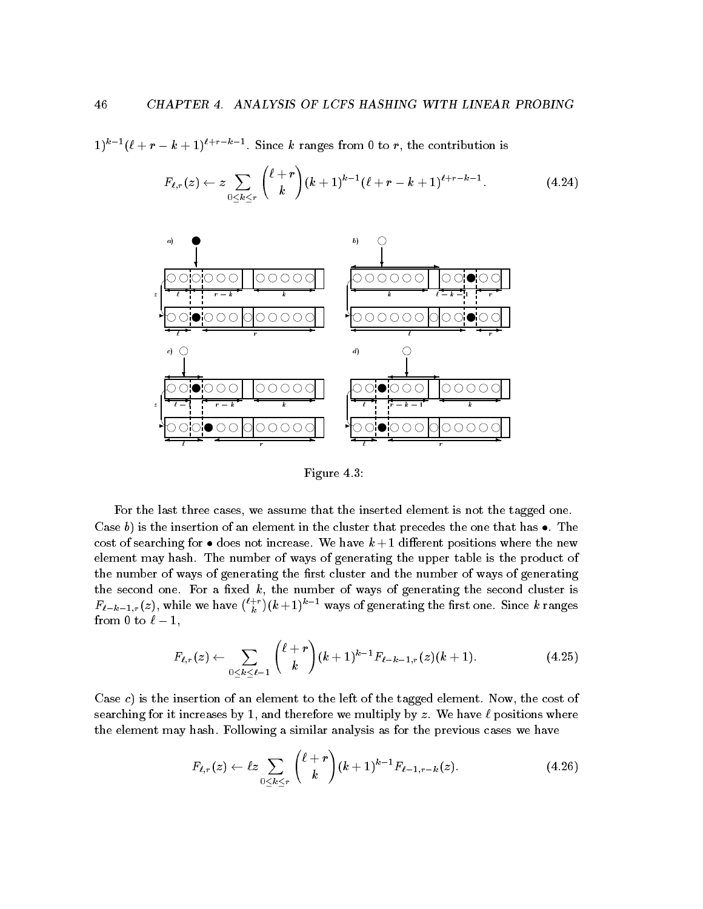$1$   $(k + r - k + 1)$   $\cdots$  . Since k ranges from 0 to r, the contribution is

$$
F_{\ell,r}(z) \leftarrow z \sum_{0 \leq k \leq r} {\ell + r \choose k} (k+1)^{k-1} (\ell + r - k + 1)^{\ell + r - k - 1}.
$$
 (4.24)



Figure 4.3:

For the last three cases, we assume that the inserted element is not the tagged one. Case b is the insertion of an element in the cluster that precedes the one that has The cost of searching for an increase where we have the notified positions where the new the new theory element may hash. The number of ways of generating the upper table is the product of the number of ways of generating the first cluster and the number of ways of generating the second one. For a fixed  $k$ , the number of ways of generating the second cluster is  $\iota - \iota - \iota$  is a function of  $\iota$  $\binom{\ell+r}{k} (k+1)^{k-1}$  ways of generating the first one. Since k ranges from the contract of the contract of the contract of the contract of the contract of the contract of the contract of the contract of the contract of the contract of the contract of the contract of the contract of the contr

$$
F_{\ell,r}(z) \leftarrow \sum_{0 \leq k \leq \ell-1} {\ell+r \choose k} (k+1)^{k-1} F_{\ell-k-1,r}(z) (k+1). \tag{4.25}
$$

Case c) is the insertion of an element to the left of the tagged element. Now, the cost of searching for it increases by - and therefore we multiply by z We have positions where the element may hash. Following a similar analysis as for the previous cases we have

$$
F_{\ell,r}(z) \leftarrow \ell z \sum_{0 \leq k \leq r} {\ell + r \choose k} (k+1)^{k-1} F_{\ell-1,r-k}(z). \tag{4.26}
$$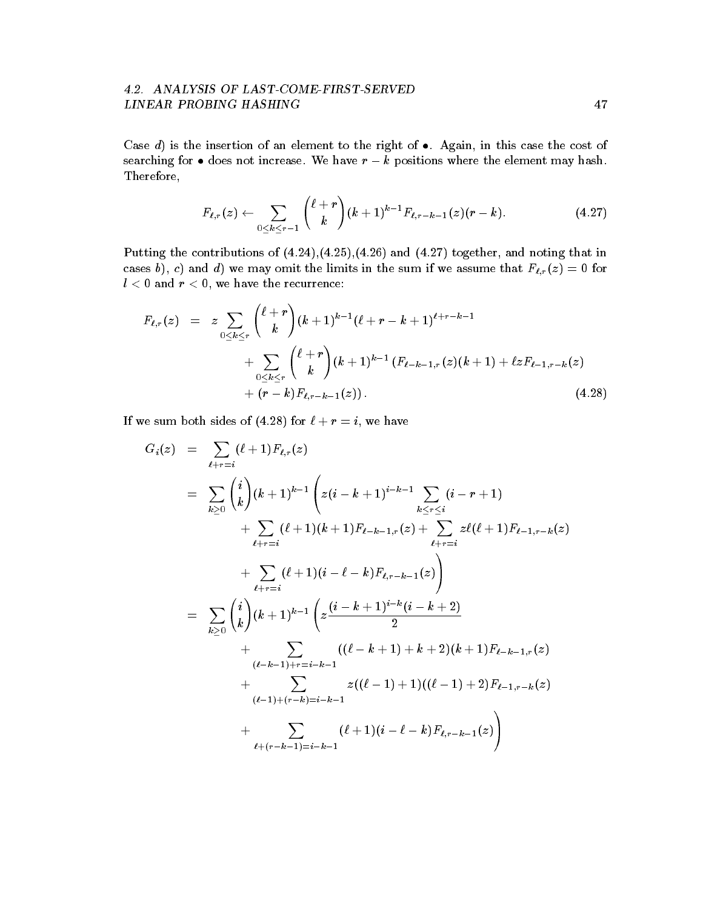## LINEAR PROBING HASHING

 $\blacksquare$  is the insertion of an element to the right of an element to the right of an element to the cost of an element of an element of an element of an element of an element of an element of an element of an element of an searching for does not increase We have r kpositions where the element may hash Therefore

$$
F_{\ell,r}(z) \leftarrow \sum_{0 \leq k \leq r-1} {\ell+r \choose k} (k+1)^{k-1} F_{\ell,r-k-1}(z) (r-k). \tag{4.27}
$$

Putting the contributions of  $(4.24),(4.25),(4.26)$  and  $(4.27)$  together, and noting that in cases b), c) and d) we may omit the limits in the sum if we assume that  $F_{\ell,r}(z) = 0$  for  $l < 0$  and  $r < 0$ , we have the recurrence:

$$
F_{\ell,r}(z) = z \sum_{0 \leq k \leq r} {\ell+r \choose k} (k+1)^{k-1} (\ell+r-k+1)^{\ell+r-k-1} + \sum_{0 \leq k \leq r} {\ell+r \choose k} (k+1)^{k-1} (F_{\ell-k-1,r}(z)(k+1) + \ell z F_{\ell-1,r-k}(z) + (r-k) F_{\ell,r-k-1}(z)).
$$
\n(4.28)

If we sum both sides of (4.28) for  $\ell + r = i$ , we have

$$
G_i(z) = \sum_{\ell+r=i} (\ell+1) F_{\ell,r}(z)
$$
  
\n
$$
= \sum_{k\geq 0} {i \choose k} (k+1)^{k-1} \left( z(i-k+1)^{i-k-1} \sum_{k\leq r\leq i} (i-r+1) \right. \\ \left. + \sum_{\ell+r=i} (\ell+1)(k+1) F_{\ell-k-1,r}(z) + \sum_{\ell+r=i} z\ell(\ell+1) F_{\ell-1,r-k}(z) \right. \\ \left. + \sum_{\ell+r=i} (\ell+1)(i-\ell-k) F_{\ell,r-k-1}(z) \right)
$$
  
\n
$$
= \sum_{k\geq 0} {i \choose k} (k+1)^{k-1} \left( z \frac{(i-k+1)^{i-k}(i-k+2)}{2} + \sum_{(\ell-k-1)r=i-k-1} ((\ell-k+1) + k+2)(k+1) F_{\ell-k-1,r}(z) + \sum_{(\ell-1)+(r-k)=i-k-1} z((\ell-1)+1)((\ell-1)+2) F_{\ell,r-k-1}(z) + \sum_{\ell+(r-k-1)=i-k-1} (\ell+1)(i-\ell-k) F_{\ell,r-k-1}(z) \right)
$$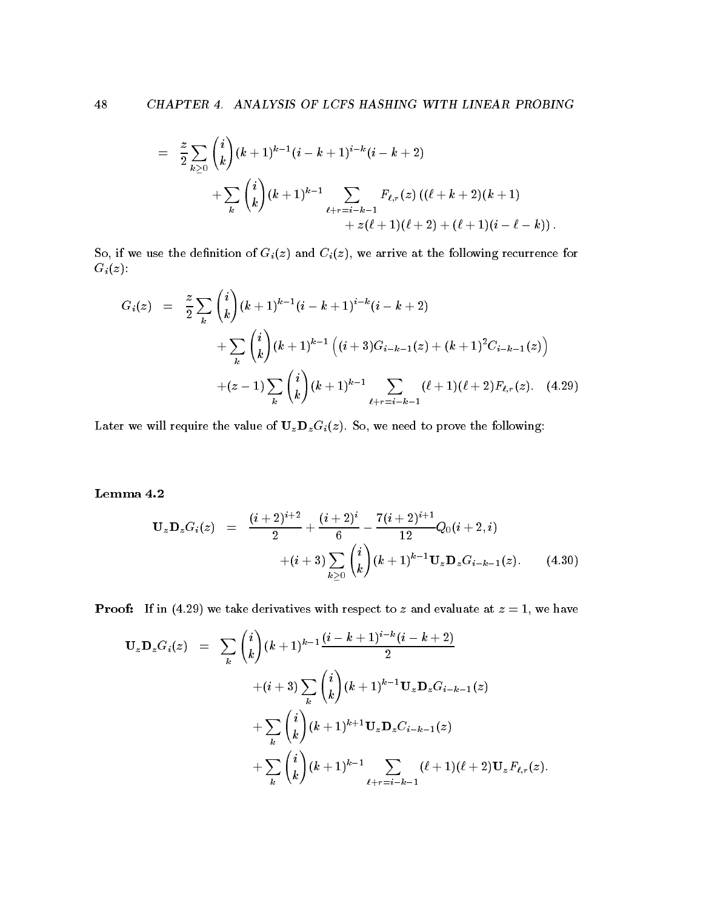$$
\begin{array}{lcl} = & \displaystyle \frac{z}{2} \sum_{k \geq 0} \binom{i}{k} (k+1)^{k-1} (i-k+1)^{i-k} (i-k+2) \\ & & \displaystyle + \sum_{k} \binom{i}{k} (k+1)^{k-1} \sum_{\ell + r = i-k-1} F_{\ell,r}(z) \left( (\ell + k + 2) (k+1) \right. \\ & & \displaystyle \qquad \qquad + z (\ell + 1) (\ell + 2) + (\ell + 1) (i - \ell - k)) \, . \end{array}
$$

So, if we use the definition of  $G_i(z)$  and  $C_i(z)$ , we arrive at the following recurrence for  $G_i(z)$ :

$$
G_i(z) = \frac{z}{2} \sum_{k} {i \choose k} (k+1)^{k-1} (i-k+1)^{i-k} (i-k+2)
$$
  
+ 
$$
\sum_{k} {i \choose k} (k+1)^{k-1} \left( (i+3) G_{i-k-1}(z) + (k+1)^2 C_{i-k-1}(z) \right)
$$
  
+ 
$$
(z-1) \sum_{k} {i \choose k} (k+1)^{k-1} \sum_{\ell+r=i-k-1} (\ell+1) (\ell+2) F_{\ell,r}(z).
$$
 (4.29)

Later we will require the value of  $U_z D_z G_i(z)$ . So, we need to prove the following:

$$
\mathbf{U}_{z}\mathbf{D}_{z}G_{i}(z) = \frac{(i+2)^{i+2}}{2} + \frac{(i+2)^{i}}{6} - \frac{7(i+2)^{i+1}}{12}Q_{0}(i+2, i) + (i+3)\sum_{k\geq 0} {i \choose k}(k+1)^{k-1}\mathbf{U}_{z}\mathbf{D}_{z}G_{i-k-1}(z).
$$
 (4.30)

Proof If in and we have derived to z and evaluate at z and evaluate at z and evaluate at z and evaluate at z  $\mathbb{R}$ 

$$
\mathbf{U}_{z} \mathbf{D}_{z} G_{i}(z) = \sum_{k} {i \choose k} (k+1)^{k-1} \frac{(i-k+1)^{i-k} (i-k+2)}{2}
$$
  
 
$$
+ (i+3) \sum_{k} {i \choose k} (k+1)^{k-1} \mathbf{U}_{z} \mathbf{D}_{z} G_{i-k-1}(z)
$$
  
 
$$
+ \sum_{k} {i \choose k} (k+1)^{k+1} \mathbf{U}_{z} \mathbf{D}_{z} C_{i-k-1}(z)
$$
  
 
$$
+ \sum_{k} {i \choose k} (k+1)^{k-1} \sum_{\ell+r=i-k-1} (\ell+1) (\ell+2) \mathbf{U}_{z} F_{\ell,r}(z).
$$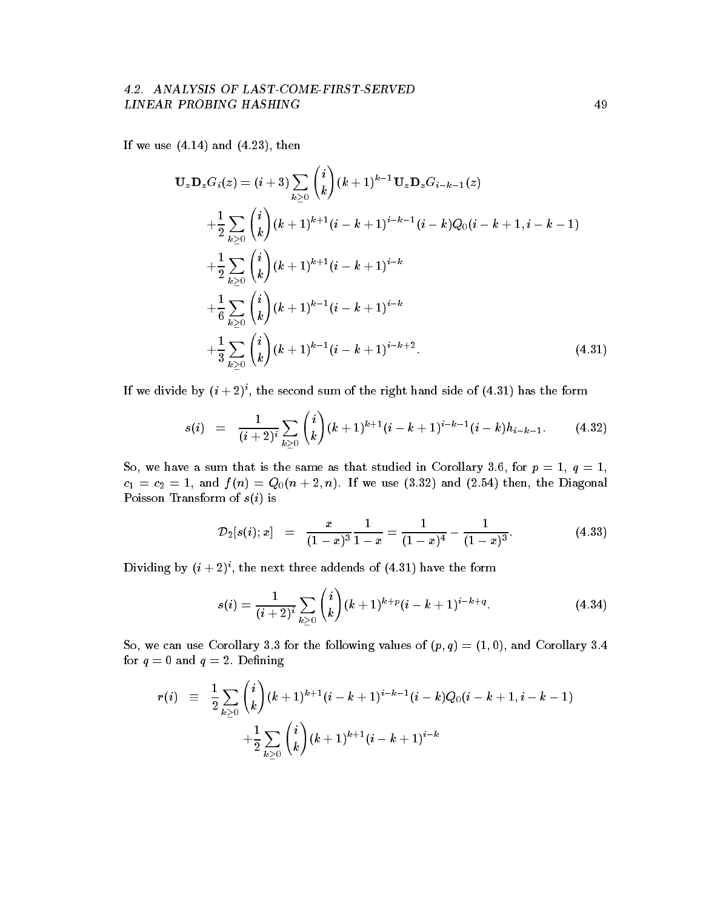# LINEAR PROBING HASHING

 $\blacksquare$  and  $\blacksquare$  and  $\blacksquare$  and  $\blacksquare$  and  $\blacksquare$  and  $\blacksquare$  and  $\blacksquare$  and  $\blacksquare$ 

$$
\mathbf{U}_{z}\mathbf{D}_{z}G_{i}(z) = (i+3)\sum_{k\geq 0} {i \choose k} (k+1)^{k-1}\mathbf{U}_{z}\mathbf{D}_{z}G_{i-k-1}(z) \n+ \frac{1}{2}\sum_{k\geq 0} {i \choose k} (k+1)^{k+1}(i-k+1)^{i-k-1}(i-k)Q_{0}(i-k+1,i-k-1) \n+ \frac{1}{2}\sum_{k\geq 0} {i \choose k} (k+1)^{k+1}(i-k+1)^{i-k} \n+ \frac{1}{6}\sum_{k\geq 0} {i \choose k} (k+1)^{k-1}(i-k+1)^{i-k} \n+ \frac{1}{3}\sum_{k\geq 0} {i \choose k} (k+1)^{k-1}(i-k+1)^{i-k+2}.
$$
\n(4.31)

If we divide by  $(i+2)$  , the second sum of the right hand side of  $(4.51)$  has the form

$$
s(i) = \frac{1}{(i+2)^i} \sum_{k \geq 0} {i \choose k} (k+1)^{k+1} (i-k+1)^{i-k-1} (i-k) h_{i-k-1}.
$$
 (4.32)

 $S$  , and such that is the same as the same as the studied in  $S$  ,  $S$  ,  $S$  ,  $S$  ,  $S$  ,  $S$  ,  $S$  ,  $S$  ,  $S$  ,  $S$  ,  $S$  ,  $S$  ,  $S$  ,  $S$  ,  $S$  ,  $S$  ,  $S$  ,  $S$  ,  $S$  ,  $S$  ,  $S$  ,  $S$  ,  $S$  ,  $S$  ,  $S$  ,  $S$  ,  $S$ c c- - and f n Qn n If we use and then the Diagonal Poisson Transform of  $s(i)$  is

$$
\mathcal{D}_2[s(i);x] = \frac{x}{(1-x)^3} \frac{1}{1-x} = \frac{1}{(1-x)^4} - \frac{1}{(1-x)^3}.
$$
 (4.33)

Dividing by  $(i + 2)$ , the next three addends of  $(4.51)$  have the form

$$
s(i) = \frac{1}{(i+2)^i} \sum_{k \ge 0} {i \choose k} (k+1)^{k+p} (i-k+1)^{i-k+q}.
$$
 (4.34)

So we can use Corollary for the following values of p quantum values of p  $\sim$  p  $\sim$  1. The following values of p  $\sim$ for  $q = 0$  and  $q = 2$ . Defining

$$
\begin{array}{lcl} r(i) & \equiv & \displaystyle \frac{1}{2} \sum_{k \geq 0} \binom{i}{k} (k+1)^{k+1} (i-k+1)^{i-k-1} (i-k) Q_0 (i-k+1, i-k-1) \\ & & \displaystyle + \frac{1}{2} \sum_{k \geq 0} \binom{i}{k} (k+1)^{k+1} (i-k+1)^{i-k} \end{array}
$$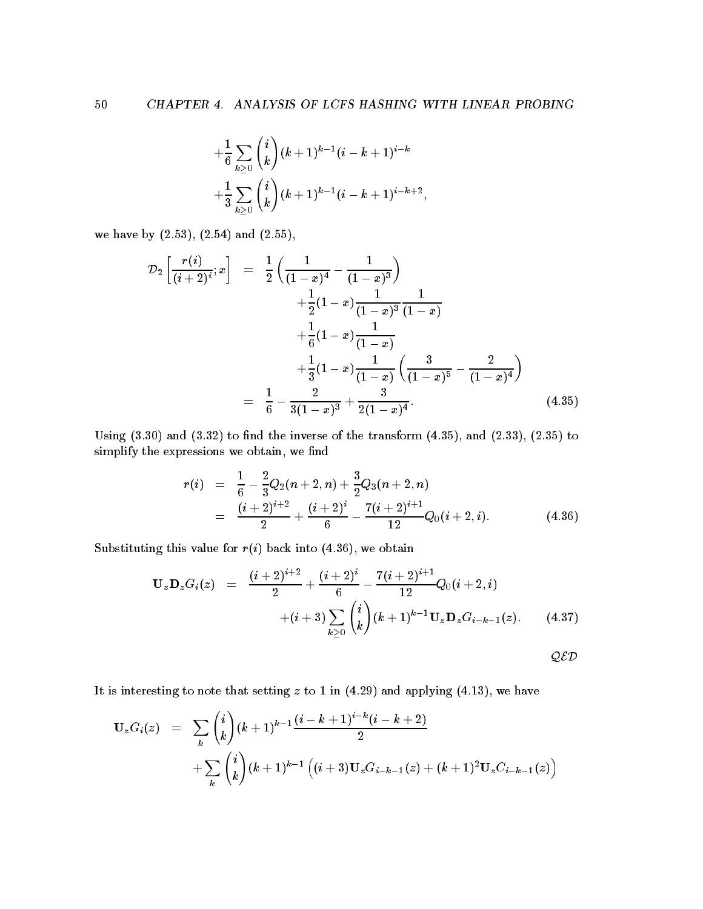$$
\begin{aligned} &+\frac{1}{6}\sum_{k\geq 0}\binom{i}{k}(k+1)^{k-1}(i-k+1)^{i-k}\\ &+\frac{1}{3}\sum_{k\geq 0}\binom{i}{k}(k+1)^{k-1}(i-k+1)^{i-k+2}, \end{aligned}
$$

we have by  $(2.53)$ ,  $(2.54)$  and  $(2.55)$ ,

$$
\mathcal{D}_2\left[\frac{r(i)}{(i+2)^i};x\right] = \frac{1}{2}\left(\frac{1}{(1-x)^4} - \frac{1}{(1-x)^3}\right) \n+ \frac{1}{2}(1-x)\frac{1}{(1-x)^3}\frac{1}{(1-x)} \n+ \frac{1}{6}(1-x)\frac{1}{(1-x)} \n+ \frac{1}{3}(1-x)\frac{1}{(1-x)}\left(\frac{3}{(1-x)^5} - \frac{2}{(1-x)^4}\right) \n= \frac{1}{6} - \frac{2}{3(1-x)^3} + \frac{3}{2(1-x)^4}.
$$
\n(4.35)

Using  $(3.30)$  and  $(3.32)$  to find the inverse of the transform  $(4.35)$ , and  $(2.33)$ ,  $(2.35)$  to simplify the expressions we obtain, we find

$$
r(i) = \frac{1}{6} - \frac{2}{3}Q_2(n+2, n) + \frac{3}{2}Q_3(n+2, n)
$$
  
= 
$$
\frac{(i+2)^{i+2}}{2} + \frac{(i+2)^i}{6} - \frac{7(i+2)^{i+1}}{12}Q_0(i+2, i).
$$
 (4.36)

Substituting this value for  $r(i)$  back into (4.36), we obtain

$$
\mathbf{U}_{z}\mathbf{D}_{z}G_{i}(z) = \frac{(i+2)^{i+2}}{2} + \frac{(i+2)^{i}}{6} - \frac{7(i+2)^{i+1}}{12}Q_{0}(i+2, i) + (i+3)\sum_{k\geq 0} {i \choose k}(k+1)^{k-1}\mathbf{U}_{z}\mathbf{D}_{z}G_{i-k-1}(z).
$$
 (4.37)

It is interesting to note that setting z to - in and applying - we have

$$
\mathbf{U}_{z}G_{i}(z) = \sum_{k} {i \choose k} (k+1)^{k-1} \frac{(i-k+1)^{i-k}(i-k+2)}{2} + \sum_{k} {i \choose k} (k+1)^{k-1} \left( (i+3) \mathbf{U}_{z} G_{i-k-1}(z) + (k+1)^{2} \mathbf{U}_{z} C_{i-k-1}(z) \right)
$$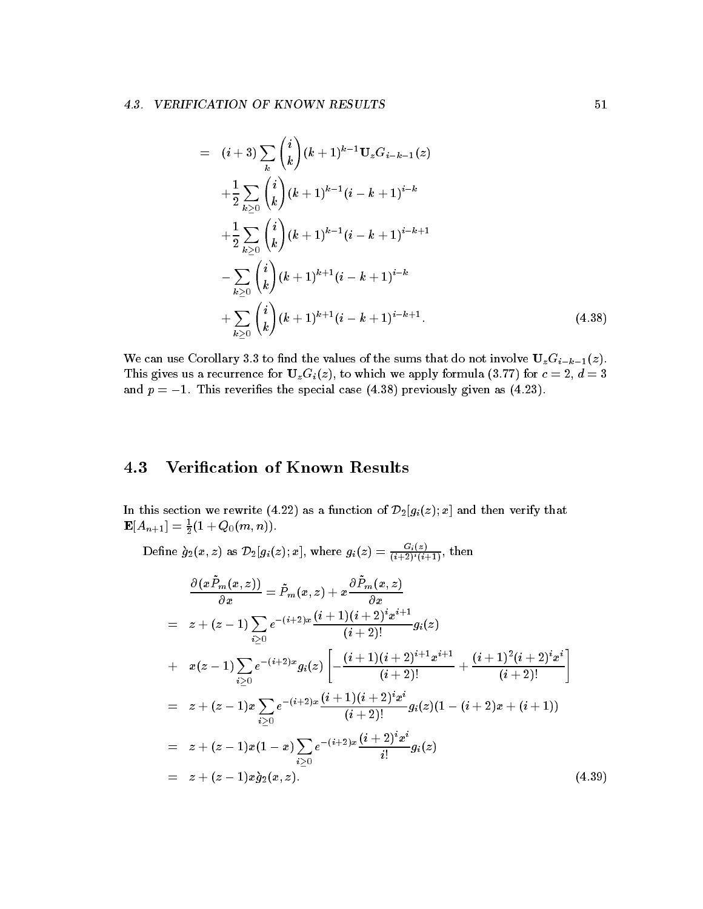$$
= (i+3)\sum_{k} {i \choose k} (k+1)^{k-1} \mathbf{U}_{z} G_{i-k-1}(z) + \frac{1}{2} \sum_{k \geq 0} {i \choose k} (k+1)^{k-1} (i-k+1)^{i-k} + \frac{1}{2} \sum_{k \geq 0} {i \choose k} (k+1)^{k-1} (i-k+1)^{i-k+1} - \sum_{k \geq 0} {i \choose k} (k+1)^{k+1} (i-k+1)^{i-k} + \sum_{k \geq 0} {i \choose k} (k+1)^{k+1} (i-k+1)^{i-k+1}
$$
(4.38)

We can use Corollary 3.3 to find the values of the sums that do not involve  $U_zG_{i-k-1}(z)$ . This gives us a recurrence for  $U_zG_i(z)$ , to which we apply formula (3.77) for  $c = 2, d = 3$ and p - This reversion case of previously previously given as ( ) and ( )

### 4.3 Verification of Known Results

In this section we rewrite  $\mathcal{L}$  and then verify that  $\mathcal{L}$  ${\bf E}[A_{n+1}] = \frac{1}{2}(1+Q_0(m,n)).$ 

Define  $g_2(x, z)$  as  $\mathcal{D}_2[g_i(z); x]$ , where  $g_i(z) = \frac{z_1 \cdots z_{i-1}}{(i+2)^i (i+1)}$ , then

$$
\frac{\partial(x\tilde{P}_m(x,z))}{\partial x} = \tilde{P}_m(x,z) + x\frac{\partial \tilde{P}_m(x,z)}{\partial x}
$$
\n
$$
= z + (z - 1)\sum_{i\geq 0} e^{-(i+2)x} \frac{(i+1)(i+2)^i x^{i+1}}{(i+2)!} g_i(z)
$$
\n
$$
+ x(z - 1)\sum_{i\geq 0} e^{-(i+2)x} g_i(z) \left[ -\frac{(i+1)(i+2)^{i+1} x^{i+1}}{(i+2)!} + \frac{(i+1)^2 (i+2)^i x^i}{(i+2)!} \right]
$$
\n
$$
= z + (z - 1)x \sum_{i\geq 0} e^{-(i+2)x} \frac{(i+1)(i+2)^i x^i}{(i+2)!} g_i(z) (1 - (i+2)x + (i+1))
$$
\n
$$
= z + (z - 1)x(1 - x) \sum_{i\geq 0} e^{-(i+2)x} \frac{(i+2)^i x^i}{i!} g_i(z)
$$
\n
$$
= z + (z - 1)x \tilde{g}_2(x, z).
$$
\n(4.39)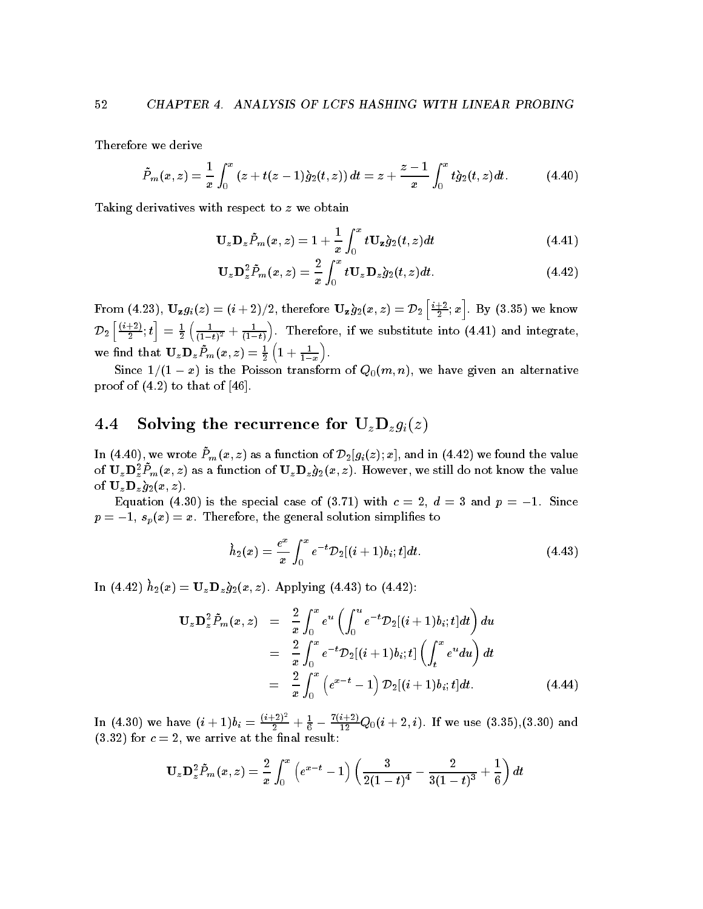Therefore we derive

$$
\tilde{P}_m(x,z) = \frac{1}{x} \int_0^x (z+t(z-1)\dot{g}_2(t,z)) dt = z + \frac{z-1}{x} \int_0^x t \dot{g}_2(t,z) dt.
$$
 (4.40)

Taking derivatives with respect to z we obtain

$$
\mathbf{U}_{z}\mathbf{D}_{z}\tilde{P}_{m}(x,z)=1+\frac{1}{x}\int_{0}^{x}t\mathbf{U}_{z}\dot{g}_{2}(t,z)dt
$$
\n(4.41)

$$
\mathbf{U}_{z}\mathbf{D}_{z}^{2}\tilde{P}_{m}(x,z)=\frac{2}{x}\int_{0}^{x}t\mathbf{U}_{z}\mathbf{D}_{z}\dot{g}_{2}(t,z)dt.
$$
 (4.42)

From (4.23),  $\mathbf{U_z}g_i(z)=(i+2)/2,$  therefore  $\mathbf{U_z}\grave{g}_2(x,z)=\mathcal{D}_2\left[\frac{i+2}{2};x\right].$   $\rm\,B$ in the contract of the contract of the contract of the contract of the contract of by the contract of the contract of the contract of the contract of the contract of the contract of the contract of the contract of the contract of the contract of the contract of the contract of the contract of the contrac  $\mathcal{D}_2\left[\frac{(i+2)}{2}; t\right]$  $\left[ \frac{+2)}{2}; t \right] \, = \, \frac{1}{2} \left( \frac{1}{(1-t)^2} + \frac{1}{(1-t)} \right)$ . Tl  $\sum_{i=1}^{n}$  . Therefore if we substitute into  $\sum_{i=1}^{n}$  and integrate, we find that  $\mathbf{U}_z \mathbf{D}_z \tilde{P}_m(x,z) = \frac{1}{2} \left( 1 + \frac{1}{1-x} \right)$ .

Since -- x is the Poisson transform of Qm n we have given an alternative proof of  $(4.2)$  to that of  $[46]$ .

## 4.4 Solving the recurrence for  $U_zD_zg_i(z)$

In  $(4.40)$ , we wrote  $T_m(x, z)$  as a function of  $\nu_2|y_i(z), x|$ , and in  $(4.42)$  we found the value of  ${\bf U}_z {\bf D}_z^\tau F_m(x,z)$  as a function of  ${\bf U}_z {\bf D}_z g_2(x,z)$ . However, we still do not know the value  $\sim$   $\sim$   $\sim$   $\sim$   $\sim$   $\sim$   $\sim$ 

 $-$  q and the special case of  $\{1,2,3,4\}$  , and  $\{2,3,4\}$  , where  $\{1,3,4\}$ p - spx x Therefore the general solution simplies to

$$
\dot{h}_2(x) = \frac{e^x}{x} \int_0^x e^{-t} \mathcal{D}_2[(i+1)b_i; t] dt.
$$
\n(4.43)

In  $(4.42)$   $u_2(x) = \mathbf{U}_z \mathbf{D}_z g_2(x, z)$ . Applying  $(4.45)$  to  $(4.42)$ .

$$
\mathbf{U}_{z} \mathbf{D}_{z}^{2} \tilde{P}_{m}(x, z) = \frac{2}{x} \int_{0}^{x} e^{u} \left( \int_{0}^{u} e^{-t} \mathcal{D}_{2}[(i+1)b_{i}; t] dt \right) du
$$
  
\n
$$
= \frac{2}{x} \int_{0}^{x} e^{-t} \mathcal{D}_{2}[(i+1)b_{i}; t] \left( \int_{t}^{x} e^{u} du \right) dt
$$
  
\n
$$
= \frac{2}{x} \int_{0}^{x} \left( e^{x-t} - 1 \right) \mathcal{D}_{2}[(i+1)b_{i}; t] dt. \tag{4.44}
$$

In (4.30) we have  $(i+1)b_i = \frac{(i+2)^{-1}}{2} +$  $\frac{1}{2}$  +  $\frac{1}{6}$  -  $\frac{1}{12}$  Q  $\frac{12}{12}$  we use  $\frac{12}{12}$  we use  $\frac{12}{12}$  and  $\frac{12}{12}$  and  $\frac{12}{12}$  and  $\frac{12}{12}$  and  $\frac{12}{12}$  and  $\frac{12}{12}$  and  $\frac{12}{12}$  and  $\frac{12}{12}$  and  $\frac{12}{12}$  and  $\frac{12}{12}$  and  $\frac{12}{12}$  and  $\frac{12}{$  $(3.32)$  for  $c = 2$ , we arrive at the final result:

$$
\mathbf{U}_{z}\mathbf{D}_{z}^{2}\tilde{P}_{m}(x,z)=\frac{2}{x}\int_{0}^{x}\left(e^{x-t}-1\right)\left(\frac{3}{2(1-t)^{4}}-\frac{2}{3(1-t)^{3}}+\frac{1}{6}\right)dt
$$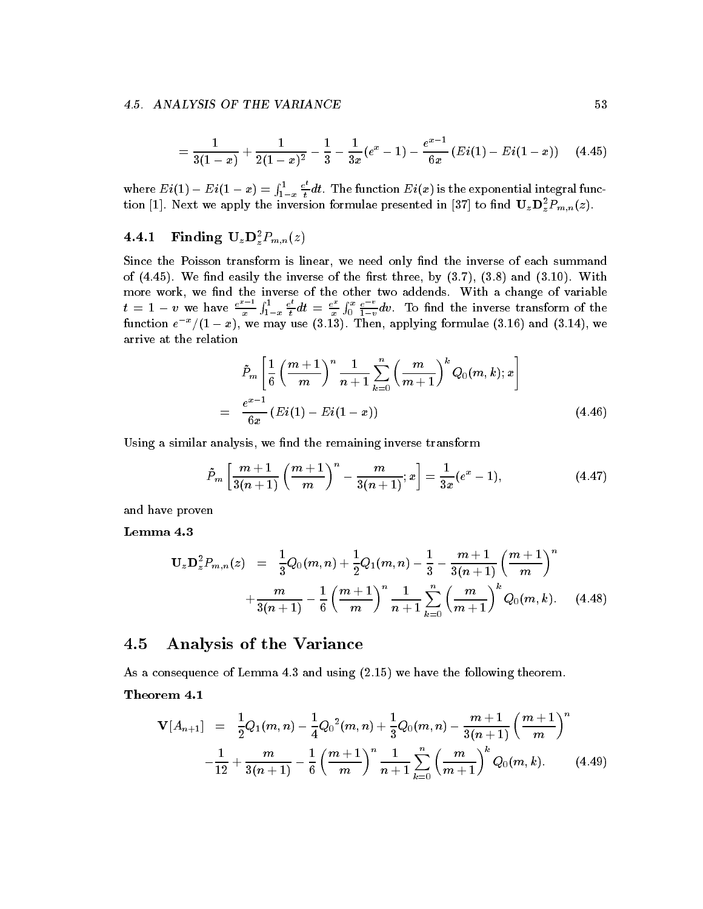$$
=\frac{1}{3(1-x)}+\frac{1}{2(1-x)^2}-\frac{1}{3}-\frac{1}{3x}(e^x-1)-\frac{e^{x-1}}{6x}(Ei(1)-Ei(1-x))\quad \ (4.45)
$$

where  $E[i(1) - E[i(1 - x)] = \int_{1}^{1}$ <u>x</u>  $\frac{e^{\epsilon}}{t}dt$ . The function  $Ei(x)$  is the exponential integral function [1]. Next we apply the inversion formulae presented in [37] to find  $\mathbf{U}_z\mathbf{D}_z^T\mathbf{F}_{m,n}(z)$ .

## **1 r** inding  $\mathbf{U}_z \mathbf{D}_z^T F_{m,n}(z)$

Since the Poisson transform is linear, we need only find the inverse of each summand of we now the inverse of the inverse of the rest three by and  $\alpha$  and  $\alpha$  and  $\alpha$ more work, we find the inverse of the other two addends. With a change of variable  $t = 1 - v$  we have  $\frac{e^{v} - 1}{2}$  $\mathbf{f}$   $\mathbf{I}$ <u>x</u>  $\frac{e^{\epsilon}}{t}dt = \frac{e^{\epsilon}}{x}\int_0^x$  $rx$  e  $x$ \_\_  $\frac{e}{1-v}dv$ . To find the inverse transform of the function  $e^{-\gamma}$  (1 – x), we may use (5.15). Then, applying formulae (5.10) and (5.14), we arrive at the relation

$$
\tilde{P}_m \left[ \frac{1}{6} \left( \frac{m+1}{m} \right)^n \frac{1}{n+1} \sum_{k=0}^n \left( \frac{m}{m+1} \right)^k Q_0(m,k); x \right]
$$
\n
$$
= \frac{e^{x-1}}{6x} (Ei(1) - Ei(1-x)) \tag{4.46}
$$

Using a similar analysis, we find the remaining inverse transform

$$
\tilde{P}_m \left[ \frac{m+1}{3(n+1)} \left( \frac{m+1}{m} \right)^n - \frac{m}{3(n+1)} ; x \right] = \frac{1}{3x} (e^x - 1), \tag{4.47}
$$

and have proven

$$
\mathbf{U}_{z} \mathbf{D}_{z}^{2} P_{m,n}(z) = \frac{1}{3} Q_{0}(m, n) + \frac{1}{2} Q_{1}(m, n) - \frac{1}{3} - \frac{m+1}{3(n+1)} \left(\frac{m+1}{m}\right)^{n} + \frac{m}{3(n+1)} - \frac{1}{6} \left(\frac{m+1}{m}\right)^{n} \frac{1}{n+1} \sum_{k=0}^{n} \left(\frac{m}{m+1}\right)^{k} Q_{0}(m, k).
$$
 (4.48)

### 4.5 Analysis of the Variance

as a consequence of Lemman and using the following the following theorem.

$$
\mathbf{V}[A_{n+1}] = \frac{1}{2}Q_1(m,n) - \frac{1}{4}Q_0^2(m,n) + \frac{1}{3}Q_0(m,n) - \frac{m+1}{3(n+1)}\left(\frac{m+1}{m}\right)^n - \frac{1}{12} + \frac{m}{3(n+1)} - \frac{1}{6}\left(\frac{m+1}{m}\right)^n \frac{1}{n+1}\sum_{k=0}^n \left(\frac{m}{m+1}\right)^k Q_0(m,k).
$$
 (4.49)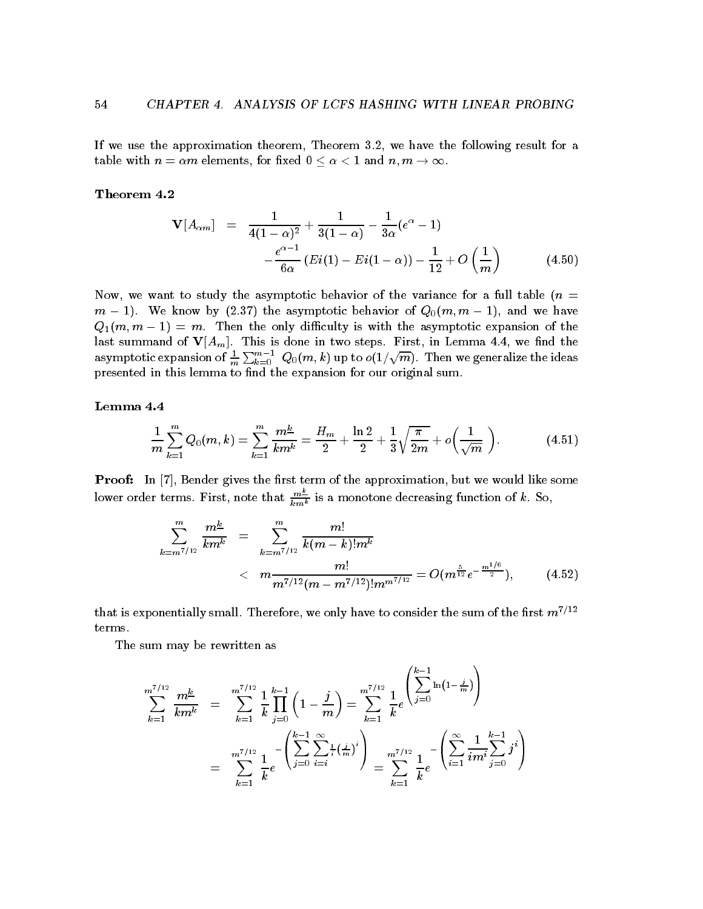If we use the approximation theorem, Theorem  $3.2$ , we have the following result for a table with n  $\mathbf{v}$  and n m elements for  $\mathbf{v}$  and n m -  $\mathbf{v}$  and n m -  $\mathbf{v}$  and n m -  $\mathbf{v}$  and n m -  $\mathbf{v}$ 

$$
\mathbf{V}[A_{\alpha m}] = \frac{1}{4(1-\alpha)^2} + \frac{1}{3(1-\alpha)} - \frac{1}{3\alpha}(e^{\alpha} - 1)
$$

$$
-\frac{e^{\alpha-1}}{6\alpha}(Ei(1) - Ei(1-\alpha)) - \frac{1}{12} + O\left(\frac{1}{m}\right)
$$
(4.50)

Now, we want to study the asymptotic behavior of the variance for a full table  $(n =$  $\mathbf{v}$  is a symptotic behavior of  $\mathbf{v}$  and  $\mathbf{v}$  is a symptotic behavior of  $\mathbf{v}$  $\mathcal{P}$  , then the only distribution of the asymptotic expansion of the asymptotic expansion of the asymptotic expansion of the asymptotic expansion of the asymptotic expansion of the asymptotic expansion of the asymptot last summand of  $V[A_m]$ . This is done in two steps. First, in Lemma 4.4, we find the asymptotic expansion of  $\frac{1}{m}\sum_{k=0}^{m-1}\ Q_0(m,k)$  up to  $o(1/\sqrt{m})$ . Then we generalize the ideas presented in this lemma to find the expansion for our original sum.

$$
\frac{1}{m}\sum_{k=1}^{m}Q_0(m,k)=\sum_{k=1}^{m}\frac{m^{\underline{k}}}{km^{\underline{k}}}=\frac{H_m}{2}+\frac{\ln 2}{2}+\frac{1}{3}\sqrt{\frac{\pi}{2m}}+o\left(\frac{1}{\sqrt{m}}\right).
$$
 (4.51)

**Proof:** In  $\begin{bmatrix} 7 \end{bmatrix}$ , Bender gives the first term of the approximation, but we would like some lower order terms. First, note that  $\frac{m\mp}{km^k}$  is a monotone decreasing function of  $k$ . So,

$$
\sum_{k=m^{7/12}}^{m} \frac{m^{\underline{k}}}{km^{\underline{k}}} = \sum_{k=m^{7/12}}^{m} \frac{m!}{k(m-k)!m^{\underline{k}}}
$$
  

$$
< m \frac{m!}{m^{7/12}(m-m^{7/12})!m^{m^{7/12}}} = O(m^{\frac{5}{12}}e^{-\frac{m^{1/6}}{2}}), \qquad (4.52)
$$

 $\sim$   $\sim$ 

that is exponentially small. Therefore, we only have to consider the sum of the first  $m^{7/12}$ terms

The sum may be rewritten as

$$
\sum_{k=1}^{m^{7/12}} \frac{m^{\underline{k}}}{km^k} = \sum_{k=1}^{m^{7/12}} \frac{1}{k} \prod_{j=0}^{k-1} \left(1 - \frac{j}{m}\right) = \sum_{k=1}^{m^{7/12}} \frac{1}{k} e^{\left(\sum_{j=0}^{k-1} \ln\left(1 - \frac{j}{m}\right)\right)}
$$

$$
= \sum_{k=1}^{m^{7/12}} \frac{1}{k} e^{-\left(\sum_{j=0}^{k-1} \sum_{i=i}^{\infty} \frac{1}{i} \left(\frac{j}{m}\right)^i\right)} = \sum_{k=1}^{m^{7/12}} \frac{1}{k} e^{-\left(\sum_{i=1}^{\infty} \frac{1}{i m^i} \sum_{j=0}^{k-1} j^i\right)}
$$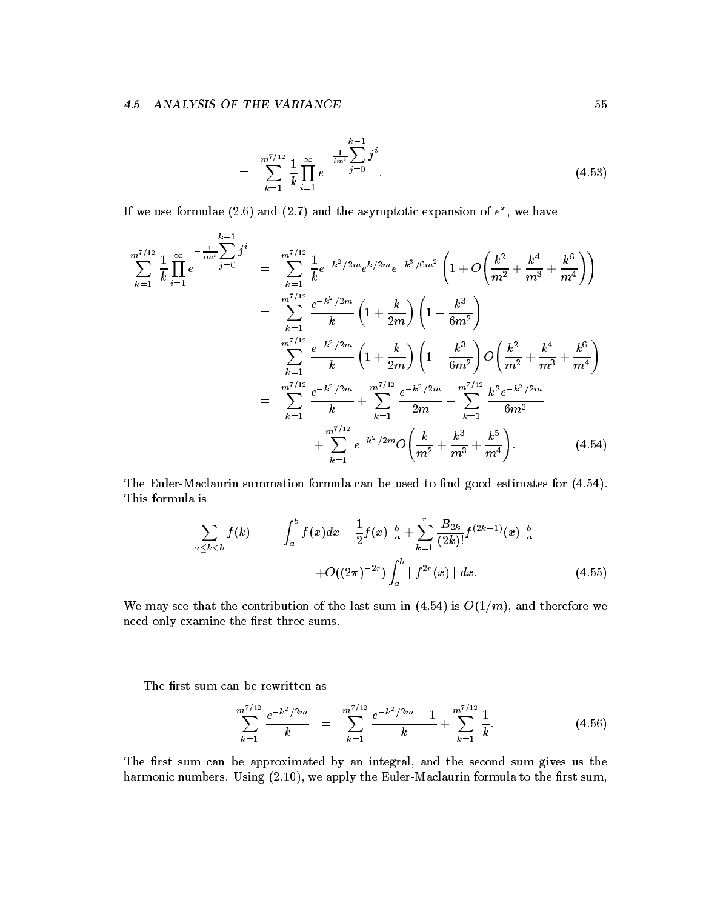$$
= \sum_{k=1}^{m^{7/12}} \frac{1}{k} \prod_{i=1}^{\infty} e^{-\frac{1}{im^i} \sum_{j=0}^{k-1} j^i}
$$
 (4.53)

If we use formulae (2.0) and (2.1) and the asymptotic expansion of  $e^{\pi}$ , we have

$$
\sum_{k=1}^{m^{7/12}} \frac{1}{k} \prod_{i=1}^{\infty} e^{-\frac{1}{im^{t}}} \sum_{j=0}^{k-1} j^{i} = \sum_{k=1}^{m^{7/12}} \frac{1}{k} e^{-k^{2}/2m} e^{k/2m} e^{-k^{3}/6m^{2}} \left( 1 + O\left(\frac{k^{2}}{m^{2}} + \frac{k^{4}}{m^{3}} + \frac{k^{6}}{m^{4}}\right) \right)
$$
  
\n
$$
= \sum_{k=1}^{m^{7/12}} \frac{e^{-k^{2}/2m}}{k} \left( 1 + \frac{k}{2m} \right) \left( 1 - \frac{k^{3}}{6m^{2}} \right)
$$
  
\n
$$
= \sum_{k=1}^{m^{7/12}} \frac{e^{-k^{2}/2m}}{k} \left( 1 + \frac{k}{2m} \right) \left( 1 - \frac{k^{3}}{6m^{2}} \right) O\left(\frac{k^{2}}{m^{2}} + \frac{k^{4}}{m^{3}} + \frac{k^{6}}{m^{4}}\right)
$$
  
\n
$$
= \sum_{k=1}^{m^{7/12}} \frac{e^{-k^{2}/2m}}{k} + \sum_{k=1}^{m^{7/12}} \frac{e^{-k^{2}/2m}}{2m} - \sum_{k=1}^{m^{7/12}} \frac{k^{2}e^{-k^{2}/2m}}{6m^{2}} + \sum_{k=1}^{m^{7/12}} e^{-k^{2}/2m} O\left(\frac{k}{m^{2}} + \frac{k^{3}}{m^{3}} + \frac{k^{5}}{m^{4}}\right).
$$
 (4.54)

The Euler-Maclaurin summation formula can be used to find good estimates for  $(4.54)$ . This formula is

$$
\sum_{a \leq k < b} f(k) = \int_{a}^{b} f(x) dx - \frac{1}{2} f(x) \Big|_{a}^{b} + \sum_{k=1}^{r} \frac{B_{2k}}{(2k)!} f^{(2k-1)}(x) \Big|_{a}^{b}
$$

$$
+ O((2\pi)^{-2r}) \int_{a}^{b} |f^{2r}(x)| dx.
$$
(4.55)

We may see that the contribution of the contribution of the last sum in  $\mathcal{N}$  is  $\mathcal{N}$  and therefore we were wellneed only examine the first three sums.

The first sum can be rewritten as

$$
\sum_{k=1}^{m^{7/12}} \frac{e^{-k^2/2m}}{k} = \sum_{k=1}^{m^{7/12}} \frac{e^{-k^2/2m} - 1}{k} + \sum_{k=1}^{m^{7/12}} \frac{1}{k}.
$$
 (4.56)

The first sum can be approximated by an integral, and the second sum gives us the harmonic numbers Using - we apply the EulerMaclaurin formula to the rst sum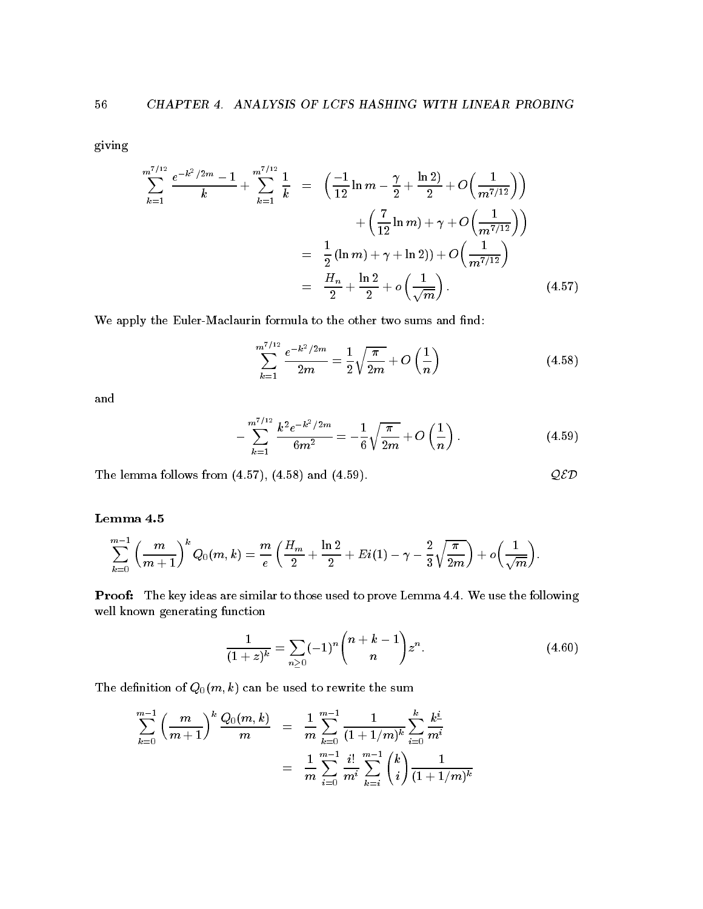giving

$$
\sum_{k=1}^{m^{7/12}} \frac{e^{-k^2/2m} - 1}{k} + \sum_{k=1}^{m^{7/12}} \frac{1}{k} = \left( \frac{-1}{12} \ln m - \frac{\gamma}{2} + \frac{\ln 2}{2} + O\left(\frac{1}{m^{7/12}}\right) \right) + \left( \frac{7}{12} \ln m \right) + \gamma + O\left(\frac{1}{m^{7/12}}\right) = \frac{1}{2} (\ln m) + \gamma + \ln 2) + O\left(\frac{1}{m^{7/12}}\right) = \frac{H_n}{2} + \frac{\ln 2}{2} + o\left(\frac{1}{\sqrt{m}}\right).
$$
(4.57)

We apply the Euler-Maclaurin formula to the other two sums and find:

$$
\sum_{k=1}^{m^{7/12}} \frac{e^{-k^2/2m}}{2m} = \frac{1}{2} \sqrt{\frac{\pi}{2m}} + O\left(\frac{1}{n}\right)
$$
 (4.58)

and

$$
-\sum_{k=1}^{m^{7/12}} \frac{k^2 e^{-k^2/2m}}{6m^2} = -\frac{1}{6} \sqrt{\frac{\pi}{2m}} + O\left(\frac{1}{n}\right).
$$
 (4.59)

The lemma follows from  $(4.57)$ ,  $(4.58)$  and  $(4.59)$ .  $QED$ 

$$
\sum_{k=0}^{m-1} \left( \frac{m}{m+1} \right)^k Q_0(m,k) = \frac{m}{e} \left( \frac{H_m}{2} + \frac{\ln 2}{2} + Ei(1) - \gamma - \frac{2}{3} \sqrt{\frac{\pi}{2m}} \right) + o\left( \frac{1}{\sqrt{m}} \right).
$$

Proof: The key ideas are similar to those used to prove Lemma 4.4. We use the following well known generating function

$$
\frac{1}{(1+z)^k} = \sum_{n\geq 0} (-1)^n \binom{n+k-1}{n} z^n.
$$
 (4.60)

The definition of  $Q_0(m, k)$  can be used to rewrite the sum

$$
\sum_{k=0}^{m-1} \left(\frac{m}{m+1}\right)^k \frac{Q_0(m,k)}{m} = \frac{1}{m} \sum_{k=0}^{m-1} \frac{1}{(1+1/m)^k} \sum_{i=0}^k \frac{k^i}{m^i}
$$

$$
= \frac{1}{m} \sum_{i=0}^{m-1} \frac{i!}{m^i} \sum_{k=i}^{m-1} {k \choose i} \frac{1}{(1+1/m)^k}
$$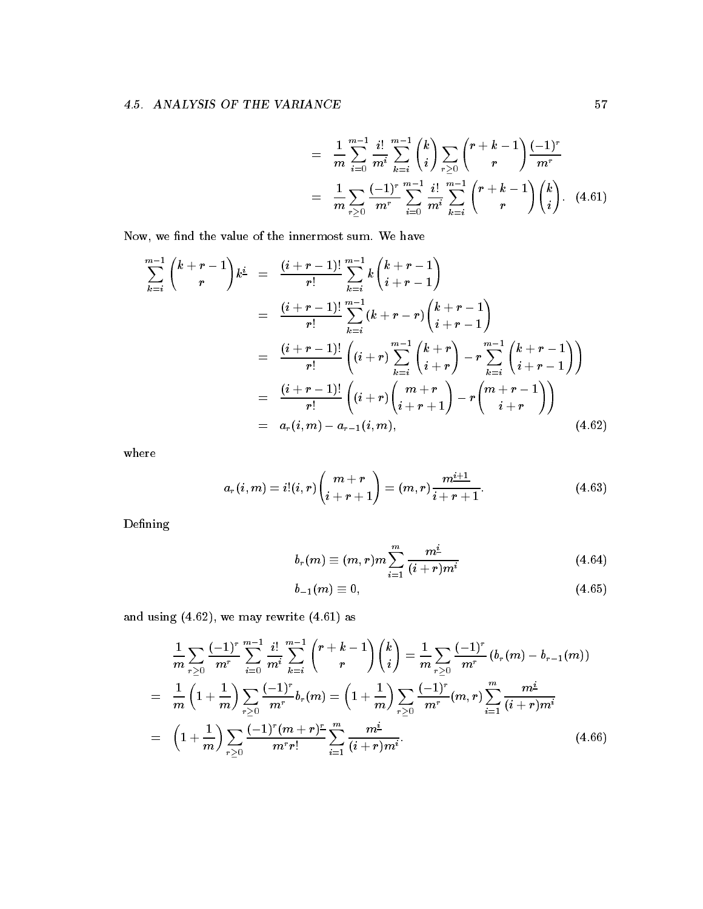$$
= \frac{1}{m} \sum_{i=0}^{m-1} \frac{i!}{m^i} \sum_{k=i}^{m-1} {k \choose i} \sum_{r \ge 0} {r+k-1 \choose r} \frac{(-1)^r}{m^r}
$$
  

$$
= \frac{1}{m} \sum_{r \ge 0} \frac{(-1)^r}{m^r} \sum_{i=0}^{m-1} \frac{i!}{m^i} \sum_{k=i}^{m-1} {r+k-1 \choose r} {k \choose i}. \quad (4.61)
$$

Now, we find the value of the innermost sum. We have

$$
\sum_{k=i}^{m-1} {k+r-1 \choose r} k^{\underline{i}} = \frac{(i+r-1)!}{r!} \sum_{k=i}^{m-1} k {k+r-1 \choose i+r-1}
$$
\n
$$
= \frac{(i+r-1)!}{r!} \sum_{k=i}^{m-1} (k+r-r) {k+r-1 \choose i+r-1}
$$
\n
$$
= \frac{(i+r-1)!}{r!} (i+r) \sum_{k=i}^{m-1} {k+r \choose i+r} - r \sum_{k=i}^{m-1} {k+r-1 \choose i+r-1}
$$
\n
$$
= \frac{(i+r-1)!}{r!} (i+r) {m+r \choose i+r+1} - r {m+r-1 \choose i+r}
$$
\n
$$
= a_r(i,m) - a_{r-1}(i,m), \qquad (4.62)
$$

where

$$
a_r(i,m) = i!(i,r)\binom{m+r}{i+r+1} = (m,r)\frac{m^{i+1}}{i+r+1}.
$$
\n(4.63)

Defining

$$
b_r(m) \equiv (m,r)m \sum_{i=1}^m \frac{m^{\underline{i}}}{(i+r)m^{\underline{i}}} \qquad (4.64)
$$

$$
b_{-1}(m) \equiv 0, \qquad (4.65)
$$

and using we may rewrite - as

$$
\frac{1}{m} \sum_{r \geq 0} \frac{(-1)^r}{m^r} \sum_{i=0}^{m-1} \frac{i!}{m^i} \sum_{k=i}^{m-1} {r+k-1 \choose r} {k \choose i} = \frac{1}{m} \sum_{r \geq 0} \frac{(-1)^r}{m^r} (b_r(m) - b_{r-1}(m))
$$
\n
$$
= \frac{1}{m} \left(1 + \frac{1}{m}\right) \sum_{r \geq 0} \frac{(-1)^r}{m^r} b_r(m) = \left(1 + \frac{1}{m}\right) \sum_{r \geq 0} \frac{(-1)^r}{m^r} (m, r) \sum_{i=1}^m \frac{m^i}{(i+r)m^i}
$$
\n
$$
= \left(1 + \frac{1}{m}\right) \sum_{r \geq 0} \frac{(-1)^r (m+r)^r}{m^r r!} \sum_{i=1}^m \frac{m^i}{(i+r)m^i}.
$$
\n(4.66)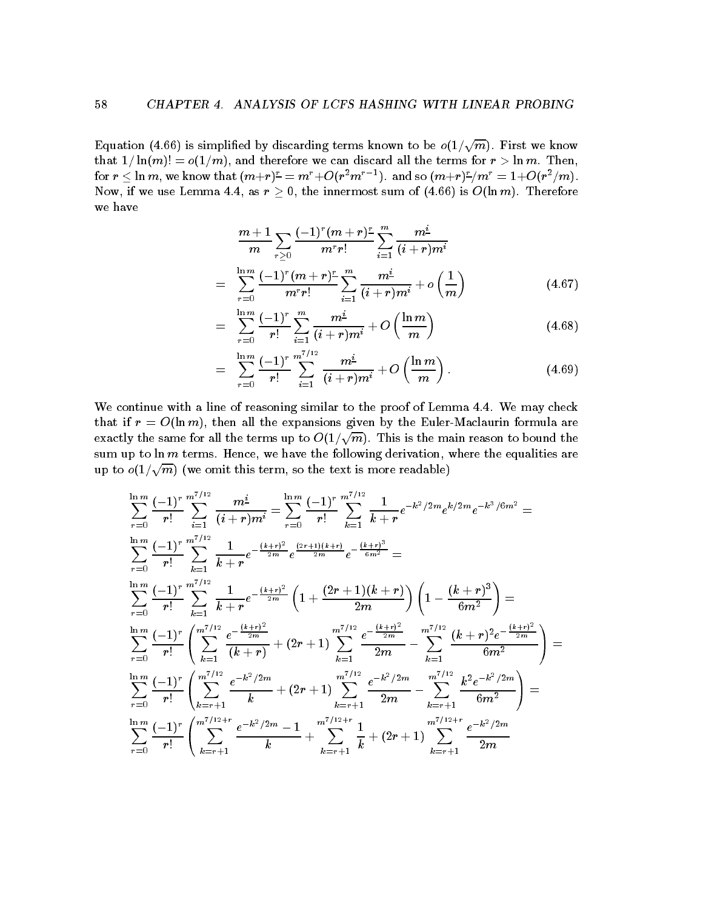Equation (4.66) is simplified by discarding terms known to be  $o(1/\sqrt{m})$ . First we know that - lnm o-m and therefore we can discard all the terms for r - ln m Then for  $r \leq \ln m$ , we know that  $(m+r) = m + O(r^+ m^-)$ . and so  $(m+r) - m^- = 1 + O(r^+ / m)$ . Now, if we use Lemma 4.4, as  $r \geq 0$ , the innermost sum of  $(4.66)$  is  $O(\ln m)$ . Therefore we have

$$
\frac{m+1}{m} \sum_{r\geq 0} \frac{(-1)^r (m+r)^r}{m^r r!} \sum_{i=1}^m \frac{m^i}{(i+r)m^i}
$$
\n
$$
= \sum_{r=0}^{\ln m} \frac{(-1)^r (m+r)^r}{m^r r!} \sum_{i=1}^m \frac{m^i}{(i+r)m^i} + o\left(\frac{1}{m}\right)
$$
\n(4.67)

$$
= \sum_{r=0}^{\ln m} \frac{(-1)^r}{r!} \sum_{i=1}^m \frac{m^i}{(i+r)m^i} + O\left(\frac{\ln m}{m}\right) \tag{4.68}
$$

$$
= \sum_{r=0}^{\ln m} \frac{(-1)^r}{r!} \sum_{i=1}^{m^{7/12}} \frac{m^i}{(i+r)m^i} + O\left(\frac{\ln m}{m}\right).
$$
 (4.69)

We continue with a line of reasoning similar to the proof of Lemma  $4.4$ . We may check that if  $r = O(\ln m)$ , then all the expansions given by the Euler-Maclaurin formula are exactly the same for all the terms up to  $O(1/\sqrt{m})$ . This is the main reason to bound the sum up to  $\ln m$  terms. Hence, we have the following derivation, where the equalities are up to  $o(1/\sqrt{m})$  (we omit this term, so the text is more readable)

$$
\sum_{r=0}^{\ln m} \frac{(-1)^r}{r!} \sum_{i=1}^{m^{7/12}} \frac{m^i}{(i+r)m^i} = \sum_{r=0}^{\ln m} \frac{(-1)^r}{r!} \sum_{k=1}^{m^{7/12}} \frac{1}{k+r} e^{-k^2/2m} e^{k/2m} e^{-k^3/6m^2} =
$$
\n
$$
\sum_{r=0}^{\ln m} \frac{(-1)^r}{r!} \sum_{k=1}^{m^{7/12}} \frac{1}{k+r} e^{-\frac{(k+r)^2}{2m}} e^{\frac{(2r+1)(k+r)}{2m}} e^{-\frac{(k+r)^3}{6m^2}} =
$$
\n
$$
\sum_{r=0}^{\ln m} \frac{(-1)^r}{r!} \sum_{k=1}^{m^{7/12}} \frac{1}{k+r} e^{-\frac{(k+r)^2}{2m}} \left(1 + \frac{(2r+1)(k+r)}{2m}\right) \left(1 - \frac{(k+r)^3}{6m^2}\right) =
$$
\n
$$
\sum_{r=0}^{\ln m} \frac{(-1)^r}{r!} \left(\sum_{k=1}^{m^{7/12}} \frac{e^{-\frac{(k+r)^2}{2m}}}{(k+r)} + (2r+1) \sum_{k=1}^{m^{7/12}} \frac{e^{-\frac{(k+r)^2}{2m}}}{2m} - \sum_{k=1}^{m^{7/12}} \frac{(k+r)^2 e^{-\frac{(k+r)^2}{2m}}}{6m^2}\right) =
$$
\n
$$
\sum_{r=0}^{\ln m} \frac{(-1)^r}{r!} \left(\sum_{k=r+1}^{m^{7/12}} \frac{e^{-k^2/2m}}{k} + (2r+1) \sum_{k=r+1}^{m^{7/12}} \frac{e^{-k^2/2m}}{2m} - \sum_{k=r+1}^{m^{7/12}} \frac{k^2 e^{-k^2/2m}}{6m^2}\right) =
$$
\n
$$
\sum_{r=0}^{\ln m} \frac{(-1)^r}{r!} \left(\sum_{k=r+1}^{m^{7/12}+r} \frac{e^{-k^2/2m} - 1}{k} + \sum_{k=r+1}^{m^{7/12}+r} \frac{1}{k} + (2r+1) \sum_{k=r+1}^{m^{7/12
$$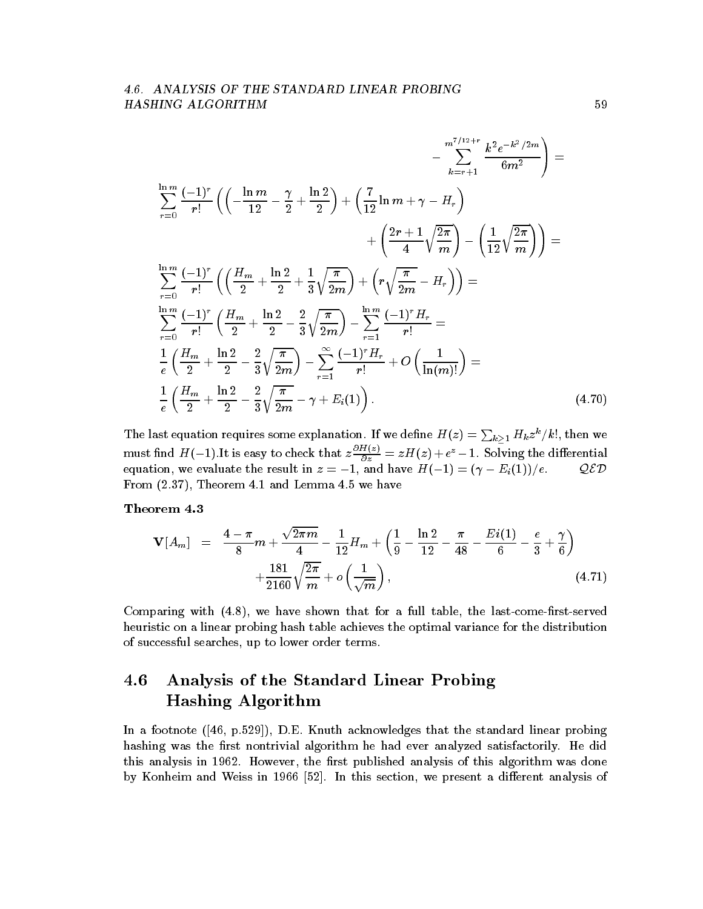$$
-\sum_{k=r+1}^{m^{7/12+r}} \frac{k^2 e^{-k^2/2m}}{6m^2} =
$$
\n
$$
\sum_{r=0}^{\ln m} \frac{(-1)^r}{r!} \left( \left( -\frac{\ln m}{12} - \frac{\gamma}{2} + \frac{\ln 2}{2} \right) + \left( \frac{7}{12} \ln m + \gamma - H_r \right) \right. \\
\left. + \left( \frac{2r+1}{4} \sqrt{\frac{2\pi}{m}} \right) - \left( \frac{1}{12} \sqrt{\frac{2\pi}{m}} \right) \right) =
$$
\n
$$
\sum_{r=0}^{\ln m} \frac{(-1)^r}{r!} \left( \left( \frac{H_m}{2} + \frac{\ln 2}{2} + \frac{1}{3} \sqrt{\frac{\pi}{2m}} \right) + \left( r \sqrt{\frac{\pi}{2m}} - H_r \right) \right) =
$$
\n
$$
\sum_{r=0}^{\ln m} \frac{(-1)^r}{r!} \left( \frac{H_m}{2} + \frac{\ln 2}{2} - \frac{2}{3} \sqrt{\frac{\pi}{2m}} \right) - \sum_{r=1}^{\ln m} \frac{(-1)^r H_r}{r!} =
$$
\n
$$
\frac{1}{e} \left( \frac{H_m}{2} + \frac{\ln 2}{2} - \frac{2}{3} \sqrt{\frac{\pi}{2m}} \right) - \sum_{r=1}^{\infty} \frac{(-1)^r H_r}{r!} + O\left( \frac{1}{\ln(m)!} \right) =
$$
\n
$$
\frac{1}{e} \left( \frac{H_m}{2} + \frac{\ln 2}{2} - \frac{2}{3} \sqrt{\frac{\pi}{2m}} - \gamma + E_i(1) \right).
$$
\n(4.70)

The last equation requires some explanation. If we define  $H(z)=\sum_{k\geq 1} H_k z^k/k!$ , then we must find H(-1). It is easy to check that  $z-\frac{z}{\partial z} = zH(z) + e^{z} - 1$ . Solving the differential  $\begin{array}{ccc} \hbox{1} & \hbox{1} & \hbox{1} \end{array}$  $\mathcal{Q}\mathcal{E}\mathcal{D}$ From Theorem - and Lemma we have

$$
\mathbf{V}[A_m] = \frac{4 - \pi}{8}m + \frac{\sqrt{2\pi m}}{4} - \frac{1}{12}H_m + \left(\frac{1}{9} - \frac{\ln 2}{12} - \frac{\pi}{48} - \frac{Ei(1)}{6} - \frac{e}{3} + \frac{\gamma}{6}\right) + \frac{181}{2160}\sqrt{\frac{2\pi}{m}} + o\left(\frac{1}{\sqrt{m}}\right),
$$
\n(4.71)

Comparing with  $(4.8)$ , we have shown that for a full table, the last-come-first-served heuristic on a linear probing hash table achieves the optimal variance for the distribution of successful searches, up to lower order terms.

### 4.6 Analysis of the Standard Linear Probing Hashing Algorithm

In a footnote  $([46, p.529])$ , D.E. Knuth acknowledges that the standard linear probing hashing was the first nontrivial algorithm he had ever analyzed satisfactorily. He did this analysis in - this contract and this algorithm was done and the radial was done that the contract of the by Konheim and Weiss in - In this section we present a dierent analysis of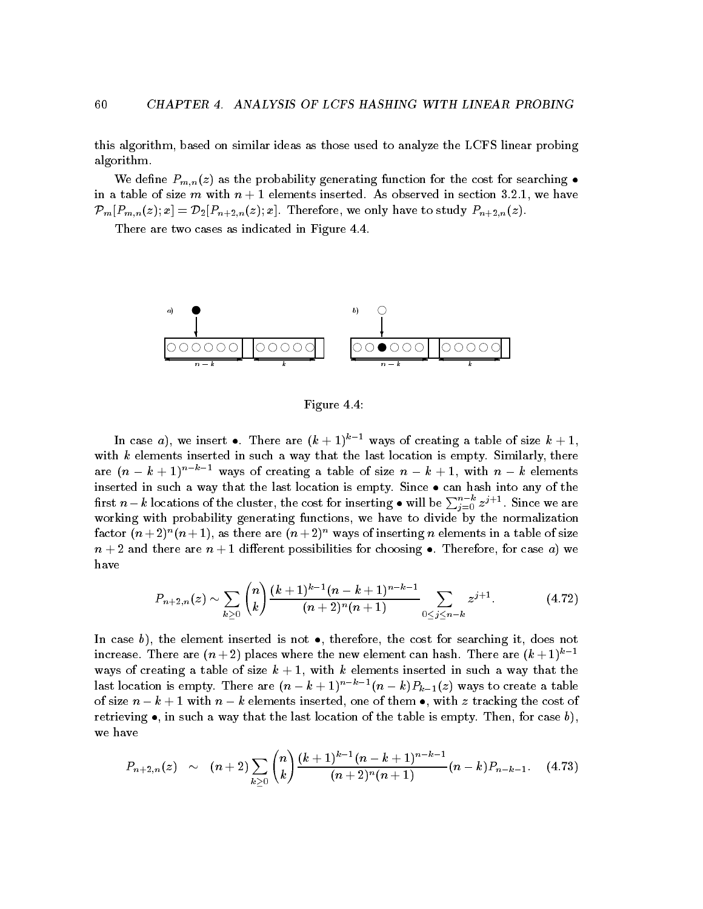this algorithm, based on similar ideas as those used to analyze the LCFS linear probing algorithm

We define  $P_{m,n}(z)$  as the probability generating function for the cost for searching  $\bullet$ in a there is size m with  $\alpha$  , a triangular distribution instruments in section - we have  $\alpha$ PmPmnz # x D-Pn-nz # x Therefore we only have to study Pn-nz 

There are two cases as indicated in Figure 4.4.



Figure 4.4:

In case  $a$ ), we insert  $\bullet$ . There are  $(\kappa + 1)^+$  - ways of creating a table of size  $\kappa + 1$ , with  $k$  elements inserted in such a way that the last location is empty. Similarly, there are  $(n - k + 1)$  are ways of creating a table of size  $n - k + 1$ , with  $n - k$  elements inserted in suchaway that the last location is empty Since can hash into any of the first  $n-k$  locations of the cluster, the cost for inserting  $\bullet$  will be  $\sum_{i=0}^{n-\kappa}z^{j+1}.$  Since we are working with probability generating functions, we have to divide by the normalization factor ( $n + 2$ ) ( $n + 1$ ), as there are ( $n + 2$ ) ways of inserting  $n$  elements in a table of size n die regeleërde aandere are n die regeleërde van die regeleërde van die voorbeelde van die voorbeelde van die have

$$
P_{n+2,n}(z) \sim \sum_{k\geq 0} {n \choose k} \frac{(k+1)^{k-1}(n-k+1)^{n-k-1}}{(n+2)^n(n+1)} \sum_{0 \leq j \leq n-k} z^{j+1}.
$$
 (4.72)

in case of the element inserted is not a theoretical inserted it does not see  $\pi$ increase. There are  $(n + 2)$  places where the new element can hash. There are  $(k + 1)^{n - 1}$ ways of creating a table of size k elements inserted inserted inserted in such a table of such a table of such last location is empty There are n k - nk n k Pkz ways to create a table of size  $\alpha$  ,  $\alpha$  is the cost of the cost of the cost of the cost of the cost of the cost of the cost of the retrieving in suchaway that the last location of the table is empty Then for case b we have

$$
P_{n+2,n}(z) \sim (n+2) \sum_{k \geq 0} {n \choose k} \frac{(k+1)^{k-1}(n-k+1)^{n-k-1}}{(n+2)^n(n+1)} (n-k) P_{n-k-1}.
$$
 (4.73)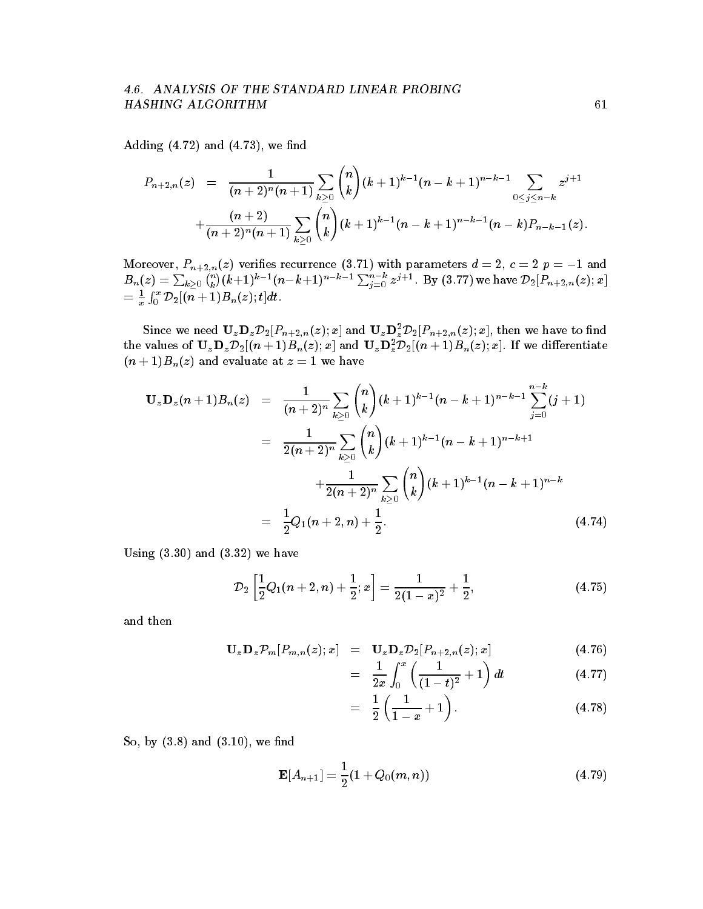# HASHING ALGORITHM 61

Adding  $(4.72)$  and  $(4.73)$ , we find

$$
P_{n+2,n}(z) = \frac{1}{(n+2)^n(n+1)} \sum_{k\geq 0} {n \choose k} (k+1)^{k-1} (n-k+1)^{n-k-1} \sum_{0 \leq j \leq n-k} z^{j+1} + \frac{(n+2)}{(n+2)^n(n+1)} \sum_{k\geq 0} {n \choose k} (k+1)^{k-1} (n-k+1)^{n-k-1} (n-k) P_{n-k-1}(z).
$$

 $B_n(z) = \sum_{k>0} {n \choose k} (k+1)^{k-1} (n-k+1)^{n-k-1} \sum_{j=0}^{n-k} z^{j+1}$ . By (3.77) we have  $\mathcal{D}_2[P_{n+2,n}(z);x]$  $= \frac{1}{x} \int_0^x {\cal D}_2[(n+1) B_n(z); t] dt.$ 

Since we need  $\mathbf{U}_z \mathbf{D}_z \mathbf{D}_z [F_{n+2,n}(z); x]$  and  $\mathbf{U}_z \mathbf{D}_z \mathbf{D}_z \mathbf{D}_z [F_{n+2,n}(z); x]$ , then we have to find the values of  $\mathbf{U}_z \mathbf{D}_z \mathcal{D}_2[(n+1)B_n(z);x]$  and  $\mathbf{U}_z \mathbf{D}_z^- \mathcal{D}_2[(n+1)B_n(z);x]$ . If we differentiate  $\Box$  and  $\Box$ 

$$
\mathbf{U}_{z}\mathbf{D}_{z}(n+1)B_{n}(z) = \frac{1}{(n+2)^{n}}\sum_{k\geq 0} {n \choose k} (k+1)^{k-1}(n-k+1)^{n-k-1}\sum_{j=0}^{n-k} (j+1)
$$
  

$$
= \frac{1}{2(n+2)^{n}}\sum_{k\geq 0} {n \choose k} (k+1)^{k-1}(n-k+1)^{n-k+1}
$$
  

$$
+ \frac{1}{2(n+2)^{n}}\sum_{k\geq 0} {n \choose k} (k+1)^{k-1}(n-k+1)^{n-k}
$$
  

$$
= \frac{1}{2}Q_{1}(n+2,n)+\frac{1}{2}.
$$
 (4.74)

Using  $(3.30)$  and  $(3.32)$  we have

$$
\mathcal{D}_2\left[\frac{1}{2}Q_1(n+2,n)+\frac{1}{2};x\right]=\frac{1}{2(1-x)^2}+\frac{1}{2},\qquad(4.75)
$$

and then

$$
\mathbf{U}_{z}\mathbf{D}_{z}\mathcal{P}_{m}[P_{m,n}(z);x] = \mathbf{U}_{z}\mathbf{D}_{z}\mathcal{D}_{2}[P_{n+2,n}(z);x]
$$
(4.76)

$$
= \frac{1}{2x} \int_0^x \left( \frac{1}{(1-t)^2} + 1 \right) dt \tag{4.77}
$$

$$
= \frac{1}{2} \left( \frac{1}{1-x} + 1 \right). \tag{4.78}
$$

So by and - we nd

$$
\mathbf{E}[A_{n+1}] = \frac{1}{2}(1 + Q_0(m, n))
$$
\n(4.79)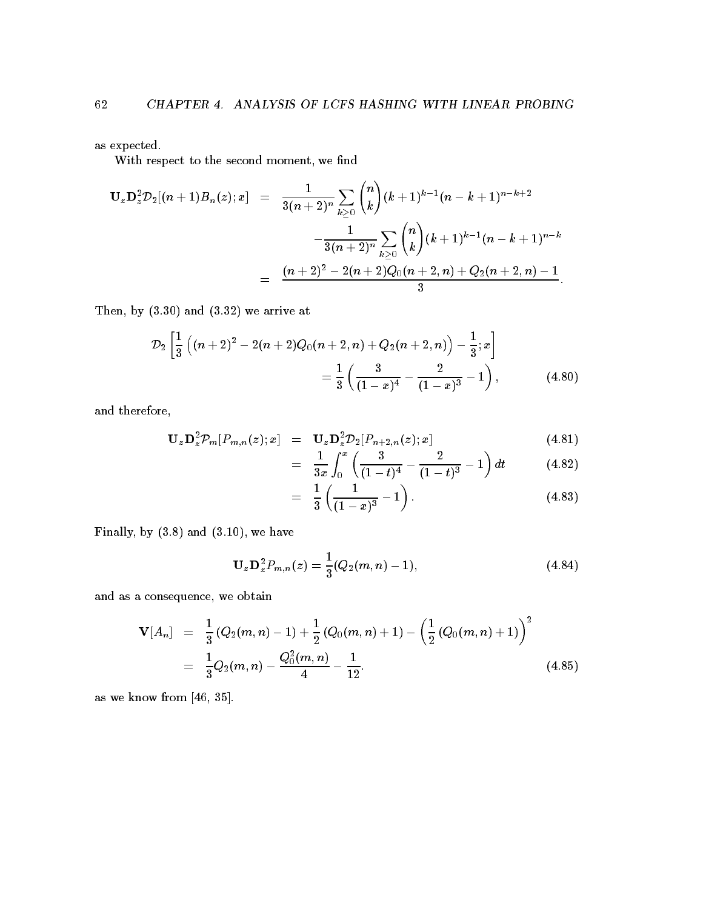as expected

With respect to the second moment, we find

$$
\begin{array}{lcl} \mathbf{U}_z\mathbf{D}_z^2\mathcal{D}_2[(n+1)B_n(z);x] & = & \displaystyle \frac{1}{3(n+2)^n}\sum_{k\geq 0} \binom{n}{k}(k+1)^{k-1}(n-k+1)^{n-k+2} \\ \\ & & \displaystyle -\frac{1}{3(n+2)^n}\sum_{k\geq 0} \binom{n}{k}(k+1)^{k-1}(n-k+1)^{n-k} \\ \\ & = & \displaystyle \frac{(n+2)^2-2(n+2)Q_0(n+2,n)+Q_2(n+2,n)-1}{3}. \end{array}
$$

Then, by  $(3.30)$  and  $(3.32)$  we arrive at

$$
\mathcal{D}_2\left[\frac{1}{3}\left((n+2)^2-2(n+2)Q_0(n+2,n)+Q_2(n+2,n)\right)-\frac{1}{3};x\right]
$$
  
=  $\frac{1}{3}\left(\frac{3}{(1-x)^4}-\frac{2}{(1-x)^3}-1\right)$ , (4.80)

and therefore

$$
\mathbf{U}_{z}\mathbf{D}_{z}^{2}\mathcal{P}_{m}[P_{m,n}(z);x] = \mathbf{U}_{z}\mathbf{D}_{z}^{2}\mathcal{D}_{2}[P_{n+2,n}(z);x] \qquad (4.81)
$$

$$
= \frac{1}{3x} \int_0^x \left( \frac{3}{(1-t)^4} - \frac{2}{(1-t)^3} - 1 \right) dt \tag{4.82}
$$

$$
= \frac{1}{3} \left( \frac{1}{(1-x)^3} - 1 \right). \tag{4.83}
$$

Finally by and - we have

$$
\mathbf{U}_{z}\mathbf{D}_{z}^{2}P_{m,n}(z)=\frac{1}{3}(Q_{2}(m,n)-1), \qquad (4.84)
$$

and as a consequence, we obtain

$$
\mathbf{V}[A_n] = \frac{1}{3} (Q_2(m,n)-1) + \frac{1}{2} (Q_0(m,n)+1) - \left(\frac{1}{2} (Q_0(m,n)+1)\right)^2
$$
  
= 
$$
\frac{1}{3} Q_2(m,n) - \frac{Q_0^2(m,n)}{4} - \frac{1}{12}.
$$
 (4.85)

as we know from [46, 35].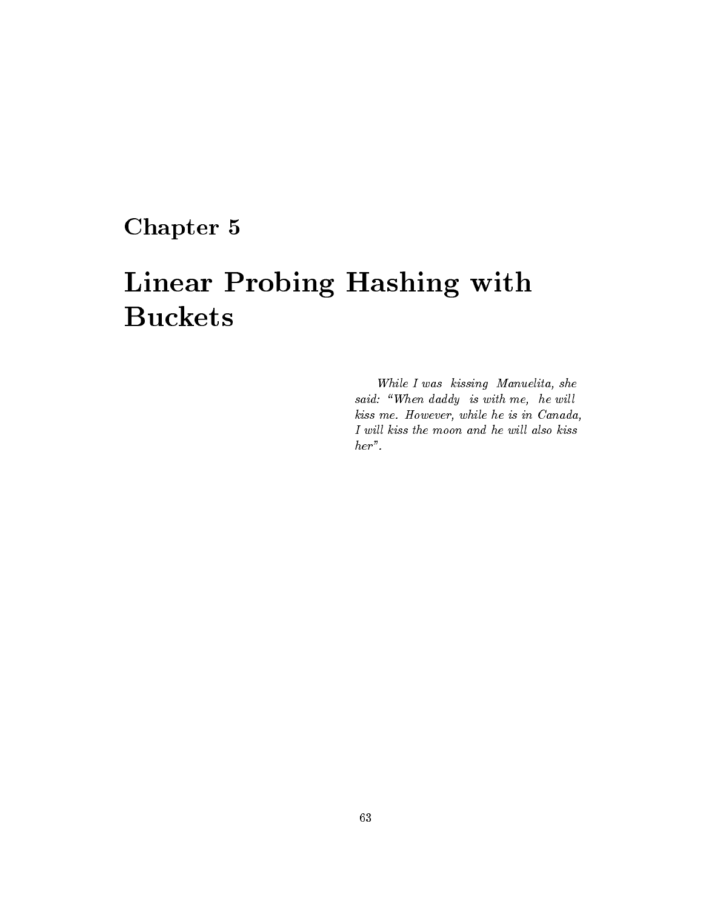# Chapter 5

# Linear Probing Hashing with Buckets

While I was kissing Manuelita, she said: "When daddy is with me, he will kiss me. However, while he is in Canada, I will kiss the moon and he will also kiss her".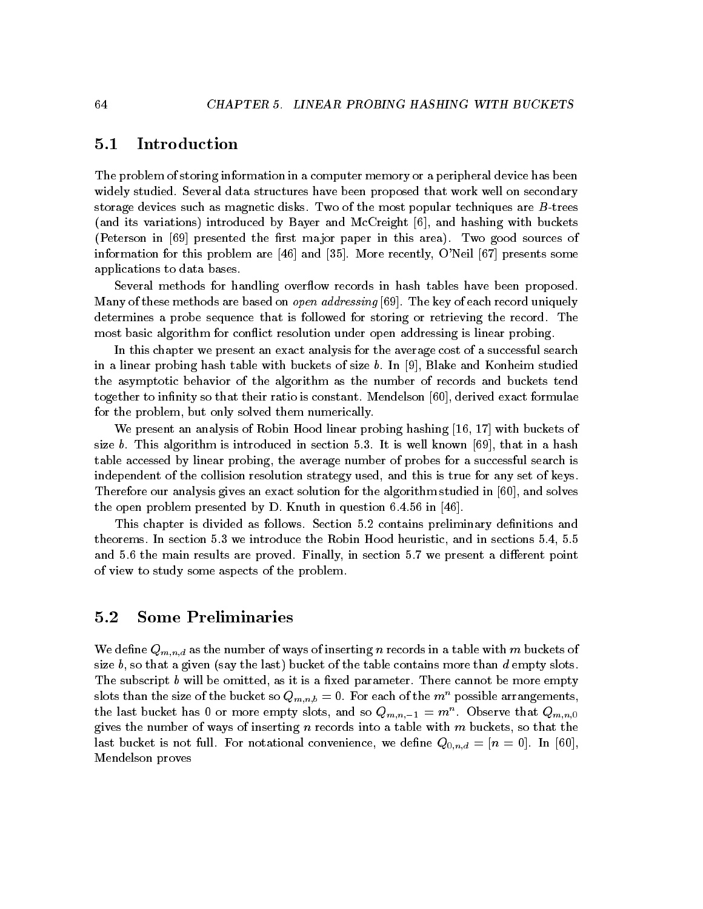## $5.1$ Introduction

The problem of storing information in a computer memory or a peripheral device has been widely studied. Several data structures have been proposed that work well on secondary storage devices such as magnetic disks. Two of the most popular techniques are  $B$ -trees (and its variations) introduced by Bayer and McCreight  $[6]$ , and hashing with buckets (Peterson in  $[69]$  presented the first major paper in this area). Two good sources of information for this problem are  $[46]$  and  $[35]$ . More recently, O'Neil  $[67]$  presents some applications to data bases

Several methods for handling overflow records in hash tables have been proposed. Many of these methods are based on *open addressing* [69]. The key of each record uniquely determines a probe sequence that is followed for storing or retrieving the record. The most basic algorithm for conflict resolution under open addressing is linear probing.

In this chapter we present an exact analysis for the average cost of a successful search in a linear probing hash table with buckets of size  $b$ . In [9], Blake and Konheim studied the asymptotic behavior of the algorithm as the number of records and buckets tend together to infinity so that their ratio is constant. Mendelson  $[60]$ , derived exact formulae for the problem, but only solved them numerically.

We present an analysis of Robin Hood linear probing hashing - - with buckets of size b. This algorithm is introduced in section 5.3. It is well known  $\lceil 69 \rceil$ , that in a hash table accessed by linear probing, the average number of probes for a successful search is independent of the collision resolution strategy used, and this is true for any set of keys. Therefore our analysis gives an exact solution for the algorithm studied in  $[60]$ , and solves the open problem presented by D. Knuth in question  $6.4.56$  in  $[46]$ .

This chapter is divided as follows. Section 5.2 contains preliminary definitions and theorems. In section  $5.3$  we introduce the Robin Hood heuristic, and in sections  $5.4$ ,  $5.5$ and 5.6 the main results are proved. Finally, in section 5.7 we present a different point of view to study some aspects of the problem

## $5.2$ Some Preliminaries

We define  $Q_{m,n,d}$  as the number of ways of inserting n records in a table with m buckets of size b, so that a given (say the last) bucket of the table contains more than d empty slots. The subscript b will be omitted, as it is a fixed parameter. There cannot be more empty slots than the size of the bucket so  $Q_{m,n,b} = 0$ . For each of the  $m^n$  possible arrangements, the last bucket has 0 or more empty slots, and so  $Q_{m,n-1} = m$ . Observe that  $Q_{m,n,0}$ gives the number of ways of inserting n records into a table with  $m$  buckets, so that the last bucket is not full. For notational convenience, we define  $Q_{0,n,d} = [n = 0]$ . In [60], Mendelson proves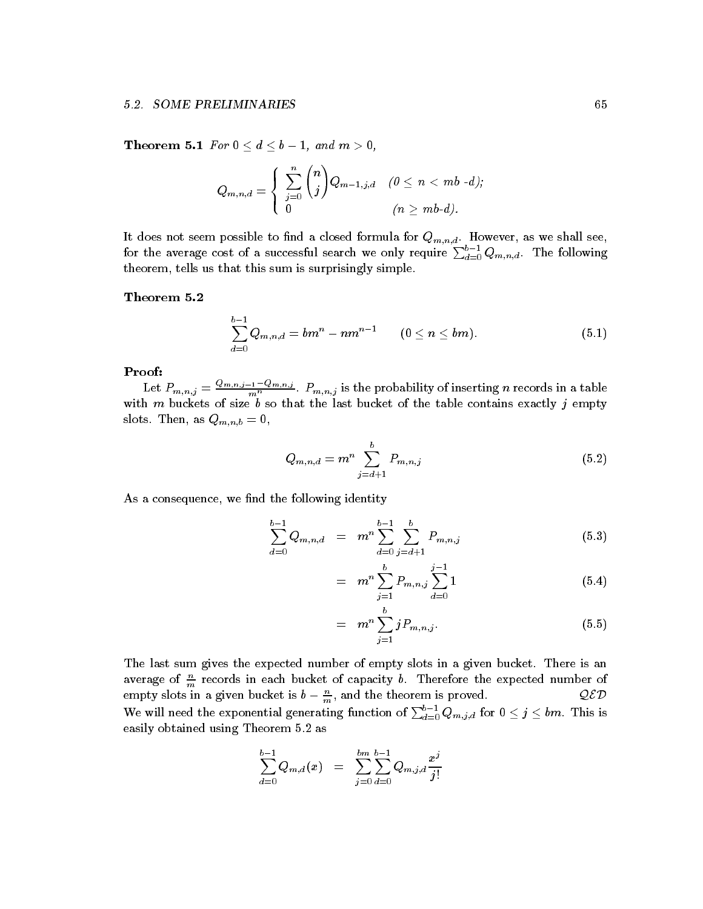Theorem are the set of distribution of the set of distribution  $\mathcal{A}$  and  $\mathcal{A}$  and  $\mathcal{A}$  and  $\mathcal{A}$ 

$$
Q_{m,n,d}=\left\{\begin{array}{ll}\sum_{j=0}^n\binom{n}{j}Q_{m-1,j,d} & (0\leq n < mb\,\text{-}d);\\0& (n\geq mb\text{-}d).\end{array}\right.
$$

for the average cost of a successful search we only require  $\sum_{d=0}^{m,n,a} Q_{m,n,d}$ . The following theorem, tells us that this sum is surprisingly simple.

$$
\sum_{d=0}^{b-1} Q_{m,n,d} = b m^n - n m^{n-1} \qquad (0 \leq n \leq bm).
$$
 (5.1)

## Proof

Let  $P_{m,n,j} = \frac{Q_{m,n,j-1} - Q_{m,n,j}}{m^n}$ .  $P_{m,n,j}$  is the probability of inserting n records in a table with  $m$  buckets of size  $b$  so that the last bucket of the table contains exactly  $j$  empty slots. Then, as  $Q_{m,n,b}=0$ ,

$$
Q_{m,n,d} = m^n \sum_{j=d+1}^{b} P_{m,n,j} \tag{5.2}
$$

As a consequence, we find the following identity

$$
\sum_{d=0}^{b-1} Q_{m,n,d} = m^n \sum_{d=0}^{b-1} \sum_{j=d+1}^b P_{m,n,j}
$$
(5.3)

$$
= m^n \sum_{j=1}^{b} P_{m,n,j} \sum_{d=0}^{j-1} 1 \tag{5.4}
$$

$$
= m^n \sum_{j=1}^b j P_{m,n,j}.
$$
 (5.5)

The last sum gives the expected number of empty slots in a given bucket. There is an average of  $\frac{n}{m}$  records in each bucket of capacity b. Therefore the expected number of empty slots in a given bucket is  $b - \frac{n}{m}$ , and the theorem is proved.  $QED$ We will need the exponential generating function of  $\sum_{d=0}^{o-1} Q_{m,j,d}$  for  $0\leq j\leq bm$  . This is easily obtained using Theorem 5.2 as

$$
\sum_{d=0}^{b-1} Q_{m,d}(x) \;\; = \;\; \sum_{j=0}^{bm} \sum_{d=0}^{b-1} Q_{m,j,d} \frac{x^j}{j!}
$$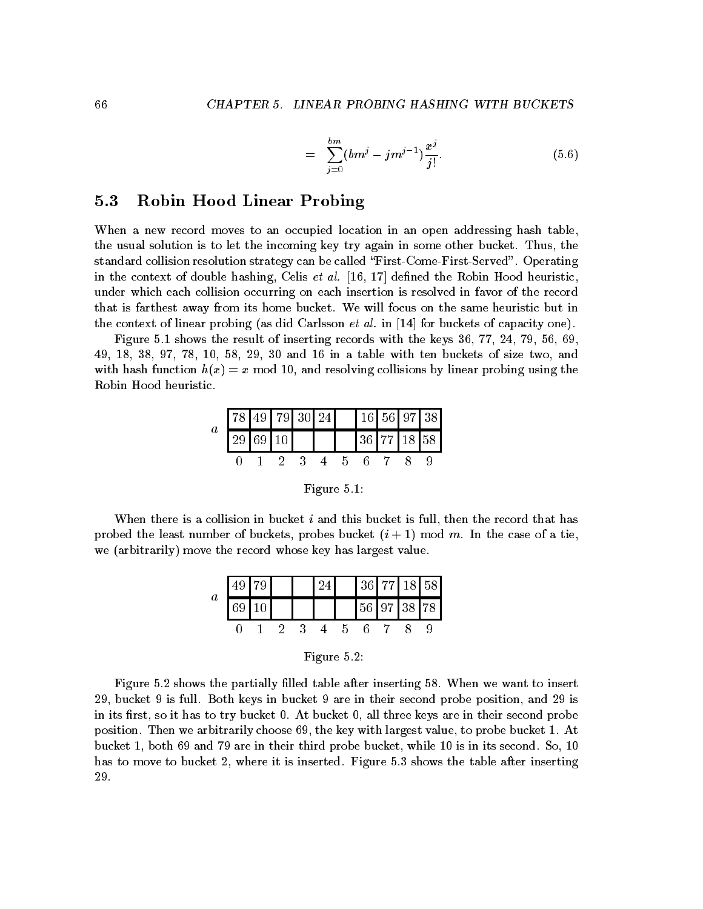$$
= \sum_{j=0}^{bm} (bm^j - jm^{j-1}) \frac{x^j}{j!}.
$$
 (5.6)

## $5.3$ Robin Hood Linear Probing

When a new record moves to an occupied location in an open addressing hash table, the usual solution is to let the incoming key try again in some other bucket. Thus, the standard collision resolution strategy can be called "First-Come-First-Served". Operating in the context of double hashing Celis et al - - dened the Robin Hood heuristic under which each collision occurring on each insertion is resolved in favor of the record that is farthest away from its home bucket We will focus on the same heuristic but in the context of linear probing as did Carlsson et al in - for buckets of capacity one 

Figure - shows the result of inserting records with the keys - - and - in a table with ten buckets of size two and with and resolving  $\alpha$  , and resolving  $\alpha$  model is and  $\alpha$  is and  $\alpha$  is and  $\alpha$  is and  $\alpha$ Robin Hood heuristic

| $\boldsymbol{a}$ | $\sqrt{78}$ 49   79   30   24 |    |                 |  |  |  | 16 56 97 38 |
|------------------|-------------------------------|----|-----------------|--|--|--|-------------|
|                  |                               | 69 | 10 <sup>1</sup> |  |  |  | 36 77 18 58 |
|                  |                               |    |                 |  |  |  |             |

Figure -

When there is a collision in bucket  $i$  and this bucket is full, then the record that has probed the least number of buckets probes buckets probes buckets probes buckets probes buckets probes and we (arbitrarily) move the record whose key has largest value.

|         |  |  |   | 36 77 18 58 |  |  |
|---------|--|--|---|-------------|--|--|
| $\it a$ |  |  |   | 56 97 38 78 |  |  |
|         |  |  | h |             |  |  |

|  | Figure 5 |  |                |
|--|----------|--|----------------|
|  |          |  | $\blacksquare$ |

Figure 5.2 shows the partially filled table after inserting 58. When we want to insert 29, bucket 9 is full. Both keys in bucket 9 are in their second probe position, and  $29$  is in its first, so it has to try bucket  $0$ . At bucket  $0$ , all three keys are in their second probe position Then we arbitrarily choose the key with largest value to probe bucket - At bucket - both and are in third probe bucket while - both are in its second So - both and So - both are in has to move to bucket 2, where it is inserted. Figure  $5.3$  shows the table after inserting 29.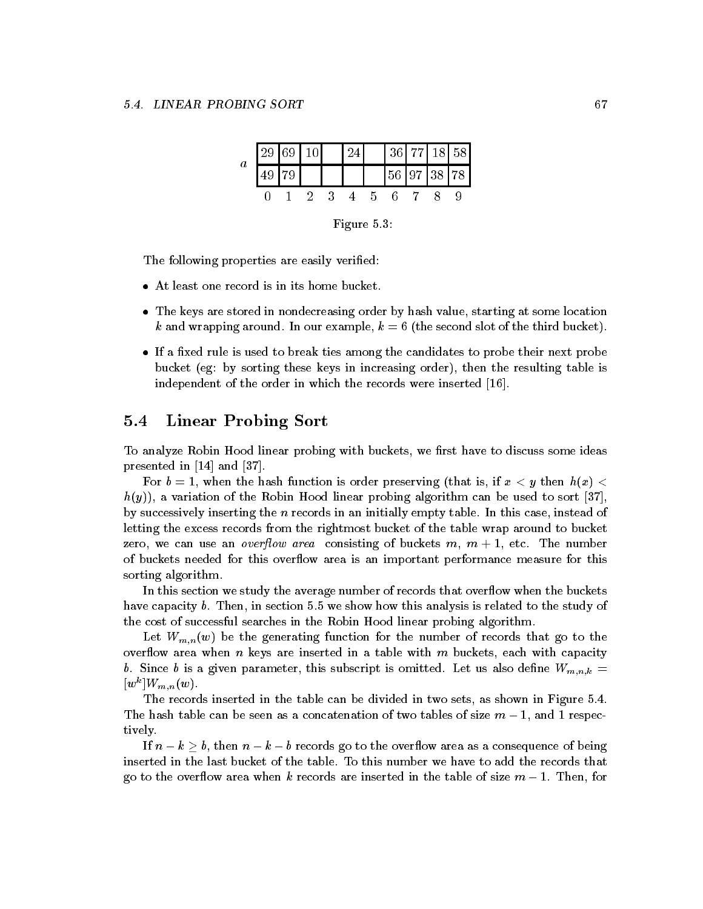| $\boldsymbol{a}$ | 29 69 10 |      | 24 |          | 36 77 18 58                                                 |  |  |
|------------------|----------|------|----|----------|-------------------------------------------------------------|--|--|
|                  |          |      |    |          | $\left  \frac{56}{97} \right  \left  \frac{38}{78} \right $ |  |  |
|                  |          | $-2$ |    | $\Delta$ |                                                             |  |  |
|                  |          |      |    |          |                                                             |  |  |

Figure 5.3:

The following properties are easily verified:

- 
- The keys are stored in nondecreasing order by hash value starting at some location k and wrapping around. In our example,  $k = 6$  (the second slot of the third bucket).
- If a xed rule is used to break ties among the candidates to probe their next probe because the sorting these keys in increasing the result the resulting table is an increasing the resulting table independent of the order in which the records were inserted -

## $5.4$ Linear Probing Sort

To analyze Robin Hood linear probing with buckets, we first have to discuss some ideas presented in - and

 $\mathcal{L}$  be a set of the second function is ordered preserving that is if  $\mathcal{L}$  is if  $\mathcal{L}$  and  $\mathcal{L}$  $h(y)$ , a variation of the Robin Hood linear probing algorithm can be used to sort [37], by successively inserting the  $n$  records in an initially empty table. In this case, instead of letting the excess records from the rightmost bucket of the table wrap around to bucket zero we can use an overow area consisting of buckets m m - etc The number of buckets needed for this overflow area is an important performance measure for this sorting algorithm

In this section we study the average number of records that overflow when the buckets have capacity b. Then, in section 5.5 we show how this analysis is related to the study of the cost of successful searches in the Robin Hood linear probing algorithm

Let  $W_{m,n}(w)$  be the generating function for the number of records that go to the overflow area when n keys are inserted in a table with  $m$  buckets, each with capacity b. Since b is a given parameter, this subscript is omitted. Let us also define  $W_{m,n,k} =$  $|w|$   $|V/m|n|w$ .

The records inserted in the table can be divided in two sets, as shown in Figure 5.4. table can be seen as a concern of the concernation of two tables of the size m  $-$  -  $\alpha$  ,  $\alpha$  ,  $\alpha$  ,  $\alpha$ tively

If  $n - k > b$ , then  $n - k - b$  records go to the overflow area as a consequence of being inserted in the last bucket of the table To this number we have to add the records that go to the overow area when k records are inserted in the table of size m - Then for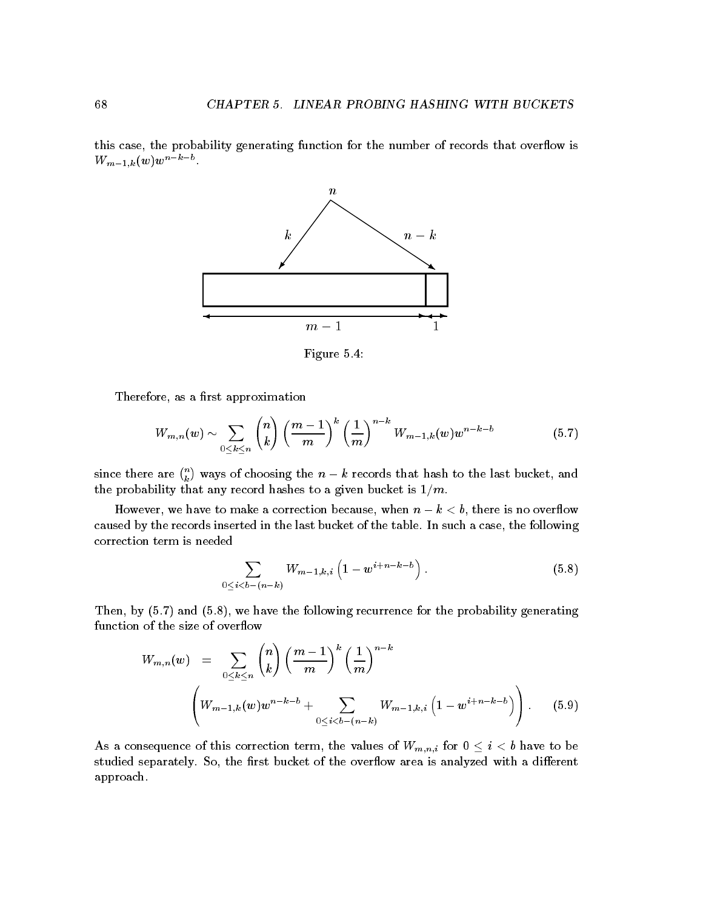this case, the probability generating function for the number of records that overflow is  $VV_{m-1,k}(w)$  w



Figure 5.4:

Therefore, as a first approximation

$$
W_{m,n}(w) \sim \sum_{0 \leq k \leq n} {n \choose k} \left(\frac{m-1}{m}\right)^k \left(\frac{1}{m}\right)^{n-k} W_{m-1,k}(w) w^{n-k-b} \tag{5.7}
$$

since there are  $\binom{n}{k}$  ways of choosing the  $n-k$  records that hash to the last bucket, and the probability that any record has been bucket is  $\mathbf{r}_1$  and  $\mathbf{r}_2$  is -

However, we have to make a correction because, when  $n - k < b$ , there is no overflow caused by the records inserted in the last bucket of the table. In such a case, the following correction term is needed

$$
\sum_{0 \le i < b - (n - k)} W_{m - 1, k, i} \left( 1 - w^{i + n - k - b} \right). \tag{5.8}
$$

Then, by  $(5.7)$  and  $(5.8)$ , we have the following recurrence for the probability generating function of the size of overflow

$$
W_{m,n}(w) = \sum_{0 \le k \le n} {n \choose k} \left(\frac{m-1}{m}\right)^k \left(\frac{1}{m}\right)^{n-k} \left(\frac{1}{m}\right)^{n-k} \left(W_{m-1,k}(w)w^{n-k-1} + \sum_{0 \le i < b-(n-k)} W_{m-1,k,i} \left(1 - w^{i+n-k-b}\right)\right).
$$
(5.9)

As a consequence of this correction term, the values of  $W_{m,n,i}$  for  $0 \leq i < b$  have to be studied separately. So, the first bucket of the overflow area is analyzed with a different approach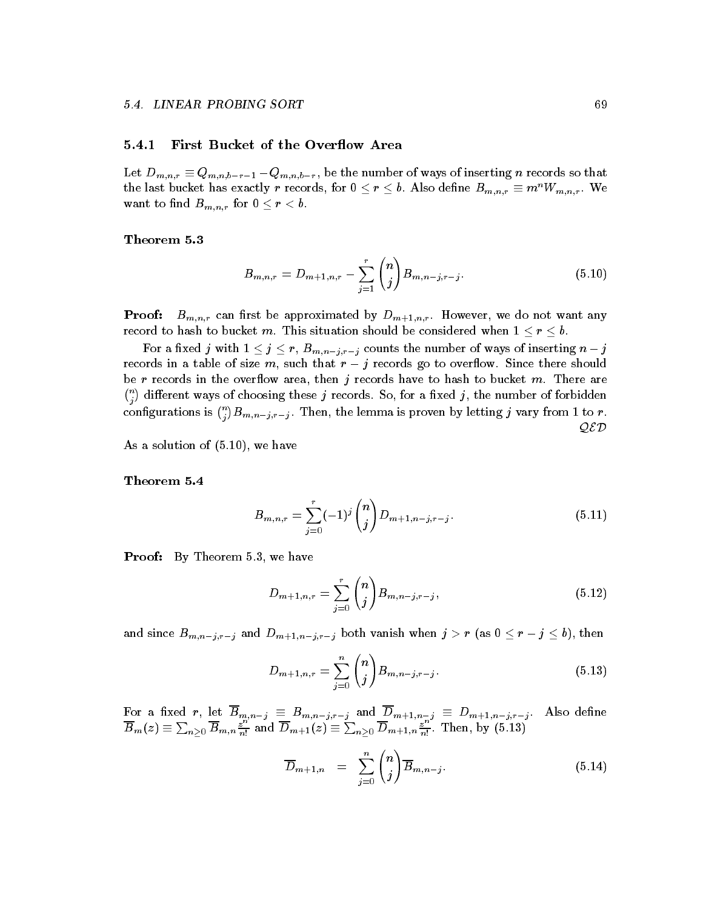## First Bucket of the Overflow Area

Let  $D_{m,n,r} \equiv Q_{m,n,b-r-1} - Q_{m,n,b-r}$ , be the number of ways of inserting n records so that the last bucket has exactly r records, for  $0 \le r \le b$ . Also define  $B_{m,n,r} \equiv m^n W_{m,n,r}$ . We want to find  $B_{m,n,r}$  for  $0 \leq r < b$ .

$$
B_{m,n,r} = D_{m+1,n,r} - \sum_{j=1}^{r} {n \choose j} B_{m,n-j,r-j}.
$$
 (5.10)

**Proof:**  $B_{m,n,r}$  can first be approximated by  $D_{m+1,n,r}$ . However, we do not want any

 $\Box$  into the number of ways of the number of ways of the number of  $\Box$  inserting number of  $\Box$  inserting number of  $\Box$  inserting number of  $\Box$  inserting number of  $\Box$  inserting number of  $\Box$  inserting number of  $\Box$ records in a table of size m, such that  $r - j$  records go to overflow. Since there should be r records in the overflow area, then j records have to hash to bucket m. There are  $\binom{n}{i}$  different ways of choosing these j records. So, for a fixed j, the number of forbidden configurations is  $\binom{n}{i}B_{m,n-j,r-j}.$  Then, the lemma is proven by letting  $j$  vary from 1 to  $r.$ QED

 $\mathbf{A}$  and  $\mathbf{A}$  are the solution of  $\mathbf{A}$  and  $\mathbf{A}$  are the solution of  $\mathbf{A}$ 

$$
B_{m,n,r} = \sum_{j=0}^{r} (-1)^j {n \choose j} D_{m+1,n-j,r-j}.
$$
 (5.11)

**Proof:** By Theorem 5.3, we have

$$
D_{m+1,n,r} = \sum_{j=0}^{r} {n \choose j} B_{m,n-j,r-j}, \qquad (5.12)
$$

and since  $B$  and  $B$  and  $B$  is contributed when independent when  $\mathbf{y}\cdot\mathbf{y}$  and  $\mathbf{y}\cdot\mathbf{y}$  and  $\mathbf{y}\cdot\mathbf{y}$ 

$$
D_{m+1,n,r} = \sum_{j=0}^{n} {n \choose j} B_{m,n-j,r-j}.
$$
 (5.13)

 $\overline{B}_m(z) \equiv \sum_{n>0} \overline{B}_{m,n} \frac{z_1^{n_1, n_2} j_1^{n_1, n_2} j_1^{n_2, n_3}}{\overline{B}_{m+1}(z) \equiv \sum_{n>0} \overline{D}_{m+1,n} \frac{z_1^{n_1}}{\overline{n}!}$ . Then, by (5.13)

$$
\overline{D}_{m+1,n} = \sum_{j=0}^{n} {n \choose j} \overline{B}_{m,n-j}.
$$
 (5.14)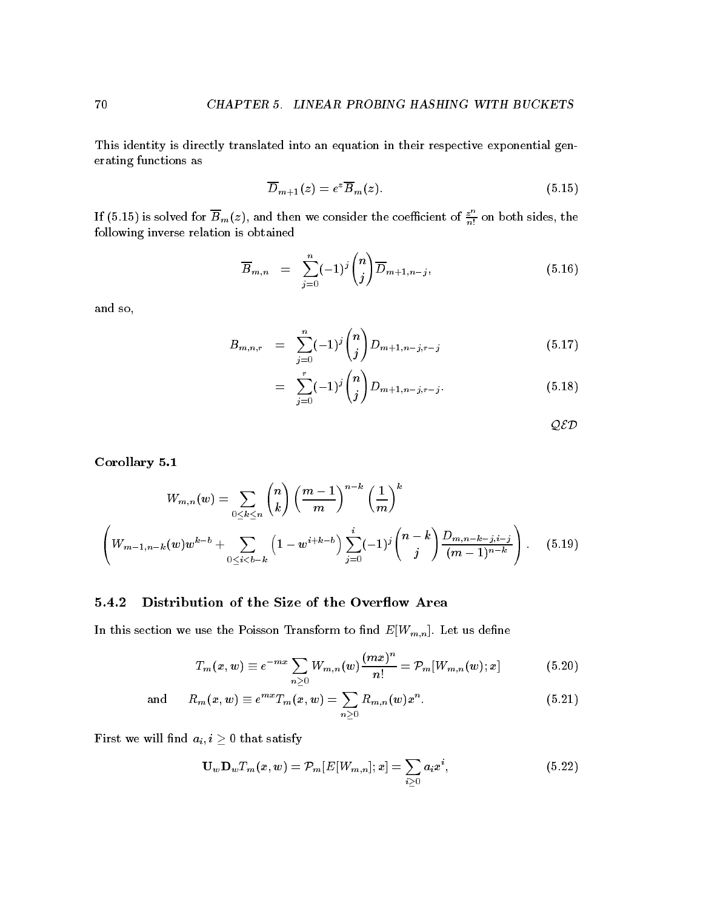This identity is directly translated into an equation in their respective exponential gen erating functions as

$$
\overline{D}_{m+1}(z) = e^z \overline{B}_m(z). \tag{5.15}
$$

If (5.15) is solved for  $B_m(z)$ , and then we consider the coefficient of  $\frac{z^n}{n!}$  on both sides, the following inverse relation is obtained

$$
\overline{B}_{m,n} = \sum_{j=0}^{n} (-1)^j {n \choose j} \overline{D}_{m+1,n-j}, \qquad (5.16)
$$

and so

$$
B_{m,n,r} = \sum_{j=0}^{n} (-1)^j {n \choose j} D_{m+1,n-j,r-j} \tag{5.17}
$$

$$
= \sum_{j=0}^{r} (-1)^j {n \choose j} D_{m+1,n-j,r-j}.
$$
 (5.18)

 $QED$ 

corollary corollary corollary and content of the corollary corollary and corollary corollary corollary corolla

$$
W_{m,n}(w) = \sum_{0 \le k \le n} {n \choose k} \left(\frac{m-1}{m}\right)^{n-k} \left(\frac{1}{m}\right)^k
$$
  

$$
\left(W_{m-1,n-k}(w)w^{k-b} + \sum_{0 \le i < b-k} \left(1 - w^{i+k-b}\right) \sum_{j=0}^i (-1)^j {n-k \choose j} \frac{D_{m,n-k-j,i-j}}{(m-1)^{n-k}}\right).
$$
 (5.19)

# Distribution of the Size of the Overflow Area

In this section we use the Poisson Transform to find  $E[W_{m,n}]$ . Let us define

$$
T_m(x, w) \equiv e^{-mx} \sum_{n \geq 0} W_{m,n}(w) \frac{(mx)^n}{n!} = \mathcal{P}_m[W_{m,n}(w); x]
$$
(5.20)

and 
$$
R_m(x, w) \equiv e^{mx} T_m(x, w) = \sum_{n \geq 0} R_{m,n}(w) x^n.
$$
 (5.21)

First we will find  $a_i, i \geq 0$  that satisfy

$$
\mathbf{U}_{w}\mathbf{D}_{w}T_{m}(x,w)=\mathcal{P}_{m}[E[W_{m,n}];x]=\sum_{i\geq 0}a_{i}x^{i}, \qquad (5.22)
$$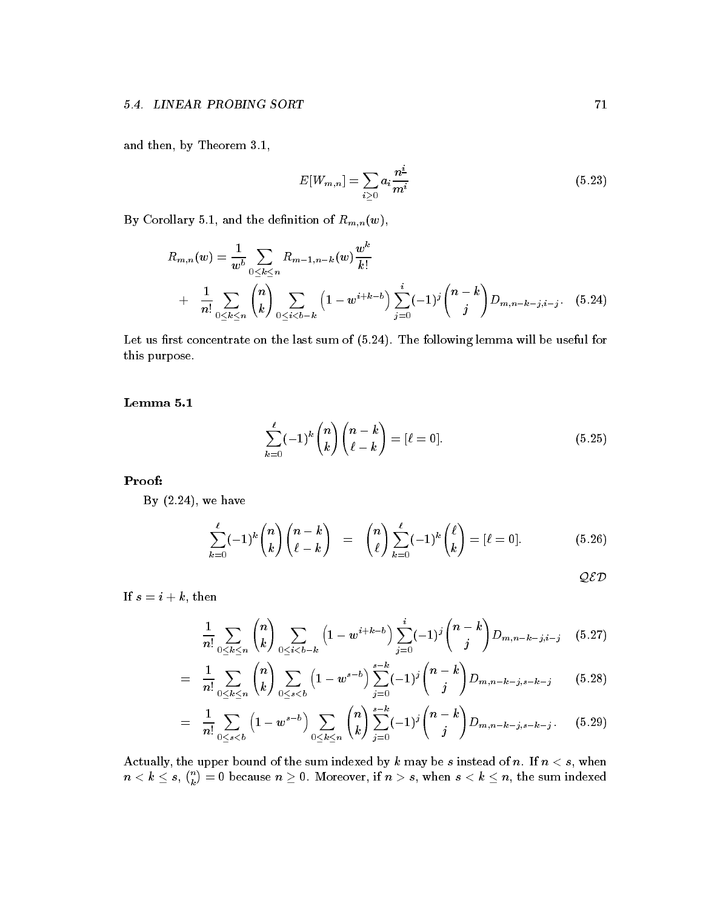and the by Theorem - then by Theorem - then by Theorem - then by Theorem - the theorem - theorem - theorem - t

$$
E[W_{m,n}] = \sum_{i \geq 0} a_i \frac{n^{\underline{i}}}{m^i}
$$
 (5.23)

 $\omega$  and  $\omega$  and  $\omega$  and  $\omega$  and  $\omega$  and  $\omega$  and  $\omega$  respectively. The denimical of  $\omega$  and  $\omega$ 

$$
R_{m,n}(w) = \frac{1}{w^b} \sum_{0 \le k \le n} R_{m-1,n-k}(w) \frac{w^k}{k!}
$$
  
+ 
$$
\frac{1}{n!} \sum_{0 \le k \le n} {n \choose k} \sum_{0 \le i < b-k} \left(1 - w^{i+k-b}\right) \sum_{j=0}^i (-1)^j {n-k \choose j} D_{m,n-k-j,i-j}.
$$
 (5.24)

Let us first concentrate on the last sum of  $(5.24)$ . The following lemma will be useful for this purpose

$$
\sum_{k=0}^{\ell}(-1)^k\binom{n}{k}\binom{n-k}{\ell-k}=[\ell=0].\tag{5.25}
$$

Proof

By  $(2.24)$ , we have

$$
\sum_{k=0}^{\ell}(-1)^k\binom{n}{k}\binom{n-k}{\ell-k} = \binom{n}{\ell}\sum_{k=0}^{\ell}(-1)^k\binom{\ell}{k} = [\ell=0].\tag{5.26}
$$

QED

If  $s = i + k$ , then

$$
\frac{1}{n!} \sum_{0 \le k \le n} \binom{n}{k} \sum_{0 \le i < b-k} \left(1 - w^{i+k-b}\right) \sum_{j=0}^i (-1)^j \binom{n-k}{j} D_{m,n-k-j,i-j} \quad (5.27)
$$

$$
= \frac{1}{n!} \sum_{0 \le k \le n} \binom{n}{k} \sum_{0 \le s < b} \left(1 - w^{s-b}\right) \sum_{j=0}^{s-k} (-1)^j \binom{n-k}{j} D_{m,n-k-j,s-k-j} \qquad (5.28)
$$

$$
= \frac{1}{n!} \sum_{0 \le s < b} \left( 1 - w^{s-b} \right) \sum_{0 \le k \le n} \binom{n}{k} \sum_{j=0}^{s-k} (-1)^j \binom{n-k}{j} D_{m,n-k-j,s-k-j} . \tag{5.29}
$$

Actually, the upper bound of the sum indexed by k may be s instead of n. If  $n < s$ , when  $n < k \leq s, \, \binom{n}{k} = 0$  because  $n \geq 0.$  Moreover, if  $n>s,$  when  $s < k \leq n,$  the sum indexed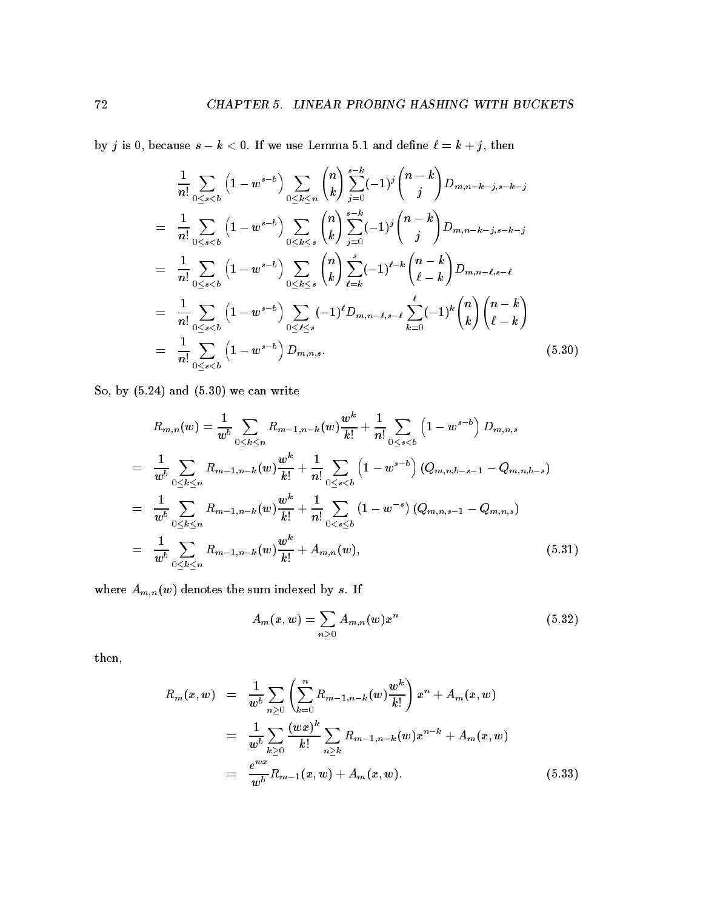by j is because s k If we use Lemma - and dene k j then

$$
\frac{1}{n!} \sum_{0 \leq s < b} \left( 1 - w^{s-b} \right) \sum_{0 \leq k \leq n} \binom{n}{k} \sum_{j=0}^{s-k} (-1)^j \binom{n-k}{j} D_{m,n-k-j,s-k-j}
$$
\n
$$
= \frac{1}{n!} \sum_{0 \leq s < b} \left( 1 - w^{s-b} \right) \sum_{0 \leq k \leq s} \binom{n}{k} \sum_{j=0}^{s-k} (-1)^j \binom{n-k}{j} D_{m,n-k-j,s-k-j}
$$
\n
$$
= \frac{1}{n!} \sum_{0 \leq s < b} \left( 1 - w^{s-b} \right) \sum_{0 \leq k \leq s} \binom{n}{k} \sum_{\ell=k}^s (-1)^{\ell-k} \binom{n-k}{\ell-k} D_{m,n-\ell,s-\ell}
$$
\n
$$
= \frac{1}{n!} \sum_{0 \leq s < b} \left( 1 - w^{s-b} \right) \sum_{0 \leq \ell \leq s} (-1)^{\ell} D_{m,n-\ell,s-\ell} \sum_{k=0}^{\ell} (-1)^k \binom{n}{k} \binom{n-k}{\ell-k}
$$
\n
$$
= \frac{1}{n!} \sum_{0 \leq s < b} \left( 1 - w^{s-b} \right) D_{m,n,s}.
$$
\n(5.30)

So, by  $(5.24)$  and  $(5.30)$  we can write

$$
R_{m,n}(w) = \frac{1}{w^b} \sum_{0 \le k \le n} R_{m-1,n-k}(w) \frac{w^k}{k!} + \frac{1}{n!} \sum_{0 \le s < b} \left( 1 - w^{s-b} \right) D_{m,n,s}
$$
  
\n
$$
= \frac{1}{w^b} \sum_{0 \le k \le n} R_{m-1,n-k}(w) \frac{w^k}{k!} + \frac{1}{n!} \sum_{0 \le s < b} \left( 1 - w^{s-b} \right) (Q_{m,n,b-s-1} - Q_{m,n,b-s})
$$
  
\n
$$
= \frac{1}{w^b} \sum_{0 \le k \le n} R_{m-1,n-k}(w) \frac{w^k}{k!} + \frac{1}{n!} \sum_{0 \le s \le b} \left( 1 - w^{-s} \right) (Q_{m,n,s-1} - Q_{m,n,s})
$$
  
\n
$$
= \frac{1}{w^b} \sum_{0 \le k \le n} R_{m-1,n-k}(w) \frac{w^k}{k!} + A_{m,n}(w), \qquad (5.31)
$$

where  $A_{m,n}(w)$  denotes the sum indexed by s. If

$$
A_m(x, w) = \sum_{n \geq 0} A_{m,n}(w) x^n \tag{5.32}
$$

then

$$
R_m(x, w) = \frac{1}{w^b} \sum_{n \geq 0} \left( \sum_{k=0}^n R_{m-1, n-k}(w) \frac{w^k}{k!} \right) x^n + A_m(x, w)
$$
  

$$
= \frac{1}{w^b} \sum_{k \geq 0} \frac{(wx)^k}{k!} \sum_{n \geq k} R_{m-1, n-k}(w) x^{n-k} + A_m(x, w)
$$
  

$$
= \frac{e^{wx}}{w^b} R_{m-1}(x, w) + A_m(x, w).
$$
 (5.33)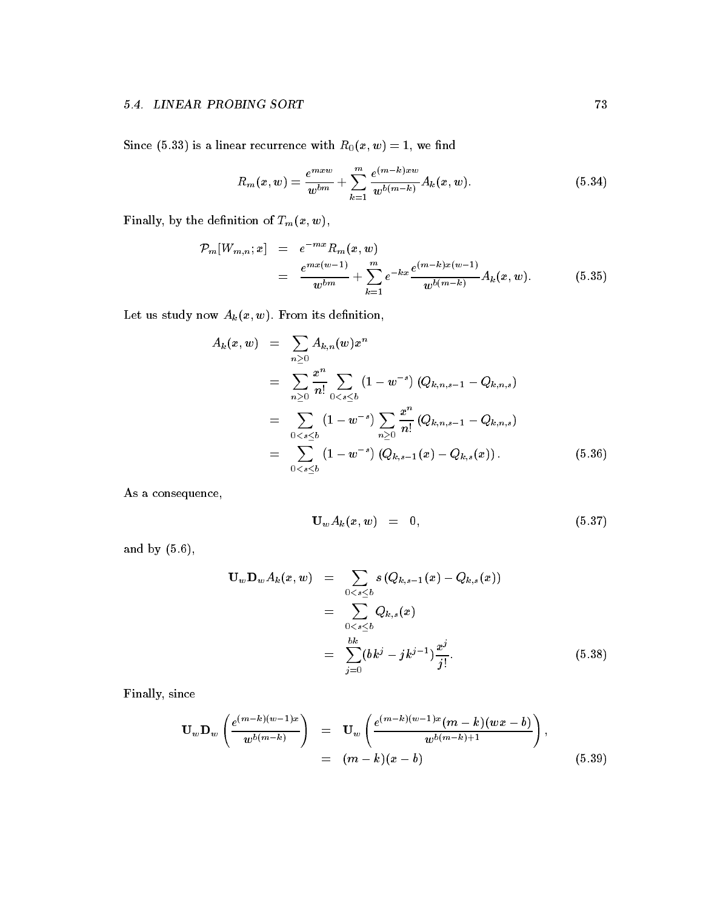$S = \{ s \mid s \in \mathcal{S} \mid s \in \mathcal{S} \mid s \in \mathcal{S} \mid s \in \mathcal{S} \}$  , we note that Richard Robert with Richard Robert Richard Robert Richard Robert Richard Richard Robert Richard Richard Richard Richard Richard Richard Richard Richard

$$
R_m(x, w) = \frac{e^{m x w}}{w^{bm}} + \sum_{k=1}^{m} \frac{e^{(m-k)x w}}{w^{b(m-k)}} A_k(x, w).
$$
 (5.34)

Finally, by the definition of  $T_m(x, w)$ ,

$$
\mathcal{P}_m[W_{m,n};x] = e^{-mx} R_m(x,w) \n= \frac{e^{mx(w-1)}}{w^{bm}} + \sum_{k=1}^m e^{-kx} \frac{e^{(m-k)x(w-1)}}{w^{b(m-k)}} A_k(x,w).
$$
\n(5.35)

Let us study now  $A_k(x, w)$ . From its definition,

$$
A_k(x, w) = \sum_{n \geq 0} A_{k,n}(w) x^n
$$
  
= 
$$
\sum_{n \geq 0} \frac{x^n}{n!} \sum_{0 < s \leq b} (1 - w^{-s}) (Q_{k,n,s-1} - Q_{k,n,s})
$$
  
= 
$$
\sum_{0 < s \leq b} (1 - w^{-s}) \sum_{n \geq 0} \frac{x^n}{n!} (Q_{k,n,s-1} - Q_{k,n,s})
$$
  
= 
$$
\sum_{0 < s \leq b} (1 - w^{-s}) (Q_{k,s-1}(x) - Q_{k,s}(x)). \tag{5.36}
$$

As a consequence,

$$
\mathbf{U}_w A_k(x, w) = 0, \qquad (5.37)
$$

and by  $(5.6)$ ,

$$
\mathbf{U}_{w} \mathbf{D}_{w} A_{k}(x, w) = \sum_{0 < s \leq b} s (Q_{k, s-1}(x) - Q_{k, s}(x))
$$
\n
$$
= \sum_{0 < s \leq b} Q_{k, s}(x)
$$
\n
$$
= \sum_{j=0}^{bk} (bk^{j} - jk^{j-1}) \frac{x^{j}}{j!}.
$$
\n
$$
(5.38)
$$

Finally, since

$$
\mathbf{U}_{w} \mathbf{D}_{w} \left( \frac{e^{(m-k)(w-1)x}}{w^{b(m-k)}} \right) = \mathbf{U}_{w} \left( \frac{e^{(m-k)(w-1)x} (m-k)(wx-b)}{w^{b(m-k)+1}} \right),
$$
  
=  $(m-k)(x-b)$  (5.39)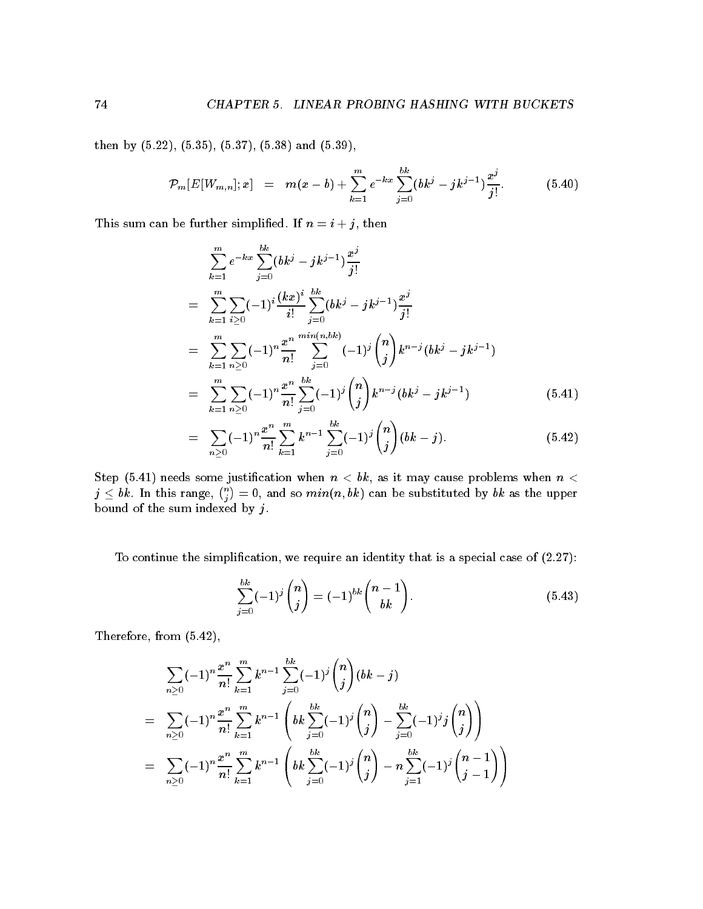then by  $(5.22)$ ,  $(5.35)$ ,  $(5.37)$ ,  $(5.38)$  and  $(5.39)$ ,

$$
\mathcal{P}_m[E[W_{m,n}];x] = m(x-b) + \sum_{k=1}^m e^{-kx} \sum_{j=0}^{bk} (bk^j - jk^{j-1}) \frac{x^j}{j!}.
$$
 (5.40)

This sum can be further simplified. If  $n = i + j$ , then

$$
\sum_{k=1}^{m} e^{-kx} \sum_{j=0}^{bk} (bk^{j} - jk^{j-1}) \frac{x^{j}}{j!}
$$
\n
$$
= \sum_{k=1}^{m} \sum_{i \geq 0} (-1)^{i} \frac{(kx)^{i}}{i!} \sum_{j=0}^{bk} (bk^{j} - jk^{j-1}) \frac{x^{j}}{j!}
$$
\n
$$
= \sum_{k=1}^{m} \sum_{n \geq 0} (-1)^{n} \frac{x^{n}}{n!} \sum_{j=0}^{\min(n, bk)} (-1)^{j} {n \choose j} k^{n-j} (bk^{j} - jk^{j-1})
$$
\n
$$
= \sum_{k=1}^{m} \sum_{n \geq 0} (-1)^{n} \frac{x^{n}}{n!} \sum_{j=0}^{bk} (-1)^{j} {n \choose j} k^{n-j} (bk^{j} - jk^{j-1}) \qquad (5.41)
$$
\n
$$
\sum_{k=1}^{m} \sum_{n \geq 0} x^{n} \frac{m}{n!} (x + k)^{bk} (x + k)^{j} (n) (x - k) \qquad (5.42)
$$

$$
= \sum_{n\geq 0} (-1)^n \frac{x^n}{n!} \sum_{k=1}^m k^{n-1} \sum_{j=0}^{bk} (-1)^j \binom{n}{j} (bk - j).
$$
 (5.42)

Step - needs some justication when n bk as it may cause problems when n  $j\leq bk$  . In this range,  $\binom{n}{i}=0,$  and so  $min(n,bk)$  can be substituted by  $bk$  as the upper bound of the sum indexed by  $j$ .

To continue the simplification, we require an identity that is a special case of  $(2.27)$ :

$$
\sum_{j=0}^{bk} (-1)^j \binom{n}{j} = (-1)^{bk} \binom{n-1}{bk}.
$$
\n(5.43)

Therefore, from  $(5.42)$ ,

$$
\sum_{n\geq 0} (-1)^n \frac{x^n}{n!} \sum_{k=1}^m k^{n-1} \sum_{j=0}^{bk} (-1)^j \binom{n}{j} (bk - j)
$$
\n
$$
= \sum_{n\geq 0} (-1)^n \frac{x^n}{n!} \sum_{k=1}^m k^{n-1} \left( bk \sum_{j=0}^{bk} (-1)^j \binom{n}{j} - \sum_{j=0}^{bk} (-1)^j j \binom{n}{j} \right)
$$
\n
$$
= \sum_{n\geq 0} (-1)^n \frac{x^n}{n!} \sum_{k=1}^m k^{n-1} \left( bk \sum_{j=0}^{bk} (-1)^j \binom{n}{j} - n \sum_{j=1}^{bk} (-1)^j \binom{n-1}{j-1} \right)
$$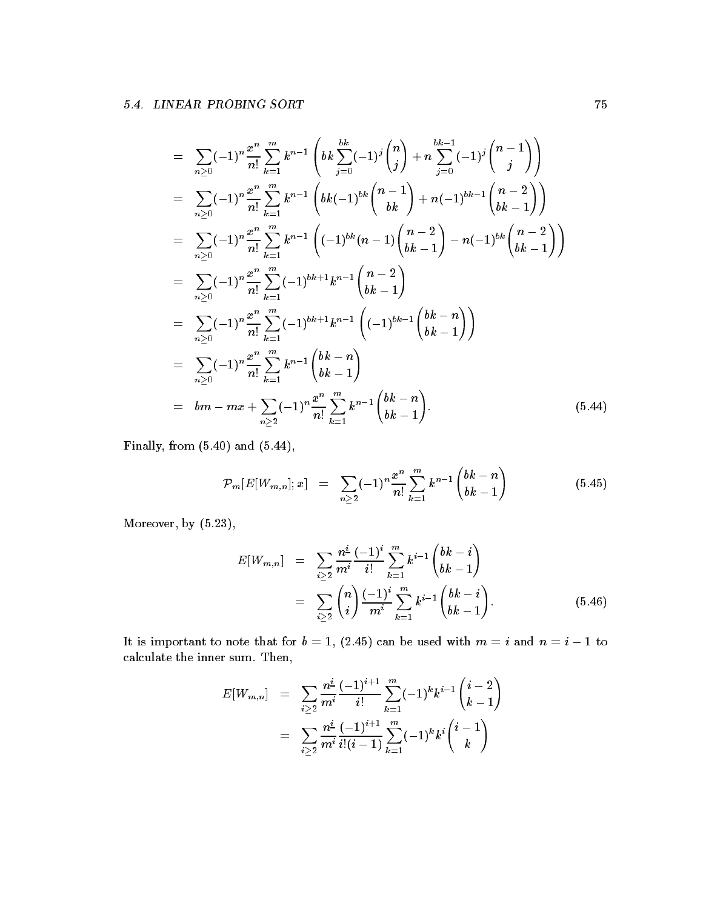$$
= \sum_{n\geq 0} (-1)^n \frac{x^n}{n!} \sum_{k=1}^m k^{n-1} \left(bk \sum_{j=0}^{bk} (-1)^j {n \choose j} + n \sum_{j=0}^{bk-1} (-1)^j {n-1 \choose j} \right)
$$
  
\n
$$
= \sum_{n\geq 0} (-1)^n \frac{x^n}{n!} \sum_{k=1}^m k^{n-1} \left(bk (-1)^{bk} {n-1 \choose bk} + n(-1)^{bk-1} {n-2 \choose bk-1} \right)
$$
  
\n
$$
= \sum_{n\geq 0} (-1)^n \frac{x^n}{n!} \sum_{k=1}^m k^{n-1} \left((-1)^{bk} (n-1) {n-2 \choose bk-1} - n(-1)^{bk} {n-2 \choose bk-1} \right)
$$
  
\n
$$
= \sum_{n\geq 0} (-1)^n \frac{x^n}{n!} \sum_{k=1}^m (-1)^{bk+1} k^{n-1} {n-2 \choose bk-1}
$$
  
\n
$$
= \sum_{n\geq 0} (-1)^n \frac{x^n}{n!} \sum_{k=1}^m (-1)^{bk+1} k^{n-1} \left((-1)^{bk-1} {bk-n \choose bk-1} \right)
$$
  
\n
$$
= \sum_{n\geq 0} (-1)^n \frac{x^n}{n!} \sum_{k=1}^m k^{n-1} {bk-n \choose bk-1}
$$
  
\n
$$
=bm-mx + \sum_{n\geq 2} (-1)^n \frac{x^n}{n!} \sum_{k=1}^m k^{n-1} {bk-n \choose bk-1}.
$$
  
\n
$$
(5.44)
$$

Finally, from  $(5.40)$  and  $(5.44)$ ,

$$
\mathcal{P}_m[E[W_{m,n}];x] = \sum_{n\geq 2} (-1)^n \frac{x^n}{n!} \sum_{k=1}^m k^{n-1} {bk-n \choose bk-1} \qquad (5.45)
$$

Moreover, by  $(5.23)$ ,

$$
E[W_{m,n}] = \sum_{i \geq 2} \frac{n^{\underline{i}}}{m^i} \frac{(-1)^i}{i!} \sum_{k=1}^m k^{i-1} {bk - i \choose bk - 1}
$$
  
= 
$$
\sum_{i \geq 2} {n \choose i} \frac{(-1)^i}{m^i} \sum_{k=1}^m k^{i-1} {bk - i \choose bk - 1}.
$$
 (5.46)

It is important to note that for be used with m i and note that for be used with m i and n i and n i and n i i calculate the inner sum. Then,

$$
\begin{array}{lcl} E[W_{m,n}] & = & \displaystyle \sum_{i \geq 2} \frac{n^{\underline{i}}}{m^i} \frac{(-1)^{i+1}}{i!} \sum_{k=1}^m (-1)^k k^{i-1} \binom{i-2}{k-1} \\ \\ & = & \displaystyle \sum_{i \geq 2} \frac{n^{\underline{i}}}{m^i} \frac{(-1)^{i+1}}{i!(i-1)} \sum_{k=1}^m (-1)^k k^i \binom{i-1}{k} \end{array}
$$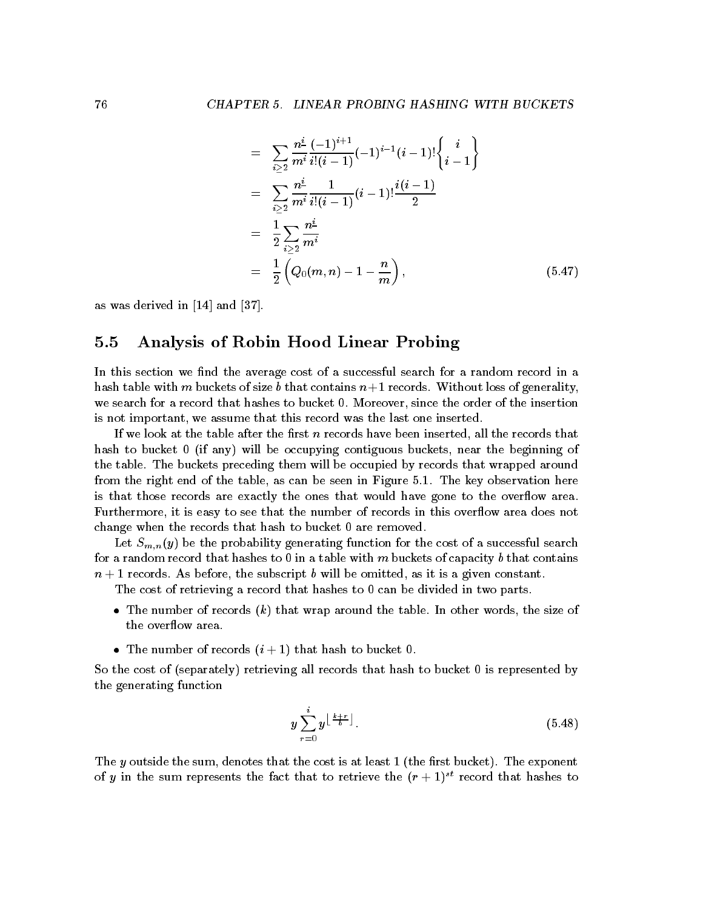$$
= \sum_{i\geq 2} \frac{n^{\underline{i}}}{m^i} \frac{(-1)^{i+1}}{i!(i-1)} (-1)^{i-1} (i-1)! \begin{cases} i \\ i-1 \end{cases}
$$
  
\n
$$
= \sum_{i\geq 2} \frac{n^{\underline{i}}}{m^i} \frac{1}{i!(i-1)} (i-1)! \frac{i(i-1)}{2}
$$
  
\n
$$
= \frac{1}{2} \sum_{i\geq 2} \frac{n^{\underline{i}}}{m^i}
$$
  
\n
$$
= \frac{1}{2} \left( Q_0(m,n) - 1 - \frac{n}{m} \right), \qquad (5.47)
$$

as was dered in the property of the state of the state of the state of the state of the state of the state of t

# 5.5 Analysis of Robin Hood Linear Probing

In this section we find the average cost of a successful search for a random record in a hash table with m buckets of size b that contains n - records Without loss of generality we search for a record that hashes to bucket 0. Moreover, since the order of the insertion is not important, we assume that this record was the last one inserted.

If we look at the table after the first  $n$  records have been inserted, all the records that hash to bucket  $\theta$  (if any) will be occupying contiguous buckets, near the beginning of the table The buckets preceding them will be occupied by records that wrapped around from the right end of the table as can be seen in Figure - The key observation here is that those records are exactly the ones that would have gone to the overflow area. Furthermore, it is easy to see that the number of records in this overflow area does not change when the records that hash to bucket 0 are removed.

Let  $S_{m,n}(y)$  be the probability generating function for the cost of a successful search for a random record that hashes to 0 in a table with m buckets of capacity b that contains n - records As before the subscript b will be omitted as it is a given constant

The cost of retrieving a record that hashes to 0 can be divided in two parts.

- The number of records kill that we have the table Internal the size of the size of the overflow area.
- The number of records in the number of records in the number of records in the state  $\mathbf{r}_i$

So the cost of (separately) retrieving all records that hash to bucket 0 is represented by the generating function

$$
y\sum_{r=0}^{i}y^{\left\lfloor\frac{k+r}{b}\right\rfloor}.
$$
\n(5.48)

The y constant that the sum denotes that the cost is at least - (i.e. cost) from the cost is at  $\mathcal T$ of  $y$  in the sum represents the fact that to retrieve the  $(r + 1)$  -record that hashes to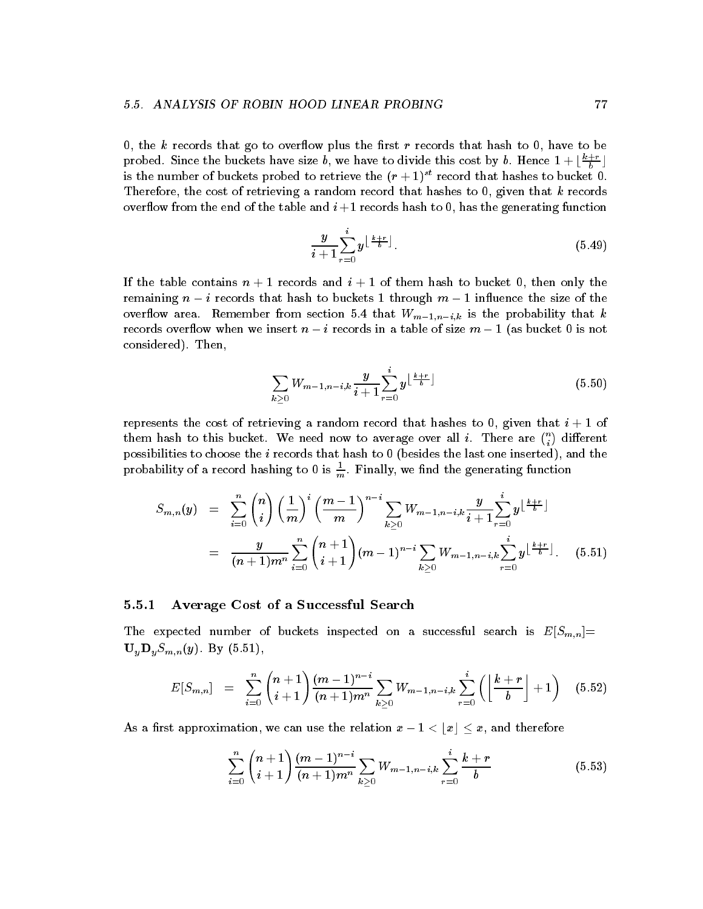0, the k records that go to overflow plus the first r records that hash to 0, have to be probed. Since the buckets have size  $b$ , we have to divide this cost by  $b$ . Hence  $1 + \lfloor \frac{a+b}{b} \rfloor$ is the number of buckets probed to retrieve the  $(r+1)^{+}$  record that hashes to bucket  $0.$ Therefore, the cost of retrieving a random record that hashes to  $0$ , given that k records over  $\mathbf{r}$  . The table and i - records has the generating function  $\mathbf{r}$  is the generating function function  $\mathbf{r}$ 

$$
\frac{y}{i+1} \sum_{r=0}^{i} y^{\left\lfloor \frac{k+r}{b} \right\rfloor}.
$$
 (5.49)

- the them to bucket  $\eta$  - -there mand i - if them has denote the mandate  $\eta$  there incl remaining n - through that the size of the size of the sign m - through m - through the size of the size overflow area. Remember from section 5.4 that  $W_{m-1,n-i,k}$  is the probability that k records over the when we insert it as a table of the size of size m in a table of size  $\sim$ considered). Then,

$$
\sum_{k\geq 0} W_{m-1,n-i,k} \frac{y}{i+1} \sum_{r=0}^{i} y^{\left\lfloor \frac{k+r}{b} \right\rfloor} \tag{5.50}
$$

represents the cost of retrieving a random record that hashes to given that i - of them hash to this bucket. We need now to average over all  $i.$  There are  $\binom{n}{i}$  different possibilities to choose the  $i$  records that hash to 0 (besides the last one inserted), and the probability of a record hashing to 0 is  $\frac{1}{m}$ . Finally, we find the generating function

$$
S_{m,n}(y) = \sum_{i=0}^{n} {n \choose i} \left(\frac{1}{m}\right)^i \left(\frac{m-1}{m}\right)^{n-i} \sum_{k\geq 0} W_{m-1,n-i,k} \frac{y}{i+1} \sum_{r=0}^i y^{\left\lfloor \frac{k+r}{b} \right\rfloor} \\
= \frac{y}{(n+1)m^n} \sum_{i=0}^{n} {n+1 \choose i+1} (m-1)^{n-i} \sum_{k\geq 0} W_{m-1,n-i,k} \sum_{r=0}^i y^{\left\lfloor \frac{k+r}{b} \right\rfloor}. \tag{5.51}
$$

## Average Cost of a Successful Search

The expected number of buckets inspected on a successful search is  $E[S_{m,n}]$ UyDySmny By - 

$$
E[S_{m,n}] = \sum_{i=0}^{n} {n+1 \choose i+1} \frac{(m-1)^{n-i}}{(n+1)m^n} \sum_{k \ge 0} W_{m-1,n-i,k} \sum_{r=0}^{i} \left( \left\lfloor \frac{k+r}{b} \right\rfloor + 1 \right) \quad (5.52)
$$

As a recovery we can use the relation  $\alpha$  and the relation  $\alpha$  -  $\alpha$  ,  $\alpha$  ,  $\alpha$  and  $\alpha$  and  $\alpha$  and  $\alpha$ 

$$
\sum_{i=0}^{n} {n+1 \choose i+1} \frac{(m-1)^{n-i}}{(n+1)m^n} \sum_{k \ge 0} W_{m-1,n-i,k} \sum_{r=0}^{i} \frac{k+r}{b}
$$
 (5.53)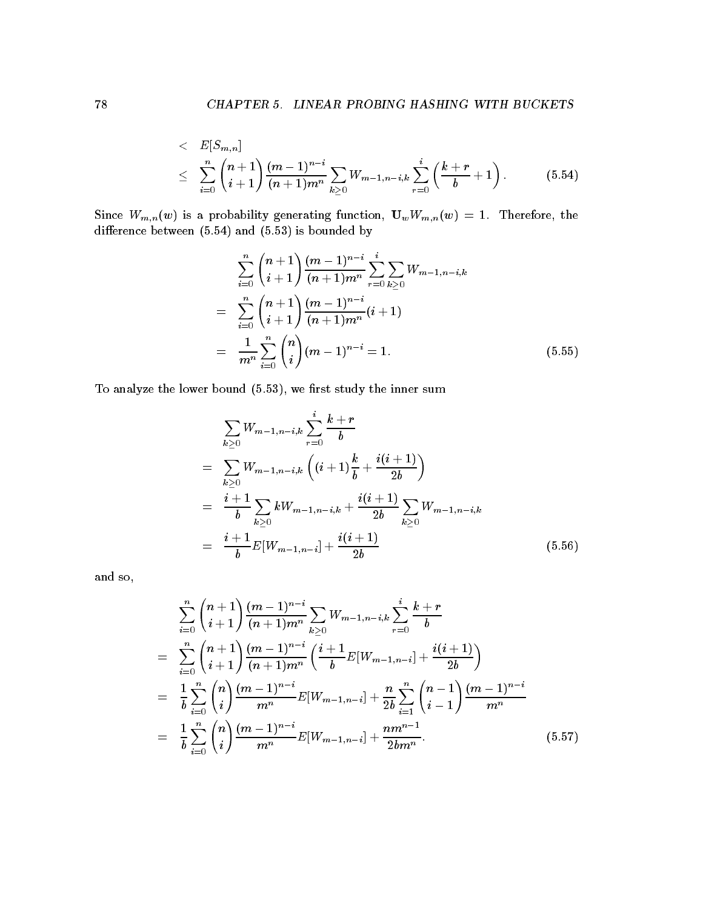$$
\begin{array}{lcl} < & E[S_{m,n}] \\ < & \sum\limits_{i=0}^{n} \binom{n+1}{i+1} \frac{(m-1)^{n-i}}{(n+1)m^n} \sum\limits_{k \geq 0} W_{m-1,n-i,k} \sum\limits_{r=0}^{i} \left( \frac{k+r}{b}+1 \right). \end{array} \tag{5.54}
$$

 $S$ ince  $W$  is a probability generating function  $S$  function  $U$  . Then  $W$  is a probability  $U$ difference between  $(5.54)$  and  $(5.53)$  is bounded by

$$
\sum_{i=0}^{n} {n+1 \choose i+1} \frac{(m-1)^{n-i}}{(n+1)m^n} \sum_{r=0}^{i} \sum_{k\geq 0} W_{m-1,n-i,k}
$$
\n
$$
= \sum_{i=0}^{n} {n+1 \choose i+1} \frac{(m-1)^{n-i}}{(n+1)m^n} (i+1)
$$
\n
$$
= \frac{1}{m^n} \sum_{i=0}^{n} {n \choose i} (m-1)^{n-i} = 1.
$$
\n(5.55)

To analyze the lower bound  $(5.53)$ , we first study the inner sum

$$
\sum_{k\geq 0} W_{m-1,n-i,k} \sum_{r=0}^{i} \frac{k+r}{b}
$$
\n
$$
= \sum_{k\geq 0} W_{m-1,n-i,k} \left( (i+1) \frac{k}{b} + \frac{i(i+1)}{2b} \right)
$$
\n
$$
= \frac{i+1}{b} \sum_{k\geq 0} k W_{m-1,n-i,k} + \frac{i(i+1)}{2b} \sum_{k\geq 0} W_{m-1,n-i,k}
$$
\n
$$
= \frac{i+1}{b} E[W_{m-1,n-i}] + \frac{i(i+1)}{2b} \tag{5.56}
$$

and so

$$
\sum_{i=0}^{n} {n+1 \choose i+1} \frac{(m-1)^{n-i}}{(n+1)m^n} \sum_{k\geq 0} W_{m-1,n-i,k} \sum_{r=0}^{i} \frac{k+r}{b}
$$
\n
$$
= \sum_{i=0}^{n} {n+1 \choose i+1} \frac{(m-1)^{n-i}}{(n+1)m^n} \left( \frac{i+1}{b} E[W_{m-1,n-i}] + \frac{i(i+1)}{2b} \right)
$$
\n
$$
= \frac{1}{b} \sum_{i=0}^{n} {n \choose i} \frac{(m-1)^{n-i}}{m^n} E[W_{m-1,n-i}] + \frac{n}{2b} \sum_{i=1}^{n} {n-1 \choose i-1} \frac{(m-1)^{n-i}}{m^n}
$$
\n
$$
= \frac{1}{b} \sum_{i=0}^{n} {n \choose i} \frac{(m-1)^{n-i}}{m^n} E[W_{m-1,n-i}] + \frac{nm^{n-1}}{2bm^n}.
$$
\n(5.57)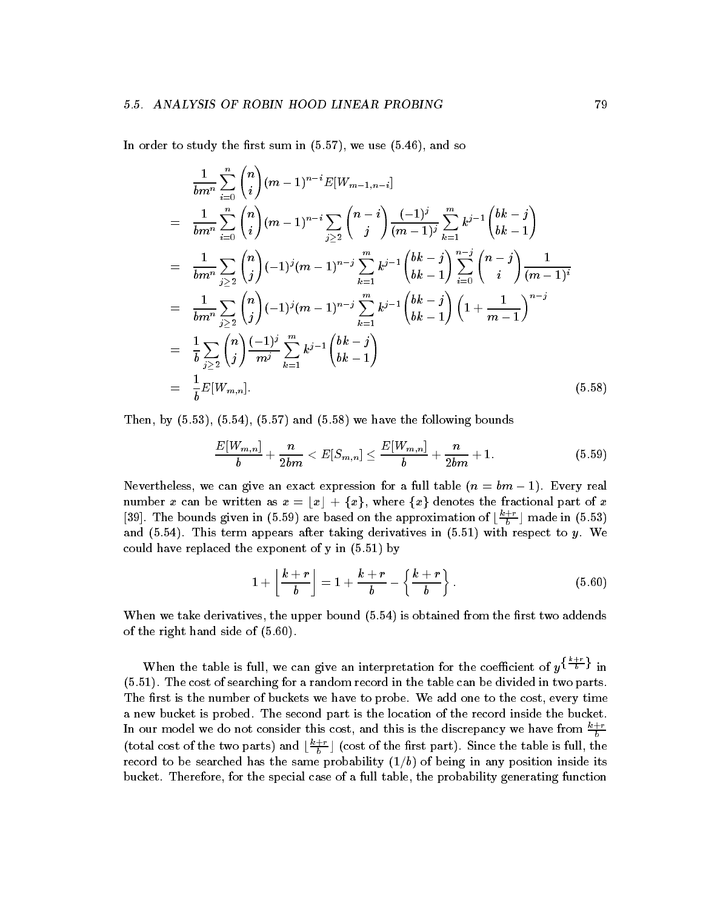In order to study the first sum in  $(5.57)$ , we use  $(5.46)$ , and so

$$
\frac{1}{bm^n} \sum_{i=0}^{n} {n \choose i} (m-1)^{n-i} E[W_{m-1,n-i}]
$$
\n
$$
= \frac{1}{bm^n} \sum_{i=0}^{n} {n \choose i} (m-1)^{n-i} \sum_{j\geq 2} {n-i \choose j} \frac{(-1)^j}{(m-1)^j} \sum_{k=1}^{m} k^{j-1} {bk-j \choose bk-1}
$$
\n
$$
= \frac{1}{bm^n} \sum_{j\geq 2} {n \choose j} (-1)^j (m-1)^{n-j} \sum_{k=1}^{m} k^{j-1} {bk-j \choose bk-1} \sum_{i=0}^{n-j} {n-j \choose i} \frac{1}{(m-1)^i}
$$
\n
$$
= \frac{1}{bm^n} \sum_{j\geq 2} {n \choose j} (-1)^j (m-1)^{n-j} \sum_{k=1}^{m} k^{j-1} {bk-j \choose bk-1} \left(1 + \frac{1}{m-1}\right)^{n-j}
$$
\n
$$
= \frac{1}{b} \sum_{j\geq 2} {n \choose j} \frac{(-1)^j}{m^j} \sum_{k=1}^{m} k^{j-1} {bk-j \choose bk-1}
$$
\n
$$
= \frac{1}{b} E[W_{m,n}]. \tag{5.58}
$$

Then, by  $(5.53)$ ,  $(5.54)$ ,  $(5.57)$  and  $(5.58)$  we have the following bounds

$$
\frac{E[W_{m,n}]}{b} + \frac{n}{2bm} < E[S_{m,n}] \le \frac{E[W_{m,n}]}{b} + \frac{n}{2bm} + 1. \tag{5.59}
$$

Nevertheless we can give an exact expression for a full table n bm - Every real number x can be written as  $x = |x| + \{x\}$ , where  $\{x\}$  denotes the fractional part of x [59]. The bounds given in (5.59) are based on the approximation of  $\left[\frac{n+1}{b}\right]$  made in (5.55) and  $\alpha$  this term after the this term and the companished in  $\alpha$  with  $\alpha$  y  $\alpha$  with  $\alpha$  with  $\alpha$ could have replaced the exponent of y in - by

$$
1 + \left\lfloor \frac{k+r}{b} \right\rfloor = 1 + \frac{k+r}{b} - \left\{ \frac{k+r}{b} \right\}.
$$
 (5.60)

When we take derivatives, the upper bound  $(5.54)$  is obtained from the first two addends of the right hand side of  $(5.60)$ .

When the table is full, we can give an interpretation for the coefficient of  $y^{\{\frac{n}{b}-\}}$  in - The cost of searching for a random record in the table can be divided in two parts The first is the number of buckets we have to probe. We add one to the cost, every time a new bucket is probed. The second part is the location of the record inside the bucket. In our model we do not consider this cost, and this is the discrepancy we have from  $\frac{k+r}{b}$ (total cost of the two parts) and  $\lfloor \frac{a}{b} \rfloor$  (cost of the first part). Since the table is full, the record to be seened has the same probability in a sample in any position inside its bucket. Therefore, for the special case of a full table, the probability generating function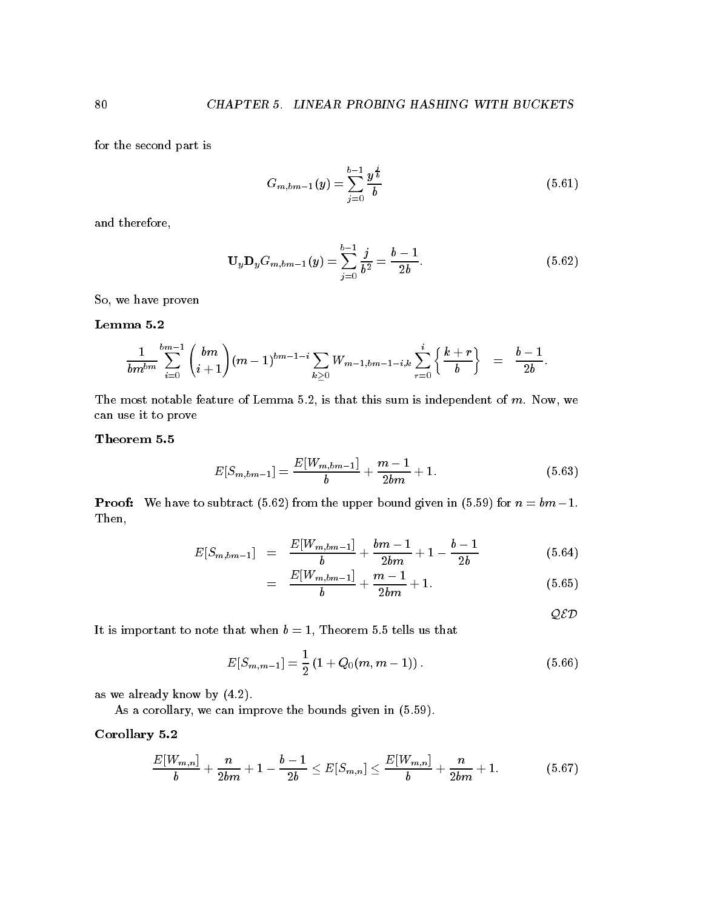for the second part is

$$
G_{m,bm-1}(y) = \sum_{j=0}^{b-1} \frac{y^{\frac{j}{b}}}{b}
$$
\n(5.61)

and therefore

$$
\mathbf{U}_y \mathbf{D}_y G_{m,bm-1}(y) = \sum_{j=0}^{b-1} \frac{j}{b^2} = \frac{b-1}{2b}.
$$
 (5.62)

So, we have proven

$$
\frac{1}{bm^{bm}}\sum_{i=0}^{bm-m}\binom{bm}{i+1}(m-1)^{bm-1-i}\sum_{k\geq 0}W_{m-1,bm-1-i,k}\sum_{r=0}^{i}\left\{\frac{k+r}{b}\right\} = \frac{b-1}{2b}.
$$

The most notable feature of Lemma 5.2, is that this sum is independent of  $m$ . Now, we can use it to prove

$$
E[S_{m,bm-1}] = \frac{E[W_{m,bm-1}]}{b} + \frac{m-1}{2bm} + 1.
$$
\n(5.63)

Proof We have to subtract from the upper bound given in for n bm- Then

$$
E[S_{m,bm-1}] = \frac{E[W_{m,bm-1}]}{b} + \frac{bm-1}{2bm} + 1 - \frac{b-1}{2b} \tag{5.64}
$$

$$
= \frac{E[W_{m,bm-1}]}{b} + \frac{m-1}{2bm} + 1. \tag{5.65}
$$

 $QED$ 

It is important to note that when b  $\mathbb{I}$  is that when b  $\mathbb{I}$ 

$$
E[S_{m,m-1}] = \frac{1}{2} (1 + Q_0(m, m-1)).
$$
 (5.66)

as we already know by  $(4.2)$ .

As a corollary, we can improve the bounds given in  $(5.59)$ .

## Corollary -

$$
\frac{E[W_{m,n}]}{b}+\frac{n}{2bm}+1-\frac{b-1}{2b}\leq E[S_{m,n}]\leq \frac{E[W_{m,n}]}{b}+\frac{n}{2bm}+1. \hspace{1.5cm} (5.67)
$$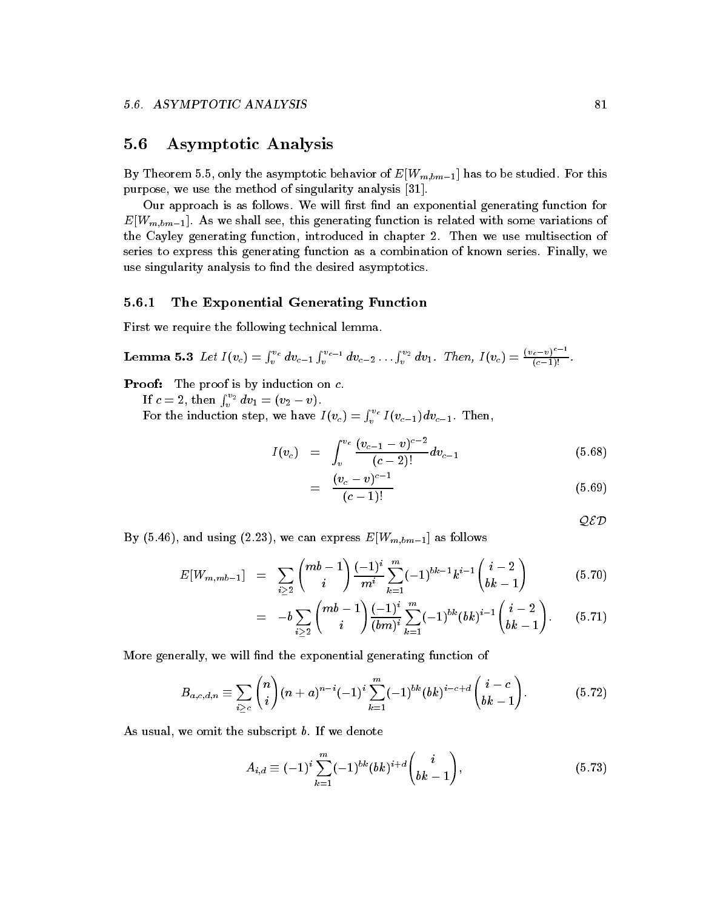## $5.6$ Asymptotic Analysis

By Theorem 5.5, only the asymptotic behavior of  $E[W_{m,bm-1}]$  has to be studied. For this purpose we use the method of singularity analysis -

Our approach is as follows. We will first find an exponential generating function for  $E[W_{m,bm-1}]$ . As we shall see, this generating function is related with some variations of the Cayley generating function, introduced in chapter 2. Then we use multisection of series to express this generating function as a combination of known series. Finally, we use singularity analysis to find the desired asymptotics.

# The Exponential Generating Function

First we require the following technical lemma

**Lemma 5.3** Let 
$$
I(v_c) = \int_v^{v_c} dv_{c-1} \int_v^{v_{c-1}} dv_{c-2} \ldots \int_v^{v_2} dv_1
$$
. Then,  $I(v_c) = \frac{(v_c - v)^{c-1}}{(c-1)!}$ .

**Proof:** The proof is by induction on  $c$ .

If  $c=2, \text{ then } \int_v^{v_2} dv_1 = (v_2 - v).$ 

For the induction step, we have  $I\left(v_c\right)=\int_v^{v_c}I\left(v_{c-1}\right)dv_{c-1}.$  Then,

$$
I(v_c) = \int_v^{v_c} \frac{(v_{c-1} - v)^{c-2}}{(c-2)!} dv_{c-1}
$$
\n(5.68)

$$
= \frac{(v_c - v)^{c-1}}{(c-1)!} \tag{5.69}
$$

QED

By (5.46), and using (2.23), we can express  $E[W_{m,bm-1}]$  as follows

$$
E[W_{m,mb-1}] = \sum_{i \geq 2} \binom{mb-1}{i} \frac{(-1)^i}{m^i} \sum_{k=1}^m (-1)^{bk-1} k^{i-1} \binom{i-2}{bk-1} \tag{5.70}
$$

$$
= -b \sum_{i \geq 2} \binom{mb-1}{i} \frac{(-1)^i}{(bm)^i} \sum_{k=1}^m (-1)^{bk} (bk)^{i-1} \binom{i-2}{bk-1}.
$$
 (5.71)

More generally, we will find the exponential generating function of

$$
B_{a,c,d,n} \equiv \sum_{i \geq c} \binom{n}{i} (n+a)^{n-i} (-1)^i \sum_{k=1}^m (-1)^{bk} (bk)^{i-c+d} \binom{i-c}{bk-1}.
$$
 (5.72)

As usual, we omit the subscript  $b$ . If we denote

$$
A_{i,d} \equiv (-1)^i \sum_{k=1}^m (-1)^{bk} (bk)^{i+d} \binom{i}{bk-1}, \tag{5.73}
$$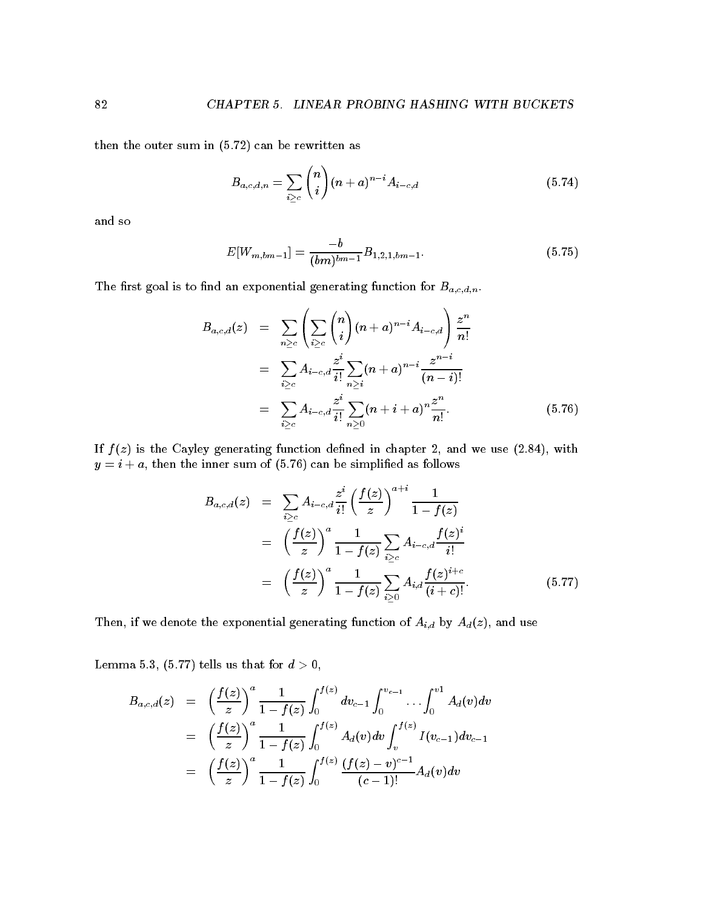then the outer sum in  $(5.72)$  can be rewritten as

$$
B_{a,c,d,n} = \sum_{i \ge c} \binom{n}{i} (n+a)^{n-i} A_{i-c,d} \tag{5.74}
$$

and so

$$
E[W_{m,bm-1}] = \frac{-b}{(bm)^{bm-1}} B_{1,2,1,bm-1}.
$$
\n(5.75)

The first goal is to find an exponential generating function for  $B_{a,c,d,n}$ .

$$
B_{a,c,d}(z) = \sum_{n \geq c} \left( \sum_{i \geq c} {n \choose i} (n+a)^{n-i} A_{i-c,d} \right) \frac{z^n}{n!}
$$
  
\n
$$
= \sum_{i \geq c} A_{i-c,d} \frac{z^i}{i!} \sum_{n \geq i} (n+a)^{n-i} \frac{z^{n-i}}{(n-i)!}
$$
  
\n
$$
= \sum_{i \geq c} A_{i-c,d} \frac{z^i}{i!} \sum_{n \geq 0} (n+i+a)^n \frac{z^n}{n!}.
$$
 (5.76)

If  $f(z)$  is the Cayley generating function defined in chapter 2, and we use (2.84), with  $y = i + a$ , then the inner sum of (5.76) can be simplified as follows

$$
B_{a,c,d}(z) = \sum_{i \geq c} A_{i-c,d} \frac{z^i}{i!} \left(\frac{f(z)}{z}\right)^{a+i} \frac{1}{1 - f(z)}
$$
  

$$
= \left(\frac{f(z)}{z}\right)^a \frac{1}{1 - f(z)} \sum_{i \geq c} A_{i-c,d} \frac{f(z)^i}{i!}
$$
  

$$
= \left(\frac{f(z)}{z}\right)^a \frac{1}{1 - f(z)} \sum_{i \geq 0} A_{i,d} \frac{f(z)^{i+c}}{(i+c)!}.
$$
 (5.77)

Then, if we denote the exponential generating function of  $A_{i,d}$  by  $A_d(z)$ , and use

 $\mathcal{L}$  tells us that for d - tells us that for d - tells us that for d - tells us that for d - tells us that for d - tells us that for d - tells us that for d - tells us that for d - tells us that for d - tells us that

$$
B_{a,c,d}(z) = \left(\frac{f(z)}{z}\right)^a \frac{1}{1 - f(z)} \int_0^{f(z)} dv_{c-1} \int_0^{v_{c-1}} \dots \int_0^{v_1} A_d(v) dv
$$
  
\n
$$
= \left(\frac{f(z)}{z}\right)^a \frac{1}{1 - f(z)} \int_0^{f(z)} A_d(v) dv \int_v^{f(z)} I(v_{c-1}) dv_{c-1}
$$
  
\n
$$
= \left(\frac{f(z)}{z}\right)^a \frac{1}{1 - f(z)} \int_0^{f(z)} \frac{(f(z) - v)^{c-1}}{(c-1)!} A_d(v) dv
$$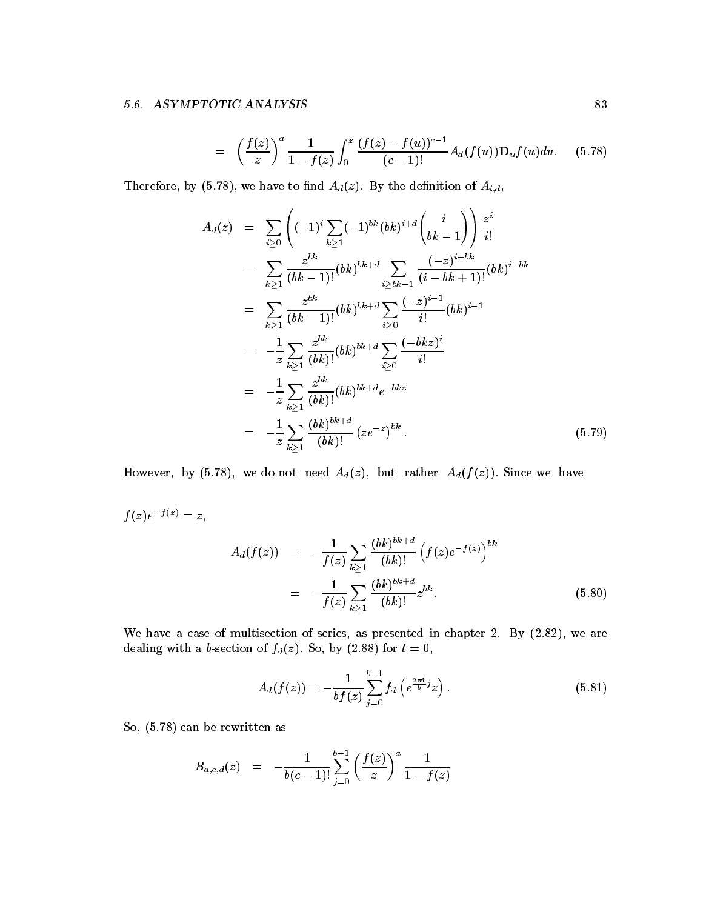$$
= \left(\frac{f(z)}{z}\right)^a \frac{1}{1-f(z)} \int_0^z \frac{(f(z)-f(u))^{c-1}}{(c-1)!} A_d(f(u)) \mathbf{D}_u f(u) du. \quad (5.78)
$$

Therefore, by (5.78), we have to find  $A_d(z)$ . By the definition of  $A_{i,d}$ ,

$$
A_d(z) = \sum_{i\geq 0} \left( (-1)^i \sum_{k\geq 1} (-1)^{bk} (bk)^{i+d} \binom{i}{bk-1} \right) \frac{z^i}{i!}
$$
  
\n
$$
= \sum_{k\geq 1} \frac{z^{bk}}{(bk-1)!} (bk)^{bk+d} \sum_{i\geq bk-1} \frac{(-z)^{i-bk}}{(i-bk+1)!} (bk)^{i-bk}
$$
  
\n
$$
= \sum_{k\geq 1} \frac{z^{bk}}{(bk-1)!} (bk)^{bk+d} \sum_{i\geq 0} \frac{(-z)^{i-1}}{i!} (bk)^{i-1}
$$
  
\n
$$
= -\frac{1}{z} \sum_{k\geq 1} \frac{z^{bk}}{(bk)!} (bk)^{bk+d} \sum_{i\geq 0} \frac{(-bkz)^i}{i!}
$$
  
\n
$$
= -\frac{1}{z} \sum_{k\geq 1} \frac{z^{bk}}{(bk)!} (bk)^{bk+d} e^{-bkz}
$$
  
\n
$$
= -\frac{1}{z} \sum_{k\geq 1} \frac{(bk)^{bk+d}}{(bk)!} (ze^{-z})^{bk}.
$$
 (5.79)

However, by (5.78), we do not need  $A_d(z)$ , but rather  $A_d(f(z))$ . Since we have

$$
f(z)e^{-f(z)}=z,
$$

$$
A_d(f(z)) = -\frac{1}{f(z)} \sum_{k \ge 1} \frac{(bk)^{bk+d}}{(bk)!} \left(f(z)e^{-f(z)}\right)^{bk}
$$
  
= 
$$
-\frac{1}{f(z)} \sum_{k \ge 1} \frac{(bk)^{bk+d}}{(bk)!} z^{bk}.
$$
 (5.80)

We have a case of multisection of series, as presented in chapter 2. By  $(2.82)$ , we are dealing with a b-section of  $f_d(z)$ . So, by (2.88) for  $t=0$ ,

$$
A_d(f(z)) = -\frac{1}{b f(z)} \sum_{j=0}^{b-1} f_d\left(e^{\frac{2\pi i}{b}j} z\right).
$$
 (5.81)

So,  $(5.78)$  can be rewritten as

$$
B_{a,c,d}(z) = -\frac{1}{b(c-1)!} \sum_{j=0}^{b-1} \left(\frac{f(z)}{z}\right)^a \frac{1}{1-f(z)}
$$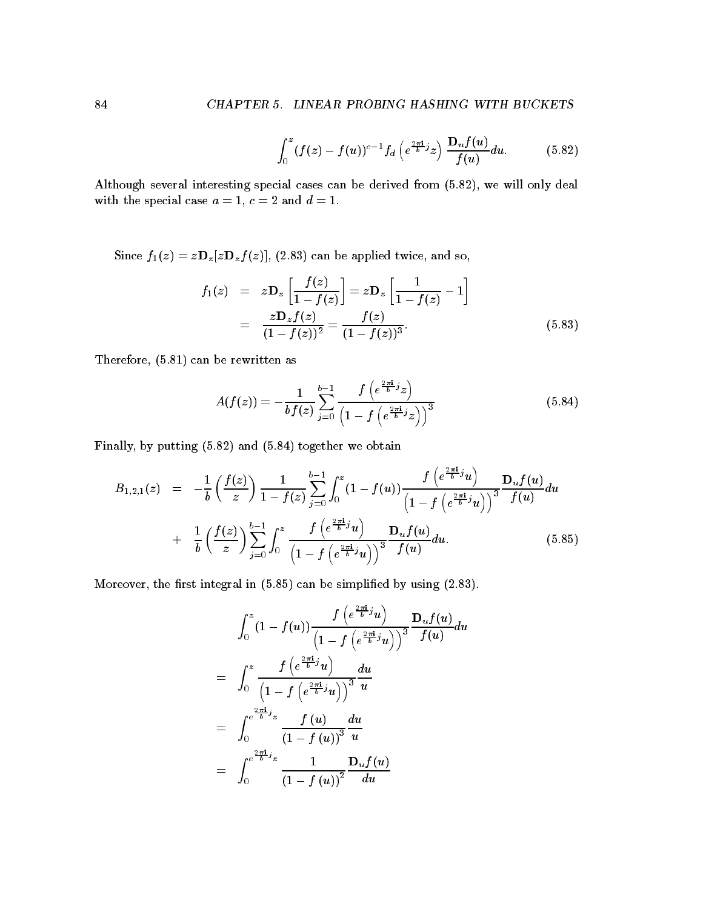$$
\int_0^z (f(z)-f(u))^{c-1} f_d\left(e^{\frac{2\pi\mathbf{i}}{b}j}z\right) \frac{\mathbf{D}_u f(u)}{f(u)} du. \tag{5.82}
$$

Although several interesting special cases can be derived from  $(5.82)$ , we will only deal with the special case a  $\sim$  -  $\sim$   $\sim$   $\sim$   $\sim$   $\sim$   $\sim$   $\sim$ 

Since  $f_1(z) = z \mathbf{D}_z[z \mathbf{D}_z f(z)]$ , (2.83) can be applied twice, and so,

$$
f_1(z) = z \mathbf{D}_z \left[ \frac{f(z)}{1 - f(z)} \right] = z \mathbf{D}_z \left[ \frac{1}{1 - f(z)} - 1 \right]
$$
  
= 
$$
\frac{z \mathbf{D}_z f(z)}{(1 - f(z))^2} = \frac{f(z)}{(1 - f(z))^3}.
$$
 (5.83)

Therefore - can be rewritten as

$$
A(f(z)) = -\frac{1}{b f(z)} \sum_{j=0}^{b-1} \frac{f\left(e^{\frac{2\pi i}{b}j} z\right)}{\left(1 - f\left(e^{\frac{2\pi i}{b}j} z\right)\right)^3}
$$
(5.84)

Finally, by putting  $(5.82)$  and  $(5.84)$  together we obtain

$$
B_{1,2,1}(z) = -\frac{1}{b} \left( \frac{f(z)}{z} \right) \frac{1}{1 - f(z)} \sum_{j=0}^{b-1} \int_0^z (1 - f(u)) \frac{f\left(e^{\frac{2\pi i}{b}j}u\right)}{\left(1 - f\left(e^{\frac{2\pi i}{b}j}u\right)\right)^3} \frac{\mathbf{D}_u f(u)}{f(u)} du + \frac{1}{b} \left( \frac{f(z)}{z} \right) \sum_{j=0}^{b-1} \int_0^z \frac{f\left(e^{\frac{2\pi i}{b}j}u\right)}{\left(1 - f\left(e^{\frac{2\pi i}{b}j}u\right)\right)^3} \frac{\mathbf{D}_u f(u)}{f(u)} du.
$$
(5.85)

Moreover, the first integral in  $(5.85)$  can be simplified by using  $(2.83)$ .

$$
\int_0^z (1 - f(u)) \frac{f\left(e^{\frac{2\pi i}{b}j}u\right)}{\left(1 - f\left(e^{\frac{2\pi i}{b}j}u\right)\right)^3} \frac{D_u f(u)}{f(u)} du
$$
\n
$$
= \int_0^z \frac{f\left(e^{\frac{2\pi i}{b}j}u\right)}{\left(1 - f\left(e^{\frac{2\pi i}{b}j}u\right)\right)^3} \frac{du}{u}
$$
\n
$$
= \int_0^{e^{\frac{2\pi i}{b}j}z} \frac{f(u)}{\left(1 - f(u)\right)^3} \frac{du}{u}
$$
\n
$$
= \int_0^{e^{\frac{2\pi i}{b}j}z} \frac{1}{\left(1 - f(u)\right)^2} \frac{D_u f(u)}{du}
$$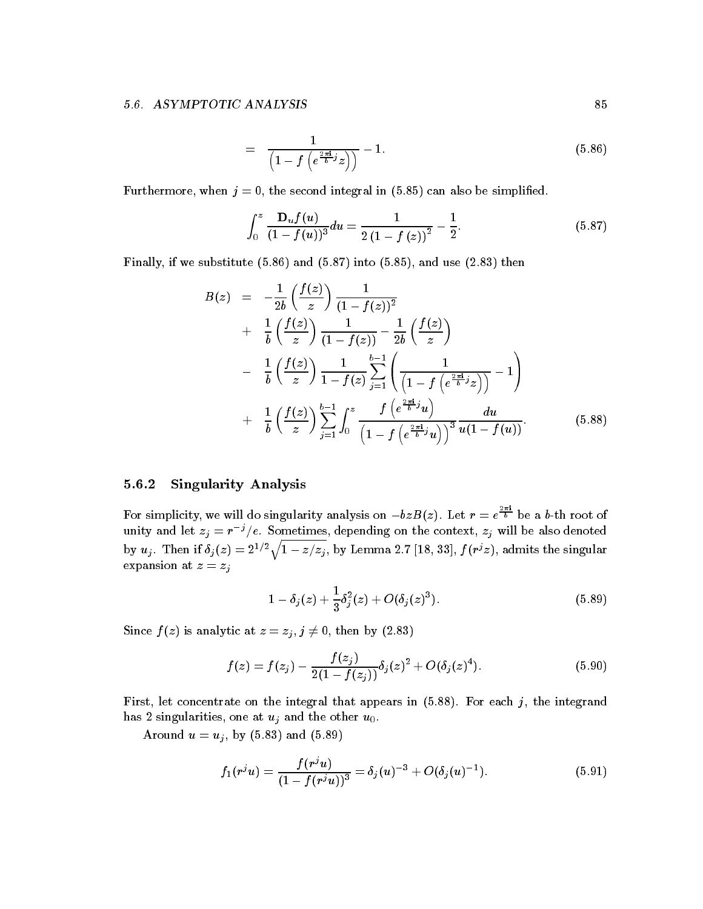$$
= \frac{1}{\left(1 - f\left(e^{\frac{2\pi i}{b}j}z\right)\right)} - 1.
$$
\n(5.86)

Furthermore, when  $j = 0$ , the second integral in (5.85) can also be simplified.

$$
\int_0^z \frac{\mathbf{D}_u f(u)}{(1 - f(u))^3} du = \frac{1}{2 (1 - f(z))^2} - \frac{1}{2}.
$$
 (5.87)

Finally, if we substitute  $(5.86)$  and  $(5.87)$  into  $(5.85)$ , and use  $(2.83)$  then

$$
B(z) = -\frac{1}{2b} \left( \frac{f(z)}{z} \right) \frac{1}{(1 - f(z))^2} + \frac{1}{b} \left( \frac{f(z)}{z} \right) \frac{1}{(1 - f(z))} - \frac{1}{2b} \left( \frac{f(z)}{z} \right) - \frac{1}{b} \left( \frac{f(z)}{z} \right) \frac{1}{1 - f(z)} \sum_{j=1}^{b-1} \left( \frac{1}{\left( 1 - f\left( e^{\frac{2\pi i}{b}j} z \right) \right)} - 1 \right) + \frac{1}{b} \left( \frac{f(z)}{z} \right) \sum_{j=1}^{b-1} \int_0^z \frac{f\left( e^{\frac{2\pi i}{b}j} u \right)}{\left( 1 - f\left( e^{\frac{2\pi i}{b}j} u \right) \right)^3} \frac{du}{u(1 - f(u))}.
$$
(5.88)

# Singularity Analysis

For simplicity, we will do singularity analysis on  $-bzB(z)$ . Let  $r=e^{\frac{-\pi}{b}}$  be a b-th root of unity and let  $z_j = r^{-j}/e$ . Sometimes, depending on the context,  $z_j$  will be also denoted by  $u_i$ . Then if  $\delta_i(z) = 2^{1/2} \sqrt{1-z/z}$  $1-z/z_i$ , by Lemma 2.7 [18, 33],  $f(r^z\bar{z})$ , admits the singular expansion at  $z = z_j$ 

$$
1 - \delta_j(z) + \frac{1}{3}\delta_j^2(z) + O(\delta_j(z)^3). \tag{5.89}
$$

Since  $f(z)$  is analytic at  $z = z_j$ ,  $j \neq 0$ , then by (2.83)

$$
f(z) = f(z_j) - \frac{f(z_j)}{2(1 - f(z_j))} \delta_j(z)^2 + O(\delta_j(z)^4).
$$
 (5.90)

First, let concentrate on the integral that appears in  $(5.88)$ . For each j, the integrand has 2 singularities, one at  $u_j$  and the other  $u_0$ .

Around  $u = u_j$ , by (5.83) and (5.89)

$$
f_1(r^j u) = \frac{f(r^j u)}{(1 - f(r^j u))^3} = \delta_j(u)^{-3} + O(\delta_j(u)^{-1}).
$$
\n(5.91)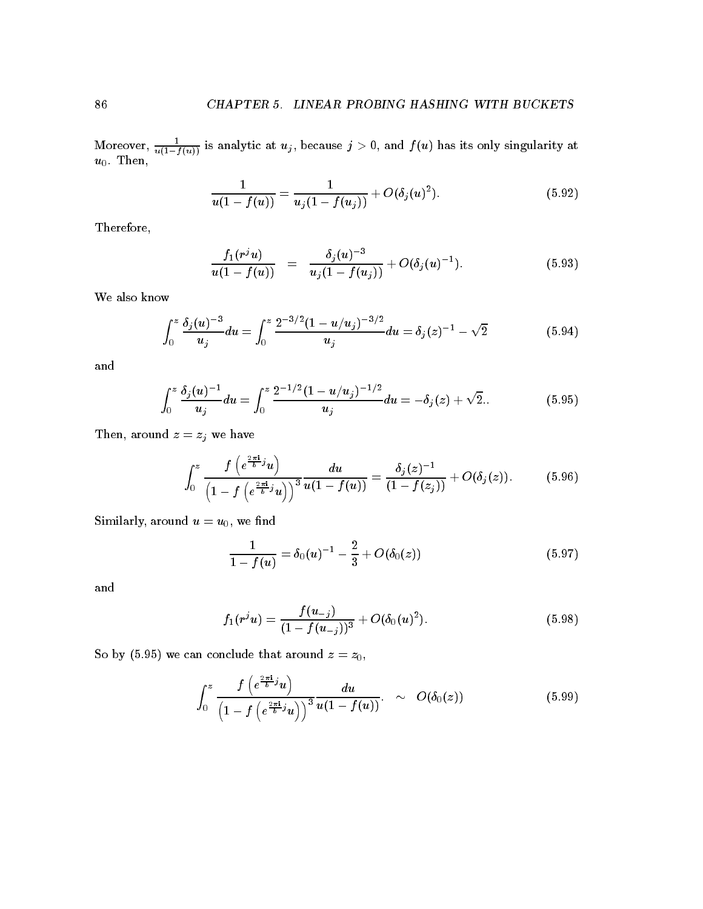Moreover,  $\frac{u}{u(1-f(u))}$  is analytic at  $u_j$ , because  $j > 0$ , and  $f(u)$  has its only singularity at u Then

$$
\frac{1}{u(1-f(u))} = \frac{1}{u_j(1-f(u_j))} + O(\delta_j(u)^2). \tag{5.92}
$$

Therefore

$$
\frac{f_1(r^j u)}{u(1-f(u))} = \frac{\delta_j(u)^{-3}}{u_j(1-f(u_j))} + O(\delta_j(u)^{-1}). \tag{5.93}
$$

We also know

$$
\int_0^z \frac{\delta_j(u)^{-3}}{u_j} du = \int_0^z \frac{2^{-3/2} (1 - u/u_j)^{-3/2}}{u_j} du = \delta_j(z)^{-1} - \sqrt{2}
$$
(5.94)

and

$$
\int_0^z \frac{\delta_j(u)^{-1}}{u_j} du = \int_0^z \frac{2^{-1/2} (1 - u/u_j)^{-1/2}}{u_j} du = -\delta_j(z) + \sqrt{2}.
$$
 (5.95)

Then, around  $z = z_j$  we have

$$
\int_0^z \frac{f\left(e^{\frac{2\pi \mathbf{i}}{b}j}u\right)}{\left(1-f\left(e^{\frac{2\pi \mathbf{i}}{b}j}u\right)\right)^3} \frac{du}{u(1-f(u))} = \frac{\delta_j(z)^{-1}}{(1-f(z_j))} + O(\delta_j(z)). \tag{5.96}
$$

Similarly, around  $u = u_0$ , we find

$$
\frac{1}{1 - f(u)} = \delta_0(u)^{-1} - \frac{2}{3} + O(\delta_0(z))
$$
\n(5.97)

and

$$
f_1(r^j u) = \frac{f(u_{-j})}{(1 - f(u_{-j}))^3} + O(\delta_0(u)^2).
$$
 (5.98)

So by (5.95) we can conclude that around  $z = z_0$ ,

$$
\int_0^z \frac{f\left(e^{\frac{2\pi \mathbf{i}}{b}j}u\right)}{\left(1-f\left(e^{\frac{2\pi \mathbf{i}}{b}j}u\right)\right)^3} \frac{du}{u(1-f(u))} \sim O(\delta_0(z)) \tag{5.99}
$$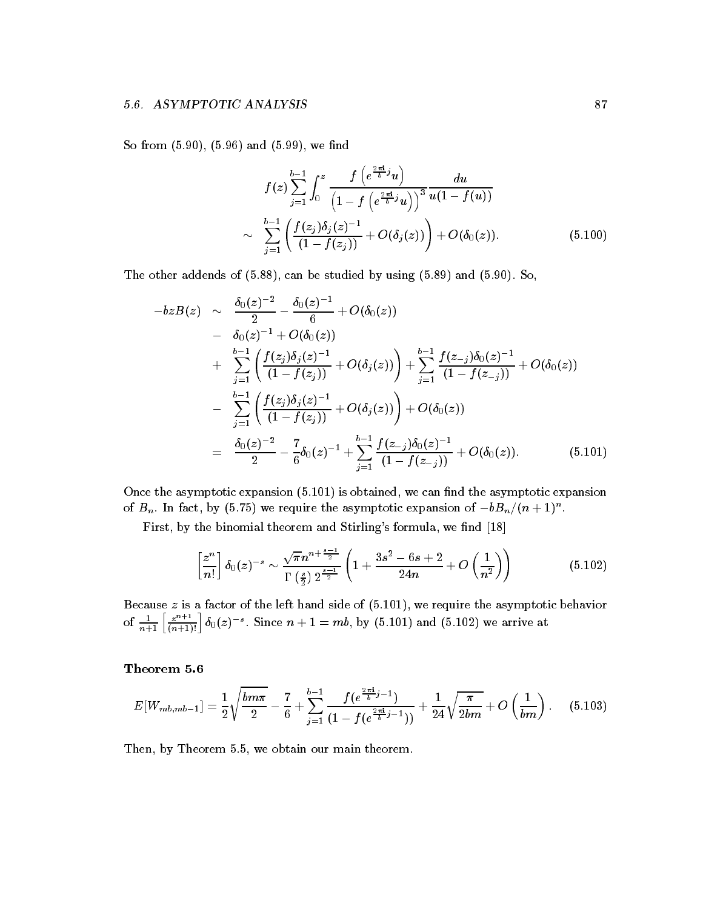So from  $(5.90)$ ,  $(5.96)$  and  $(5.99)$ , we find

$$
f(z) \sum_{j=1}^{b-1} \int_0^z \frac{f\left(e^{\frac{2\pi \mathbf{i}}{b}j}u\right)}{\left(1 - f\left(e^{\frac{2\pi \mathbf{i}}{b}j}u\right)\right)^3} \frac{du}{u(1 - f(u))}
$$
  
 
$$
\sim \sum_{j=1}^{b-1} \left(\frac{f(z_j)\delta_j(z)^{-1}}{(1 - f(z_j))} + O(\delta_j(z))\right) + O(\delta_0(z)). \tag{5.100}
$$

The other addends of  $(5.88)$ , can be studied by using  $(5.89)$  and  $(5.90)$ . So,

$$
-b z B(z) \sim \frac{\delta_0(z)^{-2}}{2} - \frac{\delta_0(z)^{-1}}{6} + O(\delta_0(z))
$$
  
\n
$$
- \frac{\delta_0(z)^{-1} + O(\delta_0(z))}{(1 - f(z_j))} + O(\delta_j(z)) + \sum_{j=1}^{b-1} \frac{f(z_j)\delta_0(z)^{-1}}{(1 - f(z_j))} + O(\delta_0(z))
$$
  
\n
$$
- \sum_{j=1}^{b-1} \left( \frac{f(z_j)\delta_j(z)^{-1}}{(1 - f(z_j))} + O(\delta_j(z)) \right) + O(\delta_0(z))
$$
  
\n
$$
= \frac{\delta_0(z)^{-2}}{2} - \frac{7}{6}\delta_0(z)^{-1} + \sum_{j=1}^{b-1} \frac{f(z_j)\delta_0(z)^{-1}}{(1 - f(z_j))} + O(\delta_0(z)). \tag{5.101}
$$

Once the asymptotic expansion -- is obtained we can nd the asymptotic expansion of  $B_n$  . In fact, by (5.75) we require the asymptotic expansion of  $-\theta B_n/(n+1)$  .

First by the binomial theorem and Stirlings formula we nd -

$$
\left[\frac{z^n}{n!}\right] \delta_0(z)^{-s} \sim \frac{\sqrt{\pi} n^{n+\frac{s-1}{2}}}{\Gamma\left(\frac{s}{2}\right) 2^{\frac{s-1}{2}}} \left(1 + \frac{3s^2 - 6s + 2}{24n} + O\left(\frac{1}{n^2}\right)\right) \tag{5.102}
$$

Because z is a factor of the left hand side of -- we require the asymptotic behavior of  $\frac{1}{n+1} \left[ \frac{z^{n+1}}{(n+1)!} \right] \delta_0(z)^{-s}$ . Since  $n+1 = mb$ , by (5.101) and (5.102) we arrive at

$$
E[W_{mb,mb-1}] = \frac{1}{2} \sqrt{\frac{bm\pi}{2}} - \frac{7}{6} + \sum_{j=1}^{b-1} \frac{f(e^{\frac{2\pi i}{b}j-1})}{(1 - f(e^{\frac{2\pi i}{b}j-1}))} + \frac{1}{24} \sqrt{\frac{\pi}{2bm}} + O\left(\frac{1}{bm}\right). \tag{5.103}
$$

Then, by Theorem 5.5, we obtain our main theorem.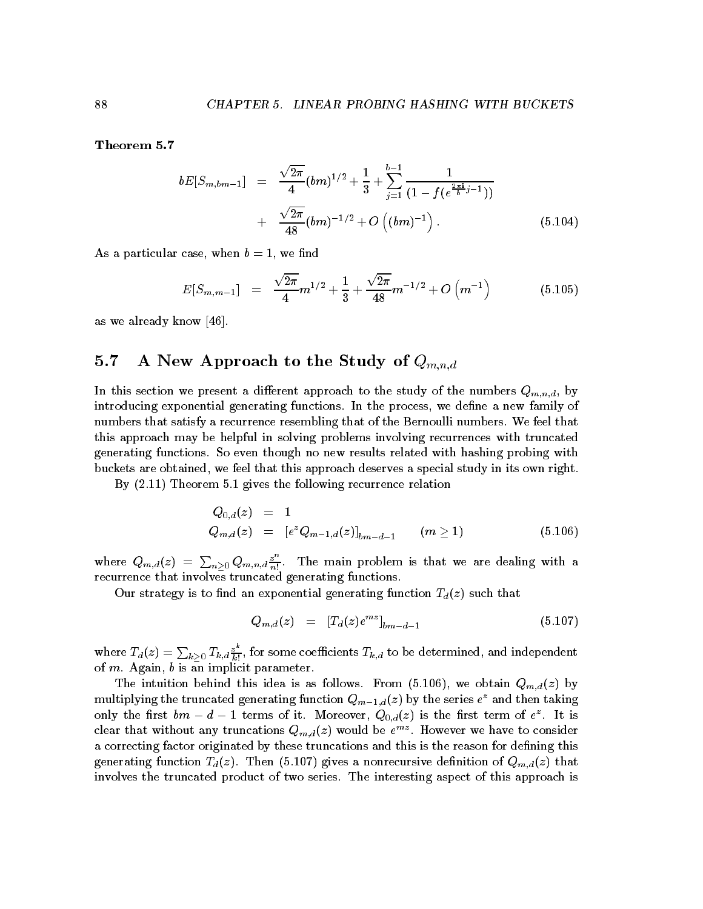$$
bE[S_{m,bm-1}] = \frac{\sqrt{2\pi}}{4}(bm)^{1/2} + \frac{1}{3} + \sum_{j=1}^{b-1} \frac{1}{(1 - f(e^{\frac{2\pi i}{b}j - 1}))}
$$
  
+ 
$$
\frac{\sqrt{2\pi}}{48}(bm)^{-1/2} + O\left((bm)^{-1}\right).
$$
 (5.104)

As a particular case when b - we nd

$$
E[S_{m,m-1}] = \frac{\sqrt{2\pi}}{4}m^{1/2} + \frac{1}{3} + \frac{\sqrt{2\pi}}{48}m^{-1/2} + O\left(m^{-1}\right) \tag{5.105}
$$

as we already know  $[46]$ .

## $5.7$ A New Approach to the Study of  $Q_{m,n,d}$

In this section we present a different approach to the study of the numbers  $Q_{m,n,d}$ , by introducing exponential generating functions. In the process, we define a new family of numbers that satisfy a recurrence resembling that of the Bernoulli numbers. We feel that this approach may be helpful in solving problems involving recurrences with truncated generating functions. So even though no new results related with hashing probing with buckets are obtained, we feel that this approach deserves a special study in its own right.

By -- Theorem - gives the following recurrence relation

$$
\begin{array}{lcl} Q_{0,d}(z) & = & 1 \\ Q_{m,d}(z) & = & \left[ e^z Q_{m-1,d}(z) \right]_{bm-d-1} \qquad (m \geq 1) \end{array} \tag{5.106}
$$

where  $Q_{m,d}(z) = \sum_{n>0} Q_{m,n,d} \frac{z^n}{n!}$ . The main problem is that we are dealing with a recurrence that involves truncated generating functions

Our strategy is to find an exponential generating function  $T_d(z)$  such that

$$
Q_{m,d}(z) = [T_d(z)e^{mz}]_{bm-d-1}
$$
\n(5.107)

where  $T_d(z)=\sum_{k>0}T_{k,d}\frac{z^*}{k!},$  for some coefficients  $T_{k,d}$  to be determined, and independent of  $m$ . Again,  $b$  is an implicit parameter.

 $\mathcal{L}$  is assumed the intuition behind the interest of  $\mathcal{L}$  is assumed  $\mathcal{L}$  ,  $\mathcal{L}$  and  $\mathcal{L}$  and  $\mathcal{L}$  and  $\mathcal{L}$  and  $\mathcal{L}$  and  $\mathcal{L}$  and  $\mathcal{L}$  and  $\mathcal{L}$  and  $\mathcal{L}$  and  $\mathcal{L}$  and  $\math$ multiplying the truncated generating function  $Q_{m-1,d}(z)$  by the series  $e$  and then taking only the first  $vm - a - 1$  terms of it. Moreover,  $Q_{0,d}(z)$  is the first term of e<sup>st</sup>. It is clear that without any truncations  $Q_{m,d}(z)$  would be  $e^{mz}$ . However we have to consider a correcting factor originated by these truncations and this is the reason for defining this generating function Tdz Then - gives a nonrecursive denition of Qmdz that involves the truncated product of two series The interesting aspect of this approach is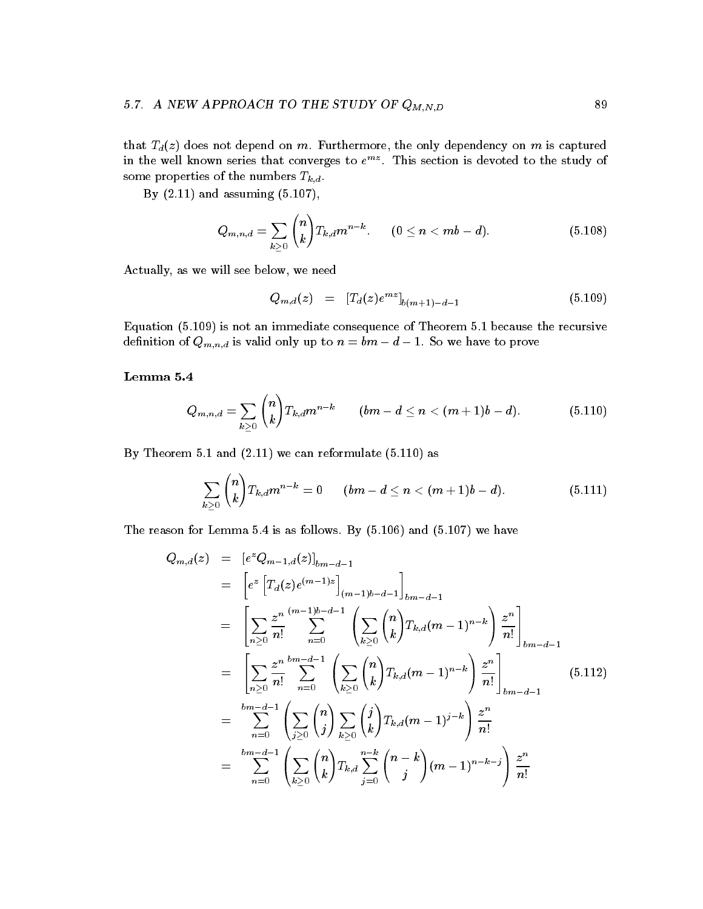# $\mathcal{L}$  . The study of the study of  $\mathcal{L}$  and  $\mathcal{L}$  and  $\mathcal{L}$  and  $\mathcal{L}$  . The study of  $\mathcal{L}$

that  $T_d(z)$  does not depend on m. Furthermore, the only dependency on m is captured in the well known series that converges to  $e^{mz}$ . This section is devoted to the study of some properties of the numbers  $T_{k,d}$ .

-based - and assuming - and assuming - and assuming - and assuming - and assuming - and assuming - and assuming -

$$
Q_{m,n,d}=\sum_{k\geq 0}\binom{n}{k}T_{k,d}m^{n-k}.\qquad (0\leq n < mb-d). \qquad \qquad (5.108)
$$

Actually, as we will see below, we need

$$
Q_{m,d}(z) = [T_d(z)e^{mz}]_{b(m+1)-d-1} \tag{5.109}
$$

Equation - is not an immediate consequence of Theorem - because the recursive  $\mathcal{L}^{III}$  is valid only up to  $\mathcal{L}^{III}$  is valid only up to prove to prove to prove to prove to prove to prove to prove to prove to prove to prove the set of the set of the set of the set of the set of the set of the

$$
Q_{m,n,d}=\sum_{k\geq 0}\binom{n}{k}T_{k,d}m^{n-k}\qquad (bm-d\leq n<(m+1)b-d). \qquad \qquad (5.110)
$$

By Theorem - and -- we can reformulate -- as

$$
\sum_{k\geq 0} \binom{n}{k} T_{k,d} m^{n-k}=0 \qquad (bm-d\leq n <(m+1)b-d). \qquad \qquad (5.111)
$$

The reason for Lemma is as follows By - Lemma is as follows By - Lemma is as follows By - Lemma is a follow

$$
Q_{m,d}(z) = [e^z Q_{m-1,d}(z)]_{bm-d-1}
$$
  
\n
$$
= [e^z [T_d(z)e^{(m-1)z}]_{(m-1)b-d-1}]_{bm-d-1}
$$
  
\n
$$
= \left[ \sum_{n\geq 0} \frac{z^n}{n!} \sum_{n=0}^{(m-1)b-d-1} \left( \sum_{k\geq 0} {n \choose k} T_{k,d}(m-1)^{n-k} \right) \frac{z^n}{n!} \right]_{bm-d-1}
$$
  
\n
$$
= \left[ \sum_{n\geq 0} \frac{z^n}{n!} \sum_{n=0}^{bm-d-1} \left( \sum_{k\geq 0} {n \choose k} T_{k,d}(m-1)^{n-k} \right) \frac{z^n}{n!} \right]_{bm-d-1}
$$
  
\n
$$
= \sum_{n=0}^{bm-d-1} \left( \sum_{j\geq 0} {n \choose j} \sum_{k\geq 0} {j \choose k} T_{k,d}(m-1)^{j-k} \right) \frac{z^n}{n!}
$$
  
\n
$$
= \sum_{n=0}^{bm-d-1} \left( \sum_{k\geq 0} {n \choose k} T_{k,d} \sum_{j=0}^{n-k} {n-k \choose j} (m-1)^{n-k-j} \right) \frac{z^n}{n!}
$$
  
\n(5.112)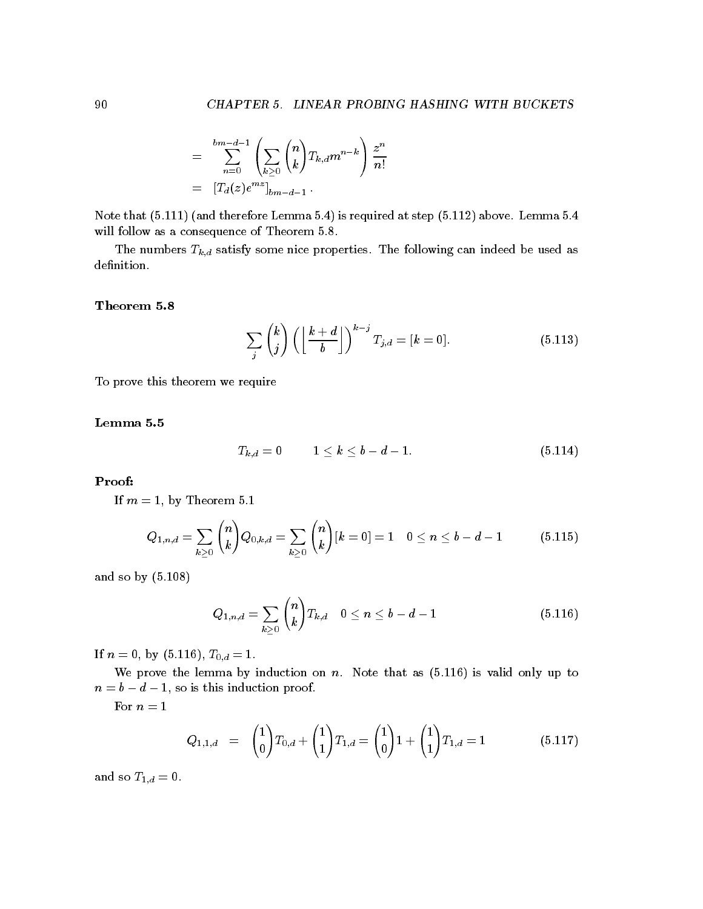$$
=\sum_{n=0}^{bm-d-1}\left(\sum_{k\geq 0}\binom{n}{k}T_{k,d}m^{n-k}\right)\frac{z^n}{n!} \\=\ [T_d(z)e^{mz}]_{bm-d-1}\,.
$$

Note that --- and therefore Lemma is required at step -- above Lemma will follow as a consequence of Theorem 5.8.

The numbers  $T_{k,d}$  satisfy some nice properties. The following can indeed be used as definition.

$$
\sum_{j} {k \choose j} \left( \left\lfloor \frac{k+d}{b} \right\rfloor \right)^{k-j} T_{j,d} = [k = 0]. \tag{5.113}
$$

To prove this theorem we require

$$
T_{k,d}=0 \hspace{1cm} 1\leq k\leq b-d-1. \hspace{3cm} (5.114)
$$

# Proof

If m - by Theorem -

$$
Q_{1,n,d} = \sum_{k \geq 0} {n \choose k} Q_{0,k,d} = \sum_{k \geq 0} {n \choose k} [k=0] = 1 \quad 0 \leq n \leq b-d-1 \tag{5.115}
$$

and so by - and - and - and - and - and - and - and - and - and - and - and - and - and - and - and - and - and

$$
Q_{1,n,d} = \sum_{k \geq 0} {n \choose k} T_{k,d} \quad 0 \leq n \leq b - d - 1 \tag{5.116}
$$

 $\blacksquare$   $\blacksquare$   $\blacksquare$   $\blacksquare$   $\blacksquare$   $\blacksquare$   $\blacksquare$   $\blacksquare$   $\blacksquare$   $\blacksquare$   $\blacksquare$   $\blacksquare$ 

we prove the lemma by induction on n Note that as - is valid on n Note that as - is valid only up to the lemma by induction on  $\mathbb{R}^n$ n b d - so is this induction proof

For  $n = 1$ 

$$
Q_{1,1,d} = \binom{1}{0} T_{0,d} + \binom{1}{1} T_{1,d} = \binom{1}{0} 1 + \binom{1}{1} T_{1,d} = 1 \tag{5.117}
$$

and so  $T_{1,d} = 0$ .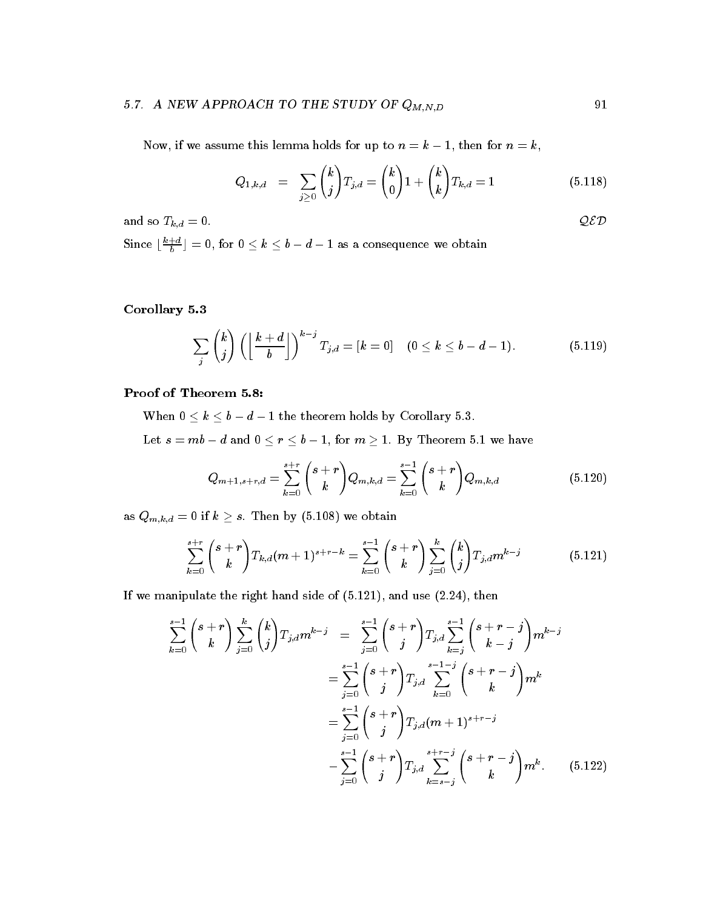# -- A NEW APPROACH TO THE STUDY OF QM N D -

Now if we assume this lemma holds for up to n k - then for n k

$$
Q_{1,k,d} = \sum_{j\geq 0} {k \choose j} T_{j,d} = {k \choose 0} 1 + {k \choose k} T_{k,d} = 1 \qquad (5.118)
$$

and so  $T_{k,d} = 0$ .  $Q\mathcal{ED}$ 

Since  $\lfloor \frac{a}{b} \rfloor = 0$ , for  $0 \le k \le b - d - 1$  as a consequence we obtain

corollary and corollary and corollary and corollary and corollary and corollary and corollary and corollary and corollary and corollary and corollary and corollary and corollary and corollary and corollary and corollary an

$$
\sum_{j} {k \choose j} \left( \left\lfloor \frac{k+d}{b} \right\rfloor \right)^{k-j} T_{j,d} = [k=0] \quad (0 \le k \le b-d-1). \tag{5.119}
$$

when  $\bullet$  and the theorem theorem theorem is the theorem holds by Corollary and the theorem is the theorem of the theorem in the theorem is the theorem in the theorem in the theorem is the theorem in the theorem in the the

Let s a maximum of maximum of maximum of maximum of maximum of maximum of maximum of maximum of maximum of maximum

$$
Q_{m+1,s+r,d} = \sum_{k=0}^{s+r} {s+r \choose k} Q_{m,k,d} = \sum_{k=0}^{s-1} {s+r \choose k} Q_{m,k,d}
$$
(5.120)

as  $\mathcal{N}$  if  $\mathcal{N}$  is the by  $\mathcal{N}$  if  $\mathcal{N}$  is the by  $\mathcal{N}$  if  $\mathcal{N}$  is the by  $\mathcal{N}$ 

$$
\sum_{k=0}^{s+r} {s+r \choose k} T_{k,d}(m+1)^{s+r-k} = \sum_{k=0}^{s-1} {s+r \choose k} \sum_{j=0}^k {k \choose j} T_{j,d} m^{k-j} \qquad (5.121)
$$

 $\mathbf{r}$  and use  $\mathbf{r}$  and use  $\mathbf{r}$  and use  $\mathbf{r}$  and use  $\mathbf{r}$  and use  $\mathbf{r}$ 

$$
\sum_{k=0}^{s-1} {s+r \choose k} \sum_{j=0}^k {k \choose j} T_{j,d} m^{k-j} = \sum_{j=0}^{s-1} {s+r \choose j} T_{j,d} \sum_{k=j}^{s-1} {s+r-j \choose k-j} m^{k-j}
$$

$$
= \sum_{j=0}^{s-1} {s+r \choose j} T_{j,d} \sum_{k=0}^{s-1-j} {s+r-j \choose k} m^k
$$

$$
= \sum_{j=0}^{s-1} {s+r \choose j} T_{j,d} (m+1)^{s+r-j}
$$

$$
- \sum_{j=0}^{s-1} {s+r \choose j} T_{j,d} \sum_{k=s-j}^{s+r-j} {s+r-j \choose k} m^k.
$$
(5.122)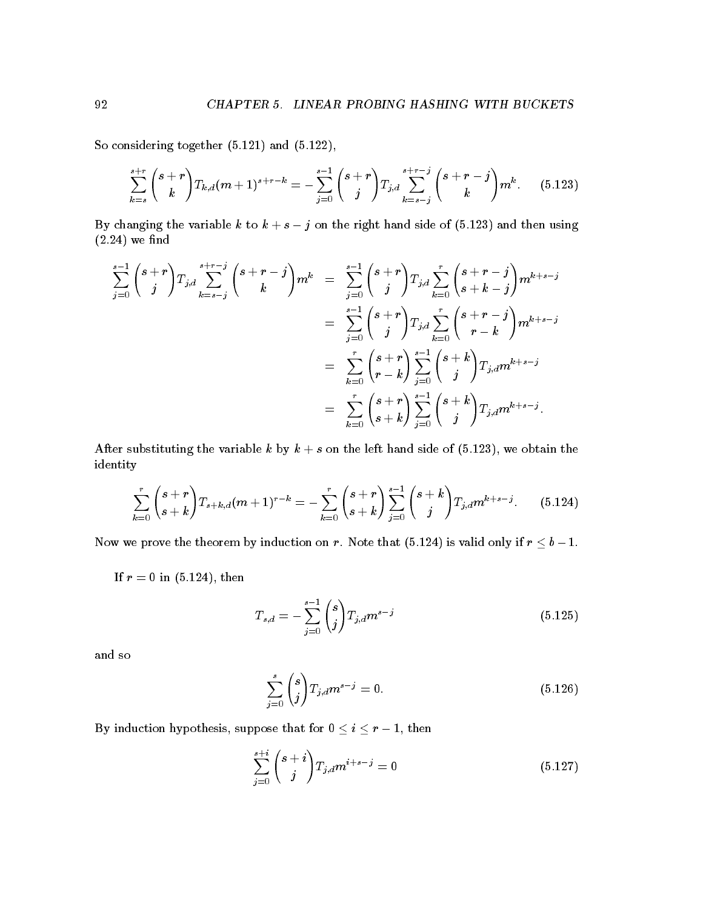$\sim$  -considering to the constant of the constant of the constant of the constant of the constant of the constant of the constant of the constant of the constant of the constant of the constant of the constant of the cons

$$
\sum_{k=s}^{s+r} {s+r \choose k} T_{k,d}(m+1)^{s+r-k} = -\sum_{j=0}^{s-1} {s+r \choose j} T_{j,d} \sum_{k=s-j}^{s+r-j} {s+r-j \choose k} m^k.
$$
 (5.123)

 $B$  changing the variable k to k to k to k to k to k to k to k  $\sim$  $(2.24)$  we find

$$
\begin{array}{lcl} \sum\limits_{j=0}^{s-1}\binom{s+r}{j}T_{j,d}\sum\limits_{k=s-j}^{s+r-j}\binom{s+r-j}{k}m^{k} & = & \sum\limits_{j=0}^{s-1}\binom{s+r}{j}T_{j,d}\sum\limits_{k=0}^{r}\binom{s+r-j}{s+k-j}m^{k+s-j} \\ & = & \sum\limits_{j=0}^{s-1}\binom{s+r}{j}T_{j,d}\sum\limits_{k=0}^{r}\binom{s+r-j}{r-k}m^{k+s-j} \\ & = & \sum\limits_{k=0}^{r}\binom{s+r}{r-k}\sum\limits_{j=0}^{s-1}\binom{s+k}{j}T_{j,d}m^{k+s-j} \\ & = & \sum\limits_{k=0}^{r}\binom{s+r}{s+k}\sum\limits_{j=0}^{s-1}\binom{s+k}{j}T_{j,d}m^{k+s-j} .\end{array}
$$

After substituting the variable k by k s on the left hand side of - we obtain the identity

$$
\sum_{k=0}^{r} {s+r \choose s+k} T_{s+k,d}(m+1)^{r-k} = -\sum_{k=0}^{r} {s+r \choose s+k} \sum_{j=0}^{s-1} {s+k \choose j} T_{j,d} m^{k+s-j}.
$$
 (5.124)

Now we prove the theorem by induction on r Note that - is valid only if r b -

If results are the contracted in the contracted in the contracted in the contracted in  $\mathcal{L} = \{1,2,\ldots, n\}$ 

$$
T_{s,d} = -\sum_{j=0}^{s-1} {s \choose j} T_{j,d} m^{s-j}
$$
\n(5.125)

and so

$$
\sum_{j=0}^{s} {s \choose j} T_{j,d} m^{s-j} = 0.
$$
\n(5.126)

 $\mathcal{L}$  is a suppose that for  $\mathcal{L}$  is supposed to the form in the form in  $\mathcal{L}$  ,  $\mathcal{L}$  is the form in the form in the form in the form in the form in the form in the form in the form in the form in the form in

$$
\sum_{j=0}^{s+i} {s+i \choose j} T_{j,d} m^{i+s-j} = 0 \qquad (5.127)
$$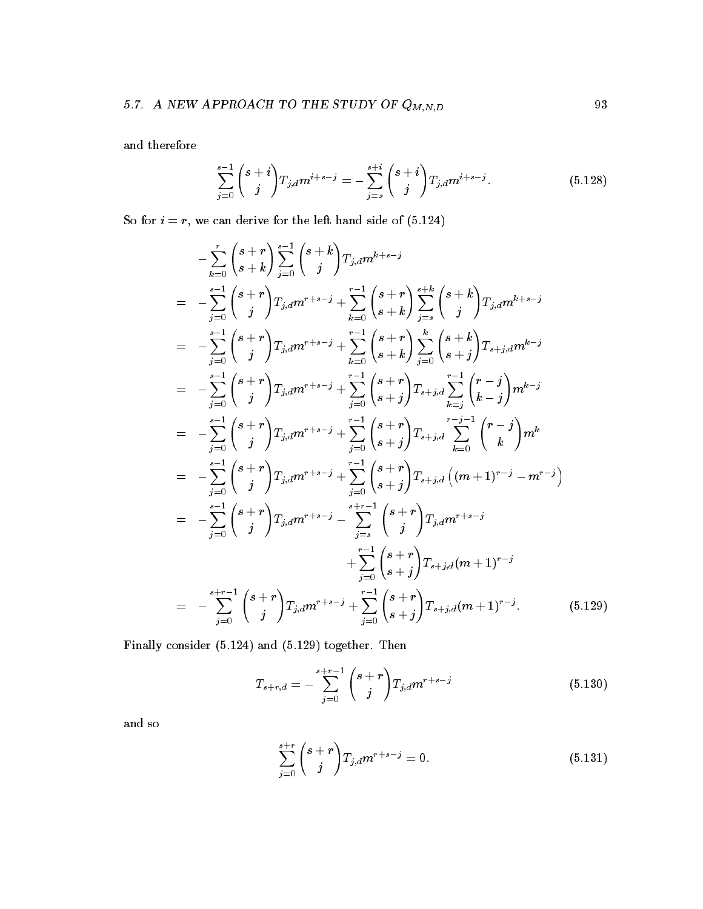and therefore

$$
\sum_{j=0}^{s-1} {s+i \choose j} T_{j,d} m^{i+s-j} = -\sum_{j=s}^{s+i} {s+i \choose j} T_{j,d} m^{i+s-j}.
$$
 (5.128)

so for i derive for the left in the left hand side of the left  $\mathcal{C}$ 

$$
-\sum_{k=0}^{r} {s+r \choose s+k} \sum_{j=0}^{s-1} {s+k \choose j} T_{j,d} m^{k+s-j}
$$
  
\n
$$
= -\sum_{j=0}^{s-1} {s+r \choose j} T_{j,d} m^{r+s-j} + \sum_{k=0}^{r-1} {s+r \choose s+k} \sum_{j=s}^{s+k} {s+k \choose j} T_{j,d} m^{k+s-j}
$$
  
\n
$$
= -\sum_{j=0}^{s-1} {s+r \choose j} T_{j,d} m^{r+s-j} + \sum_{k=0}^{r-1} {s+r \choose s+k} \sum_{j=0}^{k} {s+k \choose s+j} T_{s+j,d} m^{k-j}
$$
  
\n
$$
= -\sum_{j=0}^{s-1} {s+r \choose j} T_{j,d} m^{r+s-j} + \sum_{j=0}^{r-1} {s+r \choose s+j} T_{s+j,d} \sum_{k=j}^{r-1} {r-j \choose k-j} m^{k-j}
$$
  
\n
$$
= -\sum_{j=0}^{s-1} {s+r \choose j} T_{j,d} m^{r+s-j} + \sum_{j=0}^{r-1} {s+r \choose s+j} T_{s+j,d} \sum_{k=0}^{r-j-1} {r-j \choose k} m^{k}
$$
  
\n
$$
= -\sum_{j=0}^{s-1} {s+r \choose j} T_{j,d} m^{r+s-j} + \sum_{j=0}^{r-1} {s+r \choose s+j} T_{s+j,d} ((m+1)^{r-j} - m^{r-j})
$$
  
\n
$$
= -\sum_{j=0}^{s-1} {s+r \choose j} T_{j,d} m^{r+s-j} - \sum_{j=s}^{s+r-1} {s+r \choose j} T_{j,d} m^{r+s-j}
$$
  
\n
$$
+ \sum_{j=0}^{r-1} {s+r \choose s+j} T_{s+j,d} (m+1)^{r-j}.
$$
  
\n
$$
= -\sum_{j=0}^{s+r-1} {s+r \choose j} T_{j,d} m^{r+s-j} + \sum_{j=0}^{r-1} {s+r \choose s+j} T_{s+j,d} (m+1)^{r-j}.
$$
  
\n(5.129)

Finally consider - and - together Then

$$
T_{s+r,d} = -\sum_{j=0}^{s+r-1} {s+r \choose j} T_{j,d} m^{r+s-j}
$$
 (5.130)

and so

$$
\sum_{j=0}^{s+r} {s+r \choose j} T_{j,d} m^{r+s-j} = 0.
$$
\n(5.131)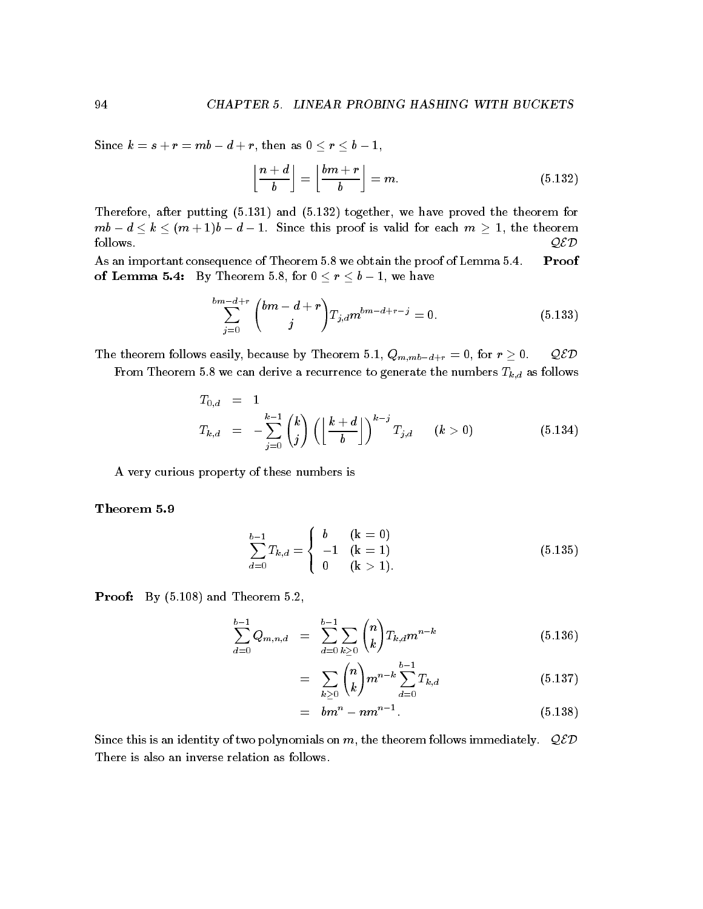Since  $\mathbb{R}$  as a result of the since the since then as  $\mathbb{R}$  as  $\mathbb{R}$  as  $\mathbb{R}$  as  $\mathbb{R}$  as  $\mathbb{R}$  as  $\mathbb{R}$  as  $\mathbb{R}$  as  $\mathbb{R}$  as  $\mathbb{R}$  as  $\mathbb{R}$  as  $\mathbb{R}$  as  $\mathbb{R}$  as  $\mathbb{R}$  as  $\mathbb{R}$ 

$$
\left\lfloor \frac{n+d}{b} \right\rfloor = \left\lfloor \frac{bm+r}{b} \right\rfloor = m. \tag{5.132}
$$

Therefore after putting -- and - together we have proved the theorem for mb d k m d - this proof is valid for each model is valid for each model is valid for each m - the theorem follows QED

As an important consequence of Theorem 5.8 we obtain the proof of Lemma 5.4. Proof of Lemma By Theorem for r b - we have

$$
\sum_{j=0}^{bm- d+r} {bmd+r \choose j} T_{j,d} m^{bm-d+r-j} = 0.
$$
 (5.133)

 $\mathcal{A}$  , and the theorem for the theorem for the theorem  $\mathcal{A}$  . The theorem is the contract of the contract of the contract of the contract of the contract of the contract of the contract of the contract of the cont

From Theorem 5.8 we can derive a recurrence to generate the numbers  $T_{k,d}$  as follows

$$
T_{0,d} = 1
$$
  
\n
$$
T_{k,d} = -\sum_{j=0}^{k-1} {k \choose j} \left( \left\lfloor \frac{k+d}{b} \right\rfloor \right)^{k-j} T_{j,d} \quad (k > 0)
$$
\n(5.134)

A very curious property of these numbers is

$$
\sum_{d=0}^{b-1} T_{k,d} = \begin{cases} b & (k = 0) \\ -1 & (k = 1) \\ 0 & (k > 1). \end{cases}
$$
 (5.135)

Proof By - and Theorem

$$
\sum_{d=0}^{b-1} Q_{m,n,d} = \sum_{d=0}^{b-1} \sum_{k \ge 0} {n \choose k} T_{k,d} m^{n-k}
$$
(5.136)

$$
= \sum_{k\geq 0} {n \choose k} m^{n-k} \sum_{d=0}^{b-1} T_{k,d} \tag{5.137}
$$

$$
=bm^n - nm^{n-1}.
$$
 (5.138)

Since this is an identity of two polynomials on m, the theorem follows immediately.  $QED$ There is also an inverse relation as follows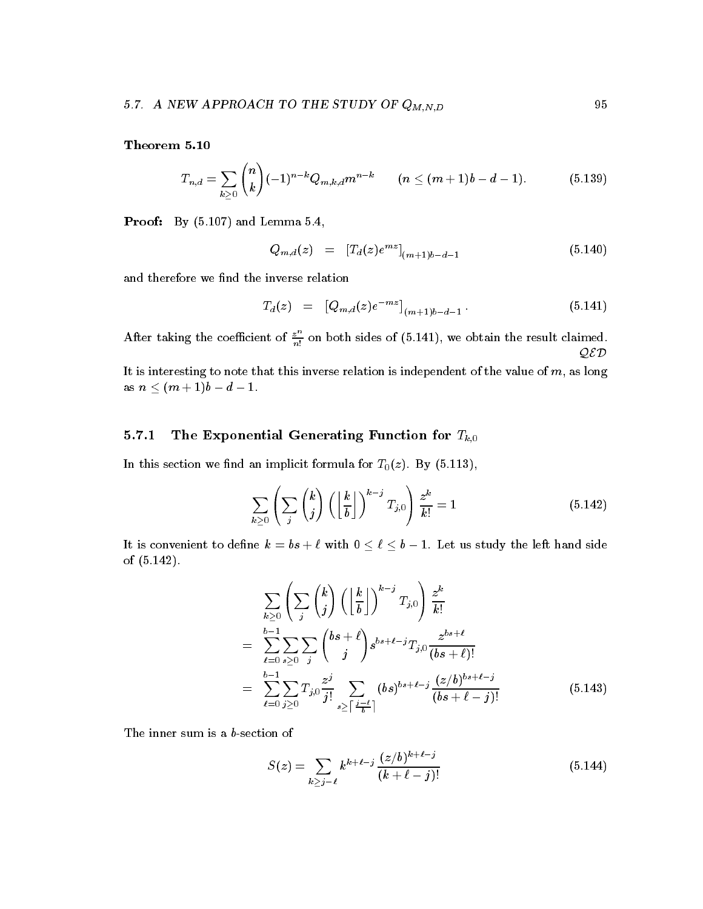$$
T_{n,d} = \sum_{k \geq 0} {n \choose k} (-1)^{n-k} Q_{m,k,d} m^{n-k} \qquad (n \leq (m+1)b - d - 1).
$$
 (5.139)

records and Lemma - and Lemma - and Lemma - and Lemma - and Lemma - and Lemma - and Lemma - and Lemma - and Le

$$
Q_{m,d}(z) = [T_d(z)e^{mz}]_{(m+1)b-d-1}
$$
\n(5.140)

and therefore we find the inverse relation

$$
T_d(z) = [Q_{m,d}(z)e^{-mz}]_{(m+1)b-d-1}.
$$
\n(5.141)

After taking the coefficient of  $\frac{z}{n!}$  on both sides of (5.141), we obtain the result claimed. QED

It is interesting to note that this inverse relation is independent of the value of  $m$ , as long as n and a d  $\mathbf{d}$  -d  $\mathbf{d}$  -d  $\mathbf{d}$  -d  $\mathbf{d}$  -d  $\mathbf{d}$  -d  $\mathbf{d}$  -d  $\mathbf{d}$  -d  $\mathbf{d}$  -d  $\mathbf{d}$ 

# The Exponential Generating Function for  $T_{k,0}$

In this section we note that the section we note that the section  $\mathcal{U}(\mathcal{X})$ 

$$
\sum_{k\geq 0} \left( \sum_{j} \binom{k}{j} \left( \left\lfloor \frac{k}{b} \right\rfloor \right)^{k-j} T_{j,0} \right) \frac{z^k}{k!} = 1 \tag{5.142}
$$

It is convenient to dene k bs with b - bs with bs with bs with bs with bs with bs with bs with bs with bs with bs with bs with bs with bs wi of - 

$$
\sum_{k\geq 0} \left( \sum_{j} {k \choose j} \left( \left\lfloor \frac{k}{b} \right\rfloor \right)^{k-j} T_{j,0} \right) \frac{z^k}{k!} \n= \sum_{\ell=0}^{b-1} \sum_{s\geq 0} \sum_{j} {bs+\ell \choose j} s^{bs+\ell-j} T_{j,0} \frac{z^{bs+\ell}}{(bs+\ell)!} \n= \sum_{\ell=0}^{b-1} \sum_{j\geq 0} T_{j,0} \frac{z^j}{j!} \sum_{s\geq \left\lceil \frac{j-\ell}{b} \right\rceil} (bs)^{bs+\ell-j} \frac{(z/b)^{bs+\ell-j}}{(bs+\ell-j)!}
$$
\n(5.143)

The inner sum is a  $b$ -section of

$$
S(z) = \sum_{k \ge j - \ell} k^{k + \ell - j} \frac{(z/b)^{k + \ell - j}}{(k + \ell - j)!}
$$
(5.144)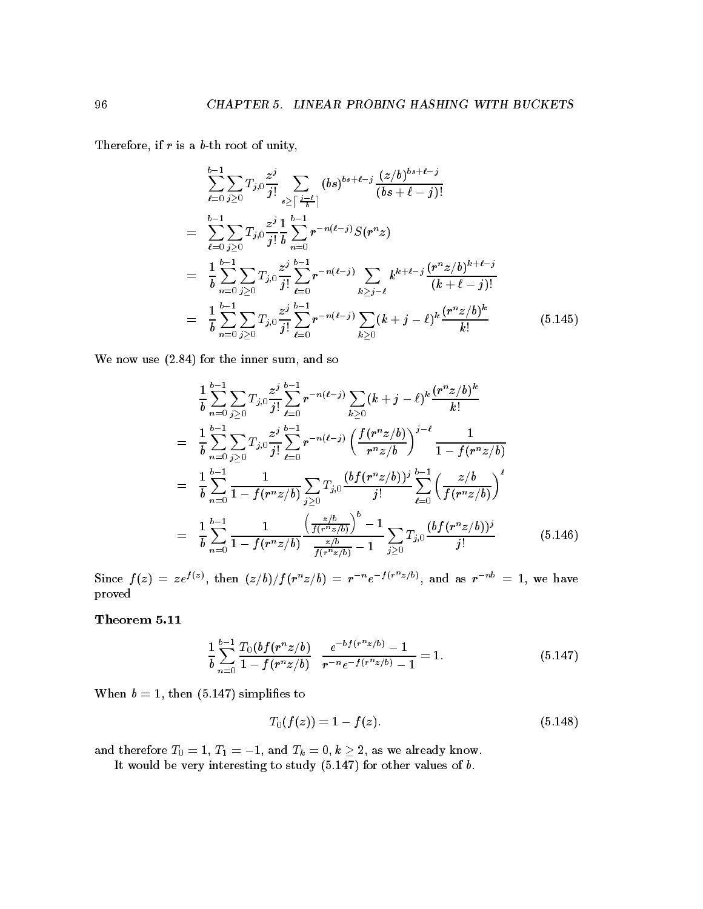Therefore, if  $r$  is a  $b$ -th root of unity,

$$
\sum_{\ell=0}^{b-1} \sum_{j\geq 0} T_{j,0} \frac{z^j}{j!} \sum_{s\geq \lceil \frac{j-\ell}{b} \rceil} (bs)^{bs+\ell-j} \frac{(z/b)^{bs+\ell-j}}{(bs+\ell-j)!}
$$
\n
$$
= \sum_{\ell=0}^{b-1} \sum_{j\geq 0} T_{j,0} \frac{z^j}{j!} \frac{1}{b} \sum_{n=0}^{b-1} r^{-n(\ell-j)} S(r^n z)
$$
\n
$$
= \frac{1}{b} \sum_{n=0}^{b-1} \sum_{j\geq 0} T_{j,0} \frac{z^j}{j!} \sum_{\ell=0}^{b-1} r^{-n(\ell-j)} \sum_{k\geq j-\ell} k^{k+\ell-j} \frac{(r^n z/b)^{k+\ell-j}}{(k+\ell-j)!}
$$
\n
$$
= \frac{1}{b} \sum_{n=0}^{b-1} \sum_{j\geq 0} T_{j,0} \frac{z^j}{j!} \sum_{\ell=0}^{b-1} r^{-n(\ell-j)} \sum_{k\geq 0} (k+j-\ell)^k \frac{(r^n z/b)^k}{k!}
$$
\n(5.145)

We now use  $(2.84)$  for the inner sum, and so

$$
\frac{1}{b} \sum_{n=0}^{b-1} \sum_{j\geq 0} T_{j,0} \frac{z^j}{j!} \sum_{\ell=0}^{b-1} r^{-n(\ell-j)} \sum_{k\geq 0} (k+j-\ell)^k \frac{(r^n z/b)^k}{k!}
$$
\n
$$
= \frac{1}{b} \sum_{n=0}^{b-1} \sum_{j\geq 0} T_{j,0} \frac{z^j}{j!} \sum_{\ell=0}^{b-1} r^{-n(\ell-j)} \left( \frac{f(r^n z/b)}{r^n z/b} \right)^{j-\ell} \frac{1}{1 - f(r^n z/b)}
$$
\n
$$
= \frac{1}{b} \sum_{n=0}^{b-1} \frac{1}{1 - f(r^n z/b)} \sum_{j\geq 0} T_{j,0} \frac{(b f(r^n z/b))^j}{j!} \sum_{\ell=0}^{b-1} \left( \frac{z/b}{f(r^n z/b)} \right)^{\ell}
$$
\n
$$
= \frac{1}{b} \sum_{n=0}^{b-1} \frac{1}{1 - f(r^n z/b)} \frac{\left( \frac{z/b}{f(r^n z/b)} \right)^b - 1}{\frac{z/b}{f(r^n z/b)} - 1} \sum_{j\geq 0} T_{j,0} \frac{(b f(r^n z/b))^j}{j!} \qquad (5.146)
$$

Since  $f(z) = z e^{f(z)}$ , then  $(z/b)/f(r^nz/b) = r^{-n}e^{-f(r^nz/b)}$ , and as  $r^{-n b} = 1$ , we have proved

$$
\frac{1}{b} \sum_{n=0}^{b-1} \frac{T_0(bf(r^n z/b)}{1 - f(r^n z/b)} \frac{e^{-b f(r^n z/b)} - 1}{r^{-n} e^{-f(r^n z/b)} - 1} = 1.
$$
\n(5.147)

When b - then - simplies to

$$
T_0(f(z)) = 1 - f(z). \tag{5.148}
$$

and therefore  $\alpha$  -  $\alpha$  -  $\alpha$  -  $\alpha$  -  $\alpha$  -  $\alpha$  ,  $\alpha$  -  $\alpha$  -  $\alpha$  -  $\alpha$  -  $\alpha$  -  $\alpha$ 

It would be very interesting to study - for other values of b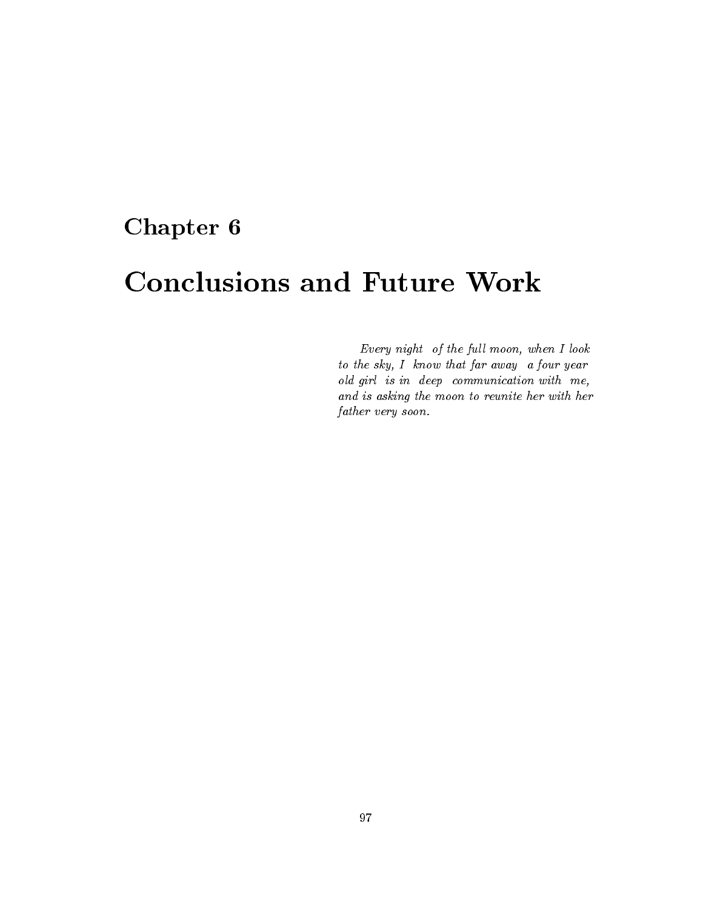# Chapter 6

# Conclusions and Future Work

Every night of the full moon, when  $I$  look to the sky, I know that far away a four year old girl is in deep communication with me and is asking the moon to reunite her with her father very soon.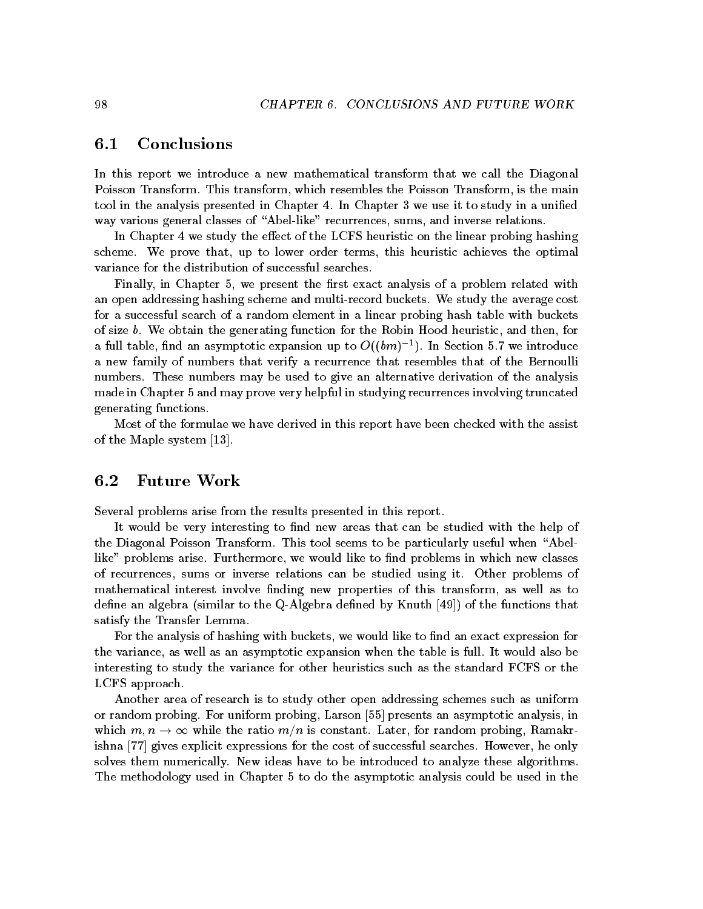## $6.1$ Conclusions

In this report we introduce a new mathematical transform that we call the Diagonal Poisson Transform. This transform, which resembles the Poisson Transform, is the main tool in the analysis presented in Chapter 4. In Chapter 3 we use it to study in a unified way various general classes of "Abel-like" recurrences, sums, and inverse relations.

In Chapter 4 we study the effect of the LCFS heuristic on the linear probing hashing scheme. We prove that, up to lower order terms, this heuristic achieves the optimal variance for the distribution of successful searches

Finally, in Chapter 5, we present the first exact analysis of a problem related with an open addressing hashing scheme and multi-record buckets. We study the average cost for a successful search of a random element in a linear probing hash table with buckets of size  $b$ . We obtain the generating function for the Robin Hood heuristic, and then, for a full table, find an asymptotic expansion up to  $O((\theta m)^{-1})$ . In Section 5.7 we introduce a new family of numbers that verify a recurrence that resembles that of the Bernoulli numbers. These numbers may be used to give an alternative derivation of the analysis made in Chapter 5 and may prove very helpful in studying recurrences involving truncated generating functions

Most of the formulae we have derived in this report have been checked with the assist of the Maple system in the Maple system in the Maple system in the Maple system in the Maple system in the Mapl

# 6.2 Future Work

Several problems arise from the results presented in this report

It would be very interesting to find new areas that can be studied with the help of the Diagonal Poisson Transform. This tool seems to be particularly useful when "Abellike" problems arise. Furthermore, we would like to find problems in which new classes of recurrences, sums or inverse relations can be studied using it. Other problems of mathematical interest involve finding new properties of this transform, as well as to define an algebra (similar to the Q-Algebra defined by Knuth  $\left[49\right]$ ) of the functions that satisfy the Transfer Lemma

For the analysis of hashing with buckets, we would like to find an exact expression for the variance, as well as an asymptotic expansion when the table is full. It would also be interesting to study the variance for other heuristics such as the standard FCFS or the LCFS approach

Another area of research is to study other open addressing schemes such as uniform or random probing. For uniform probing, Larson [55] presents an asymptotic analysis, in which m n - while the ratio mn is constant  $\mathbb{R}^n$  and  $\mathbb{R}^n$  random probing Ramakr for random probing Ramakr for random probing Ramakr for random problem  $\mathbb{R}^n$  and  $\mathbb{R}^n$  random problem problem problem pr ishna [77] gives explicit expressions for the cost of successful searches. However, he only solves them numerically. New ideas have to be introduced to analyze these algorithms. The methodology used in Chapter 5 to do the asymptotic analysis could be used in the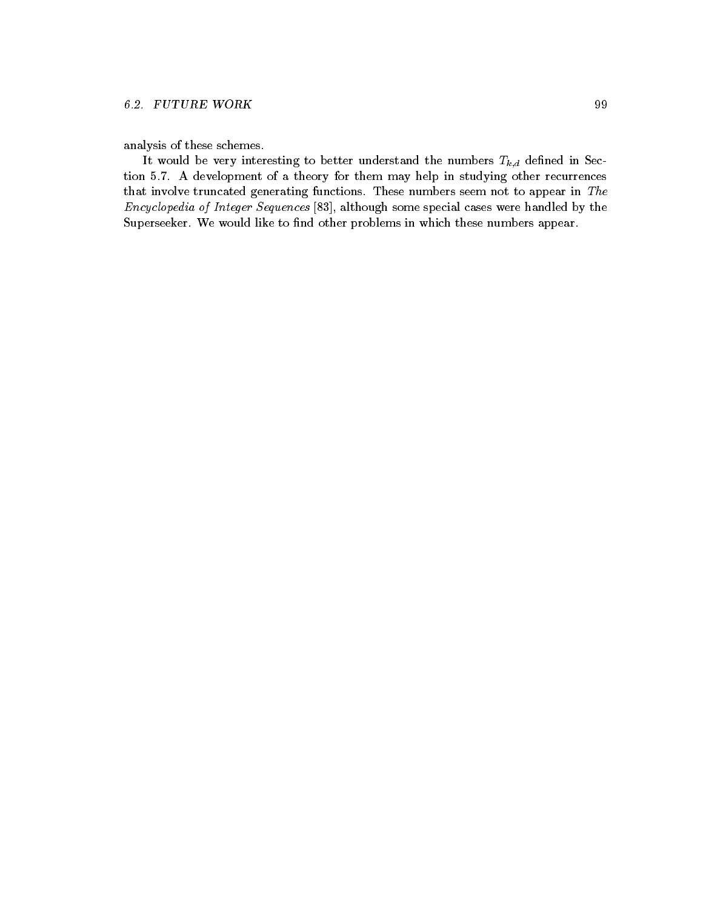analysis of these schemes

It would be very interesting to better understand the numbers  $T_{k,d}$  defined in Section 5.7. A development of a theory for them may help in studying other recurrences that involve truncated generating functions. These numbers seem not to appear in  $The$ Encyclopedia of Integer Sequences  $[83]$ , although some special cases were handled by the Superseeker. We would like to find other problems in which these numbers appear.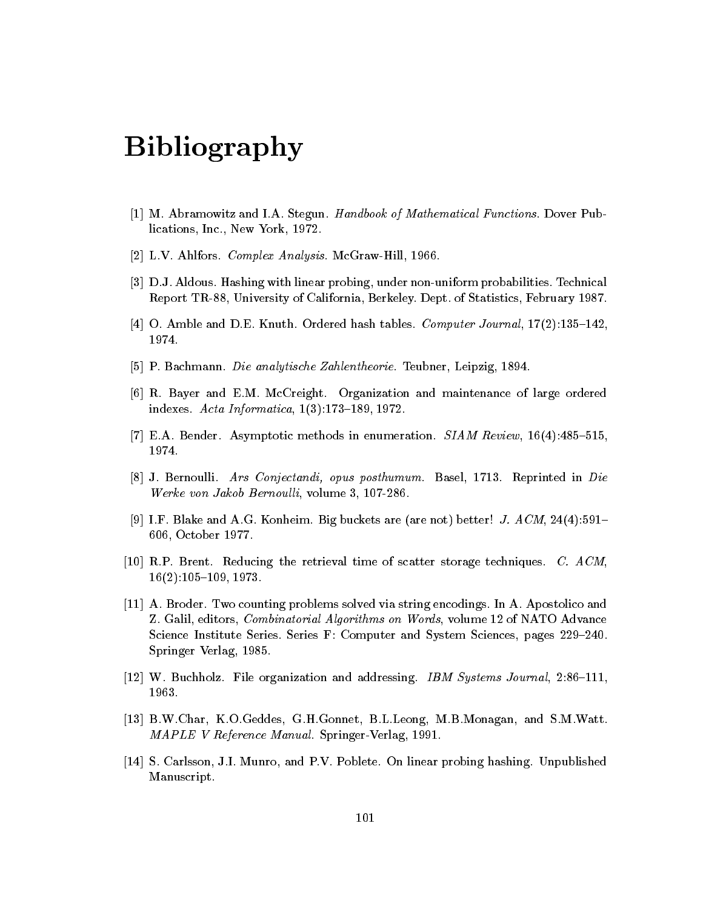## Bibliography

- , we concurre that when the steps down the mathematical functions of Mathematical Functions Dover Public Public lications Inc New York -
- Lavia Ahlfors Complex Analysis McGrawHill Analysis McGrawHill Analysis McGrawHill Analysis McGrawHill -
- [3] D.J. Aldous. Hashing with linear probing, under non-uniform probabilities. Technical Report TR University of California Berkeley Dept of Statistics February -
- $\vert A\vert$  O. Amble and D.E. Knuth. Ordered hash tables. Computer Journal,  $\Gamma(\Delta)$ .199–142,
- P Bachmann Die analytische Zahlentheorie Teubner Leipzig -
- [6] R. Bayer and E.M. McCreight. Organization and maintenance of large ordered  $\mu_{\text{S}}$  and  $\mu_{\text{S}}$  informatica,  $\mu_{\text{S}}$ ,  $\mu_{\text{S}}$  and  $\mu_{\text{S}}$
- $(t)$  E.A. Dender, Asymptotic methods in enumeration. *SIAM Review*, T0(4).400–010,
- is a bernoulling for a strip continuity of the posttantial control of the proposition of the control of the co werke von Jakob Bernoul line werken in die Soon
- $|y|$  T.T. Diake and A.G. Konheim. Dig buckets are (are not) better: J. A  $\cup$ M, 24(4). $\cup$ 1–  $\sim$   $\sim$  -  $\sim$  -  $\sim$  -  $\sim$   $\sim$   $\sim$
- , and a retrieval time of storage the retrieval time of storage techniques C  $\sim$  storage techniques C  $\sim$  $10(2)$ .100–109, 1910.
- -- A Broder Two counting problems solved via string encodings In A Apostolico and Z Galil editors Combinatorial Algorithms on Words volume - of NATO Advance  $S$ cience Institute Series. Series F. Computer and System Sciences, pages  $229 - 240$ . springer verlag - - - - -
- $|12|$  W. Duchholz. The organization and addressing. The systems Journal, 2.00–111,
- BWChar KOGeddes GHGonnet BLLeong MBMonagan and SMWatt MAPLE V Reference Manual SpringerVerlag --
- , s carlsson Ji Munro and Published On Linear Probinshed and Published Problems and Published Discounts and Pu Manuscript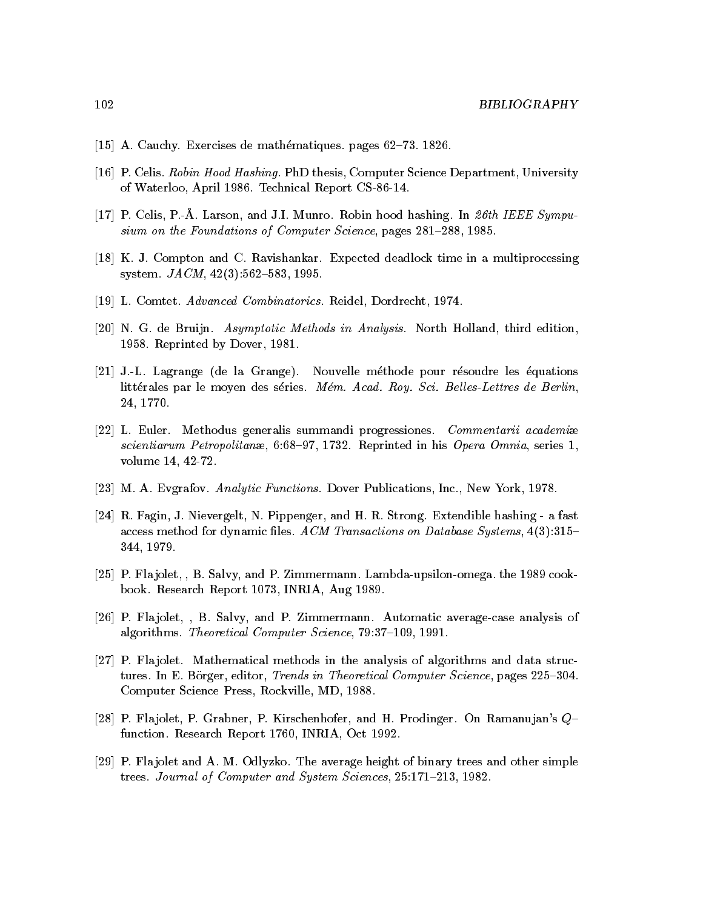- [15] A. Cauchy. Exercises de mathématiques. pages 62–73. 1826.
- [16] P. Celis. Robin Hood Hashing. PhD thesis, Computer Science Department, University of Waterloo, April 1986. Technical Report CS-86-14.
- [17] P. Celis, P.-A. Larson, and J.I. Munro. Robin hood hashing. In 26th IEEE Sympusium on the Foundations of Computer Science, pages 281-288, 1985.
- [18] K. J. Compton and C. Ravishankar. Expected deadlock time in a multiprocessing system.  $JACM$ , 42(3):562-583, 1995.
- [19] L. Comtet. Advanced Combinatorics. Reidel, Dordrecht, 1974.
- [20] N. G. de Bruijn. Asymptotic Methods in Analysis. North Holland, third edition, 1958. Reprinted by Dover, 1981.
- [21] J.-L. Lagrange (de la Grange). Nouvelle méthode pour résoudre les équations littérales par le moyen des séries. Mém. Acad. Roy. Sci. Belles-Lettres de Berlin, 24, 1770.
- [22] L. Euler. Methodus generalis summandi progressiones. Commentarii academiæ scientiarum Petropolitanæ, 6:68-97, 1732. Reprinted in his Opera Omnia, series 1, volume 14, 42-72.
- [23] M. A. Evgrafov. Analytic Functions. Dover Publications, Inc., New York, 1978.
- [24] R. Fagin, J. Nievergelt, N. Pippenger, and H. R. Strong. Extendible hashing a fast access method for dynamic files. ACM Transactions on Database Systems,  $4(3):315-$ 344, 1979.
- [25] P. Flajolet, , B. Salvy, and P. Zimmermann. Lambda-upsilon-omega. the 1989 cookbook. Research Report 1073, INRIA, Aug 1989.
- [26] P. Flajolet, , B. Salvy, and P. Zimmermann. Automatic average-case analysis of algorithms. Theoretical Computer Science, 79:37-109, 1991.
- [27] P. Flajolet. Mathematical methods in the analysis of algorithms and data structures. In E. Börger, editor, Trends in Theoretical Computer Science, pages 225-304. Computer Science Press, Rockville, MD, 1988.
- [28] P. Flajolet, P. Grabner, P. Kirschenhofer, and H. Prodinger. On Ramanujan's Qfunction. Research Report 1760, INRIA, Oct 1992.
- [29] P. Flajolet and A. M. Odlyzko. The average height of binary trees and other simple trees. Journal of Computer and System Sciences, 25:171-213, 1982.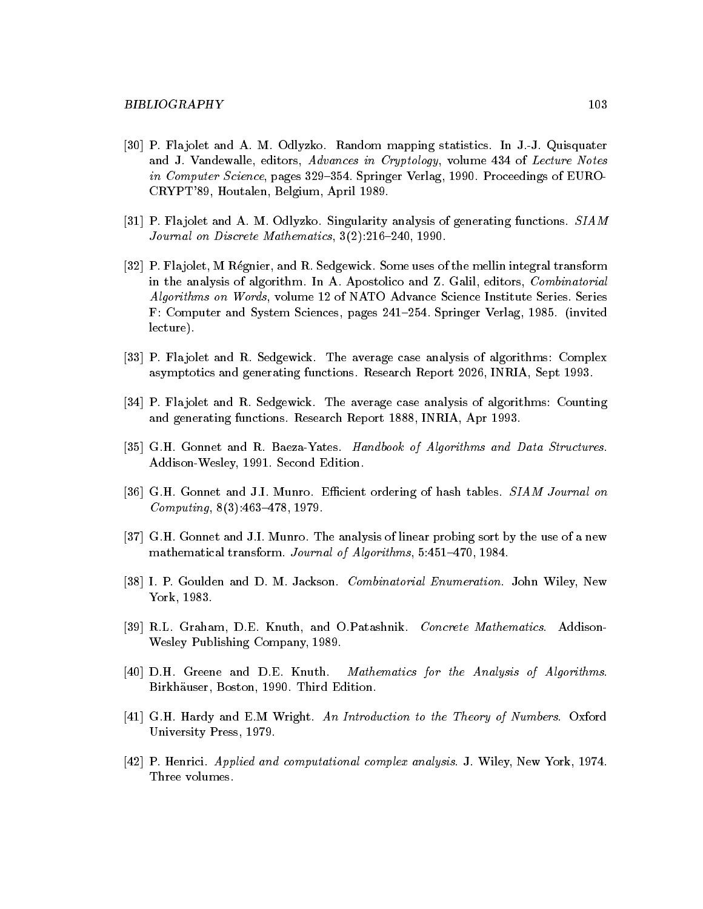- [30] P. Flajolet and A. M. Odlyzko. Random mapping statistics. In J.-J. Quisquater and J. Vandewalle, editors, Advances in Cryptology, volume 434 of Lecture Notes  $m$  Computer Science, pages  $329 - 394$ . Springer Verlag, 1990. Troceedings of EURO CRYPT Houtalen Belgium April -
- P Fla jolet and A M Odlyzko Singularity analysis of generating functions SIAM Journal on Discrete Mathematics,  $J(2)$ .210–240, 1990.
- [32] P. Fla jolet, M Régnier, and R. Sedgewick. Some uses of the mellin integral transform in the analysis of algorithm. In A. Apostolico and Z. Galil, editors, *Combinatorial* Algorithms on Words volume - of NATO Advance Science Institute Series Series  $\bf r$  . Computer and System Sciences, pages  $241-204$ . Springer verlag, 1960. Thivited lecture
- P Fla jolet and R Sedgewick The average case analysis of algorithms Complex asymptotics and generating functions research Report Inc. In Report in  $\mathcal{L}_{\mathcal{A}}$
- P Fla jolet and R Sedgewick The average case analysis of algorithms Counting and generating functions  $\mathbf{F}$  and  $\mathbf{F}$  are positive  $\mathbf{F}$  and  $\mathbf{F}$  and  $\mathbf{F}$  are positive  $\mathbf{F}$
- [35] G.H. Gonnet and R. Baeza-Yates. Handbook of Algorithms and Data Structures. AddisonWesley -- Second Edition
- [36] G.H. Gonnet and J.I. Munro. Efficient ordering of hash tables. SIAM Journal on  $Computing$ ,  $O(J)$ ,  $40J - 41O$ ,  $1313$ .
- [37] G.H. Gonnet and J.I. Munro. The analysis of linear probing sort by the use of a new  $m$ athematical transform. Journal of Algorithms,  $3.431 - 410$ , 1984.
- [38] I. P. Goulden and D. M. Jackson. *Combinatorial Enumeration*. John Wiley, New York - York - York - York - York - York - York - York - York - York - York - York - York - York - York - York
- [39] R.L. Graham, D.E. Knuth, and O.Patashnik. Concrete Mathematics. Addison-Wesley Publishing Company -
- $[40]$  D.H. Greene and D.E. Knuth. *Mathematics for the Analysis of Algorithms*. <u> Birkhauser Boston, Birth - Birkh — Antonis</u>
- $\blacksquare$  GH  $\blacksquare$  and EM Wright An Introduction to the Theory of Numbers Oxforduction to the Theory of Numbers Oxforduction to the Theory of Numbers Oxforduction to the Theory of Numbers Oxforduction to the Theory of Num University Press - Press - Press - Press - Press - Press - Press - Press - Press - Press - Press - Press - Pre
- P Henrici Applied and computational complex analysis J Wiley New York Three volumes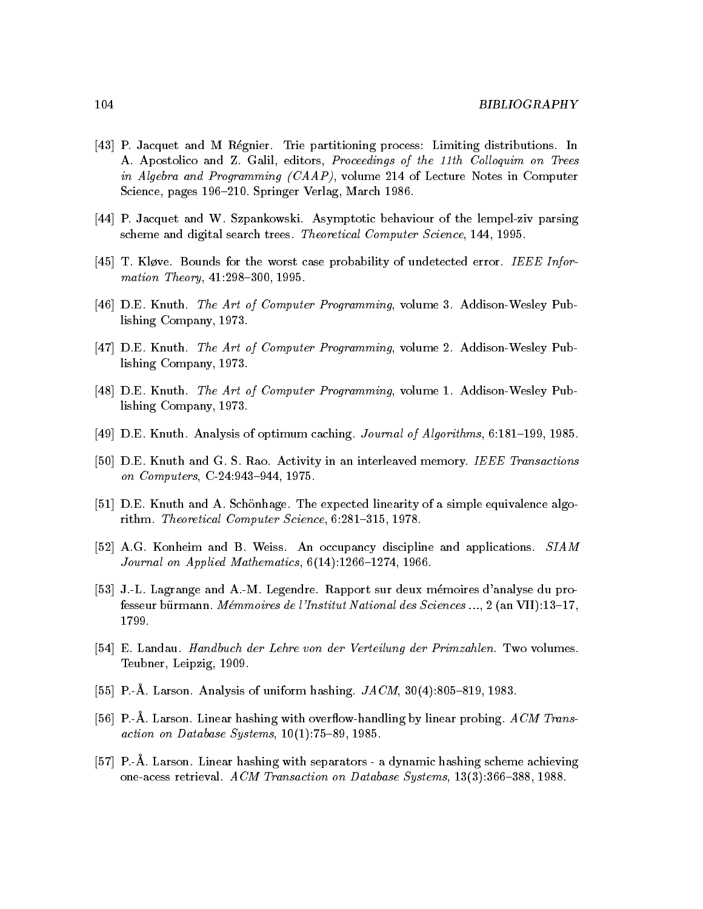- [43] P. Jacquet and M Régnier. Trie partitioning process: Limiting distributions. In A. Apostolico and Z. Galil, editors, Proceedings of the 11th Colloquim on Trees in Algebra and Programming (CAAP), volume 214 of Lecture Notes in Computer Science, pages 196-210. Springer Verlag, March 1986.
- [44] P. Jacquet and W. Szpankowski. Asymptotic behaviour of the lempel-ziv parsing scheme and digital search trees. Theoretical Computer Science, 144, 1995.
- [45] T. Kløve. Bounds for the worst case probability of undetected error. IEEE Information Theory, 41:298-300, 1995.
- [46] D.E. Knuth. The Art of Computer Programming, volume 3. Addison-Wesley Publishing Company, 1973.
- [47] D.E. Knuth. *The Art of Computer Programming*, volume 2. Addison-Wesley Publishing Company, 1973.
- [48] D.E. Knuth. The Art of Computer Programming, volume 1. Addison-Wesley Publishing Company, 1973.
- [49] D.E. Knuth. Analysis of optimum caching. Journal of Algorithms, 6:181-199, 1985.
- [50] D.E. Knuth and G. S. Rao. Activity in an interleaved memory. IEEE Transactions on Computers, C-24:943-944, 1975.
- [51] D.E. Knuth and A. Schönhage. The expected linearity of a simple equivalence algorithm. Theoretical Computer Science, 6:281-315, 1978.
- [52] A.G. Konheim and B. Weiss. An occupancy discipline and applications. SIAM Journal on Applied Mathematics,  $6(14):1266-1274$ , 1966.
- [53] J.-L. Lagrange and A.-M. Legendre. Rapport sur deux mémoires d'analyse du professeur bürmann. Mémmoires de l'Institut National des Sciences ..., 2 (an VII):13-17, 1799.
- [54] E. Landau. *Handbuch der Lehre von der Verteilung der Primzahlen*. Two volumes. Teubner, Leipzig, 1909.
- [55] P.-A. Larson. Analysis of uniform hashing.  $JACM$ , 30(4):805–819, 1983.
- [56] P.-Å. Larson. Linear hashing with overflow-handling by linear probing. ACM Transaction on Database Systems,  $10(1)$ :75-89, 1985.
- [57] P.-A. Larson. Linear hashing with separators a dynamic hashing scheme achieving one-acess retrieval. ACM Transaction on Database Systems, 13(3):366-388, 1988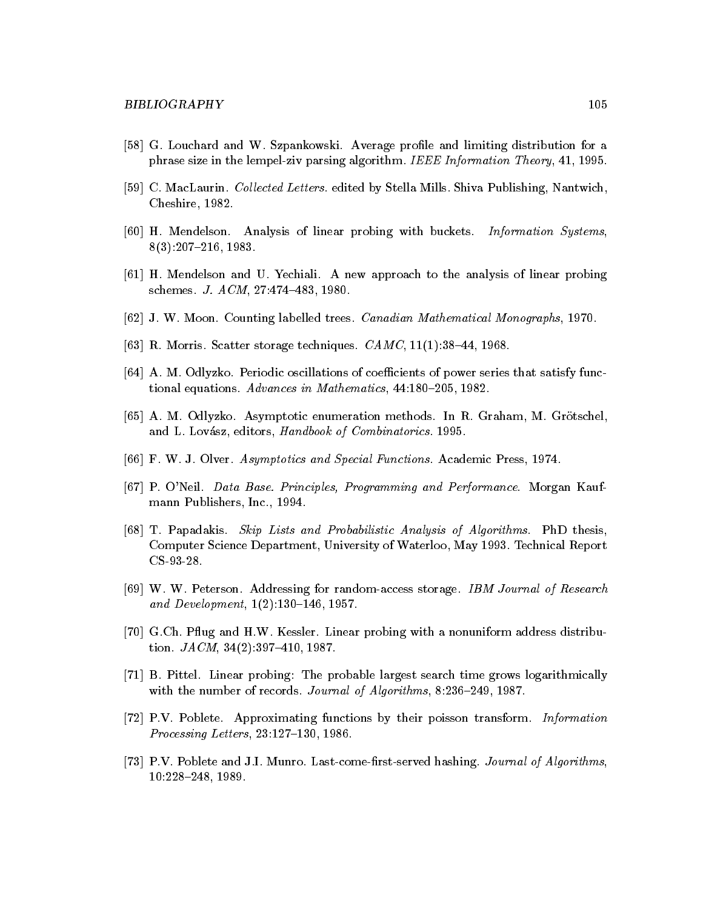- [58] G. Louchard and W. Szpankowski. Average profile and limiting distribution for a phrase size in the lempelziv parsing algorithm IEEE Information Theory - -
- [59] C. MacLaurin. Collected Letters. edited by Stella Mills. Shiva Publishing, Nantwich, Cheshire - 1 - 2 - 2 - 1
- [60] H. Mendelson. Analysis of linear probing with buckets. *Information Systems*, 0 0 0 1 . 4 0 1  $-$  4 1 0  $\sigma$  .
- H Mendelson and U Yechiali A new approach to the analysis of linear probing schemes. *J. A CIM*, 21.414–405, 1900.
- J W Moon Counting and the counting the country with mathematical monographs I are the
- $[0.0]$  n. Morris. Scatter storage techniques. CAMC, II(I).30–44, 1900.
- [64] A. M. Odlyzko. Periodic oscillations of coefficients of power series that satisfy func $t$ ional equations. *Advances in Mathematics*, 44.100–200, 1902.
- [65] A. M. Odlyzko. Asymptotic enumeration methods. In R. Graham, M. Grötschel, and Love of Love of Love of Love of Love of Love of Love of Love of Love of Love of Combinatorics - Love of Co
- F W J Olver Asymptotics and Special Functions Academic Press -
- [67] P. O'Neil. Data Base. Principles, Programming and Performance. Morgan Kaufmann Publishers Inc -
- [68] T. Papadakis. Skip Lists and Probabilistic Analysis of Algorithms. PhD thesis, Computer Science Department University of Waterloo May - Technical Report CS-93-28.
- [69] W. W. Peterson. Addressing for random-access storage. *IBM Journal of Research*  $and \,Devevolution$ ,  $1/2$ .  $130-140$ ,  $1301$ .
- [70] G.Ch. Pflug and H.W. Kessler. Linear probing with a nonuniform address distribution JACM '- -
- , et extreme extreme problems, search time and time are the problems of the problems of  $\mathcal{S}$ with the number of records. Journal of Algorithms,  $\delta$ . 250–249, 1967.
- [72] P.V. Poblete. Approximating functions by their poisson transform. Information  $1$  rocessing Letters, 20.121-150, 1960.
- [73] P.V. Poblete and J.I. Munro. Last-come-first-served hashing. Journal of Algorithms,  $10.220 - 240, 1909.$